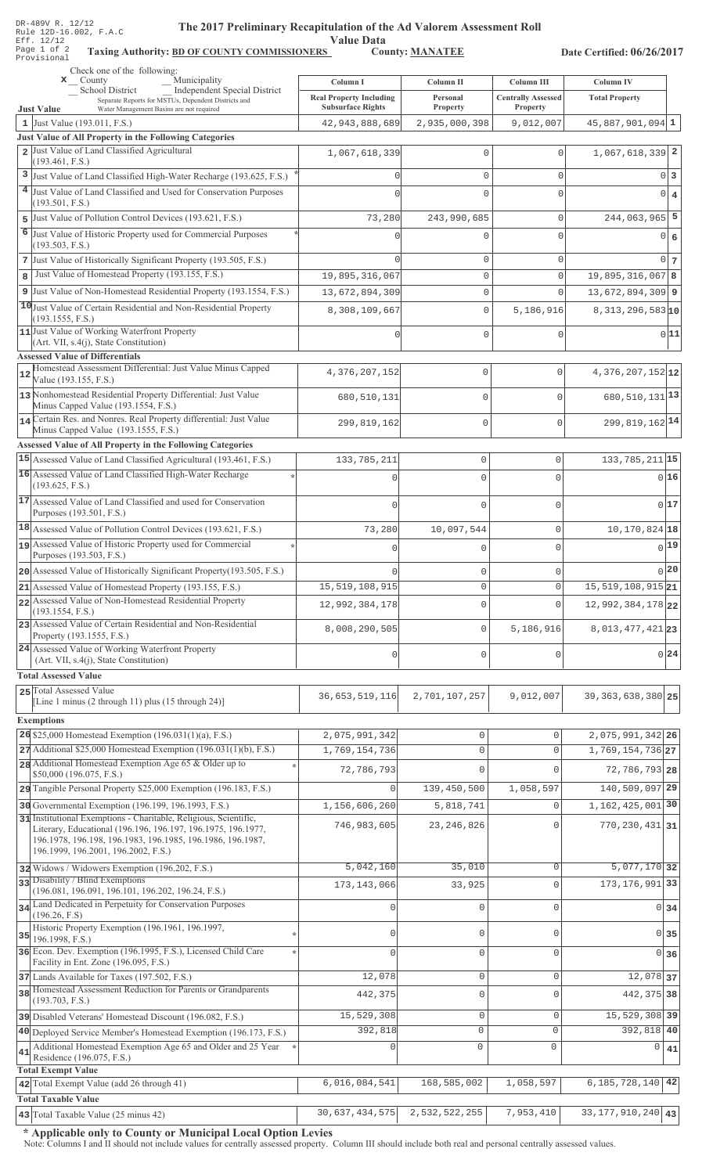| DR-489V R. 12/12 |  |  |                        |
|------------------|--|--|------------------------|
|                  |  |  | Rule 12D-16.002, F.A.C |
| Eff. 12/12       |  |  |                        |
| Page 1 of 2      |  |  | Taxing                 |
| Provisional      |  |  |                        |

# The 2017 Preliminary Recapitulation of the Ad Valorem Assessment Roll

Value Data<br>S County: MANATEE

Taxing Authority: BD OF COUNTY COMMISSIONERS County: MANATEE

Date Certified: 06/26/2017

| rrovisionai<br>Check one of the following:                                                                                       |                                                            |                             |                                       |                                |                   |
|----------------------------------------------------------------------------------------------------------------------------------|------------------------------------------------------------|-----------------------------|---------------------------------------|--------------------------------|-------------------|
| Municipality<br>$\mathbf{x}$ County<br>Independent Special District<br>School District                                           | Column I                                                   | Column II                   | <b>Column III</b>                     | Column IV                      |                   |
| Separate Reports for MSTUs, Dependent Districts and<br><b>Just Value</b><br>Water Management Basins are not required             | <b>Real Property Including</b><br><b>Subsurface Rights</b> | Personal<br><b>Property</b> | <b>Centrally Assessed</b><br>Property | <b>Total Property</b>          |                   |
| 1 Just Value $(193.011, F.S.)$                                                                                                   | 42, 943, 888, 689                                          | 2,935,000,398               | 9,012,007                             | $45,887,901,094$ 1             |                   |
| Just Value of All Property in the Following Categories                                                                           |                                                            |                             |                                       |                                |                   |
| 2 Just Value of Land Classified Agricultural<br>(193.461, F.S.)                                                                  | 1,067,618,339                                              | $\Omega$                    | $\Omega$                              | $1,067,618,339$ 2              |                   |
| 3 Just Value of Land Classified High-Water Recharge (193.625, F.S.)                                                              |                                                            | $\Omega$                    | $\circ$                               |                                | 0 3               |
| 4 Just Value of Land Classified and Used for Conservation Purposes                                                               |                                                            | $\Omega$                    | $\cap$                                |                                | $0 \mid 4$        |
| (193.501, F.S.)<br>5 Just Value of Pollution Control Devices (193.621, F.S.)                                                     | 73,280                                                     | 243,990,685                 | $\mathbf 0$                           | $244,063,965$ 5                |                   |
| 6 Just Value of Historic Property used for Commercial Purposes                                                                   |                                                            | U                           | $\Omega$                              |                                | $0 \mid 6$        |
| (193.503, F.S.)                                                                                                                  |                                                            |                             |                                       |                                |                   |
| 7 Just Value of Historically Significant Property (193.505, F.S.)                                                                |                                                            | 0                           | $\mathbf 0$                           |                                | 0 <sub>7</sub>    |
| Just Value of Homestead Property (193.155, F.S.)<br>8                                                                            | 19,895,316,067                                             | $\mathsf{O}\xspace$         | $\mathbf 0$                           | $19,895,316,067$ 8             |                   |
| 9 Just Value of Non-Homestead Residential Property (193.1554, F.S.)                                                              | 13,672,894,309                                             | $\mathbf 0$                 | $\Omega$                              | $13,672,894,309$ 9             |                   |
| 10 Just Value of Certain Residential and Non-Residential Property<br>(193.1555, F.S.)                                            | 8,308,109,667                                              | $\mathbf{0}$                | 5,186,916                             | $8,313,296,583$ <sub>10</sub>  |                   |
| 11 Just Value of Working Waterfront Property<br>(Art. VII, s.4(j), State Constitution)                                           | 0                                                          | $\mathbf 0$                 | $\mathbf 0$                           |                                | 0 11              |
| <b>Assessed Value of Differentials</b>                                                                                           |                                                            |                             |                                       |                                |                   |
| Homestead Assessment Differential: Just Value Minus Capped<br>12                                                                 | 4,376,207,152                                              | 0                           | $\mathbf 0$                           | $4,376,207,152$ <sub>12</sub>  |                   |
| Value (193.155, F.S.)<br>13 Nonhomestead Residential Property Differential: Just Value                                           |                                                            |                             |                                       |                                |                   |
| Minus Capped Value (193.1554, F.S.)                                                                                              | 680,510,131                                                | 0                           | $\Omega$                              | 680, 510, 131 <sup>13</sup>    |                   |
| 14 Certain Res. and Nonres. Real Property differential: Just Value<br>Minus Capped Value (193.1555, F.S.)                        | 299,819,162                                                | $\mathbf 0$                 | $\mathbf{0}$                          | 299, 819, 162 14               |                   |
| <b>Assessed Value of All Property in the Following Categories</b>                                                                |                                                            |                             |                                       |                                |                   |
| 15 Assessed Value of Land Classified Agricultural (193.461, F.S.)                                                                | 133,785,211                                                | $\mathbf 0$                 | 0                                     | 133, 785, 211 15               |                   |
| 16 Assessed Value of Land Classified High-Water Recharge                                                                         | $\Omega$                                                   | $\Omega$                    | 0                                     |                                | 0 16              |
| (193.625, F.S.)                                                                                                                  |                                                            |                             |                                       |                                |                   |
| 17 Assessed Value of Land Classified and used for Conservation<br>Purposes (193.501, F.S.)                                       | $\bigcap$                                                  | $\mathbf 0$                 | 0                                     |                                | 017               |
| 18 Assessed Value of Pollution Control Devices (193.621, F.S.)                                                                   | 73,280                                                     | 10,097,544                  | 0                                     | 10, 170, 824 18                |                   |
| assessed Value of Historic Property used for Commercial                                                                          | $\mathbf 0$                                                | $\mathbf{0}$                | 0                                     |                                | $0$ <sup>19</sup> |
| Purposes (193.503, F.S.)<br>20 Assessed Value of Historically Significant Property (193.505, F.S.)                               |                                                            |                             |                                       |                                | 0 20              |
| 21 Assessed Value of Homestead Property (193.155, F.S.)                                                                          | $\cap$<br>15, 519, 108, 915                                | $\Omega$<br>$\mathbf 0$     | $\Omega$<br>$\mathsf{O}\xspace$       | $15,519,108,915$ <sub>21</sub> |                   |
| 22 Assessed Value of Non-Homestead Residential Property                                                                          | 12,992,384,178                                             | $\Omega$                    | $\Omega$                              | 12,992,384,178 22              |                   |
| (193.1554, F.S.)                                                                                                                 |                                                            |                             |                                       |                                |                   |
| 23 Assessed Value of Certain Residential and Non-Residential<br>Property (193.1555, F.S.)                                        | 8,008,290,505                                              | $\mathbb O$                 | 5,186,916                             | 8, 013, 477, 421 23            |                   |
| 24 Assessed Value of Working Waterfront Property                                                                                 | $\mathbf{0}$                                               | $\mathbf{0}$                | 0                                     |                                | 0 24              |
| (Art. VII, s.4(j), State Constitution)<br><b>Total Assessed Value</b>                                                            |                                                            |                             |                                       |                                |                   |
| 25 Total Assessed Value                                                                                                          |                                                            |                             |                                       |                                |                   |
| [Line 1 minus (2 through 11) plus (15 through 24)]                                                                               | 36,653,519,116                                             | 2,701,107,257               | 9,012,007                             | 39, 363, 638, 380 25           |                   |
| <b>Exemptions</b>                                                                                                                |                                                            |                             |                                       |                                |                   |
| 26 \$25,000 Homestead Exemption $(196.031(1)(a), F.S.)$                                                                          | 2,075,991,342                                              | 0                           | $\circ$                               | 2,075,991,342 26               |                   |
| 27 Additional \$25,000 Homestead Exemption (196.031(1)(b), F.S.)                                                                 | 1,769,154,736                                              | $\mathsf{O}\xspace$         | $\mathbf 0$                           | 1,769,154,736 27               |                   |
| 28 Additional Homestead Exemption Age 65 & Older up to<br>\$50,000 (196.075, F.S.)                                               | 72,786,793                                                 | $\Omega$                    |                                       | 72, 786, 793 28                |                   |
| 29 Tangible Personal Property \$25,000 Exemption (196.183, F.S.)                                                                 | $\Omega$                                                   | 139,450,500                 | 1,058,597                             | 140,509,097 29                 |                   |
| 30 Governmental Exemption (196.199, 196.1993, F.S.)                                                                              | 1,156,606,260                                              | 5,818,741                   | $\circ$                               | 1, 162, 425, 001 30            |                   |
| 31 Institutional Exemptions - Charitable, Religious, Scientific,<br>Literary, Educational (196.196, 196.197, 196.1975, 196.1977, | 746,983,605                                                | 23, 246, 826                | Λ                                     | $770, 230, 431$ 31             |                   |
| 196.1978, 196.198, 196.1983, 196.1985, 196.1986, 196.1987,                                                                       |                                                            |                             |                                       |                                |                   |
| 196.1999, 196.2001, 196.2002, F.S.)                                                                                              | 5,042,160                                                  | 35,010                      | $\mathbf{0}$                          | $5,077,170$ 32                 |                   |
| 32 Widows / Widowers Exemption (196.202, F.S.)<br>33 Disability / Blind Exemptions                                               |                                                            |                             |                                       | 173, 176, 991 33               |                   |
| (196.081, 196.091, 196.101, 196.202, 196.24, F.S.)                                                                               | 173, 143, 066                                              | 33,925                      | $\Omega$                              |                                |                   |
| 34 Land Dedicated in Perpetuity for Conservation Purposes<br>(196.26, F.S)                                                       | $\Omega$                                                   | $\mathbf 0$                 | $\Omega$                              | $0\overline{34}$               |                   |
| Historic Property Exemption (196.1961, 196.1997,                                                                                 | $\circ$                                                    | $\mathbf{0}$                | $\mathbf{0}$                          | 0 35                           |                   |
| $35$ 196.1998, F.S.)<br>36 Econ. Dev. Exemption (196.1995, F.S.), Licensed Child Care                                            | $\bigcap$                                                  | $\mathbf 0$                 | $\Omega$                              | 0 36                           |                   |
| Facility in Ent. Zone (196.095, F.S.)                                                                                            |                                                            |                             |                                       |                                |                   |
| 37 Lands Available for Taxes (197.502, F.S.)                                                                                     | 12,078                                                     | $\mathbb O$                 | $\mathbf{0}$                          | 12,078 37                      |                   |
| 38 Homestead Assessment Reduction for Parents or Grandparents<br>(193.703, F.S.)                                                 | 442,375                                                    | $\mathbf 0$                 | $\Omega$                              | 442, 375 38                    |                   |
| 39 Disabled Veterans' Homestead Discount (196.082, F.S.)                                                                         | 15,529,308                                                 | $\mathsf{O}\xspace$         | $\mathsf{O}\xspace$                   | 15,529,308 39                  |                   |
| 40 Deployed Service Member's Homestead Exemption (196.173, F.S.)                                                                 | 392,818                                                    | $\circ$                     | $\circ$                               | 392,818 40                     |                   |
| Additional Homestead Exemption Age 65 and Older and 25 Year<br>41<br>Residence (196.075, F.S.)                                   | $\mathbf{0}$                                               | $\mathbb O$                 | $\mathbf 0$                           | 0                              | 41                |
| <b>Total Exempt Value</b>                                                                                                        |                                                            |                             |                                       |                                |                   |
| 42 Total Exempt Value (add 26 through 41)                                                                                        | 6,016,084,541                                              | 168,585,002                 | 1,058,597                             | 6, 185, 728, 140 42            |                   |
| <b>Total Taxable Value</b>                                                                                                       |                                                            |                             |                                       |                                |                   |
| 43 Total Taxable Value (25 minus 42)                                                                                             | 30, 637, 434, 575                                          | 2,532,522,255               | 7,953,410                             | 33, 177, 910, 240 43           |                   |

\* Applicable only to County or Municipal Local Option Levies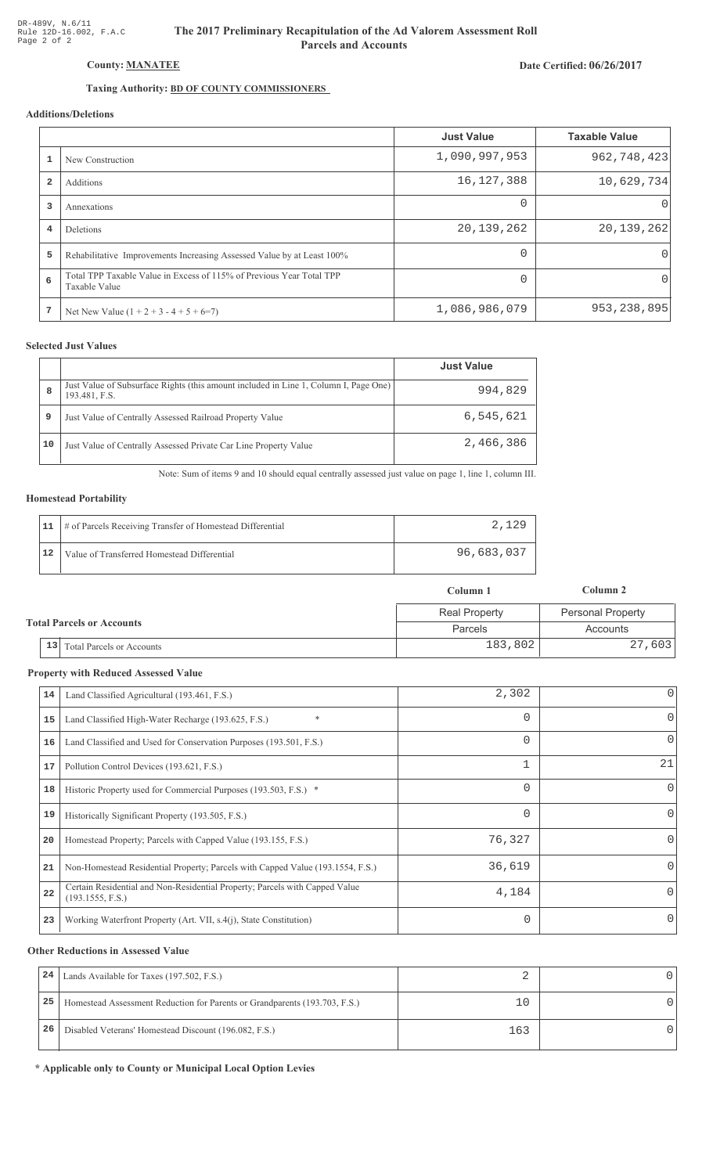# The 2017 Preliminary Recapitulation of the Ad Valorem Assessment Roll **Parcels and Accounts**

# Date Certified: 06/26/2017

# Taxing Authority: **BD OF COUNTY COMMISSIONERS**

# Additions/Deletions

|   |                                                                                       | <b>Just Value</b> | <b>Taxable Value</b> |
|---|---------------------------------------------------------------------------------------|-------------------|----------------------|
|   | New Construction                                                                      | 1,090,997,953     | 962, 748, 423        |
|   | Additions                                                                             | 16, 127, 388      | 10,629,734           |
| 3 | Annexations                                                                           | 0                 | $\Omega$             |
| 4 | Deletions                                                                             | 20,139,262        | 20, 139, 262         |
| 5 | Rehabilitative Improvements Increasing Assessed Value by at Least 100%                | $\Omega$          | 0                    |
| 6 | Total TPP Taxable Value in Excess of 115% of Previous Year Total TPP<br>Taxable Value |                   | 0                    |
| 7 | Net New Value $(1 + 2 + 3 - 4 + 5 + 6=7)$                                             | 1,086,986,079     | 953, 238, 895        |

## **Selected Just Values**

|    |                                                                                                       | <b>Just Value</b> |
|----|-------------------------------------------------------------------------------------------------------|-------------------|
| 8  | Just Value of Subsurface Rights (this amount included in Line 1, Column I, Page One)<br>193.481, F.S. | 994,829           |
| 9  | Just Value of Centrally Assessed Railroad Property Value                                              | 6,545,621         |
| 10 | Just Value of Centrally Assessed Private Car Line Property Value                                      | 2,466,386         |

Note: Sum of items 9 and 10 should equal centrally assessed just value on page 1, line 1, column III.

## **Homestead Portability**

| 11 | # of Parcels Receiving Transfer of Homestead Differential | 2,129      |
|----|-----------------------------------------------------------|------------|
| 12 | Value of Transferred Homestead Differential               | 96,683,037 |

|                                  |                                  | Column 1             | Column 2                 |
|----------------------------------|----------------------------------|----------------------|--------------------------|
| <b>Total Parcels or Accounts</b> |                                  | <b>Real Property</b> | <b>Personal Property</b> |
|                                  |                                  | Parcels              | Accounts                 |
| 13                               | <b>Total Parcels or Accounts</b> | 183,802              | 27,603                   |

#### **Property with Reduced Assessed Value**

|                                                                                                 |                                              | 0        |
|-------------------------------------------------------------------------------------------------|----------------------------------------------|----------|
|                                                                                                 |                                              |          |
| $\ast$<br>Land Classified High-Water Recharge (193.625, F.S.)                                   | 0                                            | 0        |
| Land Classified and Used for Conservation Purposes (193.501, F.S.)                              | 0                                            | 0        |
| Pollution Control Devices (193.621, F.S.)                                                       |                                              | 21       |
| Historic Property used for Commercial Purposes (193.503, F.S.) *                                | 0                                            | 0        |
| Historically Significant Property (193.505, F.S.)                                               | $\Omega$                                     | $\Omega$ |
| Homestead Property; Parcels with Capped Value (193.155, F.S.)                                   | 76,327                                       | 0        |
| Non-Homestead Residential Property; Parcels with Capped Value (193.1554, F.S.)                  | 36,619                                       | 0        |
| Certain Residential and Non-Residential Property; Parcels with Capped Value<br>(193.1555, F.S.) | 4,184                                        | $\Omega$ |
| Working Waterfront Property (Art. VII, s.4(j), State Constitution)                              | 0                                            | $\Omega$ |
|                                                                                                 | Land Classified Agricultural (193.461, F.S.) | 2,302    |

#### **Other Reductions in Assessed Value**

| 24 | Lands Available for Taxes (197.502, F.S.)                                  |     |  |
|----|----------------------------------------------------------------------------|-----|--|
| 25 | Homestead Assessment Reduction for Parents or Grandparents (193.703, F.S.) |     |  |
| 26 | Disabled Veterans' Homestead Discount (196.082, F.S.)                      | 163 |  |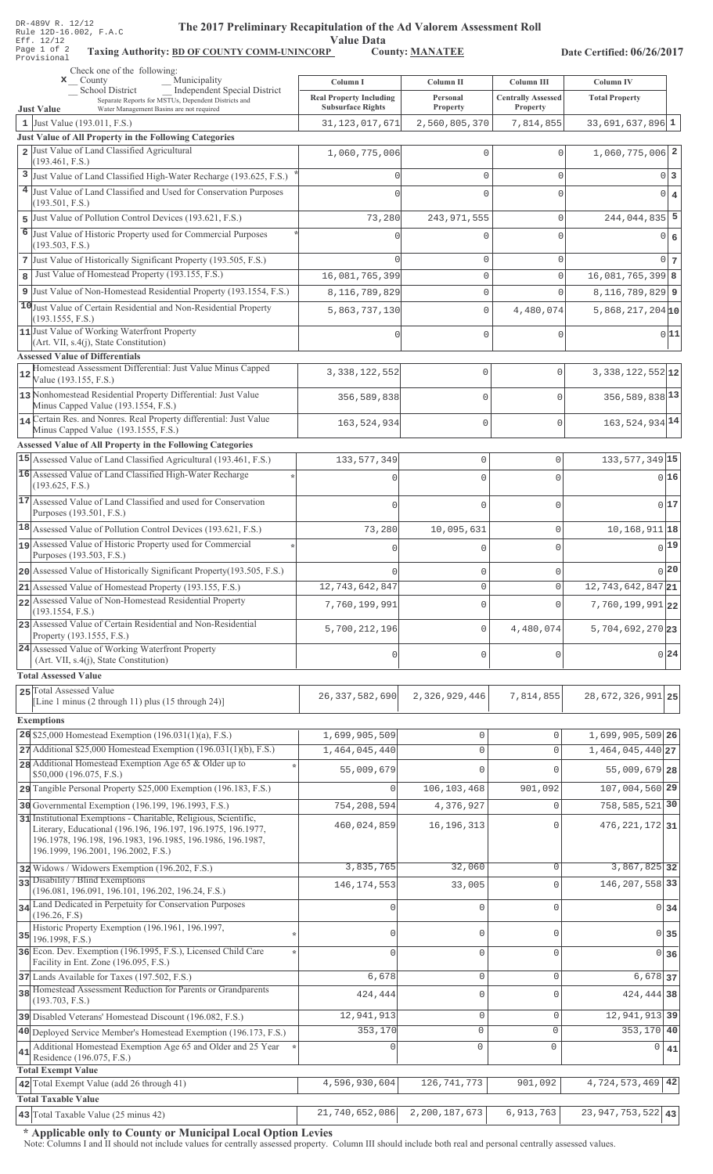| DR-489V R. 12/12 |  |  |                        |
|------------------|--|--|------------------------|
|                  |  |  | Rule 12D-16.002, F.A.C |
| Eff. 12/12       |  |  |                        |
| Page 1 of 2      |  |  | Taxing                 |
| Provisional      |  |  |                        |

# The 2017 Preliminary Recapitulation of the Ad Valorem Assessment Roll

**Value Data** 

Taxing Authority: BD OF COUNTY COMM-UNINCORP\_ County: MANATEE

Date Certified: 06/26/2017

| Check one of the following:<br>Municipality<br>$\mathbf{x}$ County                                                               |                                                            |                       |                                       |                                    |      |
|----------------------------------------------------------------------------------------------------------------------------------|------------------------------------------------------------|-----------------------|---------------------------------------|------------------------------------|------|
| Independent Special District<br>_School District                                                                                 | Column I                                                   | Column II<br>Personal | Column III                            | Column IV<br><b>Total Property</b> |      |
| Separate Reports for MSTUs, Dependent Districts and<br>Water Management Basins are not required<br><b>Just Value</b>             | <b>Real Property Including</b><br><b>Subsurface Rights</b> | Property              | <b>Centrally Assessed</b><br>Property |                                    |      |
| 1 Just Value (193.011, F.S.)                                                                                                     | 31, 123, 017, 671                                          | 2,560,805,370         | 7,814,855                             | $33,691,637,896$ 1                 |      |
| Just Value of All Property in the Following Categories<br>2 Just Value of Land Classified Agricultural                           |                                                            |                       |                                       |                                    |      |
| (193.461, F.S.)                                                                                                                  | 1,060,775,006                                              | $\Omega$              | $\Omega$                              | $1,060,775,006$ 2                  |      |
| 3 Just Value of Land Classified High-Water Recharge (193.625, F.S.)                                                              | $\Omega$                                                   | $\Omega$              | $\Omega$                              | $0\vert 3$                         |      |
| 4 Just Value of Land Classified and Used for Conservation Purposes                                                               |                                                            | $\Omega$              | $\Omega$                              | $0 \mid 4$                         |      |
| (193.501, F.S.)<br>Just Value of Pollution Control Devices (193.621, F.S.)                                                       | 73,280                                                     | 243, 971, 555         | $\Omega$                              | $244,044,835$ 5                    |      |
| 5<br>6 Just Value of Historic Property used for Commercial Purposes                                                              |                                                            |                       | $\cap$                                |                                    |      |
| (193.503, F.S.)                                                                                                                  |                                                            |                       |                                       | $0 \mid 6$                         |      |
| 7 Just Value of Historically Significant Property (193.505, F.S.)                                                                |                                                            | $\mathbf 0$           | $\mathbf 0$                           | $0\vert 7$                         |      |
| Just Value of Homestead Property (193.155, F.S.)<br>8                                                                            | 16,081,765,399                                             | $\mathbf{0}$          | $\Omega$                              | $16,081,765,399$ 8                 |      |
| 9 Just Value of Non-Homestead Residential Property (193.1554, F.S.)                                                              | 8,116,789,829                                              | $\mathbf 0$           | $\Omega$                              | $8,116,789,829$ 9                  |      |
| 10 Just Value of Certain Residential and Non-Residential Property<br>(193.1555, F.S.)                                            | 5,863,737,130                                              | $\mathbf{0}$          | 4,480,074                             | $5,868,217,204$ <sub>10</sub>      |      |
| 11 Just Value of Working Waterfront Property                                                                                     |                                                            | $\Omega$              | $\Omega$                              |                                    | 0 11 |
| (Art. VII, s.4(j), State Constitution)                                                                                           |                                                            |                       |                                       |                                    |      |
| <b>Assessed Value of Differentials</b><br>Homestead Assessment Differential: Just Value Minus Capped                             |                                                            |                       |                                       |                                    |      |
| Value (193.155, F.S.)                                                                                                            | 3, 338, 122, 552                                           | 0                     | $\mathbf{0}$                          | $3,338,122,552$ 12                 |      |
| 13 Nonhomestead Residential Property Differential: Just Value                                                                    | 356,589,838                                                | 0                     | $\mathbf 0$                           | 356, 589, 838 13                   |      |
| Minus Capped Value (193.1554, F.S.)<br>14 Certain Res. and Nonres. Real Property differential: Just Value                        |                                                            |                       |                                       |                                    |      |
| Minus Capped Value (193.1555, F.S.)                                                                                              | 163,524,934                                                | 0                     | $\mathbf 0$                           | 163, 524, 934 14                   |      |
| <b>Assessed Value of All Property in the Following Categories</b>                                                                |                                                            |                       |                                       |                                    |      |
| 15 Assessed Value of Land Classified Agricultural (193.461, F.S.)                                                                | 133, 577, 349                                              | $\mathbf 0$           | 0                                     | 133, 577, 349 15                   |      |
| 16 Assessed Value of Land Classified High-Water Recharge<br>(193.625, F.S.)                                                      | $\cap$                                                     | $\mathbf 0$           | $\mathbf 0$                           | 016                                |      |
| 17 Assessed Value of Land Classified and used for Conservation                                                                   |                                                            | $\Omega$              | $\Omega$                              | 017                                |      |
| Purposes (193.501, F.S.)                                                                                                         |                                                            |                       |                                       |                                    |      |
| 18 Assessed Value of Pollution Control Devices (193.621, F.S.)                                                                   | 73,280                                                     | 10,095,631            | 0                                     | 10, 168, 911 18                    |      |
| assessed Value of Historic Property used for Commercial<br>Purposes (193.503, F.S.)                                              | 0                                                          | $\mathbf 0$           | $\mathbf 0$                           | $0$ 19                             |      |
| 20 Assessed Value of Historically Significant Property (193.505, F.S.)                                                           |                                                            | $\mathbf 0$           | 0                                     | 0 20                               |      |
| 21 Assessed Value of Homestead Property (193.155, F.S.)                                                                          | 12,743,642,847                                             | U                     | U                                     | $12,743,642,847$ <sub>21</sub>     |      |
| 22 Assessed Value of Non-Homestead Residential Property                                                                          | 7,760,199,991                                              | $\mathbf 0$           | $\mathbf{0}$                          | 7,760,199,991 22                   |      |
| (193.1554, F.S.)<br>23 Assessed Value of Certain Residential and Non-Residential                                                 |                                                            |                       |                                       |                                    |      |
| Property (193.1555, F.S.)                                                                                                        | 5,700,212,196                                              | $\mathbf 0$           | 4,480,074                             | 5,704,692,270 23                   |      |
| 24 Assessed Value of Working Waterfront Property                                                                                 | 0                                                          | $\mathbf 0$           | 0                                     | 0 24                               |      |
| (Art. VII, s.4(j), State Constitution)<br><b>Total Assessed Value</b>                                                            |                                                            |                       |                                       |                                    |      |
| 25 Total Assessed Value                                                                                                          |                                                            |                       |                                       |                                    |      |
| [Line 1 minus $(2 \text{ through } 11)$ plus $(15 \text{ through } 24)$ ]                                                        | 26, 337, 582, 690                                          | 2,326,929,446         | 7,814,855                             | 28, 672, 326, 991 25               |      |
| <b>Exemptions</b>                                                                                                                |                                                            |                       |                                       |                                    |      |
| 26 \$25,000 Homestead Exemption (196.031(1)(a), F.S.)                                                                            | 1,699,905,509                                              | 0                     | $\Omega$                              | 1,699,905,509 26                   |      |
| 27 Additional \$25,000 Homestead Exemption (196.031(1)(b), F.S.)                                                                 | 1,464,045,440                                              | $\mathsf{O}\xspace$   | $\Omega$                              | 1,464,045,440 27                   |      |
| 28 Additional Homestead Exemption Age 65 & Older up to<br>\$50,000 (196.075, F.S.)                                               | 55,009,679                                                 | $\cap$                | ∩                                     | 55,009,679 28                      |      |
| 29 Tangible Personal Property \$25,000 Exemption (196.183, F.S.)                                                                 | $\mathbf{0}$                                               | 106,103,468           | 901,092                               | 107,004,560 29                     |      |
| 30 Governmental Exemption (196.199, 196.1993, F.S.)                                                                              | 754,208,594                                                | 4,376,927             | $\Omega$                              | 758, 585, 521 30                   |      |
| 31 Institutional Exemptions - Charitable, Religious, Scientific,<br>Literary, Educational (196.196, 196.197, 196.1975, 196.1977, | 460,024,859                                                | 16, 196, 313          | U                                     | 476, 221, 172 31                   |      |
| 196.1978, 196.198, 196.1983, 196.1985, 196.1986, 196.1987,                                                                       |                                                            |                       |                                       |                                    |      |
| 196.1999, 196.2001, 196.2002, F.S.)                                                                                              |                                                            |                       |                                       |                                    |      |
| 32 Widows / Widowers Exemption (196.202, F.S.)<br>33 Disability / Blind Exemptions                                               | 3,835,765                                                  | 32,060                | $\Omega$                              | 3,867,825 32                       |      |
| (196.081, 196.091, 196.101, 196.202, 196.24, F.S.)                                                                               | 146, 174, 553                                              | 33,005                | $\Omega$                              | 146, 207, 558 33                   |      |
| 34 Land Dedicated in Perpetuity for Conservation Purposes                                                                        | $\mathbf{0}$                                               | $\mathbf{0}$          | $\mathbf 0$                           | $0 \overline{\smash)34}$           |      |
| (196.26, F.S)<br>Historic Property Exemption (196.1961, 196.1997,                                                                |                                                            |                       |                                       |                                    |      |
| $35$ 196.1998, F.S.)                                                                                                             | $\mathbf{0}$                                               | $\mathbb O$           | $\Omega$                              | $0\overline{35}$                   |      |
| 36 Econ. Dev. Exemption (196.1995, F.S.), Licensed Child Care<br>Facility in Ent. Zone (196.095, F.S.)                           | $\Omega$                                                   | $\mathbf 0$           | $\Omega$                              | 0 36                               |      |
| 37 Lands Available for Taxes (197.502, F.S.)                                                                                     | 6,678                                                      | $\mathbb O$           | $\mathbf{0}$                          | 6,678 37                           |      |
| 38 Homestead Assessment Reduction for Parents or Grandparents                                                                    | 424,444                                                    | $\mathbf 0$           | $\Omega$                              | 424, 444 38                        |      |
| (193.703, F.S.)                                                                                                                  | 12,941,913                                                 | $\mathbb O$           | $\mathbf 0$                           | 12, 941, 913 39                    |      |
| 39 Disabled Veterans' Homestead Discount (196.082, F.S.)<br>40 Deployed Service Member's Homestead Exemption (196.173, F.S.)     | 353,170                                                    | 0                     | $\mathbf{0}$                          | $353, 170$ 40                      |      |
| Additional Homestead Exemption Age 65 and Older and 25 Year                                                                      | 0                                                          | $\mathsf{O}\xspace$   | $\mathsf{O}\xspace$                   | 0                                  | 41   |
| 41<br>Residence (196.075, F.S.)                                                                                                  |                                                            |                       |                                       |                                    |      |
| <b>Total Exempt Value</b><br>42 Total Exempt Value (add 26 through 41)                                                           | 4,596,930,604                                              | 126, 741, 773         | 901,092                               | 4,724,573,469 42                   |      |
| <b>Total Taxable Value</b>                                                                                                       |                                                            |                       |                                       |                                    |      |
| 43 Total Taxable Value (25 minus 42)                                                                                             | 21,740,652,086                                             | 2, 200, 187, 673      | 6,913,763                             | $\overline{23,}947,753,522$ 43     |      |

\* Applicable only to County or Municipal Local Option Levies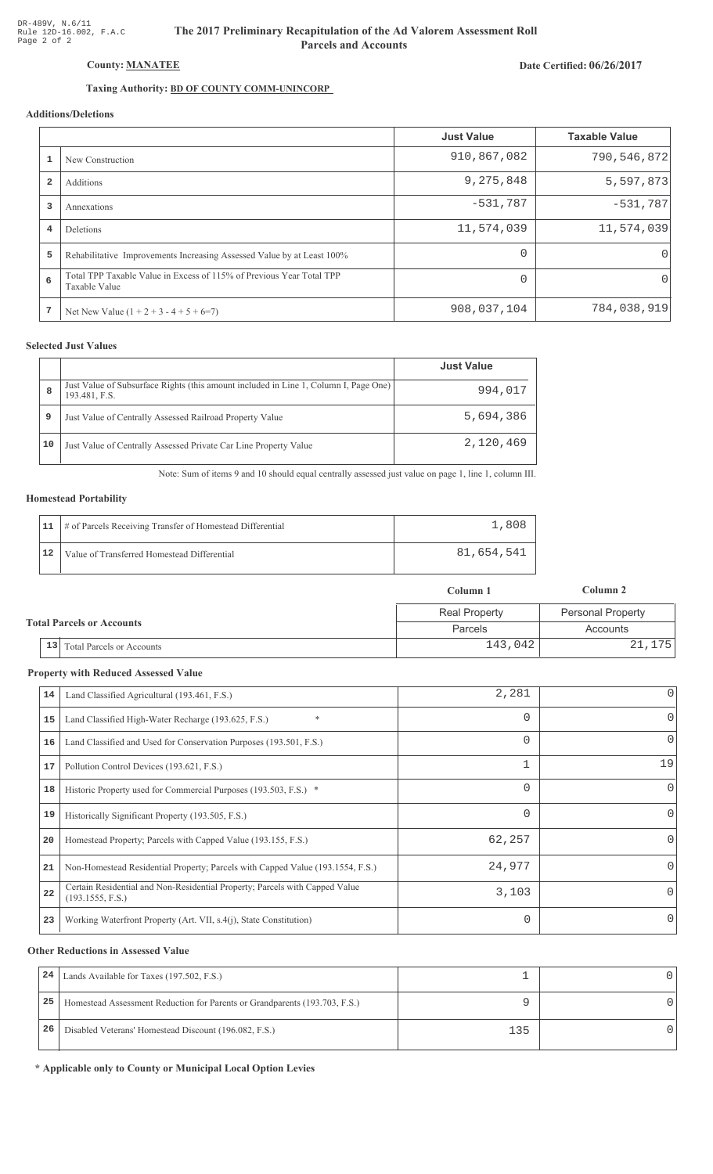# The 2017 Preliminary Recapitulation of the Ad Valorem Assessment Roll **Parcels and Accounts**

## Date Certified: 06/26/2017

# Taxing Authority: **BD OF COUNTY COMM-UNINCORP**

## Additions/Deletions

|                         |                                                                                       | <b>Just Value</b> | <b>Taxable Value</b> |
|-------------------------|---------------------------------------------------------------------------------------|-------------------|----------------------|
|                         | New Construction                                                                      | 910,867,082       | 790,546,872          |
| $\overline{\mathbf{2}}$ | Additions                                                                             | 9,275,848         | 5,597,873            |
| 3                       | Annexations                                                                           | $-531,787$        | $-531,787$           |
| 4                       | Deletions                                                                             | 11,574,039        | 11,574,039           |
| 5                       | Rehabilitative Improvements Increasing Assessed Value by at Least 100%                | $\Omega$          | $\Omega$             |
| 6                       | Total TPP Taxable Value in Excess of 115% of Previous Year Total TPP<br>Taxable Value | $\Omega$          | $\Omega$             |
| 7                       | Net New Value $(1 + 2 + 3 - 4 + 5 + 6=7)$                                             | 908,037,104       | 784,038,919          |

#### **Selected Just Values**

|    |                                                                                                       | <b>Just Value</b> |
|----|-------------------------------------------------------------------------------------------------------|-------------------|
| 8  | Just Value of Subsurface Rights (this amount included in Line 1, Column I, Page One)<br>193.481, F.S. | 994,017           |
| 9  | Just Value of Centrally Assessed Railroad Property Value                                              | 5,694,386         |
| 10 | Just Value of Centrally Assessed Private Car Line Property Value                                      | 2,120,469         |

Note: Sum of items 9 and 10 should equal centrally assessed just value on page 1, line 1, column III.

#### **Homestead Portability**

|    | 11   # of Parcels Receiving Transfer of Homestead Differential | 1,808      |
|----|----------------------------------------------------------------|------------|
| 12 | Value of Transferred Homestead Differential                    | 81,654,541 |

|                                  |                                        | Column 1             | Column 2                 |  |
|----------------------------------|----------------------------------------|----------------------|--------------------------|--|
| <b>Total Parcels or Accounts</b> |                                        | <b>Real Property</b> | <b>Personal Property</b> |  |
|                                  |                                        | Parcels              | Accounts                 |  |
|                                  | 13<br><b>Total Parcels or Accounts</b> | 143,042              | 21, 175                  |  |

#### **Property with Reduced Assessed Value**

| 14 | Land Classified Agricultural (193.461, F.S.)                                                    | 2,281    | 0            |
|----|-------------------------------------------------------------------------------------------------|----------|--------------|
| 15 | *<br>Land Classified High-Water Recharge (193.625, F.S.)                                        | 0        | 0            |
| 16 | Land Classified and Used for Conservation Purposes (193.501, F.S.)                              | 0        | 0            |
| 17 | Pollution Control Devices (193.621, F.S.)                                                       | 1        | 19           |
| 18 | Historic Property used for Commercial Purposes (193.503, F.S.) *                                | 0        | $\mathbf{0}$ |
| 19 | Historically Significant Property (193.505, F.S.)                                               | $\Omega$ | $\Omega$     |
| 20 | Homestead Property; Parcels with Capped Value (193.155, F.S.)                                   | 62,257   | 0            |
| 21 | Non-Homestead Residential Property; Parcels with Capped Value (193.1554, F.S.)                  | 24,977   | 0            |
| 22 | Certain Residential and Non-Residential Property; Parcels with Capped Value<br>(193.1555, F.S.) | 3,103    | $\Omega$     |
| 23 | Working Waterfront Property (Art. VII, s.4(j), State Constitution)                              |          | 0            |

#### **Other Reductions in Assessed Value**

| 24 | Lands Available for Taxes (197.502, F.S.)                                  |     |  |
|----|----------------------------------------------------------------------------|-----|--|
| 25 | Homestead Assessment Reduction for Parents or Grandparents (193.703, F.S.) |     |  |
| 26 | Disabled Veterans' Homestead Discount (196.082, F.S.)                      | 135 |  |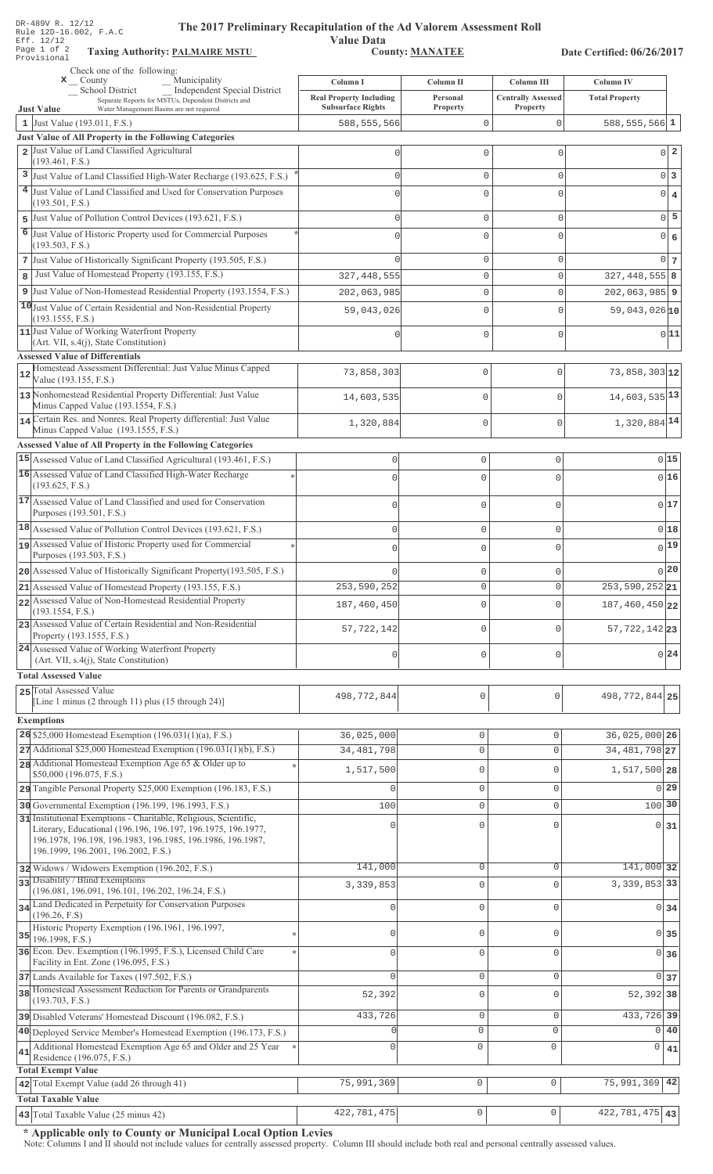| DR-489V R. 12/12<br>The 2017 Preliminary Recapitulation of the Ad Valorem Assessment Roll<br>Rule 12D-16.002, F.A.C                                                                                                                   |                                                                        |                                   |                                                            |                                           |  |
|---------------------------------------------------------------------------------------------------------------------------------------------------------------------------------------------------------------------------------------|------------------------------------------------------------------------|-----------------------------------|------------------------------------------------------------|-------------------------------------------|--|
| Eff. 12/12<br>Page 1 of 2<br><b>Taxing Authority: PALMAIRE MSTU</b><br>Provisional                                                                                                                                                    | <b>Value Data</b><br><b>County: MANATEE</b>                            |                                   |                                                            | Date Certified: 06/26/2017                |  |
| Check one of the following:<br>Municipality                                                                                                                                                                                           |                                                                        |                                   |                                                            |                                           |  |
| $\mathbf{x}$ County<br>Independent Special District<br>School District<br>Separate Reports for MSTUs, Dependent Districts and<br><b>Just Value</b><br>Water Management Basins are not required                                        | Column I<br><b>Real Property Including</b><br><b>Subsurface Rights</b> | Column II<br>Personal<br>Property | <b>Column III</b><br><b>Centrally Assessed</b><br>Property | <b>Column IV</b><br><b>Total Property</b> |  |
| 1 Just Value (193.011, F.S.)                                                                                                                                                                                                          | 588, 555, 566                                                          | 0                                 | $\mathsf{O}\xspace$                                        | $588, 555, 566$ 1                         |  |
| Just Value of All Property in the Following Categories                                                                                                                                                                                |                                                                        |                                   |                                                            |                                           |  |
| 2 Just Value of Land Classified Agricultural<br>(193.461, F.S.)                                                                                                                                                                       | 0                                                                      | 0                                 | $\mathbf 0$                                                | $\overline{\mathbf{2}}$<br>$\overline{0}$ |  |
| 3 Just Value of Land Classified High-Water Recharge (193.625, F.S.)                                                                                                                                                                   | $\circ$                                                                | 0                                 | $\mathbf 0$                                                | 0<br>3                                    |  |
| 4 Just Value of Land Classified and Used for Conservation Purposes<br>(193.501, F.S.)                                                                                                                                                 | $\Omega$                                                               | 0                                 | $\mathbf{0}$                                               | $\overline{0}$<br>$\overline{4}$          |  |
| Just Value of Pollution Control Devices (193.621, F.S.)<br>5                                                                                                                                                                          | 0                                                                      | 0                                 | $\mathbf 0$                                                | 5<br>$\overline{0}$                       |  |
| 6<br>Just Value of Historic Property used for Commercial Purposes<br>(193.503, F.S.)                                                                                                                                                  | $\Omega$                                                               | 0                                 | $\mathbf{0}$                                               | $\overline{0}$<br>6                       |  |
| 7 Just Value of Historically Significant Property (193.505, F.S.)                                                                                                                                                                     |                                                                        | 0                                 | $\mathbf 0$                                                | $\Omega$<br>$7\phantom{.0}$               |  |
| Just Value of Homestead Property (193.155, F.S.)<br>8                                                                                                                                                                                 | 327, 448, 555                                                          | 0                                 | $\mathbf 0$                                                | $327, 448, 555$ 8                         |  |
| 9 Just Value of Non-Homestead Residential Property (193.1554, F.S.)                                                                                                                                                                   | 202,063,985                                                            | $\mathbf 0$                       | $\mathbf 0$                                                | $202,063,985$ 9                           |  |
| 10 Just Value of Certain Residential and Non-Residential Property<br>(193.1555, F.S.)                                                                                                                                                 | 59,043,026                                                             | 0                                 | $\Omega$                                                   | 59,043,026 10                             |  |
| 11 Just Value of Working Waterfront Property<br>(Art. VII, s.4(j), State Constitution)                                                                                                                                                | $\Omega$                                                               | 0                                 | $\mathbf 0$                                                | 0 11                                      |  |
| <b>Assessed Value of Differentials</b>                                                                                                                                                                                                |                                                                        |                                   |                                                            |                                           |  |
| Homestead Assessment Differential: Just Value Minus Capped<br>Value (193.155, F.S.)                                                                                                                                                   | 73,858,303                                                             | $\mathbf 0$                       | 0                                                          | $73,858,303$ 12                           |  |
| 13 Nonhomestead Residential Property Differential: Just Value<br>Minus Capped Value (193.1554, F.S.)                                                                                                                                  | 14,603,535                                                             | $\mathbb O$                       | $\overline{0}$                                             | 14,603,535 13                             |  |
| 14 Certain Res. and Nonres. Real Property differential: Just Value<br>Minus Capped Value (193.1555, F.S.)                                                                                                                             | 1,320,884                                                              | $\mathbb O$                       | 0                                                          | 1,320,884 14                              |  |
| <b>Assessed Value of All Property in the Following Categories</b>                                                                                                                                                                     |                                                                        |                                   |                                                            |                                           |  |
| 15 Assessed Value of Land Classified Agricultural (193.461, F.S.)                                                                                                                                                                     | $\mathsf{O}\xspace$                                                    | 0                                 | $\mathsf{O}\xspace$                                        | 0 15                                      |  |
| 16 Assessed Value of Land Classified High-Water Recharge<br>(193.625, F.S.)                                                                                                                                                           | $\mathbf{0}$                                                           | 0                                 | 0                                                          | 016                                       |  |
| 17 Assessed Value of Land Classified and used for Conservation<br>Purposes (193.501, F.S.)                                                                                                                                            | $\overline{0}$                                                         | $\mathbf 0$                       | 0                                                          | 017                                       |  |
| 18 Assessed Value of Pollution Control Devices (193.621, F.S.)                                                                                                                                                                        | $\mathbf 0$                                                            | $\mathsf{O}\xspace$               | $\mathsf{O}\xspace$                                        | 018                                       |  |
| 19 Assessed Value of Historic Property used for Commercial                                                                                                                                                                            |                                                                        |                                   |                                                            | $0^{19}$                                  |  |
| Purposes (193.503, F.S.)                                                                                                                                                                                                              | $\mathbf 0$                                                            | 0                                 | $\circ$                                                    |                                           |  |
| 20 Assessed Value of Historically Significant Property (193.505, F.S.)                                                                                                                                                                |                                                                        | 0                                 | 0                                                          | 0 20                                      |  |
| 21 Assessed Value of Homestead Property (193.155, F.S.)<br>22 Assessed Value of Non-Homestead Residential Property                                                                                                                    | 253,590,252                                                            | 0                                 | $\mathsf 0$                                                | 253, 590, 252 21                          |  |
| (193.1554, F.S.)                                                                                                                                                                                                                      | 187,460,450                                                            | $\mathbf 0$                       | $\mathbf 0$                                                | 187,460,450 22                            |  |
| 23 Assessed Value of Certain Residential and Non-Residential<br>Property (193.1555, F.S.)                                                                                                                                             | 57, 722, 142                                                           | $\mathbf 0$                       | $\mathbf 0$                                                | 57, 722, 142 23                           |  |
| 24 Assessed Value of Working Waterfront Property<br>(Art. VII, s.4(j), State Constitution)                                                                                                                                            | $\mathbf 0$                                                            | $\mathsf 0$                       | $\mathsf{O}\xspace$                                        | $0^{24}$                                  |  |
| <b>Total Assessed Value</b>                                                                                                                                                                                                           |                                                                        |                                   |                                                            |                                           |  |
| 25 Total Assessed Value<br>[Line 1 minus $(2 \text{ through } 11)$ plus $(15 \text{ through } 24)$ ]                                                                                                                                  | 498, 772, 844                                                          | $\mathbb O$                       | $\mathsf{O}\xspace$                                        | 498, 772, 844 25                          |  |
| <b>Exemptions</b>                                                                                                                                                                                                                     |                                                                        |                                   |                                                            |                                           |  |
| 26 \$25,000 Homestead Exemption $(196.031(1)(a), F.S.)$                                                                                                                                                                               | 36,025,000                                                             | 0                                 | $\mathbf{0}$                                               | 36,025,000 26                             |  |
| 27 Additional \$25,000 Homestead Exemption (196.031(1)(b), F.S.)                                                                                                                                                                      | 34, 481, 798                                                           | 0                                 | $\mathbf{0}$                                               | 34, 481, 798 27                           |  |
| 28 Additional Homestead Exemption Age 65 & Older up to<br>\$50,000 (196.075, F.S.)                                                                                                                                                    | 1,517,500                                                              | 0                                 | $\mathbf{0}$                                               | 1,517,500 28                              |  |
| 29 Tangible Personal Property \$25,000 Exemption (196.183, F.S.)                                                                                                                                                                      |                                                                        | 0                                 | $\mathbf 0$                                                | $0$   29                                  |  |
| 30 Governmental Exemption (196.199, 196.1993, F.S.)                                                                                                                                                                                   | 100                                                                    | 0                                 | $\mathbf{0}$                                               | $100$ 30                                  |  |
| 31 Institutional Exemptions - Charitable, Religious, Scientific,<br>Literary, Educational (196.196, 196.197, 196.1975, 196.1977,<br>196.1978, 196.198, 196.1983, 196.1985, 196.1986, 196.1987,<br>196.1999, 196.2001, 196.2002, F.S.) |                                                                        | 0                                 | $\bigcap$                                                  | $\overline{0}$<br>31                      |  |
| 32 Widows / Widowers Exemption (196.202, F.S.)                                                                                                                                                                                        | 141,000                                                                | 0                                 | 0                                                          | 141,000 32                                |  |
| 33 Disability / Blind Exemptions<br>(196.081, 196.091, 196.101, 196.202, 196.24, F.S.)                                                                                                                                                | 3, 339, 853                                                            | 0                                 | $\mathbf 0$                                                | 3, 339, 853 33                            |  |
| 34 Land Dedicated in Perpetuity for Conservation Purposes<br>(196.26, F.S)                                                                                                                                                            | O                                                                      | 0                                 | $\mathbf 0$                                                | 0 34                                      |  |
| Historic Property Exemption (196.1961, 196.1997,<br>$35$ 196.1998, F.S.)                                                                                                                                                              | 0                                                                      | 0                                 | $\mathbf 0$                                                | 0 35                                      |  |
| 36 Econ. Dev. Exemption (196.1995, F.S.), Licensed Child Care<br>Facility in Ent. Zone (196.095, F.S.)                                                                                                                                | $\Omega$                                                               | 0                                 | $\mathbf{0}$                                               | 0 36                                      |  |
| 37 Lands Available for Taxes (197.502, F.S.)                                                                                                                                                                                          |                                                                        | 0                                 | $\mathbf 0$                                                | $0$ 37                                    |  |
| 38 Homestead Assessment Reduction for Parents or Grandparents<br>(193.703, F.S.)                                                                                                                                                      | 52,392                                                                 | 0                                 | $\Omega$                                                   | 52,392 38                                 |  |
| 39 Disabled Veterans' Homestead Discount (196.082, F.S.)                                                                                                                                                                              | 433,726                                                                | 0                                 | $\mathbf 0$                                                | 433, 726 39                               |  |
| 40 Deployed Service Member's Homestead Exemption (196.173, F.S.)                                                                                                                                                                      |                                                                        | $\mathbf{0}$                      | 0                                                          | $\circ$<br>40                             |  |
| Additional Homestead Exemption Age 65 and Older and 25 Year<br>41<br>Residence (196.075, F.S.)                                                                                                                                        | 0                                                                      | $\circ$                           | 0                                                          | 0<br>41                                   |  |
| Total Exempt Value<br>42 Total Exempt Value (add 26 through 41)                                                                                                                                                                       | 75,991,369                                                             | $\mathbb O$                       | 0                                                          | 75,991,369<br>42                          |  |
| <b>Total Taxable Value</b>                                                                                                                                                                                                            |                                                                        |                                   |                                                            |                                           |  |
| 43 Total Taxable Value (25 minus 42)                                                                                                                                                                                                  | 422,781,475                                                            | $\mathbb O$                       | $\circ$                                                    | 422, 781, 475 43                          |  |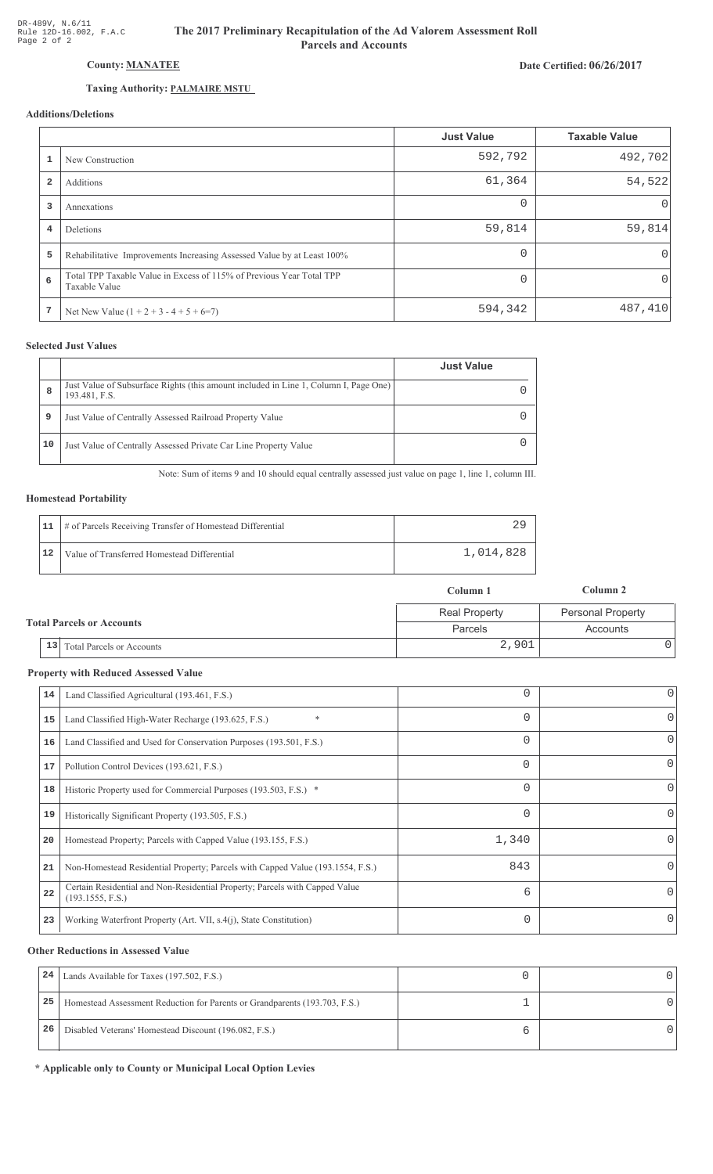## County: MANATEE

## Taxing Authority: PALMAIRE MSTU

## Additions/Deletions

|                |                                                                                       | <b>Just Value</b> | <b>Taxable Value</b> |
|----------------|---------------------------------------------------------------------------------------|-------------------|----------------------|
|                | New Construction                                                                      | 592,792           | 492,702              |
| $\overline{2}$ | Additions                                                                             | 61,364            | 54,522               |
| 3              | Annexations                                                                           | $\Omega$          | 0                    |
| 4              | Deletions                                                                             | 59,814            | 59,814               |
| 5              | Rehabilitative Improvements Increasing Assessed Value by at Least 100%                | $\Omega$          | 0                    |
| 6              | Total TPP Taxable Value in Excess of 115% of Previous Year Total TPP<br>Taxable Value | $\Omega$          | $\mathbf 0$          |
| 7              | Net New Value $(1 + 2 + 3 - 4 + 5 + 6=7)$                                             | 594,342           | 487,410              |

## **Selected Just Values**

|    |                                                                                                       | <b>Just Value</b> |
|----|-------------------------------------------------------------------------------------------------------|-------------------|
| 8  | Just Value of Subsurface Rights (this amount included in Line 1, Column I, Page One)<br>193.481, F.S. |                   |
| 9  | Just Value of Centrally Assessed Railroad Property Value                                              |                   |
| 10 | Just Value of Centrally Assessed Private Car Line Property Value                                      |                   |

Note: Sum of items 9 and 10 should equal centrally assessed just value on page 1, line 1, column III.

#### **Homestead Portability**

|    | 11   # of Parcels Receiving Transfer of Homestead Differential |           |
|----|----------------------------------------------------------------|-----------|
| 12 | Value of Transferred Homestead Differential                    | 1,014,828 |

|                                  | Column 1             | Column 2                 |  |
|----------------------------------|----------------------|--------------------------|--|
|                                  | <b>Real Property</b> | <b>Personal Property</b> |  |
| <b>Total Parcels or Accounts</b> | Parcels              | Accounts                 |  |
| 13 Total Parcels or Accounts     | 2,901                |                          |  |

#### **Property with Reduced Assessed Value**

| 14 | Land Classified Agricultural (193.461, F.S.)                                                    |          | 0 |
|----|-------------------------------------------------------------------------------------------------|----------|---|
| 15 | *<br>Land Classified High-Water Recharge (193.625, F.S.)                                        |          | 0 |
| 16 | Land Classified and Used for Conservation Purposes (193.501, F.S.)                              | 0        | 0 |
| 17 | Pollution Control Devices (193.621, F.S.)                                                       | $\Omega$ | 0 |
| 18 | Historic Property used for Commercial Purposes (193.503, F.S.) *                                | 0        | 0 |
| 19 | Historically Significant Property (193.505, F.S.)                                               |          | 0 |
| 20 | Homestead Property; Parcels with Capped Value (193.155, F.S.)                                   | 1,340    | 0 |
| 21 | Non-Homestead Residential Property; Parcels with Capped Value (193.1554, F.S.)                  | 843      | 0 |
| 22 | Certain Residential and Non-Residential Property; Parcels with Capped Value<br>(193.1555, F.S.) | 6        | 0 |
| 23 | Working Waterfront Property (Art. VII, s.4(j), State Constitution)                              |          | 0 |

#### **Other Reductions in Assessed Value**

| 24 | Lands Available for Taxes (197.502, F.S.)                                  |  |
|----|----------------------------------------------------------------------------|--|
| 25 | Homestead Assessment Reduction for Parents or Grandparents (193.703, F.S.) |  |
| 26 | Disabled Veterans' Homestead Discount (196.082, F.S.)                      |  |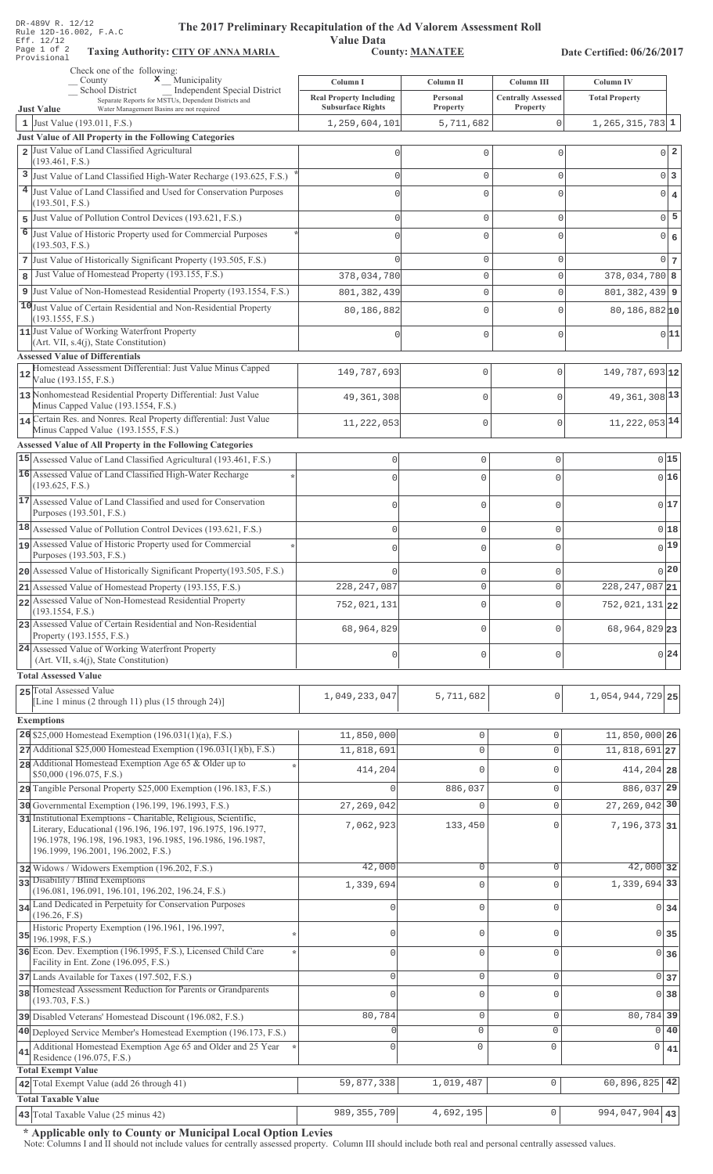| DR-489V R. 12/12<br>The 2017 Preliminary Recapitulation of the Ad Valorem Assessment Roll<br>Rule 12D-16.002, F.A.C<br>Eff. 12/12<br>Page 1 of 2<br><b>Taxing Authority: CITY OF ANNA MARIA</b> | <b>Value Data</b>              | <b>County: MANATEE</b> |                           | Date Certified: 06/26/2017   |    |
|-------------------------------------------------------------------------------------------------------------------------------------------------------------------------------------------------|--------------------------------|------------------------|---------------------------|------------------------------|----|
| Provisional                                                                                                                                                                                     |                                |                        |                           |                              |    |
| Check one of the following:<br>$\mathbf x$ Municipality<br>County                                                                                                                               | Column I                       | Column II              | Column III                | Column IV                    |    |
| School District<br><b>Independent Special District</b><br>Separate Reports for MSTUs, Dependent Districts and                                                                                   | <b>Real Property Including</b> | Personal               | <b>Centrally Assessed</b> | <b>Total Property</b>        |    |
| Water Management Basins are not required<br><b>Just Value</b>                                                                                                                                   | <b>Subsurface Rights</b>       | Property               | Property                  |                              |    |
| 1 Just Value (193.011, F.S.)                                                                                                                                                                    | 1,259,604,101                  | 5,711,682              | $\Omega$                  | $1, 265, 315, 783$ 1         |    |
| Just Value of All Property in the Following Categories                                                                                                                                          |                                |                        |                           |                              |    |
| Just Value of Land Classified Agricultural<br>$\overline{a}$<br>(193.461, F.S.)                                                                                                                 | 0                              | 0                      | 0                         | $0\vert 2$                   |    |
| Just Value of Land Classified High-Water Recharge (193.625, F.S.)<br>3                                                                                                                          | O                              | 0                      | $\mathbf{0}$              | 0 <sup>3</sup>               |    |
| Just Value of Land Classified and Used for Conservation Purposes                                                                                                                                | $\bigcap$                      | $\mathbf 0$            | $\Omega$                  | $0 \mid 4$                   |    |
| (193.501, F.S.)                                                                                                                                                                                 |                                |                        |                           |                              |    |
| Just Value of Pollution Control Devices (193.621, F.S.)<br>5                                                                                                                                    | $\cap$                         | 0                      | $\mathbf{0}$              | $\Omega$                     | 5  |
| 6<br>Just Value of Historic Property used for Commercial Purposes                                                                                                                               | $\bigcap$                      | 0                      | $\Omega$                  | 0 6                          |    |
| (193.503, F.S.)                                                                                                                                                                                 |                                |                        |                           |                              |    |
| 7 Just Value of Historically Significant Property (193.505, F.S.)<br>Just Value of Homestead Property (193.155, F.S.)                                                                           |                                | 0                      | $\mathbf{0}$              | 0 <sub>7</sub>               |    |
| 8                                                                                                                                                                                               | 378,034,780                    | 0                      | $\Omega$                  | $378,034,780$ 8              |    |
| Just Value of Non-Homestead Residential Property (193.1554, F.S.)<br>9                                                                                                                          | 801, 382, 439                  | 0                      | $\Omega$                  | $801, 382, 439$ 9            |    |
| 10 Just Value of Certain Residential and Non-Residential Property<br>(193.1555, F.S.)                                                                                                           | 80,186,882                     | $\mathbf 0$            | C                         | $80, 186, 882$ <sup>10</sup> |    |
| 11 Just Value of Working Waterfront Property                                                                                                                                                    | 0                              | $\mathbf 0$            | $\mathbf{0}$              | 0 11                         |    |
| (Art. VII, s.4(j), State Constitution)                                                                                                                                                          |                                |                        |                           |                              |    |
| <b>Assessed Value of Differentials</b><br>Homestead Assessment Differential: Just Value Minus Capped                                                                                            |                                |                        |                           |                              |    |
| 12<br>Value (193.155, F.S.)                                                                                                                                                                     | 149,787,693                    | $\mathbb O$            | $\Omega$                  | 149, 787, 693 12             |    |
| 13 Nonhomestead Residential Property Differential: Just Value                                                                                                                                   | 49, 361, 308                   | $\mathbf 0$            | $\Omega$                  | 49, 361, 308 13              |    |
| Minus Capped Value (193.1554, F.S.)                                                                                                                                                             |                                |                        |                           |                              |    |
| 14 Certain Res. and Nonres. Real Property differential: Just Value<br>Minus Capped Value (193.1555, F.S.)                                                                                       | 11,222,053                     | $\mathbb O$            | $\Omega$                  | 11, 222, 053 14              |    |
| <b>Assessed Value of All Property in the Following Categories</b>                                                                                                                               |                                |                        |                           |                              |    |
| 15 Assessed Value of Land Classified Agricultural (193.461, F.S.)                                                                                                                               | $\mathbb O$                    | $\mathbb O$            | 0                         | 015                          |    |
| 16 Assessed Value of Land Classified High-Water Recharge                                                                                                                                        |                                |                        |                           |                              |    |
| (193.625, F.S.)                                                                                                                                                                                 | $\mathbf{0}$                   | 0                      | $\Omega$                  | 0 16                         |    |
| 17 Assessed Value of Land Classified and used for Conservation                                                                                                                                  | $\mathbf{0}$                   | 0                      | 0                         | 0 17                         |    |
| Purposes (193.501, F.S.)                                                                                                                                                                        |                                |                        |                           |                              |    |
| 18 Assessed Value of Pollution Control Devices (193.621, F.S.)                                                                                                                                  | $\circ$                        | $\mathsf{O}\xspace$    | 0                         | 0 18                         |    |
| 19 Assessed Value of Historic Property used for Commercial                                                                                                                                      | $\Omega$                       | 0                      | $\Omega$                  | $0$ <sup>19</sup>            |    |
| Purposes (193.503, F.S.)                                                                                                                                                                        |                                |                        |                           | 0 20                         |    |
| 20 Assessed Value of Historically Significant Property (193.505, F.S.)                                                                                                                          | $\Omega$                       | $\mathbb O$            | 0                         |                              |    |
| 21 Assessed Value of Homestead Property (193.155, F.S.)<br>22 Assessed Value of Non-Homestead Residential Property                                                                              | 228, 247, 087                  | $\mathbb O$            | 0                         | 228, 247, 087 21             |    |
| (193.1554, F.S.)                                                                                                                                                                                | 752,021,131                    | $\mathsf{O}\xspace$    | 0                         | $752,021,131$ <sub>22</sub>  |    |
| 23 Assessed Value of Certain Residential and Non-Residential                                                                                                                                    | 68,964,829                     | $\mathbf 0$            | $\mathbf{0}$              | 68, 964, 829 23              |    |
| Property (193.1555, F.S.)                                                                                                                                                                       |                                |                        |                           |                              |    |
| 24 Assessed Value of Working Waterfront Property<br>(Art. VII, s.4(j), State Constitution)                                                                                                      | $\mathbf 0$                    | $\mathsf{O}\xspace$    | 0                         | 0 24                         |    |
| <b>Total Assessed Value</b>                                                                                                                                                                     |                                |                        |                           |                              |    |
| 25 Total Assessed Value                                                                                                                                                                         |                                |                        |                           |                              |    |
| [Line 1 minus (2 through 11) plus (15 through 24)]                                                                                                                                              | 1,049,233,047                  | 5,711,682              | $\mathsf{O}\xspace$       | 1,054,944,729 25             |    |
| <b>Exemptions</b>                                                                                                                                                                               |                                |                        |                           |                              |    |
| 26 \$25,000 Homestead Exemption $(196.031(1)(a), F.S.)$                                                                                                                                         | 11,850,000                     | $\mathbb O$            | 0                         | 11,850,000 26                |    |
| 27 Additional \$25,000 Homestead Exemption (196.031(1)(b), F.S.)                                                                                                                                | 11,818,691                     | $\mathbf 0$            | $\mathbf{0}$              | $11,818,691$ 27              |    |
| 28 Additional Homestead Exemption Age 65 & Older up to                                                                                                                                          | 414,204                        | $\mathbf 0$            | $\mathbf{0}$              | 414,204 28                   |    |
| \$50,000 (196.075, F.S.)                                                                                                                                                                        |                                |                        |                           |                              |    |
| 29 Tangible Personal Property \$25,000 Exemption (196.183, F.S.)                                                                                                                                | $\Omega$                       | 886,037                | $\circ$                   | 886,037 29                   |    |
| 30 Governmental Exemption (196.199, 196.1993, F.S.)<br>31 Institutional Exemptions - Charitable, Religious, Scientific,                                                                         | 27, 269, 042                   | $\mathbf 0$            | $\mathsf{O}\xspace$       | 27, 269, 042 30              |    |
| Literary, Educational (196.196, 196.197, 196.1975, 196.1977,                                                                                                                                    | 7,062,923                      | 133,450                | $\Omega$                  | 7,196,373 31                 |    |
| 196.1978, 196.198, 196.1983, 196.1985, 196.1986, 196.1987,                                                                                                                                      |                                |                        |                           |                              |    |
| 196.1999, 196.2001, 196.2002, F.S.)                                                                                                                                                             |                                |                        |                           |                              |    |
| 32 Widows / Widowers Exemption (196.202, F.S.)                                                                                                                                                  | 42,000                         | $\circ$                | $\circ$                   | 42,000 32                    |    |
| 33 Disability / Blind Exemptions<br>(196.081, 196.091, 196.101, 196.202, 196.24, F.S.)                                                                                                          | 1,339,694                      | $\mathbb O$            | $\mathbf 0$               | 1,339,694 33                 |    |
| 34 Land Dedicated in Perpetuity for Conservation Purposes                                                                                                                                       | 0                              | $\mathbf 0$            | $\mathbf{0}$              | 0 34                         |    |
| (196.26, F.S)                                                                                                                                                                                   |                                |                        |                           |                              |    |
| Historic Property Exemption (196.1961, 196.1997,<br>35 196.1998, F.S.)                                                                                                                          | 0                              | $\mathbf 0$            | $\mathbf{0}$              | $0\overline{35}$             |    |
| 36 Econ. Dev. Exemption (196.1995, F.S.), Licensed Child Care                                                                                                                                   | $\mathbf{0}$                   | $\mathbf 0$            | $\mathbf{0}$              | 0 36                         |    |
| Facility in Ent. Zone (196.095, F.S.)                                                                                                                                                           |                                |                        |                           |                              |    |
| 37 Lands Available for Taxes (197.502, F.S.)                                                                                                                                                    | $\mathbf 0$                    | $\mathbf 0$            | $\mathsf{O}\xspace$       | 0 37                         |    |
| 38 Homestead Assessment Reduction for Parents or Grandparents<br>(193.703, F.S.)                                                                                                                | $\cap$                         | $\overline{0}$         | $\mathbf{0}$              | 0 <sup>38</sup>              |    |
| 39 Disabled Veterans' Homestead Discount (196.082, F.S.)                                                                                                                                        | 80,784                         | $\mathbf 0$            | $\mathbf{0}$              | 80,784 39                    |    |
| 40 Deployed Service Member's Homestead Exemption (196.173, F.S.)                                                                                                                                | U                              | $\mathsf 0$            | $\mathsf 0$               | $\Omega$                     | 40 |
| Additional Homestead Exemption Age 65 and Older and 25 Year                                                                                                                                     | $\Omega$                       | $\mathbf 0$            | $\mathsf 0$               | 0<br>41                      |    |
| 41<br>Residence (196.075, F.S.)                                                                                                                                                                 |                                |                        |                           |                              |    |
| <b>Total Exempt Value</b>                                                                                                                                                                       |                                |                        |                           |                              |    |
| 42 Total Exempt Value (add 26 through 41)                                                                                                                                                       | 59,877,338                     | 1,019,487              | $\mathbb O$               | 60,896,825<br>42             |    |
| <b>Total Taxable Value</b>                                                                                                                                                                      | 989, 355, 709                  | 4,692,195              | $\mathbb O$               | 994,047,904                  |    |
| 43 Total Taxable Value (25 minus 42)                                                                                                                                                            |                                |                        |                           | 43                           |    |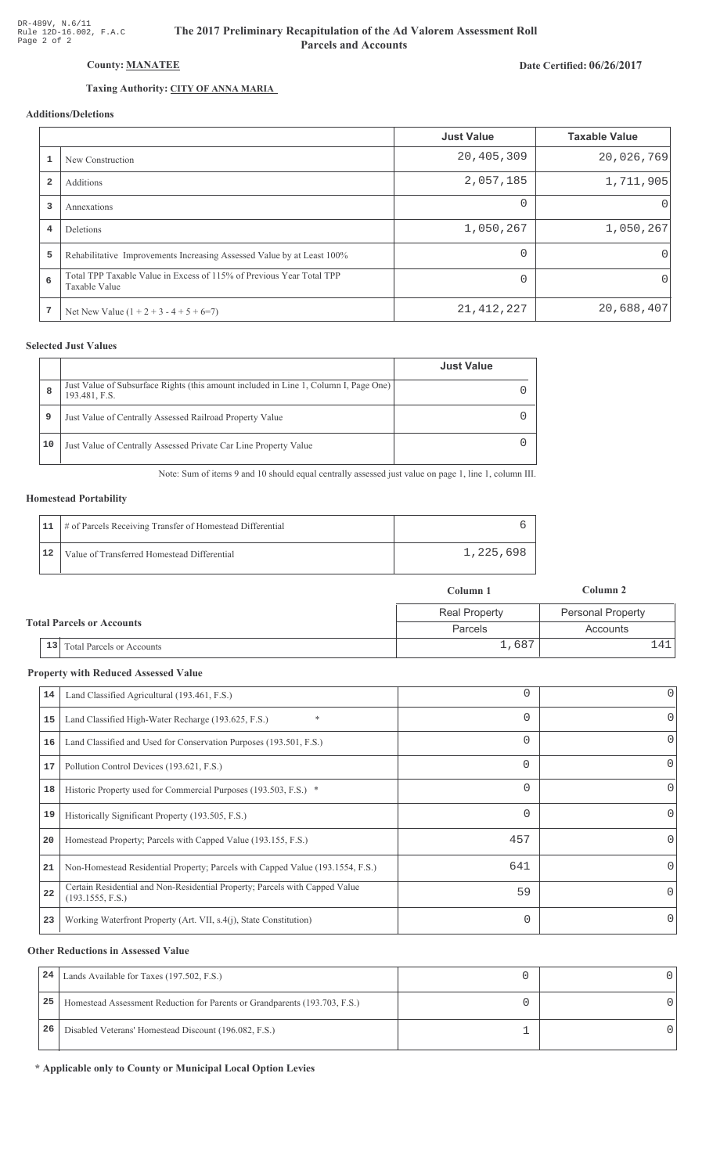Date Certified: 06/26/2017

# County: MANATEE

## Taxing Authority: CITY OF ANNA MARIA

## Additions/Deletions

|                |                                                                                       | <b>Just Value</b> | <b>Taxable Value</b> |
|----------------|---------------------------------------------------------------------------------------|-------------------|----------------------|
|                | New Construction                                                                      | 20,405,309        | 20,026,769           |
| $\overline{2}$ | Additions                                                                             | 2,057,185         | 1,711,905            |
| 3              | Annexations                                                                           | $\Omega$          | $\Omega$             |
| 4              | Deletions                                                                             | 1,050,267         | 1,050,267            |
| 5              | Rehabilitative Improvements Increasing Assessed Value by at Least 100%                |                   | $\Omega$             |
| 6              | Total TPP Taxable Value in Excess of 115% of Previous Year Total TPP<br>Taxable Value |                   | 0                    |
| 7              | Net New Value $(1 + 2 + 3 - 4 + 5 + 6=7)$                                             | 21, 412, 227      | 20,688,407           |

#### **Selected Just Values**

|    |                                                                                                       | <b>Just Value</b> |
|----|-------------------------------------------------------------------------------------------------------|-------------------|
| 8  | Just Value of Subsurface Rights (this amount included in Line 1, Column I, Page One)<br>193.481, F.S. |                   |
| 9  | Just Value of Centrally Assessed Railroad Property Value                                              |                   |
| 10 | Just Value of Centrally Assessed Private Car Line Property Value                                      |                   |

Note: Sum of items 9 and 10 should equal centrally assessed just value on page 1, line 1, column III.

#### **Homestead Portability**

|    | 11   # of Parcels Receiving Transfer of Homestead Differential |           |
|----|----------------------------------------------------------------|-----------|
| 12 | Value of Transferred Homestead Differential                    | 1,225,698 |

|                                           | Column 1                                    | Column 2          |
|-------------------------------------------|---------------------------------------------|-------------------|
|                                           | <b>Real Property</b>                        | Personal Property |
|                                           | <b>Total Parcels or Accounts</b><br>Parcels |                   |
| <sup>1</sup> 13 Total Parcels or Accounts | 1,687                                       |                   |

#### **Property with Reduced Assessed Value**

| 14 | Land Classified Agricultural (193.461, F.S.)                                                    |          | 0        |
|----|-------------------------------------------------------------------------------------------------|----------|----------|
| 15 | $\ast$<br>Land Classified High-Water Recharge (193.625, F.S.)                                   | 0        | 0        |
| 16 | Land Classified and Used for Conservation Purposes (193.501, F.S.)                              |          | 0        |
| 17 | Pollution Control Devices (193.621, F.S.)                                                       | $\Omega$ | 0        |
| 18 | Historic Property used for Commercial Purposes (193.503, F.S.) *                                | 0        | 0        |
| 19 | Historically Significant Property (193.505, F.S.)                                               |          | 0        |
| 20 | Homestead Property; Parcels with Capped Value (193.155, F.S.)                                   | 457      | 0        |
| 21 | Non-Homestead Residential Property; Parcels with Capped Value (193.1554, F.S.)                  | 641      | 0        |
| 22 | Certain Residential and Non-Residential Property; Parcels with Capped Value<br>(193.1555, F.S.) | 59       | $\Omega$ |
| 23 | Working Waterfront Property (Art. VII, s.4(j), State Constitution)                              | 0        | 0        |
|    |                                                                                                 |          |          |

#### **Other Reductions in Assessed Value**

| 24 | Lands Available for Taxes (197.502, F.S.)                                  |  |
|----|----------------------------------------------------------------------------|--|
| 25 | Homestead Assessment Reduction for Parents or Grandparents (193.703, F.S.) |  |
| 26 | Disabled Veterans' Homestead Discount (196.082, F.S.)                      |  |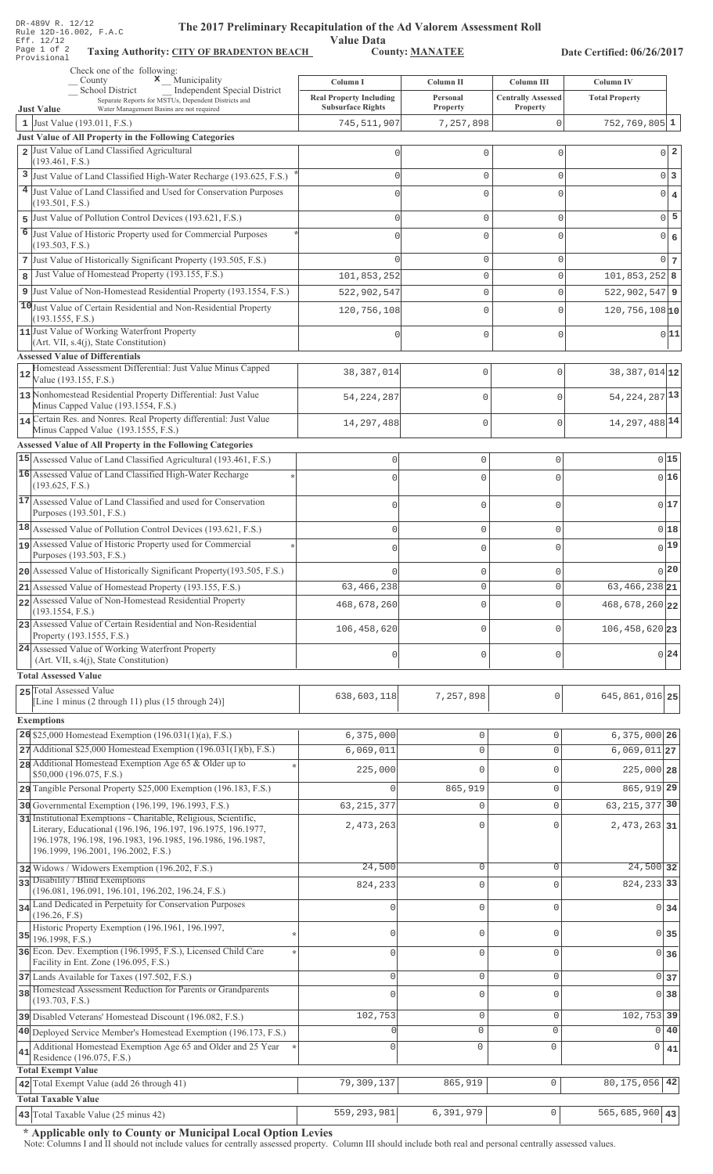| DR-489V R. 12/12<br>The 2017 Preliminary Recapitulation of the Ad Valorem Assessment Roll<br>Rule 12D-16.002, F.A.C                                                       |                                                                        |                                          |                                                |                                           |                                  |
|---------------------------------------------------------------------------------------------------------------------------------------------------------------------------|------------------------------------------------------------------------|------------------------------------------|------------------------------------------------|-------------------------------------------|----------------------------------|
| <b>Value Data</b><br>Eff. 12/12<br>Page 1 of 2<br><b>County: MANATEE</b><br><b>Taxing Authority: CITY OF BRADENTON BEACH</b><br>Date Certified: 06/26/2017<br>Provisional |                                                                        |                                          |                                                |                                           |                                  |
| Check one of the following:                                                                                                                                               |                                                                        |                                          |                                                |                                           |                                  |
| $\mathbf x$ Municipality<br>County<br>School District<br>Independent Special District<br>Separate Reports for MSTUs, Dependent Districts and                              | Column I<br><b>Real Property Including</b><br><b>Subsurface Rights</b> | Column II<br>Personal<br><b>Property</b> | <b>Column III</b><br><b>Centrally Assessed</b> | <b>Column IV</b><br><b>Total Property</b> |                                  |
| <b>Just Value</b><br>Water Management Basins are not required<br>1 Just Value (193.011, F.S.)                                                                             | 745,511,907                                                            | 7,257,898                                | Property<br>$\mathbf 0$                        | $752, 769, 805$ 1                         |                                  |
| Just Value of All Property in the Following Categories                                                                                                                    |                                                                        |                                          |                                                |                                           |                                  |
| 2 Just Value of Land Classified Agricultural<br>(193.461, F.S.)                                                                                                           | $\mathbf 0$                                                            | $\mathbf 0$                              | $\Omega$                                       |                                           | $\overline{2}$<br>$\Omega$       |
| 3 Just Value of Land Classified High-Water Recharge (193.625, F.S.)                                                                                                       | $\mathbf 0$                                                            | $\mathbf 0$                              | $\Omega$                                       |                                           | 0 <sup>3</sup>                   |
| 4 Just Value of Land Classified and Used for Conservation Purposes                                                                                                        | $\Omega$                                                               | $\mathbf 0$                              | $\cap$                                         |                                           | $\overline{0}$<br>$\overline{4}$ |
| (193.501, F.S.)<br>5 Just Value of Pollution Control Devices (193.621, F.S.)                                                                                              | $\mathbf 0$                                                            | $\mathbf 0$                              | $\Omega$                                       |                                           | $0$ 5                            |
| 6 Just Value of Historic Property used for Commercial Purposes                                                                                                            | $\Omega$                                                               | $\mathbf 0$                              | ∩                                              |                                           | $\overline{0}$<br>6              |
| (193.503, F.S.)                                                                                                                                                           |                                                                        |                                          |                                                |                                           |                                  |
| 7 Just Value of Historically Significant Property (193.505, F.S.)                                                                                                         | $\Omega$                                                               | $\mathbf 0$                              | $\Omega$                                       |                                           | 0 <sub>7</sub>                   |
| Just Value of Homestead Property (193.155, F.S.)<br>8                                                                                                                     | 101,853,252                                                            | $\mathbf 0$                              | $\mathbf 0$                                    | $101,853,252$ 8                           |                                  |
| 9 Just Value of Non-Homestead Residential Property (193.1554, F.S.)<br>10 Just Value of Certain Residential and Non-Residential Property                                  | 522,902,547                                                            | 0                                        | $\Omega$                                       | $522,902,547$ 9                           |                                  |
| (193.1555, F.S.)                                                                                                                                                          | 120,756,108                                                            | $\mathbf 0$                              | $\Omega$                                       | $120, 756, 108$ <sub>10</sub>             |                                  |
| 11 Just Value of Working Waterfront Property<br>(Art. VII, s.4(j), State Constitution)                                                                                    | $\mathbf 0$                                                            | $\mathbf 0$                              | $\mathbf{0}$                                   |                                           | 0 11                             |
| <b>Assessed Value of Differentials</b>                                                                                                                                    |                                                                        |                                          |                                                |                                           |                                  |
| Homestead Assessment Differential: Just Value Minus Capped<br>12<br>Value (193.155, F.S.)                                                                                 | 38, 387, 014                                                           | $\mathbf 0$                              | 0                                              | 38, 387, 014 12                           |                                  |
| 13 Nonhomestead Residential Property Differential: Just Value<br>Minus Capped Value (193.1554, F.S.)                                                                      | 54, 224, 287                                                           | $\mathbf 0$                              | $\Omega$                                       | 54, 224, 287 13                           |                                  |
| 14 Certain Res. and Nonres. Real Property differential: Just Value                                                                                                        | 14, 297, 488                                                           | $\mathbf 0$                              | 0                                              | 14, 297, 488 14                           |                                  |
| Minus Capped Value (193.1555, F.S.)<br><b>Assessed Value of All Property in the Following Categories</b>                                                                  |                                                                        |                                          |                                                |                                           |                                  |
| 15 Assessed Value of Land Classified Agricultural (193.461, F.S.)                                                                                                         | 0                                                                      | 0                                        | 0                                              |                                           | 0 15                             |
| 16 Assessed Value of Land Classified High-Water Recharge                                                                                                                  | $\Omega$                                                               | $\mathbf 0$                              | $\overline{0}$                                 |                                           | 016                              |
| (193.625, F.S.)<br>17 Assessed Value of Land Classified and used for Conservation                                                                                         | $\mathbf{0}$                                                           | $\mathsf 0$                              | 0                                              |                                           | 0 17                             |
| Purposes (193.501, F.S.)                                                                                                                                                  |                                                                        |                                          |                                                |                                           |                                  |
| 18 Assessed Value of Pollution Control Devices (193.621, F.S.)                                                                                                            | $\mathbf{0}$                                                           | $\mathsf 0$                              | $\mathbf 0$                                    |                                           | 0 18                             |
| assessed Value of Historic Property used for Commercial<br>Purposes (193.503, F.S.)                                                                                       |                                                                        | 0                                        | 0                                              |                                           | 0 19                             |
| 20 Assessed Value of Historically Significant Property (193.505, F.S.)                                                                                                    |                                                                        | $\mathsf 0$                              | 0                                              |                                           | 0 20                             |
| 21 Assessed Value of Homestead Property (193.155, F.S.)                                                                                                                   | 63, 466, 238                                                           | $\mathbf 0$                              | $\mathbf 0$                                    | $63, 466, 238$ 21                         |                                  |
| 22 Assessed Value of Non-Homestead Residential Property<br>(193.1554, F.S.)                                                                                               | 468,678,260                                                            | $\mathbf 0$                              | 0                                              | 468,678,260 22                            |                                  |
| 23 Assessed Value of Certain Residential and Non-Residential<br>Property (193.1555, F.S.)                                                                                 | 106, 458, 620                                                          | $\mathsf 0$                              | 0                                              | $106, 458, 620$ 23                        |                                  |
| 24 Assessed Value of Working Waterfront Property<br>(Art. VII, s.4(j), State Constitution)                                                                                | $\mathbf{0}$                                                           | $\mathsf 0$                              | $\mathbf{0}$                                   |                                           | 0 24                             |
| <b>Total Assessed Value</b>                                                                                                                                               |                                                                        |                                          |                                                |                                           |                                  |
| 25 Total Assessed Value                                                                                                                                                   | 638,603,118                                                            | 7,257,898                                | 0                                              | 645, 861, 016 25                          |                                  |
| [Line 1 minus (2 through 11) plus (15 through 24)]                                                                                                                        |                                                                        |                                          |                                                |                                           |                                  |
| <b>Exemptions</b>                                                                                                                                                         |                                                                        |                                          |                                                |                                           |                                  |
| 26 \$25,000 Homestead Exemption $(196.031(1)(a), F.S.)$<br>$27$ Additional \$25,000 Homestead Exemption (196.031(1)(b), F.S.)                                             | 6,375,000<br>6,069,011                                                 | 0<br>0                                   | 0<br>$\mathsf{O}\xspace$                       | $6,375,000$ 26<br>$6,069,011$ 27          |                                  |
| 28 Additional Homestead Exemption Age 65 & Older up to                                                                                                                    | 225,000                                                                | 0                                        | $\mathbf 0$                                    | 225,000 28                                |                                  |
| \$50,000 (196.075, F.S.)<br>29 Tangible Personal Property \$25,000 Exemption (196.183, F.S.)                                                                              | $\Omega$                                                               | 865,919                                  | $\mathbf 0$                                    | 865, 919 29                               |                                  |
| 30 Governmental Exemption (196.199, 196.1993, F.S.)                                                                                                                       | 63, 215, 377                                                           | 0                                        | $\mathsf{O}\xspace$                            | 63, 215, 377 30                           |                                  |
| 31 Institutional Exemptions - Charitable, Religious, Scientific,                                                                                                          |                                                                        |                                          |                                                |                                           |                                  |
| Literary, Educational (196.196, 196.197, 196.1975, 196.1977,<br>196.1978, 196.198, 196.1983, 196.1985, 196.1986, 196.1987,<br>196.1999, 196.2001, 196.2002, F.S.)         | 2,473,263                                                              | 0                                        | $\Omega$                                       | $2,473,263$ 31                            |                                  |
| 32 Widows / Widowers Exemption (196.202, F.S.)                                                                                                                            | 24,500                                                                 | 0                                        | $\mathbf 0$                                    | $24,500$ 32                               |                                  |
| 33 Disability / Blind Exemptions                                                                                                                                          | 824,233                                                                | 0                                        | $\Omega$                                       | 824, 233 33                               |                                  |
| (196.081, 196.091, 196.101, 196.202, 196.24, F.S.)<br>34 Land Dedicated in Perpetuity for Conservation Purposes                                                           | $\mathbf 0$                                                            | 0                                        | $\mathbf 0$                                    |                                           | 0 34                             |
| (196.26, F.S)<br>Historic Property Exemption (196.1961, 196.1997,                                                                                                         |                                                                        |                                          |                                                |                                           |                                  |
| $35$ 196.1998, F.S.)                                                                                                                                                      | $\mathbf 0$                                                            | 0                                        | $\mathbf 0$                                    | $\Omega$                                  | 35                               |
| 36 Econ. Dev. Exemption (196.1995, F.S.), Licensed Child Care<br>Facility in Ent. Zone (196.095, F.S.)                                                                    | $\mathbf 0$                                                            | 0                                        | $\mathbf 0$                                    |                                           | $0 \overline{\smash{\big)}\ 36}$ |
| 37 Lands Available for Taxes (197.502, F.S.)                                                                                                                              | $\mathbf{0}$                                                           | $\mathbf 0$                              | $\mathbf 0$                                    |                                           | 0 37                             |
| 38 Homestead Assessment Reduction for Parents or Grandparents<br>(193.703, F.S.)                                                                                          | $\mathbf 0$                                                            | 0                                        | $\mathbf{0}$                                   |                                           | 0 <sup>38</sup>                  |
| 39 Disabled Veterans' Homestead Discount (196.082, F.S.)                                                                                                                  | 102,753                                                                | 0                                        | 0                                              | 102, 753 39                               |                                  |
| 40 Deployed Service Member's Homestead Exemption (196.173, F.S.)                                                                                                          | $\mathbf{0}$                                                           | 0                                        | $\mathbf{0}$                                   | $\circ$                                   | 40                               |
| Additional Homestead Exemption Age 65 and Older and 25 Year<br>41<br>Residence (196.075, F.S.)                                                                            | $\mathbf 0$                                                            | $\circ$                                  | 0                                              | 0                                         | 41                               |
| <b>Total Exempt Value</b><br>42 Total Exempt Value (add 26 through 41)                                                                                                    | 79,309,137                                                             | 865,919                                  | 0                                              | 80, 175, 056                              | 42                               |
| <b>Total Taxable Value</b>                                                                                                                                                |                                                                        |                                          |                                                |                                           |                                  |
| 43 Total Taxable Value (25 minus 42)                                                                                                                                      | 559, 293, 981                                                          | 6,391,979                                | $\mathsf{O}\xspace$                            | $565,685,960$ 43                          |                                  |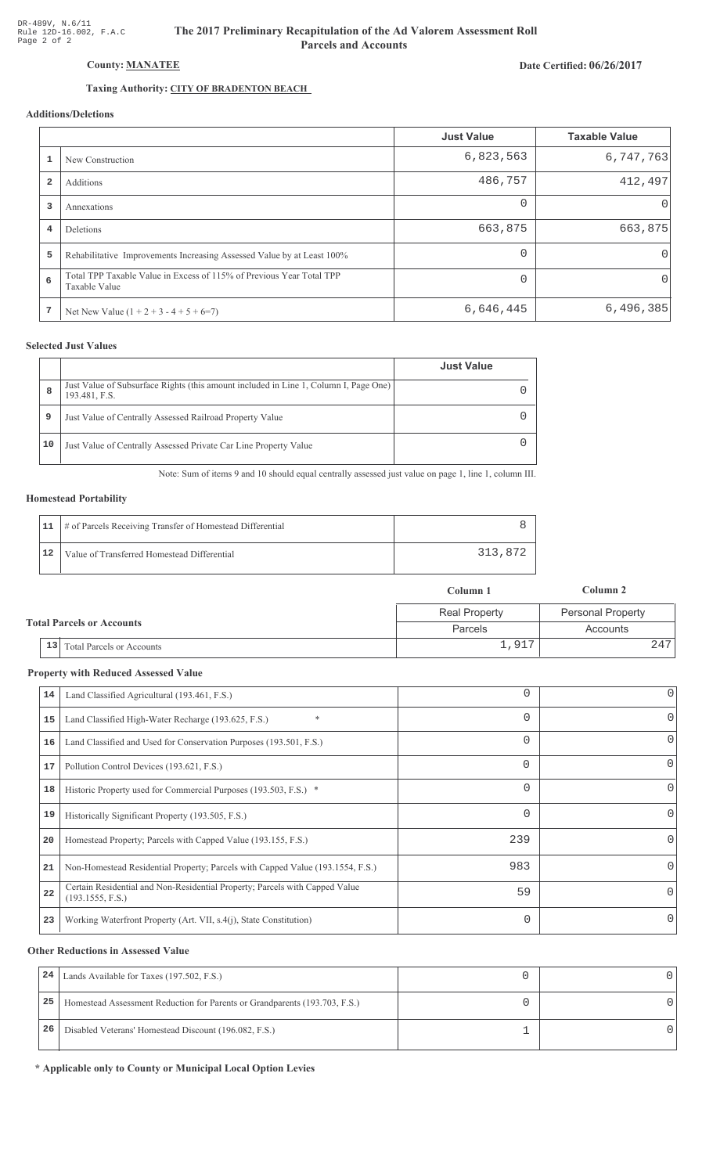# Date Certified: 06/26/2017

# Taxing Authority: CITY OF BRADENTON BEACH

County: MANATEE

# Additions/Deletions

|                |                                                                                       | <b>Just Value</b> | <b>Taxable Value</b> |
|----------------|---------------------------------------------------------------------------------------|-------------------|----------------------|
|                | New Construction                                                                      | 6,823,563         | 6,747,763            |
| $\overline{2}$ | Additions                                                                             | 486,757           | 412,497              |
| 3              | Annexations                                                                           | $\Omega$          | $\cup$               |
| 4              | Deletions                                                                             | 663,875           | 663,875              |
| 5              | Rehabilitative Improvements Increasing Assessed Value by at Least 100%                | $\Omega$          | 0                    |
| 6              | Total TPP Taxable Value in Excess of 115% of Previous Year Total TPP<br>Taxable Value | $\Omega$          | 0                    |
| 7              | Net New Value $(1 + 2 + 3 - 4 + 5 + 6=7)$                                             | 6,646,445         | 6,496,385            |

## **Selected Just Values**

|    |                                                                                                       | <b>Just Value</b> |
|----|-------------------------------------------------------------------------------------------------------|-------------------|
| 8  | Just Value of Subsurface Rights (this amount included in Line 1, Column I, Page One)<br>193.481, F.S. |                   |
| 9  | Just Value of Centrally Assessed Railroad Property Value                                              |                   |
| 10 | Just Value of Centrally Assessed Private Car Line Property Value                                      |                   |

Note: Sum of items 9 and 10 should equal centrally assessed just value on page 1, line 1, column III.

## **Homestead Portability**

|    | 11   # of Parcels Receiving Transfer of Homestead Differential |         |
|----|----------------------------------------------------------------|---------|
| 12 | Value of Transferred Homestead Differential                    | 313,872 |

|                                  |                                         | Column 1             | Column 2                 |
|----------------------------------|-----------------------------------------|----------------------|--------------------------|
|                                  |                                         | <b>Real Property</b> | <b>Personal Property</b> |
| <b>Total Parcels or Accounts</b> |                                         | Parcels              | Accounts                 |
|                                  | 13 <br><b>Total Parcels or Accounts</b> | 1,917                | 247                      |

#### **Property with Reduced Assessed Value**

| 14 | Land Classified Agricultural (193.461, F.S.)                                                    |          | 0        |
|----|-------------------------------------------------------------------------------------------------|----------|----------|
| 15 | $\ast$<br>Land Classified High-Water Recharge (193.625, F.S.)                                   | 0        | 0        |
| 16 | Land Classified and Used for Conservation Purposes (193.501, F.S.)                              |          | 0        |
| 17 | Pollution Control Devices (193.621, F.S.)                                                       | $\Omega$ | 0        |
| 18 | Historic Property used for Commercial Purposes (193.503, F.S.) *                                | 0        | 0        |
| 19 | Historically Significant Property (193.505, F.S.)                                               |          | 0        |
| 20 | Homestead Property; Parcels with Capped Value (193.155, F.S.)                                   | 239      | 0        |
| 21 | Non-Homestead Residential Property; Parcels with Capped Value (193.1554, F.S.)                  | 983      | 0        |
| 22 | Certain Residential and Non-Residential Property; Parcels with Capped Value<br>(193.1555, F.S.) | 59       | $\Omega$ |
| 23 | Working Waterfront Property (Art. VII, s.4(j), State Constitution)                              | 0        | 0        |
|    |                                                                                                 |          |          |

#### **Other Reductions in Assessed Value**

| 24 | Lands Available for Taxes (197.502, F.S.)                                  |  |
|----|----------------------------------------------------------------------------|--|
| 25 | Homestead Assessment Reduction for Parents or Grandparents (193.703, F.S.) |  |
| 26 | Disabled Veterans' Homestead Discount (196.082, F.S.)                      |  |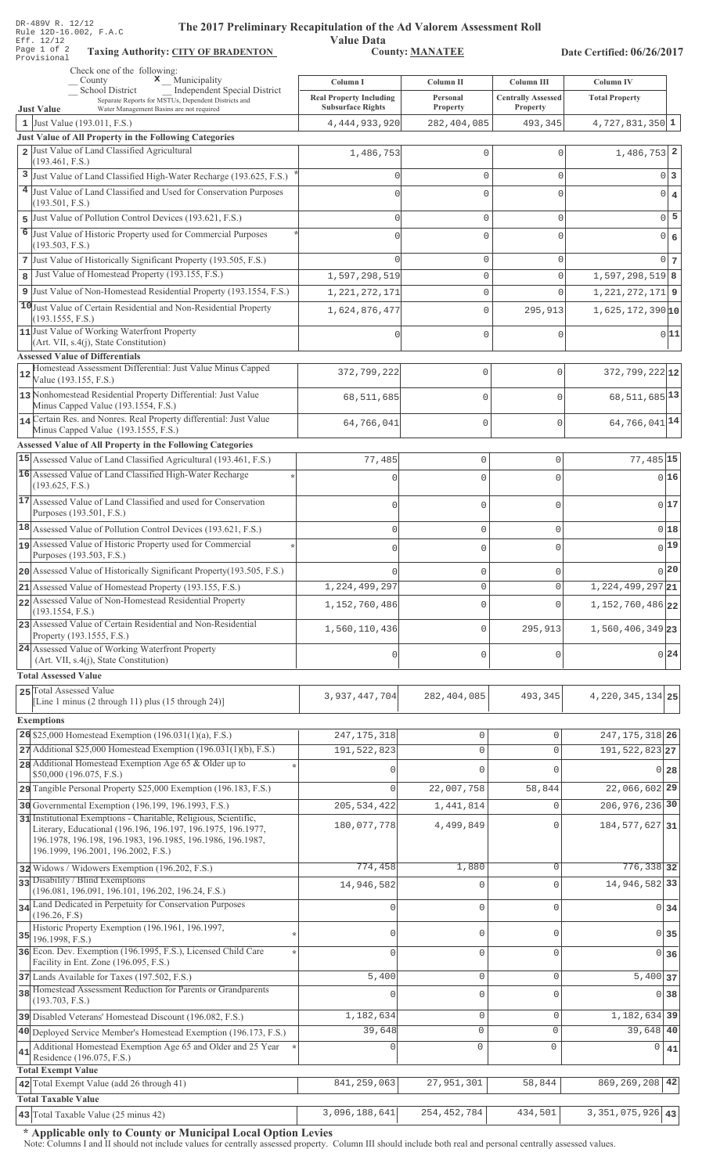| DR-489V R. 12/12<br>The 2017 Preliminary Recapitulation of the Ad Valorem Assessment Roll<br>Rule 12D-16.002, F.A.C                                                     |                                                            |                                    |                                       |                               |                   |
|-------------------------------------------------------------------------------------------------------------------------------------------------------------------------|------------------------------------------------------------|------------------------------------|---------------------------------------|-------------------------------|-------------------|
| Eff. 12/12<br>Page 1 of 2<br><b>Taxing Authority: CITY OF BRADENTON</b><br>Provisional                                                                                  | <b>Value Data</b>                                          | <b>County: MANATEE</b>             |                                       | Date Certified: 06/26/2017    |                   |
| Check one of the following:<br>$\mathbf x$ Municipality<br>County                                                                                                       | Column I                                                   | Column II                          | <b>Column III</b>                     | <b>Column IV</b>              |                   |
| School District<br>Independent Special District<br>Separate Reports for MSTUs, Dependent Districts and<br><b>Just Value</b><br>Water Management Basins are not required | <b>Real Property Including</b><br><b>Subsurface Rights</b> | Personal<br>Property               | <b>Centrally Assessed</b><br>Property | <b>Total Property</b>         |                   |
| 1 Just Value (193.011, F.S.)                                                                                                                                            | 4, 444, 933, 920                                           | 282, 404, 085                      | 493,345                               | $4,727,831,350$ 1             |                   |
| Just Value of All Property in the Following Categories<br>2 Just Value of Land Classified Agricultural                                                                  |                                                            |                                    |                                       |                               |                   |
| (193.461, F.S.)                                                                                                                                                         | 1,486,753                                                  | $\mathbb O$                        | $\Omega$                              | $1,486,753$ 2                 |                   |
| 3 Just Value of Land Classified High-Water Recharge (193.625, F.S.)                                                                                                     | $\Omega$                                                   | $\mathbf{0}$                       | $\mathbf{0}$                          |                               | 0 <sup>3</sup>    |
| 4 Just Value of Land Classified and Used for Conservation Purposes<br>(193.501, F.S.)                                                                                   | $\Omega$                                                   | $\mathbf 0$                        | $\mathbf 0$                           | $\overline{0}$                | $\overline{4}$    |
| 5 Just Value of Pollution Control Devices (193.621, F.S.)                                                                                                               | $\Omega$                                                   | $\mathbf 0$                        | $\mathbf{0}$                          | $\circ$                       | 5                 |
| 6 Just Value of Historic Property used for Commercial Purposes                                                                                                          | $\Omega$                                                   | $\mathbf 0$                        | $\Omega$                              | $\overline{0}$                | 6                 |
| (193.503, F.S.)                                                                                                                                                         |                                                            |                                    |                                       |                               |                   |
| 7 Just Value of Historically Significant Property (193.505, F.S.)<br>Just Value of Homestead Property (193.155, F.S.)<br>8                                              | $\Omega$<br>1,597,298,519                                  | $\mathsf{O}\xspace$<br>$\mathbb O$ | $\mathbf{0}$<br>$\mathbf 0$           | 1,597,298,519 8               | 0 <sub>7</sub>    |
| 9 Just Value of Non-Homestead Residential Property (193.1554, F.S.)                                                                                                     | 1, 221, 272, 171                                           | $\mathbb O$                        | $\mathbf{0}$                          | $1,221,272,171$ 9             |                   |
| 10 Just Value of Certain Residential and Non-Residential Property                                                                                                       | 1,624,876,477                                              | $\mathsf{O}\xspace$                | 295,913                               | $1,625,172,390$ 10            |                   |
| (193.1555, F.S.)                                                                                                                                                        |                                                            |                                    |                                       |                               |                   |
| 11 Just Value of Working Waterfront Property<br>(Art. VII, s.4(j), State Constitution)                                                                                  | $\Omega$                                                   | $\mathsf{O}\xspace$                | $\mathbf{0}$                          |                               | 0 11              |
| <b>Assessed Value of Differentials</b>                                                                                                                                  |                                                            |                                    |                                       |                               |                   |
| Homestead Assessment Differential: Just Value Minus Capped<br>12<br>Value (193.155, F.S.)                                                                               | 372,799,222                                                | 0                                  | $\mathbf{0}$                          | $372,799,222$ 12              |                   |
| 13 Nonhomestead Residential Property Differential: Just Value                                                                                                           | 68,511,685                                                 | 0                                  | $\mathbf{0}$                          | 68, 511, 685 13               |                   |
| Minus Capped Value (193.1554, F.S.)<br>14 Certain Res. and Nonres. Real Property differential: Just Value                                                               |                                                            |                                    |                                       |                               |                   |
| Minus Capped Value (193.1555, F.S.)                                                                                                                                     | 64,766,041                                                 | 0                                  | $\mathbf{0}$                          | 64,766,041 <sup>14</sup>      |                   |
| <b>Assessed Value of All Property in the Following Categories</b>                                                                                                       |                                                            |                                    |                                       |                               |                   |
| 15 Assessed Value of Land Classified Agricultural (193.461, F.S.)<br>16 Assessed Value of Land Classified High-Water Recharge                                           | 77,485                                                     | $\mathsf{O}\xspace$                | $\mathbb O$                           | 77,485 15                     |                   |
| (193.625, F.S.)                                                                                                                                                         | $\mathbf 0$                                                | $\overline{0}$                     | $\mathbf 0$                           |                               | 016               |
| 17 Assessed Value of Land Classified and used for Conservation<br>Purposes (193.501, F.S.)                                                                              | $\mathbf 0$                                                | $\mathbf 0$                        | $\mathsf{O}\xspace$                   |                               | 0 17              |
| 18 Assessed Value of Pollution Control Devices (193.621, F.S.)                                                                                                          | $\mathbf 0$                                                | $\mathbf 0$                        | $\mathsf{O}\xspace$                   |                               | 018               |
| assessed Value of Historic Property used for Commercial<br>Purposes (193.503, F.S.)                                                                                     |                                                            | C                                  |                                       |                               | $0$ <sup>19</sup> |
| 20 Assessed Value of Historically Significant Property (193.505, F.S.)                                                                                                  |                                                            | $\mathbf 0$                        | $\circ$                               |                               | $\bigcap$ 20      |
| 21 Assessed Value of Homestead Property (193.155, F.S.)                                                                                                                 | 1,224,499,297                                              | $\mathbf 0$                        | $\circ$                               | $1,224,499,297$ <sub>21</sub> |                   |
| 22 Assessed Value of Non-Homestead Residential Property<br>(193.1554, F.S.)                                                                                             | 1,152,760,486                                              | $\overline{0}$                     | $\mathbf{0}$                          | 1, 152, 760, 486 22           |                   |
| 23 Assessed Value of Certain Residential and Non-Residential<br>Property (193.1555, F.S.)                                                                               | 1,560,110,436                                              | $\mathbb O$                        | 295,913                               | $1,560,406,349$ 23            |                   |
| 24 Assessed Value of Working Waterfront Property                                                                                                                        | $\mathbf{0}$                                               | $\mathbf 0$                        | $\mathbf 0$                           |                               | 0 24              |
| (Art. VII, s.4(j), State Constitution)<br><b>Total Assessed Value</b>                                                                                                   |                                                            |                                    |                                       |                               |                   |
| 25 Total Assessed Value                                                                                                                                                 |                                                            |                                    |                                       |                               |                   |
| [Line 1 minus (2 through 11) plus (15 through 24)]                                                                                                                      | 3,937,447,704                                              | 282, 404, 085                      | 493,345                               | 4, 220, 345, 134 25           |                   |
| <b>Exemptions</b>                                                                                                                                                       |                                                            |                                    |                                       |                               |                   |
| 26 \$25,000 Homestead Exemption $(196.031(1)(a), F.S.)$                                                                                                                 | 247, 175, 318                                              | 0                                  | 0                                     | 247, 175, 318 26              |                   |
| 27 Additional \$25,000 Homestead Exemption (196.031(1)(b), F.S.)<br>28 Additional Homestead Exemption Age 65 & Older up to                                              | 191,522,823                                                | $\mathsf{O}\xspace$                | $\mathbf 0$                           | 191, 522, 823 27              |                   |
| \$50,000 (196.075, F.S.)                                                                                                                                                | 0                                                          | $\Omega$                           | $\mathbf 0$                           | $\overline{0}$                | 28                |
| 29 Tangible Personal Property \$25,000 Exemption (196.183, F.S.)                                                                                                        | 0                                                          | 22,007,758                         | 58,844                                | 22,066,602 29                 |                   |
| 30 Governmental Exemption (196.199, 196.1993, F.S.)<br>31 Institutional Exemptions - Charitable, Religious, Scientific,                                                 | 205, 534, 422                                              | 1,441,814                          | 0                                     | 206, 976, 236 30              |                   |
| Literary, Educational (196.196, 196.197, 196.1975, 196.1977,<br>196.1978, 196.198, 196.1983, 196.1985, 196.1986, 196.1987,<br>196.1999, 196.2001, 196.2002, F.S.)       | 180,077,778                                                | 4,499,849                          | $\mathbf 0$                           | 184, 577, 627 31              |                   |
| 32 Widows / Widowers Exemption (196.202, F.S.)                                                                                                                          | 774,458                                                    | 1,880                              | $\mathbf{0}$                          | 776,338 32                    |                   |
| 33 Disability / Blind Exemptions<br>(196.081, 196.091, 196.101, 196.202, 196.24, F.S.)                                                                                  | 14,946,582                                                 | $\Omega$                           | $\mathbf{0}$                          | 14,946,582 33                 |                   |
| 34 Land Dedicated in Perpetuity for Conservation Purposes                                                                                                               | 0                                                          | $\mathbf 0$                        | $\mathbf 0$                           | $\overline{0}$                | 34                |
| (196.26, F.S)<br>Historic Property Exemption (196.1961, 196.1997,                                                                                                       |                                                            |                                    |                                       |                               |                   |
| $35$ 196.1998, F.S.)                                                                                                                                                    | 0                                                          | $\mathbf{0}$                       | $\mathsf{O}\xspace$                   | 0                             | 35                |
| 36 Econ. Dev. Exemption (196.1995, F.S.), Licensed Child Care<br>Facility in Ent. Zone (196.095, F.S.)                                                                  | $\Omega$                                                   | $\mathbf{0}$                       | $\mathbf 0$                           | $\overline{0}$                | 36                |
| 37 Lands Available for Taxes (197.502, F.S.)                                                                                                                            | 5,400                                                      | $\mathbf 0$                        | $\mathbf 0$                           | $5,400$ 37                    |                   |
| 38 Homestead Assessment Reduction for Parents or Grandparents<br>(193.703, F.S.)                                                                                        | 0                                                          | $\mathbf{0}$                       | $\mathbf{0}$                          | $\Omega$                      | 38                |
| 39 Disabled Veterans' Homestead Discount (196.082, F.S.)                                                                                                                | 1,182,634                                                  | $\mathsf{O}\xspace$                | $\mathsf{O}\xspace$                   | 1, 182, 634 39                |                   |
| 40 Deployed Service Member's Homestead Exemption (196.173, F.S.)                                                                                                        | 39,648                                                     | 0                                  | $\circ$                               | 39,648 40                     |                   |
| Additional Homestead Exemption Age 65 and Older and 25 Year<br>41<br>Residence (196.075, F.S.)                                                                          | O                                                          | $\mathbf{0}$                       | 0                                     | 0                             | 41                |
| <b>Total Exempt Value</b><br>42 Total Exempt Value (add 26 through 41)                                                                                                  | 841, 259, 063                                              | 27,951,301                         | 58,844                                | 869, 269, 208                 | 42                |
| <b>Total Taxable Value</b>                                                                                                                                              |                                                            |                                    |                                       |                               |                   |
| 43 Total Taxable Value (25 minus 42)                                                                                                                                    | 3,096,188,641                                              | 254, 452, 784                      | 434,501                               | $3,351,075,926$ 43            |                   |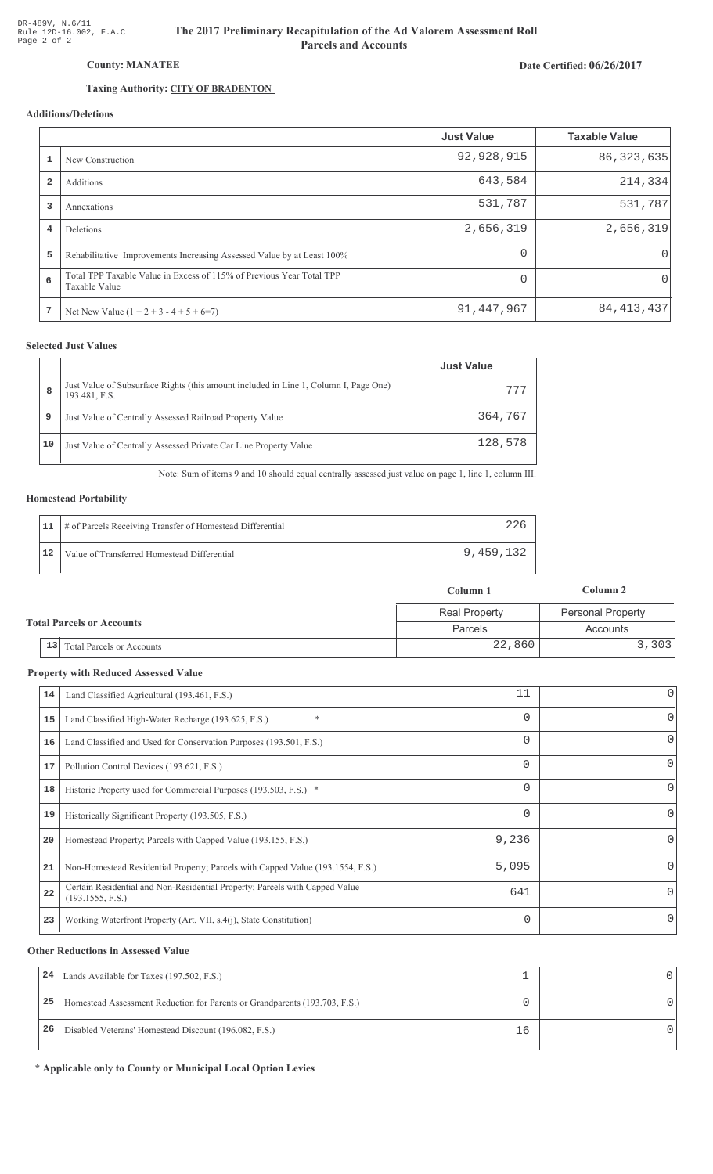# Date Certified: 06/26/2017

# County: MANATEE

# Taxing Authority: CITY OF BRADENTON

# Additions/Deletions

|                         |                                                                                       | <b>Just Value</b> | <b>Taxable Value</b> |
|-------------------------|---------------------------------------------------------------------------------------|-------------------|----------------------|
|                         | New Construction                                                                      | 92,928,915        | 86, 323, 635         |
| $\overline{\mathbf{2}}$ | Additions                                                                             | 643,584           | 214, 334             |
| 3                       | Annexations                                                                           | 531,787           | 531,787              |
| 4                       | Deletions                                                                             | 2,656,319         | 2,656,319            |
| 5                       | Rehabilitative Improvements Increasing Assessed Value by at Least 100%                | $\Omega$          | 0                    |
| 6                       | Total TPP Taxable Value in Excess of 115% of Previous Year Total TPP<br>Taxable Value | $\Omega$          | 0                    |
| 7                       | Net New Value $(1 + 2 + 3 - 4 + 5 + 6=7)$                                             | 91, 447, 967      | 84, 413, 437         |

## **Selected Just Values**

|    |                                                                                                       | <b>Just Value</b> |
|----|-------------------------------------------------------------------------------------------------------|-------------------|
| 8  | Just Value of Subsurface Rights (this amount included in Line 1, Column I, Page One)<br>193.481, F.S. | 777               |
| 9  | Just Value of Centrally Assessed Railroad Property Value                                              | 364,767           |
| 10 | Just Value of Centrally Assessed Private Car Line Property Value                                      | 128,578           |

Note: Sum of items 9 and 10 should equal centrally assessed just value on page 1, line 1, column III.

## **Homestead Portability**

|    | 11   # of Parcels Receiving Transfer of Homestead Differential |           |
|----|----------------------------------------------------------------|-----------|
| 12 | Value of Transferred Homestead Differential                    | 9,459,132 |

|                                  |                                        | Column 1             | Column 2                 |
|----------------------------------|----------------------------------------|----------------------|--------------------------|
| <b>Total Parcels or Accounts</b> |                                        | <b>Real Property</b> | <b>Personal Property</b> |
|                                  |                                        | Parcels              | Accounts                 |
|                                  | 13<br><b>Total Parcels or Accounts</b> | 22,860               | 3,303                    |

#### **Property with Reduced Assessed Value**

| 14 | Land Classified Agricultural (193.461, F.S.)                                                    | 11       | $\overline{0}$ |
|----|-------------------------------------------------------------------------------------------------|----------|----------------|
| 15 | $\ast$<br>Land Classified High-Water Recharge (193.625, F.S.)                                   | $\Omega$ | 0              |
| 16 | Land Classified and Used for Conservation Purposes (193.501, F.S.)                              | $\Omega$ | 0              |
| 17 | Pollution Control Devices (193.621, F.S.)                                                       | $\Omega$ | 0              |
| 18 | Historic Property used for Commercial Purposes (193.503, F.S.) *                                | $\Omega$ | 0              |
| 19 | Historically Significant Property (193.505, F.S.)                                               | $\Omega$ | 0              |
| 20 | Homestead Property; Parcels with Capped Value (193.155, F.S.)                                   | 9,236    |                |
| 21 | Non-Homestead Residential Property; Parcels with Capped Value (193.1554, F.S.)                  | 5,095    |                |
| 22 | Certain Residential and Non-Residential Property; Parcels with Capped Value<br>(193.1555, F.S.) | 641      | 0              |
| 23 | Working Waterfront Property (Art. VII, s.4(j), State Constitution)                              | $\Omega$ |                |

#### **Other Reductions in Assessed Value**

| 24 | Lands Available for Taxes (197.502, F.S.)                                  |     |  |
|----|----------------------------------------------------------------------------|-----|--|
| 25 | Homestead Assessment Reduction for Parents or Grandparents (193.703, F.S.) |     |  |
| 26 | Disabled Veterans' Homestead Discount (196.082, F.S.)                      | ⊥6. |  |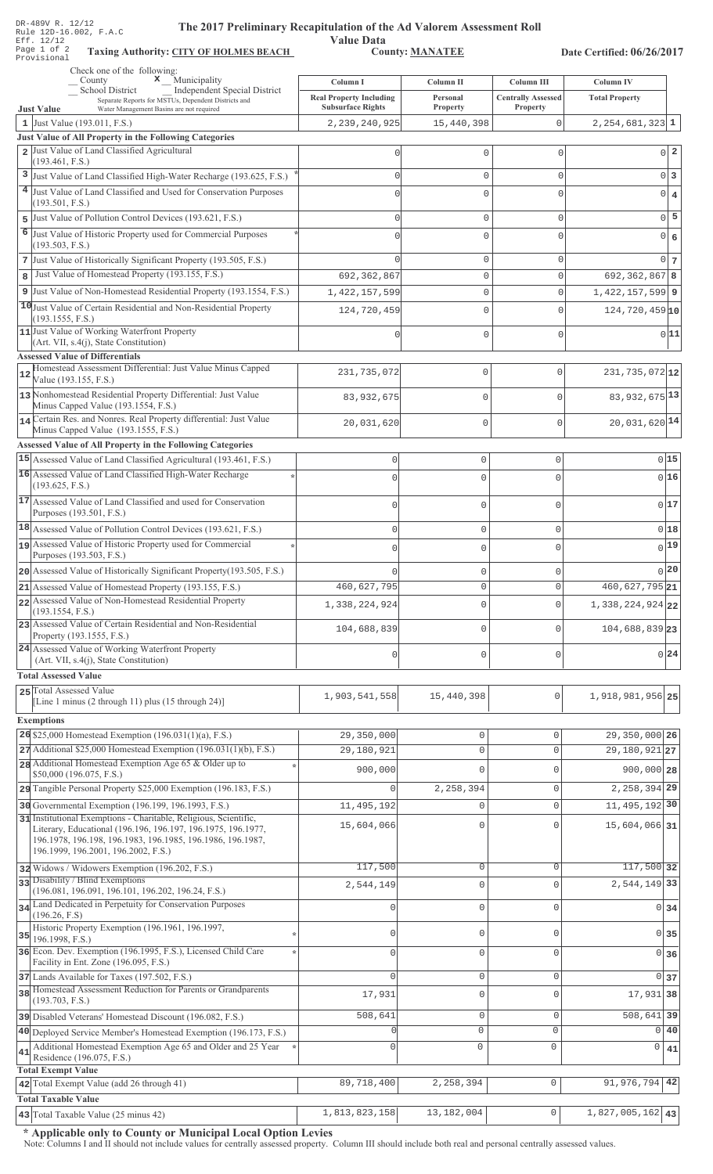|    | DR-489V R. 12/12<br>The 2017 Preliminary Recapitulation of the Ad Valorem Assessment Roll<br>Rule 12D-16.002, F.A.C                       |                                                            |                        |                                       |                             |                         |
|----|-------------------------------------------------------------------------------------------------------------------------------------------|------------------------------------------------------------|------------------------|---------------------------------------|-----------------------------|-------------------------|
|    | <b>Value Data</b><br>Eff. 12/12<br>Page 1 of 2<br><b>County: MANATEE</b><br><b>Taxing Authority: CITY OF HOLMES BEACH</b>                 |                                                            |                        |                                       | Date Certified: 06/26/2017  |                         |
|    | Provisional<br>Check one of the following:                                                                                                |                                                            |                        |                                       |                             |                         |
|    | $\mathbf x$ Municipality<br>County<br>School District<br><b>Independent Special District</b>                                              | Column I                                                   | Column II              | Column III                            | <b>Column IV</b>            |                         |
|    | Separate Reports for MSTUs, Dependent Districts and<br><b>Just Value</b><br>Water Management Basins are not required                      | <b>Real Property Including</b><br><b>Subsurface Rights</b> | Personal<br>Property   | <b>Centrally Assessed</b><br>Property | <b>Total Property</b>       |                         |
|    | 1 Just Value (193.011, F.S.)                                                                                                              | 2, 239, 240, 925                                           | 15,440,398             | $\circ$                               | $2,254,681,323$ 1           |                         |
|    | <b>Just Value of All Property in the Following Categories</b><br>2 Just Value of Land Classified Agricultural                             | $\mathbf{0}$                                               | $\mathbf{0}$           | $\mathbf 0$                           | $\overline{0}$              | $\overline{\mathbf{2}}$ |
|    | (193.461, F.S.)                                                                                                                           |                                                            |                        |                                       |                             |                         |
|    | 3 Just Value of Land Classified High-Water Recharge (193.625, F.S.)<br>4 Just Value of Land Classified and Used for Conservation Purposes | $\mathbf{0}$                                               | $\mathbf{0}$           | $\mathbf 0$                           |                             | 0 <sup>3</sup>          |
|    | (193.501, F.S.)                                                                                                                           | $\Omega$                                                   | $\mathbf 0$            | $\mathbf 0$                           | 0                           | $\overline{4}$          |
|    | 5 Just Value of Pollution Control Devices (193.621, F.S.)                                                                                 | $\mathbf{0}$                                               | $\mathbf{0}$           | $\mathbf 0$                           | $\mathbf 0$                 | 5                       |
|    | 6 Just Value of Historic Property used for Commercial Purposes<br>(193.503, F.S.)                                                         | $\Omega$                                                   | $\mathbf 0$            | $\Omega$                              | 0                           | 6                       |
|    | 7 Just Value of Historically Significant Property (193.505, F.S.)                                                                         | $\cap$                                                     | $\mathbb O$            | $\mathbf 0$                           | 0                           | $7\phantom{.0}$         |
| 8  | Just Value of Homestead Property (193.155, F.S.)                                                                                          | 692,362,867                                                | $\circ$                | $\mathbf 0$                           | $692, 362, 867$ 8           |                         |
|    | 9 Just Value of Non-Homestead Residential Property (193.1554, F.S.)                                                                       | 1, 422, 157, 599                                           | $\mathbb O$            | $\mathbf 0$                           | $1,422,157,599$ 9           |                         |
|    | 10 Just Value of Certain Residential and Non-Residential Property<br>(193.1555, F.S.)                                                     | 124,720,459                                                | $\mathbb O$            | $\mathbf 0$                           | $124,720,459$ <sub>10</sub> |                         |
|    | 11 Just Value of Working Waterfront Property                                                                                              | $\Omega$                                                   | $\mathbb O$            | $\mathbf 0$                           |                             | 0 11                    |
|    | (Art. VII, s.4(j), State Constitution)<br><b>Assessed Value of Differentials</b>                                                          |                                                            |                        |                                       |                             |                         |
| 12 | Homestead Assessment Differential: Just Value Minus Capped                                                                                | 231,735,072                                                | $\mathbb O$            | 0                                     | $231,735,072$ 12            |                         |
|    | Value (193.155, F.S.)                                                                                                                     |                                                            |                        |                                       |                             |                         |
|    | 13 Nonhomestead Residential Property Differential: Just Value<br>Minus Capped Value (193.1554, F.S.)                                      | 83, 932, 675                                               | $\mathbb O$            | $\mathbf 0$                           | 83, 932, 675 13             |                         |
|    | 14 Certain Res. and Nonres. Real Property differential: Just Value<br>Minus Capped Value (193.1555, F.S.)                                 | 20,031,620                                                 | $\mathbb O$            | 0                                     | $20,031,620$ <sup>14</sup>  |                         |
|    | <b>Assessed Value of All Property in the Following Categories</b>                                                                         |                                                            |                        |                                       |                             |                         |
|    | 15 Assessed Value of Land Classified Agricultural (193.461, F.S.)                                                                         | 0                                                          | $\mathsf{O}\xspace$    | 0                                     |                             | 015                     |
|    | 16 Assessed Value of Land Classified High-Water Recharge                                                                                  | $\Omega$                                                   | $\overline{0}$         | $\Omega$                              |                             | 016                     |
|    | (193.625, F.S.)<br>17 Assessed Value of Land Classified and used for Conservation                                                         |                                                            |                        |                                       |                             |                         |
|    | Purposes (193.501, F.S.)                                                                                                                  | $\mathbf 0$                                                | $\mathbf 0$            | $\mathsf{O}\xspace$                   |                             | 017                     |
|    | 18 Assessed Value of Pollution Control Devices (193.621, F.S.)                                                                            | $\mathbf 0$                                                | $\mathbf 0$            | $\mathbf 0$                           |                             | 0 18                    |
|    | assessed Value of Historic Property used for Commercial<br>Purposes (193.503, F.S.)                                                       |                                                            | $\cap$                 |                                       |                             | $0$ 19                  |
|    | 20 Assessed Value of Historically Significant Property (193.505, F.S.)                                                                    |                                                            | $\mathbf 0$            | $\mathbf 0$                           |                             | $0^{20}$                |
|    | 21 Assessed Value of Homestead Property (193.155, F.S.)                                                                                   | 460,627,795                                                | $\mathbf{0}$           | $\circ$                               | $460,627,795$ <sub>21</sub> |                         |
|    | 22 Assessed Value of Non-Homestead Residential Property<br>(193.1554, F.S.)                                                               | 1,338,224,924                                              | $\mathbf 0$            | $\mathbf 0$                           | 1,338,224,924 22            |                         |
|    | 23 Assessed Value of Certain Residential and Non-Residential                                                                              | 104,688,839                                                | $\mathbf 0$            | $\circ$                               | 104,688,839 23              |                         |
|    | Property (193.1555, F.S.)<br>24 Assessed Value of Working Waterfront Property                                                             |                                                            |                        |                                       |                             |                         |
|    | (Art. VII, s.4(j), State Constitution)                                                                                                    | $\mathbf 0$                                                | $\mathbf 0$            | $\mathbf 0$                           |                             | 0 24                    |
|    | <b>Total Assessed Value</b>                                                                                                               |                                                            |                        |                                       |                             |                         |
|    | 25 Total Assessed Value<br>[Line 1 minus (2 through 11) plus (15 through 24)]                                                             | 1,903,541,558                                              | 15,440,398             | 0                                     | 1,918,981,956 25            |                         |
|    | <b>Exemptions</b>                                                                                                                         |                                                            |                        |                                       |                             |                         |
|    | 26 \$25,000 Homestead Exemption $(196.031(1)(a), F.S.)$                                                                                   | 29,350,000                                                 | 0                      | 0                                     | 29,350,000 26               |                         |
|    | $27$ Additional \$25,000 Homestead Exemption (196.031(1)(b), F.S.)                                                                        | 29,180,921                                                 | $\mathbb O$            | $\mathsf{O}\xspace$                   | 29, 180, 921 27             |                         |
|    | 28 Additional Homestead Exemption Age 65 & Older up to<br>\$50,000 (196.075, F.S.)                                                        | 900,000                                                    | $\mathbf 0$            | $\mathbf{0}$                          | $900,000$ 28                |                         |
|    | 29 Tangible Personal Property \$25,000 Exemption (196.183, F.S.)                                                                          | 0                                                          | 2,258,394              | $\circ$                               | 2, 258, 394 29              |                         |
|    | 30 Governmental Exemption (196.199, 196.1993, F.S.)                                                                                       | 11,495,192                                                 | 0                      | $\mathsf{O}\xspace$                   | 11, 495, 192 30             |                         |
|    | 31 Institutional Exemptions - Charitable, Religious, Scientific,<br>Literary, Educational (196.196, 196.197, 196.1975, 196.1977,          | 15,604,066                                                 | 0                      | $\mathbf{0}$                          | 15,604,066 31               |                         |
|    | 196.1978, 196.198, 196.1983, 196.1985, 196.1986, 196.1987,                                                                                |                                                            |                        |                                       |                             |                         |
|    | 196.1999, 196.2001, 196.2002, F.S.)<br>32 Widows / Widowers Exemption (196.202, F.S.)                                                     | 117,500                                                    | $\mathbb O$            | $\mathbf 0$                           | 117,500 32                  |                         |
|    | 33 Disability / Blind Exemptions                                                                                                          | 2,544,149                                                  | 0                      | $\mathbf 0$                           | 2,544,149 33                |                         |
|    | (196.081, 196.091, 196.101, 196.202, 196.24, F.S.)<br>34 Land Dedicated in Perpetuity for Conservation Purposes                           |                                                            |                        |                                       |                             |                         |
|    | (196.26, F.S)                                                                                                                             | 0                                                          | $\mathbf 0$            | $\mathbf{0}$                          | $0 \overline{\smash{34}}$   |                         |
|    | Historic Property Exemption (196.1961, 196.1997,<br>$35$ 196.1998, F.S.)                                                                  | 0                                                          | $\mathbf 0$            | $\mathbb O$                           | $\overline{0}$              | 35                      |
|    | 36 Econ. Dev. Exemption (196.1995, F.S.), Licensed Child Care                                                                             | 0                                                          | $\mathbf{0}$           | $\mathbf{0}$                          | 0 36                        |                         |
|    | Facility in Ent. Zone (196.095, F.S.)<br>37 Lands Available for Taxes (197.502, F.S.)                                                     | $\Omega$                                                   | $\mathbf 0$            | $\mathsf{O}\xspace$                   | $\overline{0}$              | 37                      |
|    | 38 Homestead Assessment Reduction for Parents or Grandparents                                                                             | 17,931                                                     | $\mathbf 0$            | $\mathsf{O}\xspace$                   | 17,931 38                   |                         |
|    | (193.703, F.S.)                                                                                                                           |                                                            |                        |                                       |                             |                         |
|    | 39 Disabled Veterans' Homestead Discount (196.082, F.S.)<br>40 Deployed Service Member's Homestead Exemption (196.173, F.S.)              | 508,641<br>$\Omega$                                        | $\mathbf 0$<br>$\circ$ | $\mathsf{O}\xspace$<br>0              | $508,641$ 39<br>$\circ$     | 40                      |
|    | Additional Homestead Exemption Age 65 and Older and 25 Year                                                                               | 0                                                          | $\mathbf 0$            | 0                                     | 0                           | 41                      |
| 41 | Residence (196.075, F.S.)                                                                                                                 |                                                            |                        |                                       |                             |                         |
|    | <b>Total Exempt Value</b><br>42 Total Exempt Value (add 26 through 41)                                                                    | 89,718,400                                                 | 2, 258, 394            | $\circ$                               | 91,976,794                  | 42                      |
|    | <b>Total Taxable Value</b>                                                                                                                |                                                            |                        |                                       |                             |                         |

Note: Columns I and II should not include values for centrally assessed property. Column III should include both real and personal centrally assessed values.

43 Total Taxable Value (25 minus 42) **1,813,823,158** 13,182,004 0 1,827,005,162 **43**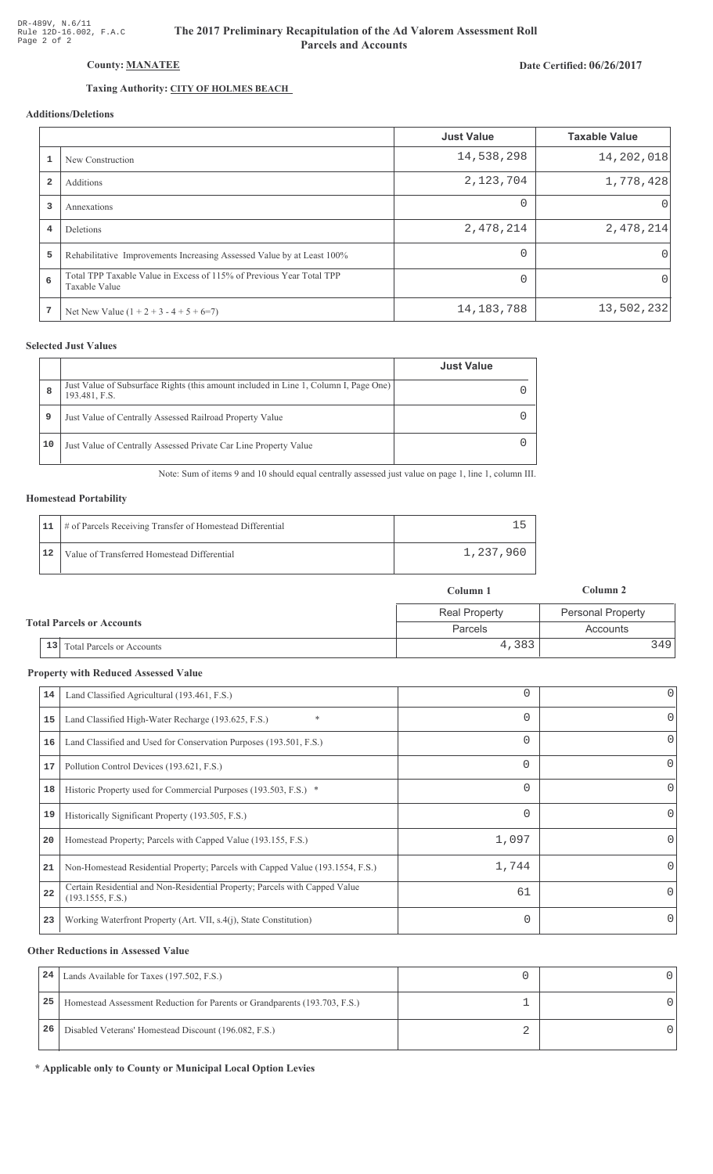# Date Certified: 06/26/2017

# Taxing Authority: CITY OF HOLMES BEACH

County: MANATEE

# Additions/Deletions

|                         |                                                                                       | <b>Just Value</b> | <b>Taxable Value</b> |
|-------------------------|---------------------------------------------------------------------------------------|-------------------|----------------------|
|                         | New Construction                                                                      | 14,538,298        | 14, 202, 018         |
| $\overline{\mathbf{2}}$ | Additions                                                                             | 2,123,704         | 1,778,428            |
| 3                       | Annexations                                                                           | $\Omega$          | $\Omega$             |
| 4                       | <b>Deletions</b>                                                                      | 2,478,214         | 2,478,214            |
| 5                       | Rehabilitative Improvements Increasing Assessed Value by at Least 100%                | $\Omega$          | 0                    |
| 6                       | Total TPP Taxable Value in Excess of 115% of Previous Year Total TPP<br>Taxable Value | $\cap$            | 0                    |
| 7                       | Net New Value $(1 + 2 + 3 - 4 + 5 + 6=7)$                                             | 14, 183, 788      | 13,502,232           |

## **Selected Just Values**

|    |                                                                                                       | <b>Just Value</b> |
|----|-------------------------------------------------------------------------------------------------------|-------------------|
| 8  | Just Value of Subsurface Rights (this amount included in Line 1, Column I, Page One)<br>193.481, F.S. |                   |
| 9  | Just Value of Centrally Assessed Railroad Property Value                                              |                   |
| 10 | Just Value of Centrally Assessed Private Car Line Property Value                                      |                   |

Note: Sum of items 9 and 10 should equal centrally assessed just value on page 1, line 1, column III.

## **Homestead Portability**

|    | 11   # of Parcels Receiving Transfer of Homestead Differential |           |
|----|----------------------------------------------------------------|-----------|
| 12 | Value of Transferred Homestead Differential                    | 1,237,960 |

|                                      | Column 1             | Column 2          |
|--------------------------------------|----------------------|-------------------|
|                                      | <b>Real Property</b> | Personal Property |
| <b>Total Parcels or Accounts</b>     | Parcels              | Accounts          |
| $\vert$ 13 Total Parcels or Accounts |                      | 4,383<br>3491     |

#### **Property with Reduced Assessed Value**

| 14 | Land Classified Agricultural (193.461, F.S.)                                                    |          | 0        |
|----|-------------------------------------------------------------------------------------------------|----------|----------|
| 15 | $\ast$<br>Land Classified High-Water Recharge (193.625, F.S.)                                   | 0        | 0        |
| 16 | Land Classified and Used for Conservation Purposes (193.501, F.S.)                              |          | 0        |
| 17 | Pollution Control Devices (193.621, F.S.)                                                       | $\Omega$ | 0        |
| 18 | Historic Property used for Commercial Purposes (193.503, F.S.) *                                | 0        | 0        |
| 19 | Historically Significant Property (193.505, F.S.)                                               |          | 0        |
| 20 | Homestead Property; Parcels with Capped Value (193.155, F.S.)                                   | 1,097    | 0        |
| 21 | Non-Homestead Residential Property; Parcels with Capped Value (193.1554, F.S.)                  | 1,744    | 0        |
| 22 | Certain Residential and Non-Residential Property; Parcels with Capped Value<br>(193.1555, F.S.) | 61       | $\Omega$ |
| 23 | Working Waterfront Property (Art. VII, s.4(j), State Constitution)                              | 0        | 0        |
|    |                                                                                                 |          |          |

#### **Other Reductions in Assessed Value**

| 24 | Lands Available for Taxes (197.502, F.S.)                                  |  |
|----|----------------------------------------------------------------------------|--|
| 25 | Homestead Assessment Reduction for Parents or Grandparents (193.703, F.S.) |  |
| 26 | Disabled Veterans' Homestead Discount (196.082, F.S.)                      |  |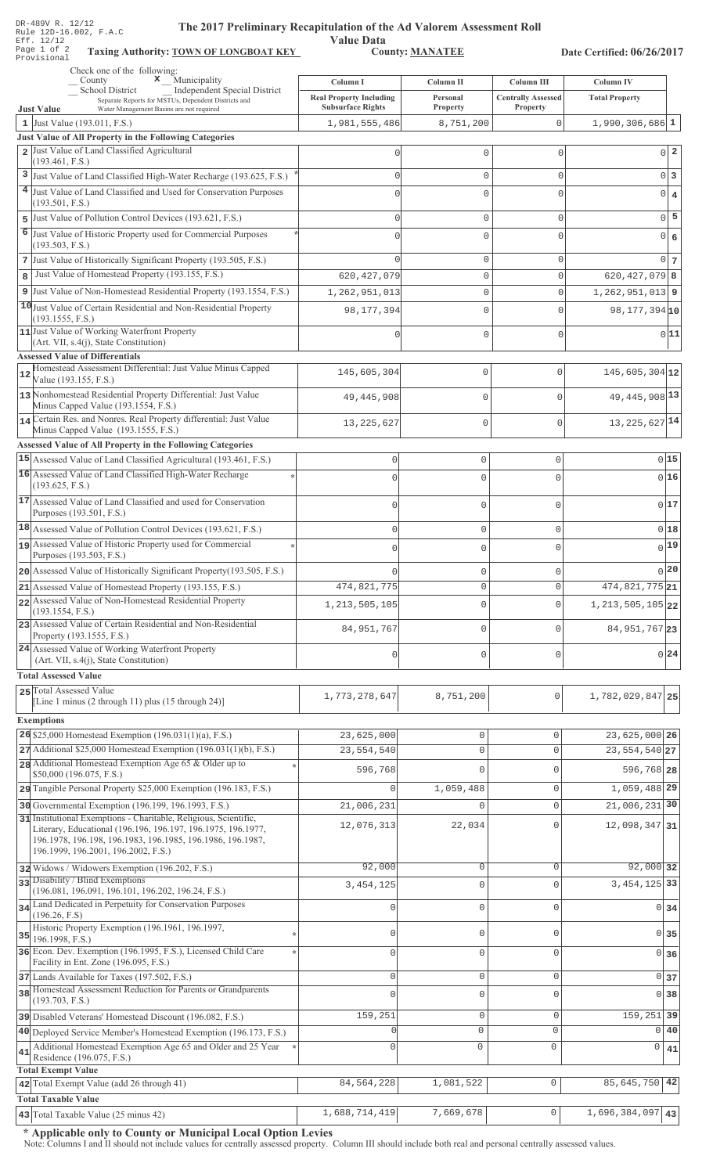| DR-489V R. 14/14<br>The 2017 Preliminary Recapitulation of the Ad Valorem Assessment Roll<br>Rule 12D-16.002, F.A.C<br>Eff. 12/12<br>Page 1 of 2<br><b>Taxing Authority: TOWN OF LONGBOAT KEY</b><br>Provisional | <b>Value Data</b>                                          | <b>County: MANATEE</b>         |                                       | Date Certified: 06/26/2017       |                                  |
|------------------------------------------------------------------------------------------------------------------------------------------------------------------------------------------------------------------|------------------------------------------------------------|--------------------------------|---------------------------------------|----------------------------------|----------------------------------|
| Check one of the following:<br>$\mathbf x$ Municipality<br>County                                                                                                                                                | Column I                                                   | Column II                      | Column III                            | Column IV                        |                                  |
| <b>School District</b><br><b>Independent Special District</b><br>Separate Reports for MSTUs, Dependent Districts and                                                                                             | <b>Real Property Including</b><br><b>Subsurface Rights</b> | Personal                       | <b>Centrally Assessed</b><br>Property | <b>Total Property</b>            |                                  |
| <b>Just Value</b><br>Water Management Basins are not required<br>1 Just Value $(193.011, F.S.)$                                                                                                                  | 1,981,555,486                                              | Property<br>8,751,200          | 0                                     | $1,990,306,686$ <sup>1</sup>     |                                  |
| Just Value of All Property in the Following Categories                                                                                                                                                           |                                                            |                                |                                       |                                  |                                  |
| 2 Just Value of Land Classified Agricultural                                                                                                                                                                     |                                                            | $\Omega$                       | $\Omega$                              |                                  | $0\vert 2$                       |
| (193.461, F.S.)                                                                                                                                                                                                  |                                                            |                                |                                       |                                  |                                  |
| 3<br>Just Value of Land Classified High-Water Recharge (193.625, F.S.)                                                                                                                                           | 0                                                          | $\mathbf 0$                    | $\Omega$                              |                                  | $0\vert 3$                       |
| 4 Just Value of Land Classified and Used for Conservation Purposes<br>(193.501, F.S.)                                                                                                                            | C                                                          | $\mathbf 0$                    | O                                     |                                  | $\overline{0}$<br>$\overline{4}$ |
| Just Value of Pollution Control Devices (193.621, F.S.)<br>5                                                                                                                                                     | $\Omega$                                                   | $\mathbf 0$                    | $\Omega$                              |                                  | $0$ 5                            |
| 6<br>Just Value of Historic Property used for Commercial Purposes<br>(193.503, F.S.)                                                                                                                             |                                                            | $\mathbf 0$                    | U                                     |                                  | $\overline{0}$<br>6              |
| 7 Just Value of Historically Significant Property (193.505, F.S.)                                                                                                                                                |                                                            | $\mathbb O$                    | 0                                     |                                  | 0 <sub>7</sub>                   |
| Just Value of Homestead Property (193.155, F.S.)<br>8                                                                                                                                                            | 620, 427, 079                                              | $\mathbf 0$                    | 0                                     | $620, 427, 079$ 8                |                                  |
| 9 Just Value of Non-Homestead Residential Property (193.1554, F.S.)                                                                                                                                              | 1,262,951,013                                              | $\mathbf 0$                    | 0                                     | $1,262,951,013$ 9                |                                  |
| 10 Just Value of Certain Residential and Non-Residential Property<br>(193.1555, F.S.)                                                                                                                            | 98, 177, 394                                               | $\mathbf{0}$                   | $\Omega$                              | 98, 177, 394 10                  |                                  |
| 11 Just Value of Working Waterfront Property                                                                                                                                                                     |                                                            | $\mathbf{0}$                   | $\Omega$                              |                                  | 0 11                             |
| (Art. VII, s.4(j), State Constitution)                                                                                                                                                                           |                                                            |                                |                                       |                                  |                                  |
| <b>Assessed Value of Differentials</b><br>Homestead Assessment Differential: Just Value Minus Capped                                                                                                             |                                                            |                                |                                       |                                  |                                  |
| 12<br>Value (193.155, F.S.)                                                                                                                                                                                      | 145,605,304                                                | 0                              | $\mathbf 0$                           | $145,605,304$ 12                 |                                  |
| 13 Nonhomestead Residential Property Differential: Just Value<br>Minus Capped Value (193.1554, F.S.)                                                                                                             | 49, 445, 908                                               | 0                              | $\mathbf{0}$                          | 49, 445, 908 13                  |                                  |
| 14 Certain Res. and Nonres. Real Property differential: Just Value<br>Minus Capped Value (193.1555, F.S.)                                                                                                        | 13, 225, 627                                               | 0                              | $\mathbf{0}$                          | 13, 225, 627 14                  |                                  |
| Assessed Value of All Property in the Following Categories<br>15 Assessed Value of Land Classified Agricultural (193.461, F.S.)                                                                                  |                                                            |                                |                                       |                                  | 015                              |
| 16 Assessed Value of Land Classified High-Water Recharge                                                                                                                                                         | 0                                                          | $\mathbb O$                    | $\mathbf{0}$                          |                                  |                                  |
| (193.625, F.S.)                                                                                                                                                                                                  |                                                            | $\Omega$                       | $\Omega$                              |                                  | 016                              |
| 17 Assessed Value of Land Classified and used for Conservation<br>Purposes (193.501, F.S.)                                                                                                                       | $\Omega$                                                   | $\mathbb O$                    | $\mathbf{0}$                          |                                  | 017                              |
| 18 Assessed Value of Pollution Control Devices (193.621, F.S.)                                                                                                                                                   | 0                                                          | $\mathbb O$                    | $\mathsf{O}\xspace$                   |                                  | 018                              |
| 19 Assessed Value of Historic Property used for Commercial                                                                                                                                                       |                                                            | 0                              | U                                     |                                  | $\overline{0}$ 19                |
| Purposes (193.503, F.S.)                                                                                                                                                                                         |                                                            |                                |                                       |                                  |                                  |
| 20 Assessed Value of Historically Significant Property (193.505, F.S.)                                                                                                                                           |                                                            | $\mathbf{0}$                   | $\Omega$                              |                                  | 0 20                             |
| 21 Assessed Value of Homestead Property (193.155, F.S.)<br>22 Assessed Value of Non-Homestead Residential Property                                                                                               | 474,821,775                                                | $\circ$                        | $\mathbf 0$                           | 474, 821, 775 21                 |                                  |
| (193.1554, F.S.)                                                                                                                                                                                                 | 1, 213, 505, 105                                           | $\mathbb O$                    | $\mathbf{0}$                          | 1, 213, 505, 105 22              |                                  |
| 23 Assessed Value of Certain Residential and Non-Residential<br>Property (193.1555, F.S.)                                                                                                                        | 84, 951, 767                                               | $\mathbb O$                    | $\mathbf 0$                           | 84, 951, 767 23                  |                                  |
| 24 Assessed Value of Working Waterfront Property<br>(Art. VII, s.4(j), State Constitution)                                                                                                                       | 0                                                          | $\mathbb O$                    | $\mathbf 0$                           |                                  | 0 24                             |
| <b>Total Assessed Value</b>                                                                                                                                                                                      |                                                            |                                |                                       |                                  |                                  |
| 25 Total Assessed Value                                                                                                                                                                                          | 1,773,278,647                                              | 8,751,200                      | $\mathcal{C}$                         | 1,782,029,847 25                 |                                  |
| [Line 1 minus (2 through 11) plus (15 through 24)]                                                                                                                                                               |                                                            |                                |                                       |                                  |                                  |
| <b>Exemptions</b>                                                                                                                                                                                                |                                                            |                                |                                       |                                  |                                  |
| 26 \$25,000 Homestead Exemption $(196.031(1)(a), F.S.)$<br>$27$ Additional \$25,000 Homestead Exemption (196.031(1)(b), F.S.)                                                                                    | 23,625,000<br>23,554,540                                   | $\mathsf{O}\xspace$<br>$\circ$ | 0<br>0                                | 23,625,000 26<br>23, 554, 540 27 |                                  |
| 28 Additional Homestead Exemption Age 65 & Older up to                                                                                                                                                           |                                                            |                                |                                       |                                  |                                  |
| \$50,000 (196.075, F.S.)                                                                                                                                                                                         | 596,768                                                    | $\mathbf{0}$                   | 0                                     | 596,768 28                       |                                  |
| 29 Tangible Personal Property \$25,000 Exemption (196.183, F.S.)                                                                                                                                                 | $\circ$                                                    | 1,059,488                      | 0                                     | 1,059,488 29                     |                                  |
| 30 Governmental Exemption (196.199, 196.1993, F.S.)<br>31 Institutional Exemptions - Charitable, Religious, Scientific,                                                                                          | 21,006,231                                                 | $\Omega$                       | $\mathsf{O}\xspace$                   | $21,006,231$ 30                  |                                  |
| Literary, Educational (196.196, 196.197, 196.1975, 196.1977,<br>196.1978, 196.198, 196.1983, 196.1985, 196.1986, 196.1987,<br>196.1999, 196.2001, 196.2002, F.S.)                                                | 12,076,313                                                 | 22,034                         | 0                                     | 12,098,347 31                    |                                  |
| 32 Widows / Widowers Exemption (196.202, F.S.)                                                                                                                                                                   | 92,000                                                     | 0                              | 0                                     | 92,000 32                        |                                  |
| 33 Disability / Blind Exemptions<br>(196.081, 196.091, 196.101, 196.202, 196.24, F.S.)                                                                                                                           | 3, 454, 125                                                | $\mathbb O$                    | 0                                     | 3, 454, 125 33                   |                                  |
| 34 Land Dedicated in Perpetuity for Conservation Purposes                                                                                                                                                        | $\Omega$                                                   | $\mathbb O$                    | 0                                     |                                  | 0 34                             |
| (196.26, F.S)<br>Historic Property Exemption (196.1961, 196.1997,<br>35<br>196.1998, F.S.)                                                                                                                       | Ω                                                          | 0                              | 0                                     |                                  | $0\vert 35$                      |
| 36 Econ. Dev. Exemption (196.1995, F.S.), Licensed Child Care                                                                                                                                                    | $\Omega$                                                   | $\mathbb O$                    | 0                                     |                                  | 0 36                             |
| Facility in Ent. Zone (196.095, F.S.)                                                                                                                                                                            |                                                            |                                |                                       |                                  |                                  |
| 37 Lands Available for Taxes (197.502, F.S.)<br>38 Homestead Assessment Reduction for Parents or Grandparents                                                                                                    | $\circ$                                                    | $\mathsf{O}\xspace$            | 0                                     |                                  | $0\overline{37}$                 |
| (193.703, F.S.)                                                                                                                                                                                                  | $\Omega$                                                   | $\mathsf{O}\xspace$            | $\overline{0}$                        |                                  | 0 <sup>38</sup>                  |
| 39 Disabled Veterans' Homestead Discount (196.082, F.S.)                                                                                                                                                         | 159,251                                                    | $\mathsf{O}\xspace$            | 0                                     | 159, 251 39                      |                                  |
| 40 Deployed Service Member's Homestead Exemption (196.173, F.S.)                                                                                                                                                 | U                                                          | 0                              | $\mathbf 0$                           | $\Omega$                         | 40                               |
| Additional Homestead Exemption Age 65 and Older and 25 Year<br>41<br>Residence (196.075, F.S.)                                                                                                                   | $\mathbf{0}$                                               | $\circ$                        | $\mathbf 0$                           | $\mathbf 0$                      | 41                               |
| <b>Total Exempt Value</b><br>42 Total Exempt Value (add 26 through 41)                                                                                                                                           | 84, 564, 228                                               | 1,081,522                      | $\mathbb O$                           | $85,645,750$ 42                  |                                  |
| <b>Total Taxable Value</b>                                                                                                                                                                                       |                                                            |                                |                                       |                                  |                                  |
| 43 Total Taxable Value (25 minus 42)                                                                                                                                                                             | 1,688,714,419                                              | 7,669,678                      | 0                                     | 1,696,384,097                    | 43                               |

DR-489V R. 12/12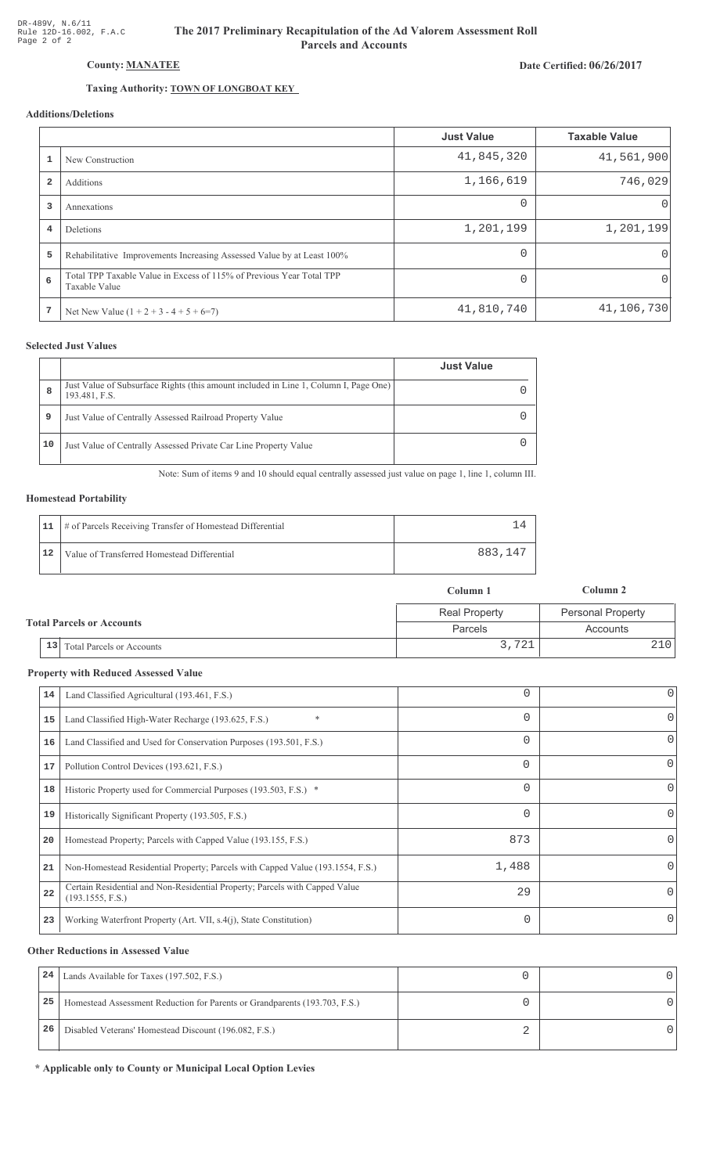# Date Certified: 06/26/2017

# Taxing Authority: **TOWN OF LONGBOAT KEY**

County: MANATEE

# Additions/Deletions

|                |                                                                                       | <b>Just Value</b> | <b>Taxable Value</b> |
|----------------|---------------------------------------------------------------------------------------|-------------------|----------------------|
|                | New Construction                                                                      | 41,845,320        | 41,561,900           |
| $\overline{2}$ | Additions                                                                             | 1,166,619         | 746,029              |
| 3              | Annexations                                                                           | $\Omega$          | $\Omega$             |
| $\overline{4}$ | Deletions                                                                             | 1,201,199         | 1,201,199            |
| 5              | Rehabilitative Improvements Increasing Assessed Value by at Least 100%                | 0                 | $\Omega$             |
| 6              | Total TPP Taxable Value in Excess of 115% of Previous Year Total TPP<br>Taxable Value |                   | 0                    |
| 7              | Net New Value $(1 + 2 + 3 - 4 + 5 + 6=7)$                                             | 41,810,740        | 41,106,730           |

### **Selected Just Values**

|    |                                                                                                       | <b>Just Value</b> |
|----|-------------------------------------------------------------------------------------------------------|-------------------|
| 8  | Just Value of Subsurface Rights (this amount included in Line 1, Column I, Page One)<br>193.481, F.S. |                   |
| 9  | Just Value of Centrally Assessed Railroad Property Value                                              |                   |
| 10 | Just Value of Centrally Assessed Private Car Line Property Value                                      |                   |

Note: Sum of items 9 and 10 should equal centrally assessed just value on page 1, line 1, column III.

#### **Homestead Portability**

|    | 11   # of Parcels Receiving Transfer of Homestead Differential |         |
|----|----------------------------------------------------------------|---------|
| 12 | Value of Transferred Homestead Differential                    | 883,147 |

|                                  |                              | Column 1             | Column 2                 |
|----------------------------------|------------------------------|----------------------|--------------------------|
| <b>Total Parcels or Accounts</b> |                              | <b>Real Property</b> | <b>Personal Property</b> |
|                                  |                              | <b>Parcels</b>       | Accounts                 |
|                                  | 13 Total Parcels or Accounts | 3,721                |                          |

#### **Property with Reduced Assessed Value**

| 14 | Land Classified Agricultural (193.461, F.S.)                                                    |          | 0        |
|----|-------------------------------------------------------------------------------------------------|----------|----------|
| 15 | $\ast$<br>Land Classified High-Water Recharge (193.625, F.S.)                                   | 0        | 0        |
| 16 | Land Classified and Used for Conservation Purposes (193.501, F.S.)                              |          | 0        |
| 17 | Pollution Control Devices (193.621, F.S.)                                                       | $\Omega$ | 0        |
| 18 | Historic Property used for Commercial Purposes (193.503, F.S.) *                                | 0        | 0        |
| 19 | Historically Significant Property (193.505, F.S.)                                               |          | 0        |
| 20 | Homestead Property; Parcels with Capped Value (193.155, F.S.)                                   | 873      | 0        |
| 21 | Non-Homestead Residential Property; Parcels with Capped Value (193.1554, F.S.)                  | 1,488    | 0        |
| 22 | Certain Residential and Non-Residential Property; Parcels with Capped Value<br>(193.1555, F.S.) | 29       | $\Omega$ |
| 23 | Working Waterfront Property (Art. VII, s.4(j), State Constitution)                              | 0        | 0        |
|    |                                                                                                 |          |          |

#### **Other Reductions in Assessed Value**

| 24 | Lands Available for Taxes (197.502, F.S.)                                  |  |
|----|----------------------------------------------------------------------------|--|
| 25 | Homestead Assessment Reduction for Parents or Grandparents (193.703, F.S.) |  |
| 26 | Disabled Veterans' Homestead Discount (196.082, F.S.)                      |  |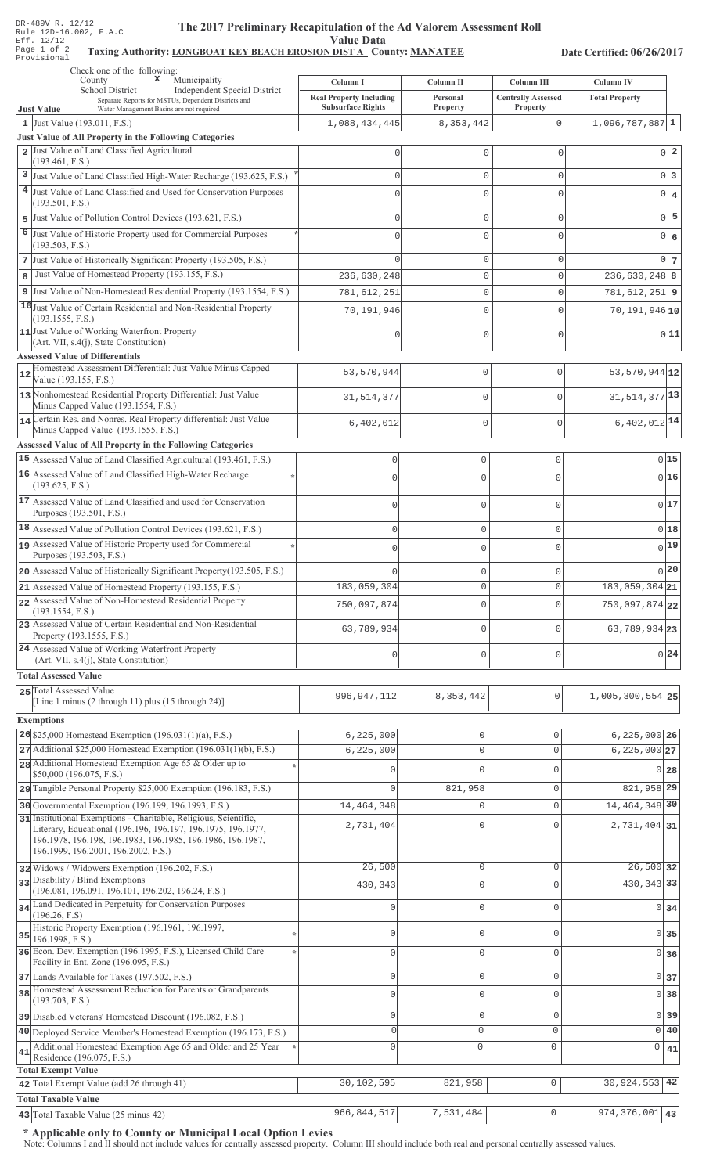## The 2017 Preliminary Recapitulation of the Ad Valorem Assessment Roll **Value Data**

# Taxing Authority: LONGBOAT KEY BEACH EROSION DIST A County: MANATEE

Date Certified: 06/26/2017

|                     | Check one of the following:<br>County $x_{\text{max}}$ Municipality                                                               | Column I                                  | Column II                  | Column III                | Column IV                     |                                  |  |
|---------------------|-----------------------------------------------------------------------------------------------------------------------------------|-------------------------------------------|----------------------------|---------------------------|-------------------------------|----------------------------------|--|
|                     | Independent Special District<br>School District<br>Separate Reports for MSTUs, Dependent Districts and                            | <b>Real Property Including</b>            | Personal                   | <b>Centrally Assessed</b> | <b>Total Property</b>         |                                  |  |
|                     | <b>Just Value</b><br>Water Management Basins are not required<br>1 Just Value (193.011, F.S.)                                     | <b>Subsurface Rights</b><br>1,088,434,445 | Property<br>8, 353, 442    | Property<br>0             | $1,096,787,887$ 1             |                                  |  |
|                     | Just Value of All Property in the Following Categories                                                                            |                                           |                            |                           |                               |                                  |  |
|                     | 2 Just Value of Land Classified Agricultural<br>(193.461, F.S.)                                                                   |                                           | 0                          | $\mathbf{0}$              |                               | $0\vert 2$                       |  |
|                     | 3 Just Value of Land Classified High-Water Recharge (193.625, F.S.)                                                               |                                           | 0                          | $\mathbf{0}$              |                               | 0 3                              |  |
|                     | 4 Just Value of Land Classified and Used for Conservation Purposes                                                                |                                           | $\Omega$                   | $\bigcap$                 |                               | $0 \mid 4$                       |  |
|                     | (193.501, F.S.)                                                                                                                   |                                           |                            |                           |                               |                                  |  |
| 5<br>$\overline{6}$ | Just Value of Pollution Control Devices (193.621, F.S.)                                                                           |                                           | 0                          | $\mathbf{0}$              |                               | $0\overline{5}$                  |  |
|                     | Just Value of Historic Property used for Commercial Purposes<br>(193.503, F.S.)                                                   |                                           | 0                          | $\circ$                   | $\overline{0}$                | $\epsilon$                       |  |
|                     | 7 Just Value of Historically Significant Property (193.505, F.S.)                                                                 |                                           | 0                          | $\mathbf{0}$              |                               | $0\overline{7}$                  |  |
| 8                   | Just Value of Homestead Property (193.155, F.S.)                                                                                  | 236,630,248                               | 0                          | $\mathbf 0$               | $236,630,248$ 8               |                                  |  |
|                     | 9 Just Value of Non-Homestead Residential Property (193.1554, F.S.)                                                               | 781,612,251                               | 0                          | $\mathbf 0$               | $781,612,251$ 9               |                                  |  |
|                     | 10 Just Value of Certain Residential and Non-Residential Property<br>(193.1555, F.S.)                                             | 70,191,946                                | 0                          | $\mathbf 0$               | $70,191,946$ <sup>10</sup>    |                                  |  |
|                     | 11 Just Value of Working Waterfront Property                                                                                      |                                           | 0                          | $\mathbf{0}$              |                               | 0 11                             |  |
|                     | (Art. VII, s.4(j), State Constitution)<br><b>Assessed Value of Differentials</b>                                                  |                                           |                            |                           |                               |                                  |  |
| 12                  | Homestead Assessment Differential: Just Value Minus Capped                                                                        | 53,570,944                                | $\mathbf 0$                | $\mathbf{0}$              | 53, 570, 944 12               |                                  |  |
|                     | Value (193.155, F.S.)                                                                                                             |                                           |                            |                           |                               |                                  |  |
|                     | 13 Nonhomestead Residential Property Differential: Just Value<br>Minus Capped Value (193.1554, F.S.)                              | 31, 514, 377                              | $\mathbf 0$                | $\mathbf{0}$              | 31, 514, 377 13               |                                  |  |
|                     | 14 Certain Res. and Nonres. Real Property differential: Just Value                                                                | 6,402,012                                 | $\mathbf{0}$               | $\mathbf{0}$              | $6,402,012$ <sup>14</sup>     |                                  |  |
|                     | Minus Capped Value (193.1555, F.S.)<br>Assessed Value of All Property in the Following Categories                                 |                                           |                            |                           |                               |                                  |  |
|                     | 15 Assessed Value of Land Classified Agricultural (193.461, F.S.)                                                                 | $\mathsf 0$                               | $\mathsf{O}\xspace$        | $\mathsf{O}\xspace$       |                               | 0 15                             |  |
|                     | 16 Assessed Value of Land Classified High-Water Recharge                                                                          | $\Omega$                                  | $\mathbf 0$                | $\Omega$                  |                               | 0 16                             |  |
|                     | (193.625, F.S.)                                                                                                                   |                                           |                            |                           |                               |                                  |  |
|                     | 17 Assessed Value of Land Classified and used for Conservation<br>Purposes (193.501, F.S.)                                        | 0                                         | $\mathbf 0$                | 0                         |                               | 017                              |  |
|                     | 18 Assessed Value of Pollution Control Devices (193.621, F.S.)                                                                    | $\mathbf 0$                               | $\mathbf 0$                | 0                         |                               | 018                              |  |
|                     | 19 Assessed Value of Historic Property used for Commercial                                                                        | $\Omega$                                  | $\mathbf 0$                | $\Omega$                  |                               | $0$ <sup>19</sup>                |  |
|                     | Purposes (193.503, F.S.)                                                                                                          |                                           |                            |                           |                               | 0 20                             |  |
|                     | 20 Assessed Value of Historically Significant Property (193.505, F.S.)<br>21 Assessed Value of Homestead Property (193.155, F.S.) | 183,059,304                               | $\mathbf 0$<br>$\mathbf 0$ | O<br>$\Omega$             | $183,059,304$ 21              |                                  |  |
|                     | 22 Assessed Value of Non-Homestead Residential Property                                                                           | 750,097,874                               | 0                          | 0                         | $750,097,874$ 22              |                                  |  |
|                     | (193.1554, F.S.)<br>23 Assessed Value of Certain Residential and Non-Residential                                                  |                                           |                            |                           |                               |                                  |  |
|                     | Property (193.1555, F.S.)                                                                                                         | 63,789,934                                | $\mathbf 0$                | $\Omega$                  | 63, 789, 934 23               |                                  |  |
|                     | 24 Assessed Value of Working Waterfront Property<br>(Art. VII, s.4(j), State Constitution)                                        | 0                                         | $\mathbf 0$                | O                         |                               | 0 24                             |  |
|                     | <b>Total Assessed Value</b>                                                                                                       |                                           |                            |                           |                               |                                  |  |
|                     | 25 Total Assessed Value                                                                                                           |                                           |                            |                           |                               |                                  |  |
|                     | [Line 1 minus $(2 \text{ through } 11)$ plus $(15 \text{ through } 24)$ ]                                                         | 996, 947, 112                             | 8,353,442                  | $\Omega$                  | $1,005,300,554$ 25            |                                  |  |
|                     | <b>Exemptions</b>                                                                                                                 |                                           |                            |                           |                               |                                  |  |
|                     | 26 \$25,000 Homestead Exemption $(196.031(1)(a), F.S.)$                                                                           | 6, 225, 000                               | 0                          | $\circ$                   | $6,225,000$ 26                |                                  |  |
|                     | $27$ Additional \$25,000 Homestead Exemption (196.031(1)(b), F.S.)<br>28 Additional Homestead Exemption Age 65 & Older up to      | 6, 225, 000                               | 0                          | $\mathbf 0$               | $6,225,000$ 27                |                                  |  |
|                     | \$50,000 (196.075, F.S.)                                                                                                          |                                           | 0                          | $\mathbf 0$               |                               | $0\,$ 28                         |  |
|                     | 29 Tangible Personal Property \$25,000 Exemption (196.183, F.S.)                                                                  | $\Omega$                                  | 821,958                    | $\circ$                   | 821,958 29                    |                                  |  |
|                     | 30 Governmental Exemption (196.199, 196.1993, F.S.)<br>31 Institutional Exemptions - Charitable, Religious, Scientific,           | 14, 464, 348                              | 0                          | $\circ$                   | 14, 464, 348 30               |                                  |  |
|                     | Literary, Educational (196.196, 196.197, 196.1975, 196.1977,                                                                      | 2,731,404                                 | 0                          | $\Omega$                  | 2,731,404 31                  |                                  |  |
|                     | 196.1978, 196.198, 196.1983, 196.1985, 196.1986, 196.1987,<br>196.1999, 196.2001, 196.2002, F.S.)                                 |                                           |                            |                           |                               |                                  |  |
|                     | 32 Widows / Widowers Exemption (196.202, F.S.)                                                                                    | 26,500                                    | 0                          | $\mathbf 0$               | $26,500$ 32                   |                                  |  |
|                     | 33 Disability / Blind Exemptions<br>(196.081, 196.091, 196.101, 196.202, 196.24, F.S.)                                            | 430,343                                   | 0                          | $\mathbf{0}$              | 430, 343 33                   |                                  |  |
|                     | 34 Land Dedicated in Perpetuity for Conservation Purposes                                                                         |                                           | 0                          | $\mathbf 0$               |                               | 0 <sub>34</sub>                  |  |
|                     | (196.26, F.S)                                                                                                                     |                                           |                            |                           |                               |                                  |  |
| 35                  | Historic Property Exemption (196.1961, 196.1997,<br>196.1998, F.S.)                                                               | $\Omega$                                  | 0                          | $\mathbf{0}$              |                               | $0 \overline{\smash{\big)}\ 35}$ |  |
|                     | 36 Econ. Dev. Exemption (196.1995, F.S.), Licensed Child Care                                                                     | $\Omega$                                  | 0                          | $\mathbf 0$               |                               | 0 36                             |  |
|                     | Facility in Ent. Zone (196.095, F.S.)<br>37 Lands Available for Taxes (197.502, F.S.)                                             | $\mathbf 0$                               | 0                          | $\mathbf{0}$              |                               | 0 <sub>37</sub>                  |  |
|                     | 38 Homestead Assessment Reduction for Parents or Grandparents                                                                     | $\Omega$                                  | 0                          | $\mathbf{0}$              |                               | 0 <sup>38</sup>                  |  |
|                     | (193.703, F.S.)                                                                                                                   |                                           |                            |                           |                               |                                  |  |
|                     | 39 Disabled Veterans' Homestead Discount (196.082, F.S.)                                                                          | 0<br>$\Omega$                             | 0<br>0                     | $\circ$<br>$\mathbf 0$    |                               | $0$ 39<br>0 40                   |  |
|                     | 40 Deployed Service Member's Homestead Exemption (196.173, F.S.)<br>Additional Homestead Exemption Age 65 and Older and 25 Year   | $\Omega$                                  | $\mathbf{0}$               | $\mathbf{0}$              | 0                             | 41                               |  |
| 41                  | Residence (196.075, F.S.)                                                                                                         |                                           |                            |                           |                               |                                  |  |
|                     | <b>Total Exempt Value</b><br>42 Total Exempt Value (add 26 through 41)                                                            | 30,102,595                                | 821,958                    | $\mathsf{O}\xspace$       | 30,924,553                    | 42                               |  |
|                     | <b>Total Taxable Value</b>                                                                                                        |                                           |                            |                           |                               |                                  |  |
|                     | $ 43 $ Total Taxable Value (25 minus 42)                                                                                          | 966, 844, 517                             | 7,531,484                  | $\mathbb O$               | $\overline{974, 376, 001}$ 43 |                                  |  |

\* Applicable only to County or Municipal Local Option Levies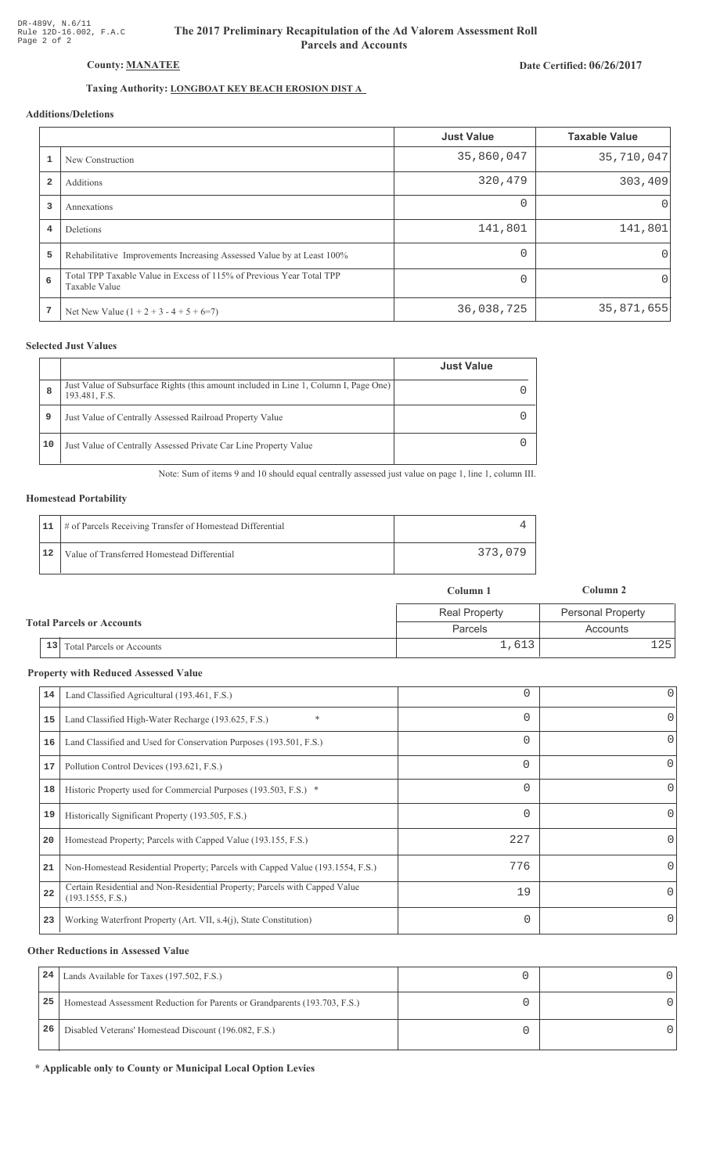# The 2017 Preliminary Recapitulation of the Ad Valorem Assessment Roll **Parcels and Accounts**

# Date Certified: 06/26/2017

# Taxing Authority: LONGBOAT KEY BEACH EROSION DIST A

# Additions/Deletions

|                         |                                                                                       | <b>Just Value</b> | <b>Taxable Value</b> |
|-------------------------|---------------------------------------------------------------------------------------|-------------------|----------------------|
|                         | New Construction                                                                      | 35,860,047        | 35,710,047           |
| $\overline{\mathbf{2}}$ | Additions                                                                             | 320,479           | 303,409              |
| 3                       | Annexations                                                                           | $\Omega$          | $\Omega$             |
| $\overline{4}$          | Deletions                                                                             | 141,801           | 141,801              |
| 5                       | Rehabilitative Improvements Increasing Assessed Value by at Least 100%                |                   | 0'                   |
| 6                       | Total TPP Taxable Value in Excess of 115% of Previous Year Total TPP<br>Taxable Value |                   | 0                    |
| 7                       | Net New Value $(1 + 2 + 3 - 4 + 5 + 6=7)$                                             | 36,038,725        | 35,871,655           |

### **Selected Just Values**

|    |                                                                                                       | <b>Just Value</b> |
|----|-------------------------------------------------------------------------------------------------------|-------------------|
| 8  | Just Value of Subsurface Rights (this amount included in Line 1, Column I, Page One)<br>193.481, F.S. |                   |
| 9  | Just Value of Centrally Assessed Railroad Property Value                                              |                   |
| 10 | Just Value of Centrally Assessed Private Car Line Property Value                                      |                   |

Note: Sum of items 9 and 10 should equal centrally assessed just value on page 1, line 1, column III.

#### **Homestead Portability**

|    | 11   # of Parcels Receiving Transfer of Homestead Differential |         |
|----|----------------------------------------------------------------|---------|
| 12 | Value of Transferred Homestead Differential                    | 373,079 |

|                                  |                                      | Column 1             | Column 2          |
|----------------------------------|--------------------------------------|----------------------|-------------------|
| <b>Total Parcels or Accounts</b> |                                      | <b>Real Property</b> | Personal Property |
|                                  |                                      | Parcels              | Accounts          |
|                                  | $\vert$ 13 Total Parcels or Accounts | 1,613                | 1251              |

#### **Property with Reduced Assessed Value**

| 14 | Land Classified Agricultural (193.461, F.S.)                                                    |          | 0        |
|----|-------------------------------------------------------------------------------------------------|----------|----------|
| 15 | $\ast$<br>Land Classified High-Water Recharge (193.625, F.S.)                                   | 0        | 0        |
| 16 | Land Classified and Used for Conservation Purposes (193.501, F.S.)                              | 0        | 0        |
| 17 | Pollution Control Devices (193.621, F.S.)                                                       | $\Omega$ | 0        |
| 18 | Historic Property used for Commercial Purposes (193.503, F.S.) *                                | 0        | 0        |
| 19 | Historically Significant Property (193.505, F.S.)                                               |          | 0        |
| 20 | Homestead Property; Parcels with Capped Value (193.155, F.S.)                                   | 227      | 0        |
| 21 | Non-Homestead Residential Property; Parcels with Capped Value (193.1554, F.S.)                  | 776      | 0        |
| 22 | Certain Residential and Non-Residential Property; Parcels with Capped Value<br>(193.1555, F.S.) | 19       | $\Omega$ |
| 23 | Working Waterfront Property (Art. VII, s.4(j), State Constitution)                              | 0        | $\Omega$ |
|    |                                                                                                 |          |          |

#### **Other Reductions in Assessed Value**

| 24 | Lands Available for Taxes (197.502, F.S.)                                  |  |
|----|----------------------------------------------------------------------------|--|
| 25 | Homestead Assessment Reduction for Parents or Grandparents (193.703, F.S.) |  |
| 26 | Disabled Veterans' Homestead Discount (196.082, F.S.)                      |  |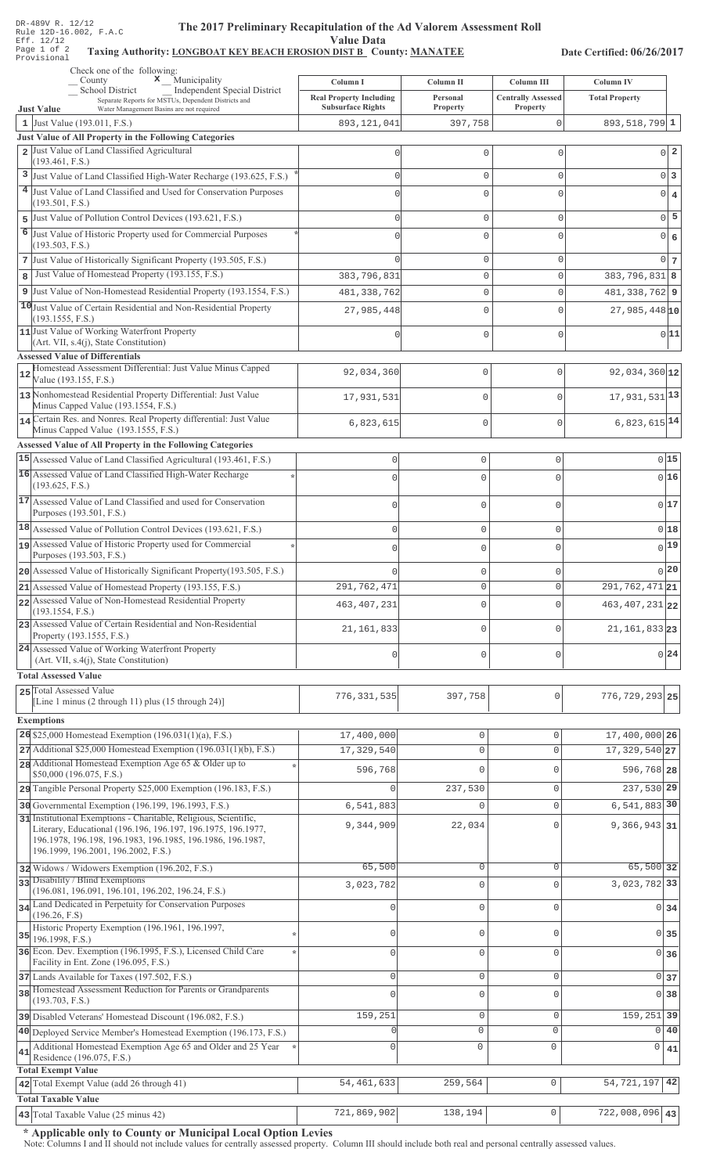## The 2017 Preliminary Recapitulation of the Ad Valorem Assessment Roll **Value Data**

## Taxing Authority: LONGBOAT KEY BEACH EROSION DIST B County: MANATEE

Date Certified: 06/26/2017

|    | Check one of the following:<br>$\begin{array}{c}\n\mathbf{x} \\ \end{array}$ Municipality                                                                               | Column I                                                   | Column II                          | Column III                            | <b>Column IV</b>                 |                   |
|----|-------------------------------------------------------------------------------------------------------------------------------------------------------------------------|------------------------------------------------------------|------------------------------------|---------------------------------------|----------------------------------|-------------------|
|    | School District<br>Independent Special District<br>Separate Reports for MSTUs, Dependent Districts and<br>Water Management Basins are not required<br><b>Just Value</b> | <b>Real Property Including</b><br><b>Subsurface Rights</b> | Personal<br>Property               | <b>Centrally Assessed</b><br>Property | <b>Total Property</b>            |                   |
|    | 1 Just Value $(193.011, F.S.)$                                                                                                                                          | 893, 121, 041                                              | 397,758                            | 0                                     | $893,518,799$ 1                  |                   |
|    | Just Value of All Property in the Following Categories                                                                                                                  |                                                            |                                    |                                       |                                  |                   |
|    | 2 Just Value of Land Classified Agricultural<br>(193.461, F.S.)                                                                                                         |                                                            | 0                                  | $\circ$                               |                                  | $0^{\vert}2$      |
| 3  | Just Value of Land Classified High-Water Recharge (193.625, F.S.)                                                                                                       |                                                            | 0                                  | $\mathbf 0$                           |                                  | $0\vert 3$        |
|    | 4 Just Value of Land Classified and Used for Conservation Purposes                                                                                                      |                                                            | 0                                  | $\mathbf 0$                           |                                  | $0 \mid 4$        |
|    | (193.501, F.S.)                                                                                                                                                         |                                                            |                                    |                                       |                                  | $0\overline{5}$   |
| 6  | 5 Just Value of Pollution Control Devices (193.621, F.S.)<br>Just Value of Historic Property used for Commercial Purposes                                               |                                                            | 0                                  | $\mathbf{0}$                          |                                  |                   |
|    | (193.503, F.S.)                                                                                                                                                         |                                                            | 0                                  | $\mathbf{0}$                          | $\overline{0}$                   | $\epsilon$        |
|    | 7 Just Value of Historically Significant Property (193.505, F.S.)                                                                                                       |                                                            | 0                                  | $\mathbf 0$                           |                                  | $0 \vert 7 \vert$ |
| 8  | Just Value of Homestead Property (193.155, F.S.)                                                                                                                        | 383, 796, 831                                              | 0                                  | $\mathbf 0$                           | $383, 796, 831$ 8                |                   |
| 9  | Just Value of Non-Homestead Residential Property (193.1554, F.S.)                                                                                                       | 481, 338, 762                                              | 0                                  | $\mathbf{0}$                          | 481, 338, 762 9                  |                   |
|    | 10 Just Value of Certain Residential and Non-Residential Property<br>(193.1555, F.S.)                                                                                   | 27,985,448                                                 | 0                                  | $\mathbf{0}$                          | $27,985,448$ <sub>10</sub>       |                   |
|    | 11 Just Value of Working Waterfront Property                                                                                                                            |                                                            | 0                                  | $\mathbf{0}$                          |                                  | 0 11              |
|    | $(Art. VII, s.4(j), State Constitution)$                                                                                                                                |                                                            |                                    |                                       |                                  |                   |
|    | <b>Assessed Value of Differentials</b><br>Homestead Assessment Differential: Just Value Minus Capped                                                                    | 92,034,360                                                 | $\mathbf{0}$                       | $\mathbf{0}$                          | 92,034,360 12                    |                   |
| 12 | Value (193.155, F.S.)                                                                                                                                                   |                                                            |                                    |                                       |                                  |                   |
|    | 13 Nonhomestead Residential Property Differential: Just Value<br>Minus Capped Value (193.1554, F.S.)                                                                    | 17,931,531                                                 | $\mathbf 0$                        | $\mathbf{0}$                          | 17,931,531 13                    |                   |
|    | 14 Certain Res. and Nonres. Real Property differential: Just Value<br>Minus Capped Value (193.1555, F.S.)                                                               | 6,823,615                                                  | $\mathbf 0$                        | $\mathbf 0$                           | 6,823,615 14                     |                   |
|    | Assessed Value of All Property in the Following Categories                                                                                                              |                                                            |                                    |                                       |                                  |                   |
|    | 15 Assessed Value of Land Classified Agricultural (193.461, F.S.)                                                                                                       | $\mathbb O$                                                | $\mathbb O$                        | $\mathsf{O}\xspace$                   |                                  | 0 15              |
|    | 16 Assessed Value of Land Classified High-Water Recharge                                                                                                                | $\Omega$                                                   | $\mathbf 0$                        | $\Omega$                              | 0 16                             |                   |
|    | (193.625, F.S.)<br>17 Assessed Value of Land Classified and used for Conservation                                                                                       |                                                            |                                    |                                       |                                  |                   |
|    | Purposes (193.501, F.S.)                                                                                                                                                | 0                                                          | $\mathbf 0$                        | $\Omega$                              | 0 17                             |                   |
|    | 18 Assessed Value of Pollution Control Devices (193.621, F.S.)                                                                                                          | $\mathsf 0$                                                | $\mathbf 0$                        | $\mathbb O$                           | 0 18                             |                   |
|    | 19 Assessed Value of Historic Property used for Commercial                                                                                                              | 0                                                          | $\mathbf 0$                        | 0                                     | $0$ 19                           |                   |
|    | Purposes (193.503, F.S.)<br>20 Assessed Value of Historically Significant Property (193.505, F.S.)                                                                      |                                                            |                                    |                                       | 0 20                             |                   |
|    | 21 Assessed Value of Homestead Property (193.155, F.S.)                                                                                                                 | 291,762,471                                                | $\mathbf 0$<br>$\mathbf 0$         | 0<br>$\mathbf 0$                      | 291, 762, 471 21                 |                   |
|    | 22 Assessed Value of Non-Homestead Residential Property                                                                                                                 | 463, 407, 231                                              | $\mathbf 0$                        | $\Omega$                              | 463, 407, 231 22                 |                   |
|    | (193.1554, F.S.)<br>23 Assessed Value of Certain Residential and Non-Residential                                                                                        |                                                            |                                    |                                       |                                  |                   |
|    | Property (193.1555, F.S.)                                                                                                                                               | 21, 161, 833                                               | $\mathbf 0$                        | $\Omega$                              | 21, 161, 833 23                  |                   |
|    | 24 Assessed Value of Working Waterfront Property<br>(Art. VII, s.4(j), State Constitution)                                                                              | 0                                                          | $\mathsf 0$                        | $\mathbf{0}$                          | 0 24                             |                   |
|    | <b>Total Assessed Value</b>                                                                                                                                             |                                                            |                                    |                                       |                                  |                   |
|    | 25 Total Assessed Value                                                                                                                                                 | 776, 331, 535                                              | 397,758                            | $\mathbf 0$                           | $776, 729, 293$ 25               |                   |
|    | [Line 1 minus (2 through 11) plus (15 through 24)]                                                                                                                      |                                                            |                                    |                                       |                                  |                   |
|    | <b>Exemptions</b>                                                                                                                                                       |                                                            |                                    |                                       |                                  |                   |
|    | 26 \$25,000 Homestead Exemption $(196.031(1)(a), F.S.)$<br>$27$ Additional \$25,000 Homestead Exemption (196.031(1)(b), F.S.)                                           | 17,400,000<br>17,329,540                                   | $\mathsf{O}\xspace$<br>$\mathbf 0$ | $\mathbf{0}$<br>$\mathbf 0$           | 17,400,000 26<br>17, 329, 540 27 |                   |
|    | 28 Additional Homestead Exemption Age 65 & Older up to                                                                                                                  |                                                            |                                    |                                       |                                  |                   |
|    | \$50,000 (196.075, F.S.)                                                                                                                                                | 596,768                                                    | 0                                  | $\mathbf{0}$                          | 596,768 28                       |                   |
|    | 29 Tangible Personal Property \$25,000 Exemption (196.183, F.S.)                                                                                                        | $\Omega$                                                   | 237,530                            | $\mathbf 0$                           | 237,530 29                       |                   |
|    | 30 Governmental Exemption (196.199, 196.1993, F.S.)<br>31 Institutional Exemptions - Charitable, Religious, Scientific,                                                 | 6,541,883                                                  | 0                                  | $\mathbf 0$                           | $6, 541, 883$ 30                 |                   |
|    | Literary, Educational (196.196, 196.197, 196.1975, 196.1977,<br>196.1978, 196.198, 196.1983, 196.1985, 196.1986, 196.1987,                                              | 9,344,909                                                  | 22,034                             | $\mathbf{0}$                          | $9,366,943$ 31                   |                   |
|    | 196.1999, 196.2001, 196.2002, F.S.)                                                                                                                                     | 65,500                                                     | 0                                  | $\mathbf{0}$                          | 65,500 32                        |                   |
|    | 32 Widows / Widowers Exemption (196.202, F.S.)<br>33 Disability / Blind Exemptions                                                                                      |                                                            |                                    |                                       | 3,023,782 33                     |                   |
|    | (196.081, 196.091, 196.101, 196.202, 196.24, F.S.)                                                                                                                      | 3,023,782                                                  | $\mathsf 0$                        | $\mathbf{0}$                          |                                  |                   |
|    | 34 Land Dedicated in Perpetuity for Conservation Purposes<br>(196.26, F.S)                                                                                              |                                                            | 0                                  | $\mathbf 0$                           | $0 \overline{\smash{34}}$        |                   |
|    | Historic Property Exemption (196.1961, 196.1997,<br>$35$ 196.1998, F.S.)                                                                                                | $\Omega$                                                   | 0                                  | $\circ$                               | $0 \overline{\smash)35}$         |                   |
|    | 36 Econ. Dev. Exemption (196.1995, F.S.), Licensed Child Care                                                                                                           | $\Omega$                                                   | 0                                  | $\mathbf{0}$                          | 0 <sub>36</sub>                  |                   |
|    | Facility in Ent. Zone (196.095, F.S.)<br>37 Lands Available for Taxes (197.502, F.S.)                                                                                   | $\mathbf 0$                                                | $\mathsf{O}\xspace$                | $\mathbf 0$                           | 0 <sub>37</sub>                  |                   |
|    | 38 Homestead Assessment Reduction for Parents or Grandparents                                                                                                           |                                                            | 0                                  | $\mathbf{0}$                          | 0 38                             |                   |
|    | (193.703, F.S.)                                                                                                                                                         |                                                            |                                    |                                       |                                  |                   |
|    | 39 Disabled Veterans' Homestead Discount (196.082, F.S.)                                                                                                                | 159,251                                                    | $\mathsf 0$<br>$\mathbf{0}$        | $\mathbf 0$<br>$\mathbf{0}$           | 159, 251 39<br>0 40              |                   |
|    | 40 Deployed Service Member's Homestead Exemption (196.173, F.S.)<br>Additional Homestead Exemption Age 65 and Older and 25 Year                                         | $\Omega$                                                   | $\circ$                            | $\mathbf 0$                           | 0                                |                   |
| 41 | Residence (196.075, F.S.)                                                                                                                                               |                                                            |                                    |                                       |                                  | 41                |
|    | <b>Total Exempt Value</b><br>42 Total Exempt Value (add 26 through 41)                                                                                                  | 54, 461, 633                                               | 259,564                            | $\mathsf{O}\xspace$                   | 54, 721, 197                     | 42                |
|    | <b>Total Taxable Value</b>                                                                                                                                              |                                                            |                                    |                                       |                                  |                   |
|    | $\vert$ 43 Total Taxable Value (25 minus 42)                                                                                                                            | 721,869,902                                                | 138,194                            | $\circ$                               | $\overline{722}$ , 008, 096 43   |                   |

\* Applicable only to County or Municipal Local Option Levies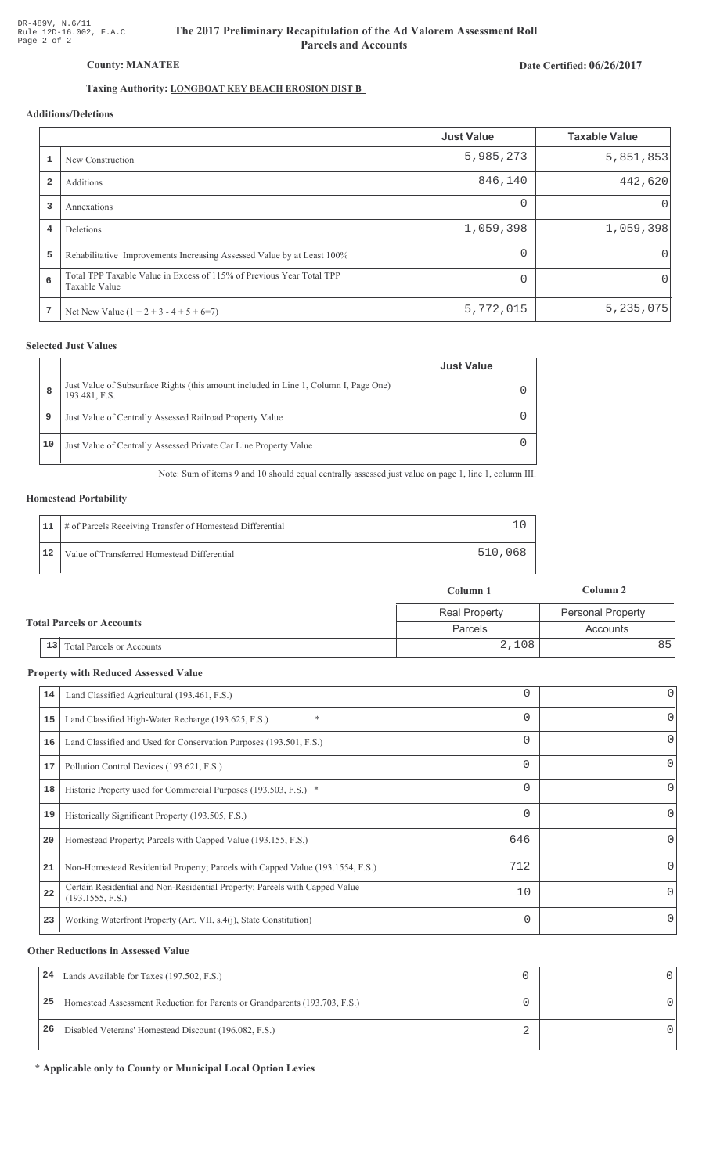# The 2017 Preliminary Recapitulation of the Ad Valorem Assessment Roll **Parcels and Accounts**

# Date Certified: 06/26/2017

# Taxing Authority: LONGBOAT KEY BEACH EROSION DIST B

# Additions/Deletions

|                         |                                                                                       | <b>Just Value</b> | <b>Taxable Value</b> |
|-------------------------|---------------------------------------------------------------------------------------|-------------------|----------------------|
|                         | New Construction                                                                      | 5,985,273         | 5,851,853            |
| $\overline{\mathbf{2}}$ | Additions                                                                             | 846,140           | 442,620              |
| 3                       | Annexations                                                                           | $\Omega$          | $\Omega$             |
| $\overline{4}$          | Deletions                                                                             | 1,059,398         | 1,059,398            |
| 5                       | Rehabilitative Improvements Increasing Assessed Value by at Least 100%                |                   | 0'                   |
| 6                       | Total TPP Taxable Value in Excess of 115% of Previous Year Total TPP<br>Taxable Value |                   | 0                    |
| 7                       | Net New Value $(1 + 2 + 3 - 4 + 5 + 6=7)$                                             | 5,772,015         | 5, 235, 075          |

### **Selected Just Values**

|    |                                                                                                       | <b>Just Value</b> |
|----|-------------------------------------------------------------------------------------------------------|-------------------|
| 8  | Just Value of Subsurface Rights (this amount included in Line 1, Column I, Page One)<br>193.481, F.S. |                   |
| 9  | Just Value of Centrally Assessed Railroad Property Value                                              |                   |
| 10 | Just Value of Centrally Assessed Private Car Line Property Value                                      |                   |

Note: Sum of items 9 and 10 should equal centrally assessed just value on page 1, line 1, column III.

#### **Homestead Portability**

|    | 11   # of Parcels Receiving Transfer of Homestead Differential |         |
|----|----------------------------------------------------------------|---------|
| 12 | Value of Transferred Homestead Differential                    | 510,068 |

|                                  |                                           | Column 1             | Column 2                 |
|----------------------------------|-------------------------------------------|----------------------|--------------------------|
| <b>Total Parcels or Accounts</b> |                                           | <b>Real Property</b> | <b>Personal Property</b> |
|                                  |                                           | <b>Parcels</b>       | Accounts                 |
|                                  | <sup>1</sup> 13 Total Parcels or Accounts | 2,108                | 85 I                     |

#### **Property with Reduced Assessed Value**

| 14 | Land Classified Agricultural (193.461, F.S.)                                                    |          | 0        |
|----|-------------------------------------------------------------------------------------------------|----------|----------|
| 15 | $\ast$<br>Land Classified High-Water Recharge (193.625, F.S.)                                   | 0        | 0        |
| 16 | Land Classified and Used for Conservation Purposes (193.501, F.S.)                              |          | 0        |
| 17 | Pollution Control Devices (193.621, F.S.)                                                       | $\Omega$ | 0        |
| 18 | Historic Property used for Commercial Purposes (193.503, F.S.) *                                | 0        | 0        |
| 19 | Historically Significant Property (193.505, F.S.)                                               |          | 0        |
| 20 | Homestead Property; Parcels with Capped Value (193.155, F.S.)                                   | 646      | 0        |
| 21 | Non-Homestead Residential Property; Parcels with Capped Value (193.1554, F.S.)                  | 712      | 0        |
| 22 | Certain Residential and Non-Residential Property; Parcels with Capped Value<br>(193.1555, F.S.) | 10       | $\Omega$ |
| 23 | Working Waterfront Property (Art. VII, s.4(j), State Constitution)                              | 0        | 0        |
|    |                                                                                                 |          |          |

#### **Other Reductions in Assessed Value**

| 24 | Lands Available for Taxes (197.502, F.S.)                                  |  |
|----|----------------------------------------------------------------------------|--|
| 25 | Homestead Assessment Reduction for Parents or Grandparents (193.703, F.S.) |  |
| 26 | Disabled Veterans' Homestead Discount (196.082, F.S.)                      |  |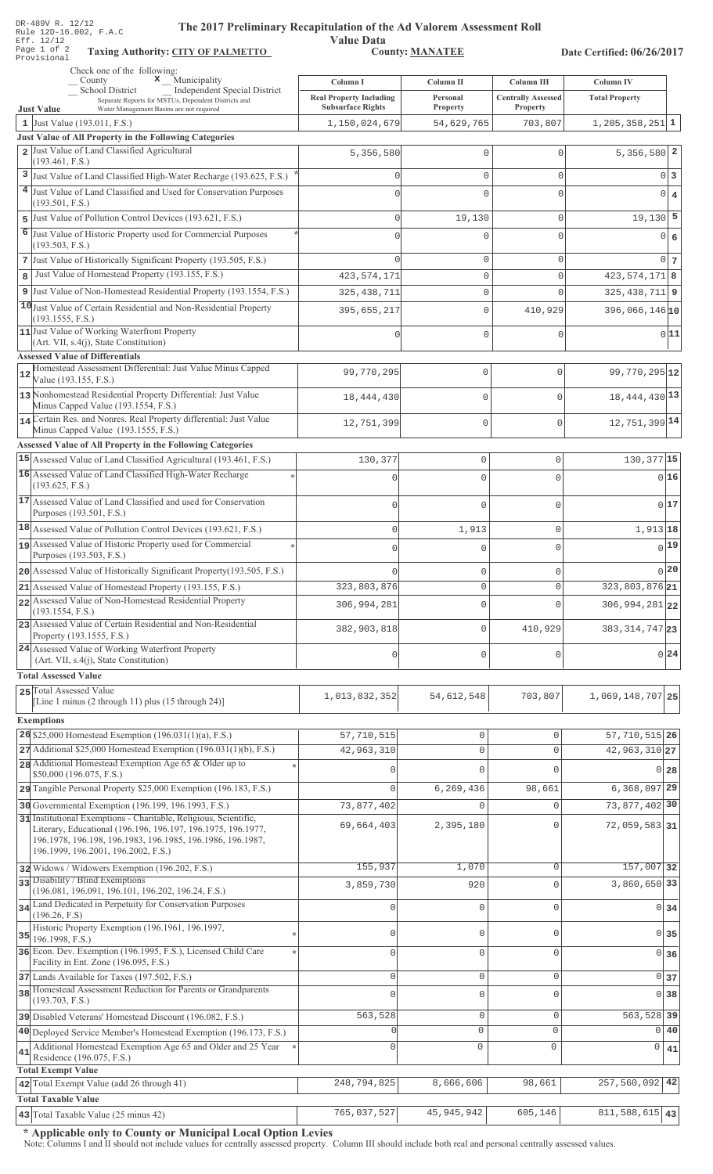| DR-489V R. 12/12<br>The 2017 Preliminary Recapitulation of the Ad Valorem Assessment Roll<br>Rule 12D-16.002, F.A.C                                                                                                                   |                                            |                                |                                            |                                           |                                        |
|---------------------------------------------------------------------------------------------------------------------------------------------------------------------------------------------------------------------------------------|--------------------------------------------|--------------------------------|--------------------------------------------|-------------------------------------------|----------------------------------------|
| Eff. 12/12<br>Page 1 of 2<br><b>Taxing Authority: CITY OF PALMETTO</b><br>Provisional                                                                                                                                                 | <b>Value Data</b>                          | <b>County: MANATEE</b>         |                                            | Date Certified: 06/26/2017                |                                        |
| Check one of the following:                                                                                                                                                                                                           |                                            |                                |                                            |                                           |                                        |
| <b>x</b> Municipality<br>County<br>School District<br>Independent Special District                                                                                                                                                    | Column I<br><b>Real Property Including</b> | Column II<br>Personal          | Column III<br><b>Centrally Assessed</b>    | <b>Column IV</b><br><b>Total Property</b> |                                        |
| Separate Reports for MSTUs, Dependent Districts and<br>Water Management Basins are not required<br><b>Just Value</b>                                                                                                                  | <b>Subsurface Rights</b>                   | <b>Property</b>                | Property                                   |                                           |                                        |
| 1 Just Value $(193.011, F.S.)$<br>Just Value of All Property in the Following Categories                                                                                                                                              | 1,150,024,679                              | 54,629,765                     | 703,807                                    | $1, 205, 358, 251$ 1                      |                                        |
| 2 Just Value of Land Classified Agricultural                                                                                                                                                                                          | 5,356,580                                  | 0                              | $\Omega$                                   | $5,356,580$   2                           |                                        |
| (193.461, F.S.)                                                                                                                                                                                                                       |                                            |                                |                                            |                                           |                                        |
| 3 Just Value of Land Classified High-Water Recharge (193.625, F.S.)<br>4 Just Value of Land Classified and Used for Conservation Purposes                                                                                             | $\mathbf 0$<br>$\Omega$                    | 0<br>$\Omega$                  | $\mathbf 0$<br>$\Omega$                    | $\mathbf 0$                               | 0 <br>3                                |
| (193.501, F.S.)                                                                                                                                                                                                                       |                                            |                                |                                            |                                           | $\overline{4}$                         |
| 5 Just Value of Pollution Control Devices (193.621, F.S.)                                                                                                                                                                             | $\mathbf 0$                                | 19,130                         | $\mathbf 0$                                | $19,130$ 5                                |                                        |
| 6 Just Value of Historic Property used for Commercial Purposes<br>(193.503, F.S.)                                                                                                                                                     | $\Omega$                                   | $\mathbf 0$                    | $\Omega$                                   | $\mathbf{0}$                              | 6                                      |
| 7 Just Value of Historically Significant Property (193.505, F.S.)                                                                                                                                                                     | $\Omega$                                   | 0                              | $\mathbf 0$                                | $\mathbf 0$                               | 7                                      |
| Just Value of Homestead Property (193.155, F.S.)<br>8                                                                                                                                                                                 | 423, 574, 171                              | 0                              | $\mathbf 0$                                | $423,574,171$ 8                           |                                        |
| 9 Just Value of Non-Homestead Residential Property (193.1554, F.S.)<br>10 Just Value of Certain Residential and Non-Residential Property                                                                                              | 325, 438, 711                              | 0                              | $\mathbf 0$                                | $325, 438, 711$ 9                         |                                        |
| (193.1555, F.S.)                                                                                                                                                                                                                      | 395,655,217                                | $\mathbf 0$                    | 410,929                                    | $396,066,146$ <sub>10</sub>               |                                        |
| 11 Just Value of Working Waterfront Property<br>(Art. VII, s.4(j), State Constitution)                                                                                                                                                | $\mathbf 0$                                | $\mathbf 0$                    | $\mathbf{0}$                               |                                           | 0 11                                   |
| <b>Assessed Value of Differentials</b><br>Homestead Assessment Differential: Just Value Minus Capped                                                                                                                                  |                                            |                                |                                            |                                           |                                        |
| 12<br>Value (193.155, F.S.)                                                                                                                                                                                                           | 99,770,295                                 | $\mathsf{O}\xspace$            | $\mathbf 0$                                | 99, 770, 295 12                           |                                        |
| 13 Nonhomestead Residential Property Differential: Just Value<br>Minus Capped Value (193.1554, F.S.)                                                                                                                                  | 18, 444, 430                               | $\mathbb O$                    | $\mathbf 0$                                | 18, 444, 430 13                           |                                        |
| 14 Certain Res. and Nonres. Real Property differential: Just Value                                                                                                                                                                    | 12,751,399                                 | $\mathbb O$                    | $\mathbf{0}$                               | 12, 751, 399 14                           |                                        |
| Minus Capped Value (193.1555, F.S.)<br><b>Assessed Value of All Property in the Following Categories</b>                                                                                                                              |                                            |                                |                                            |                                           |                                        |
| 15 Assessed Value of Land Classified Agricultural (193.461, F.S.)                                                                                                                                                                     | 130,377                                    | $\mathbf 0$                    | 0                                          | 130, 377 15                               |                                        |
| 16 Assessed Value of Land Classified High-Water Recharge                                                                                                                                                                              |                                            | $\mathbf 0$                    | $\Omega$                                   |                                           | 0 16                                   |
| (193.625, F.S.)<br>17 Assessed Value of Land Classified and used for Conservation                                                                                                                                                     | $\cap$                                     | $\Omega$                       | 0                                          |                                           | 017                                    |
| Purposes (193.501, F.S.)                                                                                                                                                                                                              |                                            |                                |                                            |                                           |                                        |
| 18 Assessed Value of Pollution Control Devices (193.621, F.S.)<br>19 Assessed Value of Historic Property used for Commercial                                                                                                          | 0                                          | 1,913                          | 0                                          | 1,913 18                                  |                                        |
| Purposes (193.503, F.S.)                                                                                                                                                                                                              |                                            | $\mathbf 0$                    | U                                          |                                           | $0$ 19                                 |
| 20 Assessed Value of Historically Significant Property (193.505, F.S.)                                                                                                                                                                |                                            | $\mathbf 0$                    | 0                                          |                                           | 0 <sup>20</sup>                        |
| 21 Assessed Value of Homestead Property (193.155, F.S.)<br>22 Assessed Value of Non-Homestead Residential Property                                                                                                                    | 323,803,876                                | $\mathbf 0$                    | 0                                          | 323,803,876 21                            |                                        |
| (193.1554, F.S.)                                                                                                                                                                                                                      | 306,994,281                                | $\mathbb O$                    | $\Omega$                                   | 306, 994, 281 22                          |                                        |
| 23 Assessed Value of Certain Residential and Non-Residential<br>Property (193.1555, F.S.)                                                                                                                                             | 382,903,818                                | $\mathbb O$                    | 410,929                                    | 383, 314, 747 23                          |                                        |
| 24 Assessed Value of Working Waterfront Property<br>(Art. VII, s.4(j), State Constitution)                                                                                                                                            | $\cap$                                     | $\mathbf 0$                    | 0                                          |                                           | 0 24                                   |
| <b>Total Assessed Value</b>                                                                                                                                                                                                           |                                            |                                |                                            |                                           |                                        |
| 25 Total Assessed Value                                                                                                                                                                                                               | 1,013,832,352                              | 54,612,548                     | 703,807                                    | 1,069,148,707 25                          |                                        |
| [Line 1 minus (2 through 11) plus (15 through 24)]                                                                                                                                                                                    |                                            |                                |                                            |                                           |                                        |
| <b>Exemptions</b><br>26 \$25,000 Homestead Exemption $(196.031(1)(a), F.S.)$                                                                                                                                                          | 57,710,515                                 | 0                              | 0                                          | 57, 710, 515 26                           |                                        |
| 27 Additional \$25,000 Homestead Exemption (196.031(1)(b), F.S.)                                                                                                                                                                      | 42,963,310                                 | 0                              | $\circ$                                    | 42, 963, 310 27                           |                                        |
| 28 Additional Homestead Exemption Age 65 & Older up to<br>\$50,000 (196.075, F.S.)                                                                                                                                                    |                                            | 0                              | $\Omega$                                   |                                           | 0 28                                   |
| 29 Tangible Personal Property \$25,000 Exemption (196.183, F.S.)                                                                                                                                                                      | $\Omega$                                   | 6,269,436                      | 98,661                                     | 6, 368, 097 29                            |                                        |
| 30 Governmental Exemption (196.199, 196.1993, F.S.)                                                                                                                                                                                   | 73,877,402                                 | 0                              | $\circ$                                    | 73,877,402 30                             |                                        |
| 31 Institutional Exemptions - Charitable, Religious, Scientific,<br>Literary, Educational (196.196, 196.197, 196.1975, 196.1977,<br>196.1978, 196.198, 196.1983, 196.1985, 196.1986, 196.1987,<br>196.1999, 196.2001, 196.2002, F.S.) | 69,664,403                                 | 2,395,180                      | $\Omega$                                   | 72,059,583 31                             |                                        |
| 32 Widows / Widowers Exemption (196.202, F.S.)                                                                                                                                                                                        | 155,937                                    | 1,070                          | $\circ$                                    | 157,007 32                                |                                        |
| 33 Disability / Blind Exemptions<br>(196.081, 196.091, 196.101, 196.202, 196.24, F.S.)                                                                                                                                                | 3,859,730                                  | 920                            | $\mathbf 0$                                | 3,860,650 33                              |                                        |
| 34 Land Dedicated in Perpetuity for Conservation Purposes<br>(196.26, F.S)                                                                                                                                                            | $\Omega$                                   | $\overline{0}$                 | $\mathbf 0$                                |                                           | 0 34                                   |
| Historic Property Exemption (196.1961, 196.1997,<br>$35$ 196.1998, F.S.)                                                                                                                                                              | $\cap$                                     | 0                              | $\mathbf 0$                                |                                           | 0 35                                   |
| 36 Econ. Dev. Exemption (196.1995, F.S.), Licensed Child Care                                                                                                                                                                         | $\Omega$                                   | $\overline{0}$                 | $\mathbf 0$                                |                                           | $0 \overline{\smash{\big)}\ 36}$       |
| Facility in Ent. Zone (196.095, F.S.)                                                                                                                                                                                                 | $\mathbf 0$                                | $\mathsf{O}\xspace$            | $\mathbf 0$                                |                                           |                                        |
| 37 Lands Available for Taxes (197.502, F.S.)<br>38 Homestead Assessment Reduction for Parents or Grandparents                                                                                                                         | $\cap$                                     | 0                              | $\Omega$                                   | $\Omega$                                  | $0 \overline{\smash{\big)}\ 37}$<br>38 |
| (193.703, F.S.)                                                                                                                                                                                                                       |                                            |                                |                                            |                                           |                                        |
| 39 Disabled Veterans' Homestead Discount (196.082, F.S.)<br>40 Deployed Service Member's Homestead Exemption (196.173, F.S.)                                                                                                          | 563,528<br>O                               | $\mathsf{O}\xspace$<br>$\circ$ | $\mathsf{O}\xspace$<br>$\mathsf{O}\xspace$ | 563, 528 39<br>0                          | 40                                     |
| Additional Homestead Exemption Age 65 and Older and 25 Year<br>41<br>Residence (196.075, F.S.)                                                                                                                                        | $\Omega$                                   | $\circ$                        | 0                                          | 0                                         | 41                                     |
| <b>Total Exempt Value</b><br>42 Total Exempt Value (add 26 through 41)                                                                                                                                                                | 248,794,825                                | 8,666,606                      | 98,661                                     | 257,560,092                               | 42                                     |
| <b>Total Taxable Value</b>                                                                                                                                                                                                            |                                            |                                |                                            |                                           |                                        |
| 43 Total Taxable Value (25 minus 42)                                                                                                                                                                                                  | 765,037,527                                | 45, 945, 942                   | 605,146                                    | $811,588,615$ 43                          |                                        |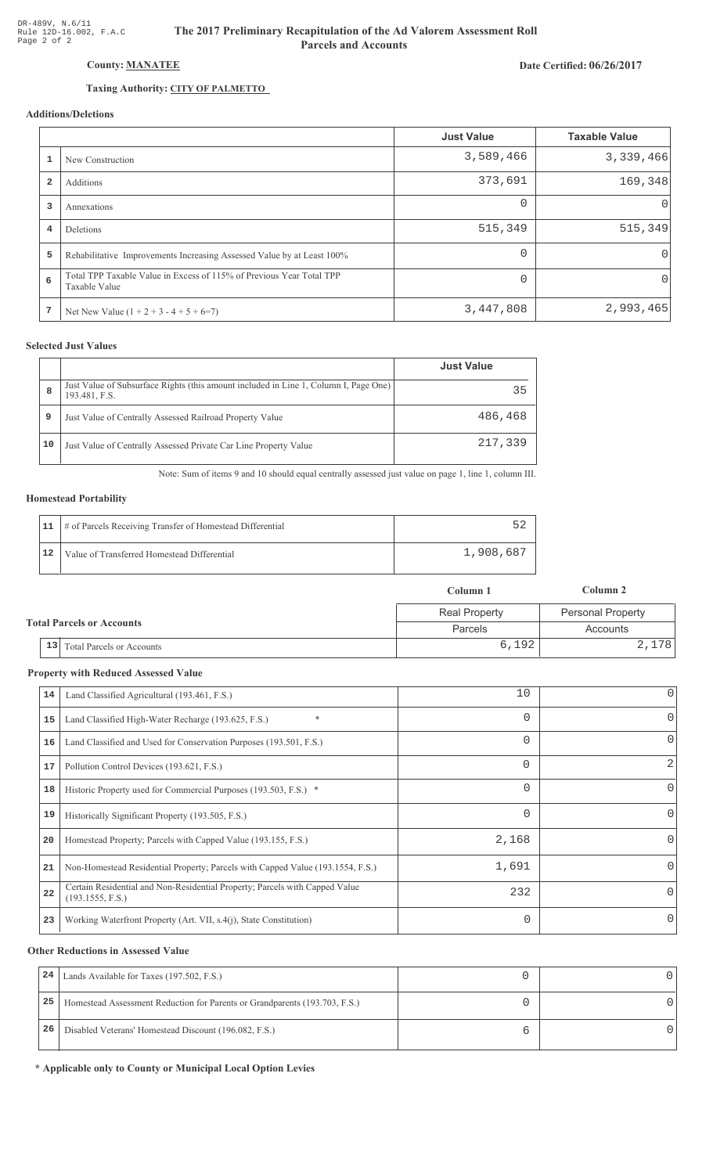# Date Certified: 06/26/2017

# County: MANATEE

## Taxing Authority: CITY OF PALMETTO

## **Additions/Deletions**

|                |                                                                                       | <b>Just Value</b> | <b>Taxable Value</b> |
|----------------|---------------------------------------------------------------------------------------|-------------------|----------------------|
|                | New Construction                                                                      | 3,589,466         | 3,339,466            |
| $\overline{a}$ | Additions                                                                             | 373,691           | 169,348              |
| 3              | Annexations                                                                           | $\Omega$          | $\Omega$             |
| 4              | Deletions                                                                             | 515,349           | 515,349              |
| 5              | Rehabilitative Improvements Increasing Assessed Value by at Least 100%                | $\Omega$          | $\Omega$             |
| 6              | Total TPP Taxable Value in Excess of 115% of Previous Year Total TPP<br>Taxable Value | $\Omega$          | $\Omega$             |
| 7              | Net New Value $(1 + 2 + 3 - 4 + 5 + 6=7)$                                             | 3,447,808         | 2,993,465            |

## **Selected Just Values**

|    |                                                                                                       | <b>Just Value</b> |
|----|-------------------------------------------------------------------------------------------------------|-------------------|
| 8  | Just Value of Subsurface Rights (this amount included in Line 1, Column I, Page One)<br>193.481, F.S. | 35                |
| 9  | Just Value of Centrally Assessed Railroad Property Value                                              | 486,468           |
| 10 | Just Value of Centrally Assessed Private Car Line Property Value                                      | 217,339           |

Note: Sum of items 9 and 10 should equal centrally assessed just value on page 1, line 1, column III.

#### **Homestead Portability**

|    | 11   # of Parcels Receiving Transfer of Homestead Differential |           |
|----|----------------------------------------------------------------|-----------|
| 12 | Value of Transferred Homestead Differential                    | 1,908,687 |

|                                  |                              | Column 1             | Column 2                 |
|----------------------------------|------------------------------|----------------------|--------------------------|
| <b>Total Parcels or Accounts</b> |                              | <b>Real Property</b> | <b>Personal Property</b> |
|                                  |                              | <b>Parcels</b>       | Accounts                 |
|                                  | 13 Total Parcels or Accounts | 6,192                | 2,178                    |

#### **Property with Reduced Assessed Value**

| 14 | Land Classified Agricultural (193.461, F.S.)                                                    | 10       | 0        |
|----|-------------------------------------------------------------------------------------------------|----------|----------|
| 15 | $\ast$<br>Land Classified High-Water Recharge (193.625, F.S.)                                   | 0        | 0        |
| 16 | Land Classified and Used for Conservation Purposes (193.501, F.S.)                              | 0        | 0        |
| 17 | Pollution Control Devices (193.621, F.S.)                                                       | $\Omega$ | 2        |
| 18 | Historic Property used for Commercial Purposes (193.503, F.S.) *                                | 0        | 0        |
| 19 | Historically Significant Property (193.505, F.S.)                                               | 0        | $\Omega$ |
| 20 | Homestead Property; Parcels with Capped Value (193.155, F.S.)                                   | 2,168    | 0        |
| 21 | Non-Homestead Residential Property; Parcels with Capped Value (193.1554, F.S.)                  | 1,691    | 0        |
| 22 | Certain Residential and Non-Residential Property; Parcels with Capped Value<br>(193.1555, F.S.) | 232      | $\Omega$ |
| 23 | Working Waterfront Property (Art. VII, s.4(j), State Constitution)                              | 0        | $\Omega$ |
|    |                                                                                                 |          |          |

#### **Other Reductions in Assessed Value**

| 24 | Lands Available for Taxes (197.502, F.S.)                                  |  |
|----|----------------------------------------------------------------------------|--|
| 25 | Homestead Assessment Reduction for Parents or Grandparents (193.703, F.S.) |  |
| 26 | Disabled Veterans' Homestead Discount (196.082, F.S.)                      |  |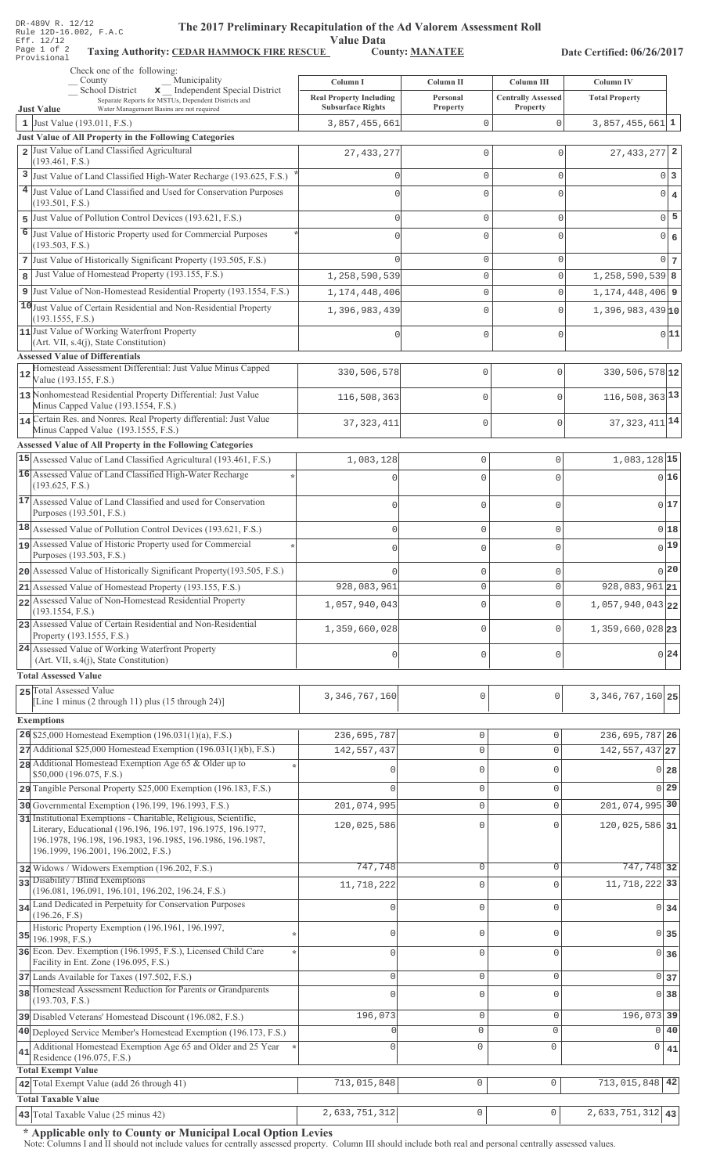| DR-489V R. 12/12 |  |  |                        |
|------------------|--|--|------------------------|
|                  |  |  | Rule 12D-16.002, F.A.C |
| Eff. 12/12       |  |  |                        |
| Page 1 of 2      |  |  | Taxing                 |
| Provisional      |  |  |                        |

# The 2017 Preliminary Recapitulation of the Ad Valorem Assessment Roll

Value Data<br>County: MANATEE

Taxing Authority: CEDAR HAMMOCK FIRE RESCUE County: MANATEE

Date Certified: 06/26/2017

| Check one of the following:<br>Municipality                                                                                |                                                            |                             |                                       |                             |                |
|----------------------------------------------------------------------------------------------------------------------------|------------------------------------------------------------|-----------------------------|---------------------------------------|-----------------------------|----------------|
| County<br>School District<br>x _ Independent Special District                                                              | Column I                                                   | Column II                   | Column III                            | <b>Column IV</b>            |                |
| Separate Reports for MSTUs, Dependent Districts and<br><b>Just Value</b><br>Water Management Basins are not required       | <b>Real Property Including</b><br><b>Subsurface Rights</b> | Personal<br><b>Property</b> | <b>Centrally Assessed</b><br>Property | <b>Total Property</b>       |                |
| 1 Just Value $(193.011, F.S.)$                                                                                             | 3,857,455,661                                              | $\mathbf 0$                 | 0                                     | $3,857,455,661$ 1           |                |
| Just Value of All Property in the Following Categories                                                                     |                                                            |                             |                                       |                             |                |
| 2 Just Value of Land Classified Agricultural<br>(193.461, F.S.)                                                            | 27, 433, 277                                               | $\mathbf{0}$                | $\mathbf 0$                           | $27,433,277$ 2              |                |
| 3 Just Value of Land Classified High-Water Recharge (193.625, F.S.)                                                        | $\Omega$                                                   | $\mathbf 0$                 | $\mathbf 0$                           |                             | $0\vert 3$     |
| 4 Just Value of Land Classified and Used for Conservation Purposes                                                         | $\Omega$                                                   | $\Omega$                    | $\Omega$                              | $0 \mid 4$                  |                |
| (193.501, F.S.)                                                                                                            |                                                            |                             |                                       |                             |                |
| Just Value of Pollution Control Devices (193.621, F.S.)<br>5                                                               | $\Omega$                                                   | $\mathbf 0$                 | $\mathbf 0$                           |                             | $0\vert 5$     |
| 6 Just Value of Historic Property used for Commercial Purposes<br>(193.503, F.S.)                                          | $\Omega$                                                   | $\Omega$                    | $\Omega$                              | $0 \big  6$                 |                |
| 7 Just Value of Historically Significant Property (193.505, F.S.)                                                          |                                                            | $\mathbf 0$                 | $\mathbf 0$                           |                             | 0 <sub>7</sub> |
| Just Value of Homestead Property (193.155, F.S.)<br>8                                                                      | 1,258,590,539                                              | $\mathbf{0}$                | $\circ$                               | $1,258,590,539$ 8           |                |
| 9 Just Value of Non-Homestead Residential Property (193.1554, F.S.)                                                        | 1, 174, 448, 406                                           | $\mathbb O$                 | $\mathbf 0$                           | $1, 174, 448, 406$ 9        |                |
| 10 Just Value of Certain Residential and Non-Residential Property                                                          | 1,396,983,439                                              | $\mathbf 0$                 | $\circ$                               | $1,396,983,439$ 10          |                |
| (193.1555, F.S.)<br>11 Just Value of Working Waterfront Property                                                           |                                                            |                             |                                       |                             |                |
| (Art. VII, s.4(j), State Constitution)                                                                                     |                                                            | $\Omega$                    | $\mathbf 0$                           | 0 11                        |                |
| <b>Assessed Value of Differentials</b>                                                                                     |                                                            |                             |                                       |                             |                |
| Homestead Assessment Differential: Just Value Minus Capped<br>Value (193.155, F.S.)                                        | 330,506,578                                                | 0                           | $\mathsf{O}\xspace$                   | 330,506,578 12              |                |
| 13 Nonhomestead Residential Property Differential: Just Value                                                              |                                                            |                             |                                       | $116,508,363$ <sup>13</sup> |                |
| Minus Capped Value (193.1554, F.S.)                                                                                        | 116,508,363                                                | 0                           | $\mathsf{O}\xspace$                   |                             |                |
| 14 Certain Res. and Nonres. Real Property differential: Just Value<br>Minus Capped Value (193.1555, F.S.)                  | 37, 323, 411                                               | 0                           | $\mathbf{0}$                          | 37, 323, 411 14             |                |
| <b>Assessed Value of All Property in the Following Categories</b>                                                          |                                                            |                             |                                       |                             |                |
| 15 Assessed Value of Land Classified Agricultural (193.461, F.S.)                                                          | 1,083,128                                                  | $\mathbf 0$                 | 0                                     | 1,083,128 15                |                |
| 16 Assessed Value of Land Classified High-Water Recharge                                                                   |                                                            | $\Omega$                    | $\Omega$                              | 0 16                        |                |
| (193.625, F.S.)                                                                                                            |                                                            |                             |                                       |                             |                |
| 17 Assessed Value of Land Classified and used for Conservation<br>Purposes (193.501, F.S.)                                 |                                                            | $\Omega$                    | O                                     | 0 17                        |                |
| 18 Assessed Value of Pollution Control Devices (193.621, F.S.)                                                             |                                                            |                             |                                       |                             |                |
| 19 Assessed Value of Historic Property used for Commercial                                                                 | $\Omega$                                                   | $\mathbf 0$                 | 0                                     | 0 18<br>$0$ <sup>19</sup>   |                |
| Purposes (193.503, F.S.)                                                                                                   | $\bigcap$                                                  | $\mathbf 0$                 | $\Omega$                              |                             |                |
| 20 Assessed Value of Historically Significant Property (193.505, F.S.)                                                     |                                                            | $\mathbf{0}$                |                                       | 0 20                        |                |
| 21 Assessed Value of Homestead Property (193.155, F.S.)                                                                    | 928,083,961                                                | O                           | U                                     | $928,083,961$ 21            |                |
| 22 Assessed Value of Non-Homestead Residential Property<br>(193.1554, F.S.)                                                | 1,057,940,043                                              | $\Omega$                    | $\Omega$                              | 1,057,940,043 22            |                |
| 23 Assessed Value of Certain Residential and Non-Residential                                                               | 1,359,660,028                                              | $\mathbf{0}$                | 0                                     | $1,359,660,028$  23         |                |
| Property (193.1555, F.S.)                                                                                                  |                                                            |                             |                                       |                             |                |
| 24 Assessed Value of Working Waterfront Property<br>(Art. VII, s.4(j), State Constitution)                                 | 0                                                          | $\mathbf 0$                 | 0                                     | $0\,24$                     |                |
| <b>Total Assessed Value</b>                                                                                                |                                                            |                             |                                       |                             |                |
| 25 Total Assessed Value                                                                                                    | 3, 346, 767, 160                                           | 0                           | 0                                     | 3, 346, 767, 160 25         |                |
| [Line 1 minus $(2 \text{ through } 11)$ plus $(15 \text{ through } 24)$ ]                                                  |                                                            |                             |                                       |                             |                |
| <b>Exemptions</b>                                                                                                          |                                                            |                             |                                       |                             |                |
| 26 \$25,000 Homestead Exemption (196.031(1)(a), F.S.)                                                                      | 236,695,787                                                | $\mathbf 0$                 | $\Omega$                              | 236,695,787 26              |                |
| 27 Additional \$25,000 Homestead Exemption (196.031(1)(b), F.S.)                                                           | 142, 557, 437                                              | $\mathbb O$                 | $\mathbf 0$                           | $142, 557, 437$ 27          |                |
| 28 Additional Homestead Exemption Age 65 & Older up to<br>\$50,000 (196.075, F.S.)                                         | 0                                                          | $\mathbf{0}$                | $\Omega$                              | 0 <sub>28</sub>             |                |
| 29 Tangible Personal Property \$25,000 Exemption (196.183, F.S.)                                                           |                                                            | $\mathbf{0}$                | $\mathbf 0$                           | 0 <sub>29</sub>             |                |
| 30 Governmental Exemption (196.199, 196.1993, F.S.)                                                                        | 201,074,995                                                | $\mathbf{0}$                | $\Omega$                              | 201,074,995 30              |                |
| 31 Institutional Exemptions - Charitable, Religious, Scientific,                                                           | 120,025,586                                                | $\mathbf 0$                 | $\Omega$                              | 120,025,586 31              |                |
| Literary, Educational (196.196, 196.197, 196.1975, 196.1977,<br>196.1978, 196.198, 196.1983, 196.1985, 196.1986, 196.1987, |                                                            |                             |                                       |                             |                |
| 196.1999, 196.2001, 196.2002, F.S.)                                                                                        |                                                            |                             |                                       |                             |                |
| 32 Widows / Widowers Exemption (196.202, F.S.)                                                                             | 747,748                                                    | $\circ$                     | $\mathbf 0$                           | 747,748 32                  |                |
| 33 Disability / Blind Exemptions<br>(196.081, 196.091, 196.101, 196.202, 196.24, F.S.)                                     | 11,718,222                                                 | $\mathbf{0}$                | $\Omega$                              | 11,718,222 33               |                |
| 34 Land Dedicated in Perpetuity for Conservation Purposes                                                                  | $\mathbf{0}$                                               | $\mathbf 0$                 | $\mathbf{0}$                          | 0 34                        |                |
| (196.26, F.S)<br>Historic Property Exemption (196.1961, 196.1997,                                                          |                                                            |                             |                                       |                             |                |
| $35$ 196.1998, F.S.)                                                                                                       | $\mathbf{0}$                                               | $\mathbb O$                 | $\Omega$                              | $0\overline{35}$            |                |
| 36 Econ. Dev. Exemption (196.1995, F.S.), Licensed Child Care                                                              | $\Omega$                                                   | $\mathbf 0$                 | $\Omega$                              | 0 36                        |                |
| Facility in Ent. Zone (196.095, F.S.)<br>37 Lands Available for Taxes (197.502, F.S.)                                      | $\mathbf 0$                                                | $\mathbb O$                 | $\mathbf 0$                           | 0 <sub>37</sub>             |                |
| 38 Homestead Assessment Reduction for Parents or Grandparents                                                              | $\cap$                                                     | $\mathbf 0$                 | $\Omega$                              | 0 38                        |                |
| (193.703, F.S.)                                                                                                            |                                                            |                             |                                       |                             |                |
| 39 Disabled Veterans' Homestead Discount (196.082, F.S.)                                                                   | 196,073                                                    | $\mathbb O$                 | $\mathbf{0}$                          | 196,073 39                  |                |
| 40 Deployed Service Member's Homestead Exemption (196.173, F.S.)                                                           |                                                            | $\circ$                     | $\mathbf 0$                           | $0$ 40                      |                |
| Additional Homestead Exemption Age 65 and Older and 25 Year<br>41<br>Residence (196.075, F.S.)                             | $\mathbf{0}$                                               | $\mathsf 0$                 | $\overline{0}$                        | 0                           | 41             |
| <b>Total Exempt Value</b>                                                                                                  |                                                            |                             |                                       |                             |                |
| 42 Total Exempt Value (add 26 through 41)                                                                                  | 713,015,848                                                | $\circ$                     | $\mathbf{0}$                          | 713,015,848 42              |                |
| <b>Total Taxable Value</b>                                                                                                 |                                                            |                             |                                       |                             |                |
| 43 Total Taxable Value (25 minus 42)                                                                                       | 2,633,751,312                                              | $\mathsf{O}\xspace$         | $\mathsf{O}\xspace$                   | $2,633,751,312$ 43          |                |

\* Applicable only to County or Municipal Local Option Levies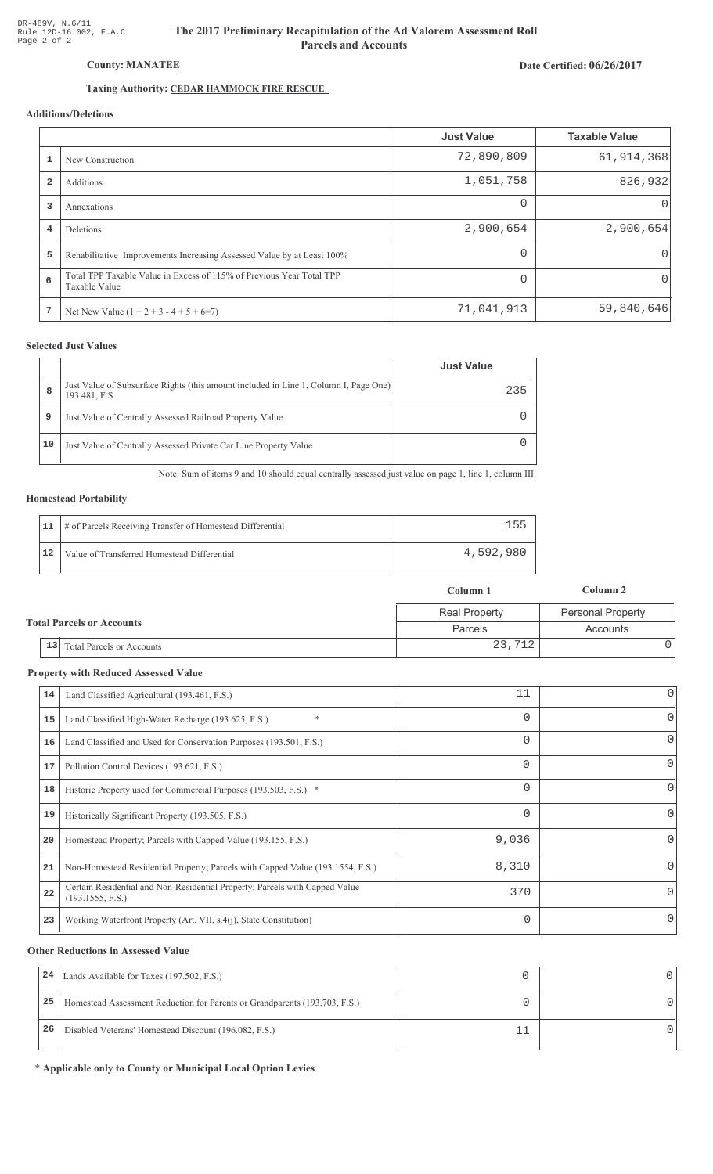# The 2017 Preliminary Recapitulation of the Ad Valorem Assessment Roll **Parcels and Accounts**

# Date Certified: 06/26/2017

# Taxing Authority: CEDAR HAMMOCK FIRE RESCUE

# **Additions/Deletions**

|                |                                                                                       | <b>Just Value</b> | <b>Taxable Value</b> |
|----------------|---------------------------------------------------------------------------------------|-------------------|----------------------|
|                | New Construction                                                                      | 72,890,809        | 61, 914, 368         |
| $\overline{2}$ | Additions                                                                             | 1,051,758         | 826,932              |
| 3              | Annexations                                                                           | $\Omega$          | $\Omega$             |
| 4              | Deletions                                                                             | 2,900,654         | 2,900,654            |
| 5              | Rehabilitative Improvements Increasing Assessed Value by at Least 100%                | $\Omega$          | 0                    |
| 6              | Total TPP Taxable Value in Excess of 115% of Previous Year Total TPP<br>Taxable Value | $\cap$            | 0                    |
| -7             | Net New Value $(1 + 2 + 3 - 4 + 5 + 6=7)$                                             | 71,041,913        | 59,840,646           |

## **Selected Just Values**

|    |                                                                                                       | <b>Just Value</b> |
|----|-------------------------------------------------------------------------------------------------------|-------------------|
| 8  | Just Value of Subsurface Rights (this amount included in Line 1, Column I, Page One)<br>193.481, F.S. | 235               |
| 9  | Just Value of Centrally Assessed Railroad Property Value                                              |                   |
| 10 | Just Value of Centrally Assessed Private Car Line Property Value                                      |                   |

Note: Sum of items 9 and 10 should equal centrally assessed just value on page 1, line 1, column III.

#### **Homestead Portability**

|    | 11   # of Parcels Receiving Transfer of Homestead Differential | 155       |
|----|----------------------------------------------------------------|-----------|
| 12 | Value of Transferred Homestead Differential                    | 4,592,980 |

|                                  |                                           | Column 1             | Column 2                 |
|----------------------------------|-------------------------------------------|----------------------|--------------------------|
| <b>Total Parcels or Accounts</b> |                                           | <b>Real Property</b> | <b>Personal Property</b> |
|                                  |                                           | <b>Parcels</b>       | Accounts                 |
|                                  | <sup>1</sup> 13 Total Parcels or Accounts | 23,712               |                          |

#### **Property with Reduced Assessed Value**

| 14 | Land Classified Agricultural (193.461, F.S.)                                                    | 11       | 0        |
|----|-------------------------------------------------------------------------------------------------|----------|----------|
| 15 | $\ast$<br>Land Classified High-Water Recharge (193.625, F.S.)                                   | 0        | 0        |
| 16 | Land Classified and Used for Conservation Purposes (193.501, F.S.)                              | 0        | 0        |
| 17 | Pollution Control Devices (193.621, F.S.)                                                       | $\Omega$ | 0        |
| 18 | Historic Property used for Commercial Purposes (193.503, F.S.) *                                | 0        | 0        |
| 19 | Historically Significant Property (193.505, F.S.)                                               | 0        | $\Omega$ |
| 20 | Homestead Property; Parcels with Capped Value (193.155, F.S.)                                   | 9,036    | 0        |
| 21 | Non-Homestead Residential Property; Parcels with Capped Value (193.1554, F.S.)                  | 8,310    | 0        |
| 22 | Certain Residential and Non-Residential Property; Parcels with Capped Value<br>(193.1555, F.S.) | 370      | 0        |
| 23 | Working Waterfront Property (Art. VII, s.4(j), State Constitution)                              | 0        | O        |

#### **Other Reductions in Assessed Value**

| 24 | Lands Available for Taxes (197.502, F.S.)                                  |  |
|----|----------------------------------------------------------------------------|--|
| 25 | Homestead Assessment Reduction for Parents or Grandparents (193.703, F.S.) |  |
| 26 | Disabled Veterans' Homestead Discount (196.082, F.S.)                      |  |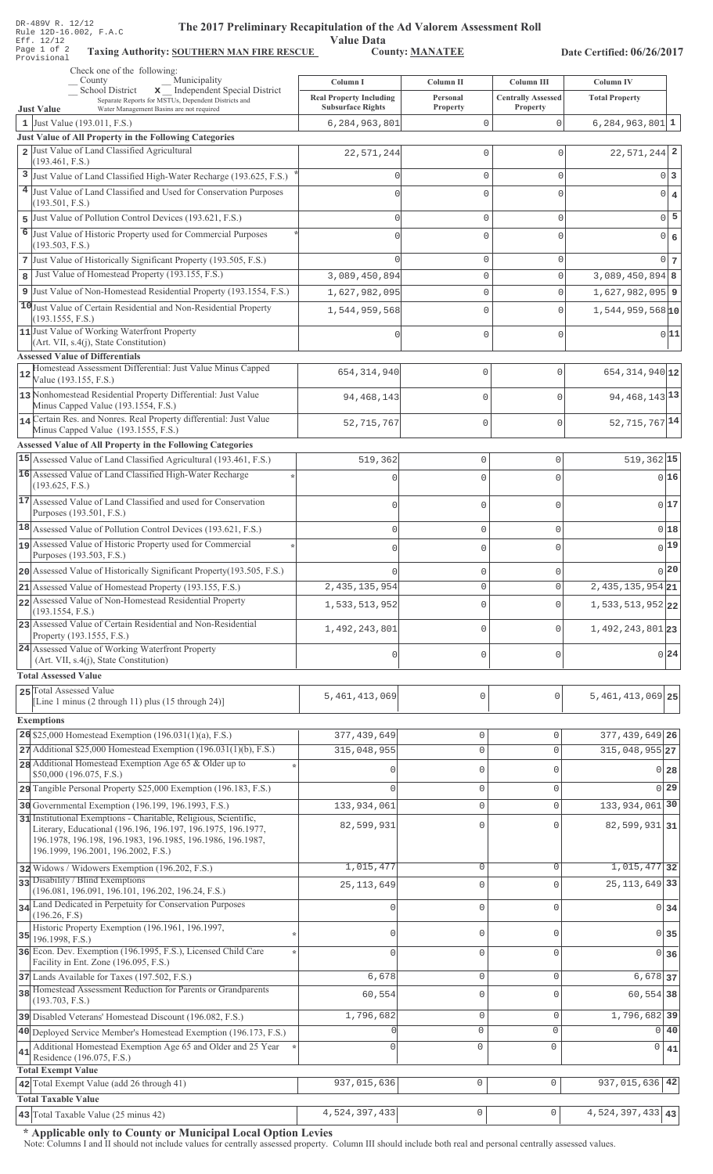| DR-489V R. 14/14<br>The 2017 Preliminary Recapitulation of the Ad Valorem Assessment Roll<br>Rule 12D-16.002, F.A.C<br>Eff. 12/12<br>Page 1 of 2<br><b>Taxing Authority: SOUTHERN MAN FIRE RESCUE</b><br>Provisional                  | <b>Value Data</b>                                                      | <b>County: MANATEE</b>            |                                                     | Date Certified: 06/26/2017         |
|---------------------------------------------------------------------------------------------------------------------------------------------------------------------------------------------------------------------------------------|------------------------------------------------------------------------|-----------------------------------|-----------------------------------------------------|------------------------------------|
| Check one of the following:<br>Municipality<br>County                                                                                                                                                                                 |                                                                        |                                   |                                                     |                                    |
| x Independent Special District<br>School District<br>Separate Reports for MSTUs, Dependent Districts and<br><b>Just Value</b><br>Water Management Basins are not required                                                             | Column I<br><b>Real Property Including</b><br><b>Subsurface Rights</b> | Column II<br>Personal<br>Property | Column III<br><b>Centrally Assessed</b><br>Property | Column IV<br><b>Total Property</b> |
| 1 Just Value (193.011, F.S.)                                                                                                                                                                                                          | 6,284,963,801                                                          | 0                                 | 0                                                   | $6, 284, 963, 801$ 1               |
| Just Value of All Property in the Following Categories                                                                                                                                                                                |                                                                        |                                   |                                                     |                                    |
| 2 Just Value of Land Classified Agricultural                                                                                                                                                                                          | 22,571,244                                                             | $\Omega$                          | $\Omega$                                            | $22,571,244$ 2                     |
| (193.461, F.S.)<br>3 Just Value of Land Classified High-Water Recharge (193.625, F.S.)                                                                                                                                                |                                                                        | $\mathbf 0$                       | $\Omega$                                            | $0\vert 3$                         |
| 4 Just Value of Land Classified and Used for Conservation Purposes                                                                                                                                                                    |                                                                        | $\Omega$                          | $\Omega$                                            |                                    |
| (193.501, F.S.)                                                                                                                                                                                                                       | O                                                                      |                                   |                                                     | $\overline{0}$<br>$\overline{4}$   |
| Just Value of Pollution Control Devices (193.621, F.S.)<br>5                                                                                                                                                                          | $\Omega$                                                               | $\mathbf 0$                       | $\Omega$                                            | $0$ 5                              |
| 6 Just Value of Historic Property used for Commercial Purposes<br>(193.503, F.S.)                                                                                                                                                     | O                                                                      | $\Omega$                          | $\Omega$                                            | $\circ$<br>6                       |
| 7 Just Value of Historically Significant Property (193.505, F.S.)                                                                                                                                                                     |                                                                        | $\mathbf 0$                       | $\Omega$                                            | $0\vert 7$                         |
| Just Value of Homestead Property (193.155, F.S.)<br>8                                                                                                                                                                                 | 3,089,450,894                                                          | $\mathbb O$                       | $\overline{0}$                                      | $3,089,450,894$ 8                  |
| 9 Just Value of Non-Homestead Residential Property (193.1554, F.S.)                                                                                                                                                                   | 1,627,982,095                                                          | $\mathbf 0$                       | 0                                                   | $1,627,982,095$ 9                  |
| 10 Just Value of Certain Residential and Non-Residential Property                                                                                                                                                                     | 1,544,959,568                                                          | $\mathbf 0$                       | 0                                                   | $1,544,959,568$ <sup>10</sup>      |
| (193.1555, F.S.)<br>11 Just Value of Working Waterfront Property                                                                                                                                                                      |                                                                        |                                   |                                                     | 0 11                               |
| (Art. VII, s.4(j), State Constitution)                                                                                                                                                                                                | n                                                                      | $\mathbf 0$                       | $\Omega$                                            |                                    |
| <b>Assessed Value of Differentials</b>                                                                                                                                                                                                |                                                                        |                                   |                                                     |                                    |
| Homestead Assessment Differential: Just Value Minus Capped<br>12<br>Value (193.155, F.S.)                                                                                                                                             | 654, 314, 940                                                          | $\mathbf 0$                       | 0                                                   | 654, 314, 940 12                   |
| 13 Nonhomestead Residential Property Differential: Just Value<br>Minus Capped Value (193.1554, F.S.)                                                                                                                                  | 94, 468, 143                                                           | $\mathbf 0$                       | 0                                                   | 94, 468, 143 13                    |
| 14 Certain Res. and Nonres. Real Property differential: Just Value<br>Minus Capped Value (193.1555, F.S.)                                                                                                                             | 52, 715, 767                                                           | $\mathbf 0$                       | 0                                                   | 52, 715, 767 <sup>14</sup>         |
| Assessed Value of All Property in the Following Categories                                                                                                                                                                            |                                                                        |                                   |                                                     |                                    |
| 15 Assessed Value of Land Classified Agricultural (193.461, F.S.)                                                                                                                                                                     | 519,362                                                                | $\mathsf{O}\xspace$               | 0                                                   | $519,362$ 15                       |
| 16 Assessed Value of Land Classified High-Water Recharge<br>(193.625, F.S.)                                                                                                                                                           |                                                                        | $\mathbf 0$                       | $\cap$                                              | 0 16                               |
| 17 Assessed Value of Land Classified and used for Conservation                                                                                                                                                                        |                                                                        |                                   |                                                     |                                    |
| Purposes (193.501, F.S.)                                                                                                                                                                                                              | O                                                                      | $\mathsf{O}\xspace$               | $\Omega$                                            | 0 17                               |
| 18 Assessed Value of Pollution Control Devices (193.621, F.S.)                                                                                                                                                                        | 0                                                                      | $\mathbb O$                       | 0                                                   | 0 18                               |
| 19 Assessed Value of Historic Property used for Commercial                                                                                                                                                                            |                                                                        | 0                                 | O                                                   | $\sqrt{19}$                        |
| Purposes (193.503, F.S.)                                                                                                                                                                                                              |                                                                        |                                   |                                                     |                                    |
| 20 Assessed Value of Historically Significant Property (193.505, F.S.)                                                                                                                                                                |                                                                        | 0                                 | $\cap$                                              | 0 20                               |
| 21 Assessed Value of Homestead Property (193.155, F.S.)<br>22 Assessed Value of Non-Homestead Residential Property                                                                                                                    | 2, 435, 135, 954                                                       | $\circ$                           | $\mathbf{0}$                                        | $2,435,135,954$ 21                 |
| (193.1554, F.S.)                                                                                                                                                                                                                      | 1,533,513,952                                                          | $\mathsf{O}\xspace$               | $\Omega$                                            | $1,533,513,952$ 22                 |
| 23 Assessed Value of Certain Residential and Non-Residential<br>Property (193.1555, F.S.)                                                                                                                                             | 1,492,243,801                                                          | $\circ$                           | $\mathbf{0}$                                        | 1,492,243,801 23                   |
| 24 Assessed Value of Working Waterfront Property<br>(Art. VII, s.4(j), State Constitution)                                                                                                                                            | U                                                                      | $\circ$                           | $\Omega$                                            | 0 24                               |
| <b>Total Assessed Value</b>                                                                                                                                                                                                           |                                                                        |                                   |                                                     |                                    |
| 25 Total Assessed Value                                                                                                                                                                                                               | 5,461,413,069                                                          | $\mathbf 0$                       | $\mathbf 0$                                         | $5,461,413,069$ 25                 |
| [Line 1 minus (2 through 11) plus (15 through 24)]                                                                                                                                                                                    |                                                                        |                                   |                                                     |                                    |
| <b>Exemptions</b>                                                                                                                                                                                                                     |                                                                        |                                   |                                                     |                                    |
| 26 \$25,000 Homestead Exemption $(196.031(1)(a), F.S.)$<br>$27$ Additional \$25,000 Homestead Exemption (196.031(1)(b), F.S.)                                                                                                         | 377, 439, 649<br>315,048,955                                           | 0<br>$\mathbf{0}$                 | $\mathsf{O}\xspace$<br>$\mathsf{O}\xspace$          | 377, 439, 649 26<br>315,048,955 27 |
| 28 Additional Homestead Exemption Age 65 & Older up to                                                                                                                                                                                |                                                                        |                                   |                                                     |                                    |
| \$50,000 (196.075, F.S.)                                                                                                                                                                                                              |                                                                        | $\mathbb O$                       | 0                                                   | 0 28                               |
| 29 Tangible Personal Property \$25,000 Exemption (196.183, F.S.)                                                                                                                                                                      | $\Omega$                                                               | $\mathsf{O}\xspace$               | $\mathsf{O}\xspace$                                 | 0 29                               |
| 30 Governmental Exemption (196.199, 196.1993, F.S.)                                                                                                                                                                                   | 133,934,061                                                            | $\mathbb O$                       | $\mathsf{O}\xspace$                                 | 133, 934, 061 30                   |
| 31 Institutional Exemptions - Charitable, Religious, Scientific,<br>Literary, Educational (196.196, 196.197, 196.1975, 196.1977,<br>196.1978, 196.198, 196.1983, 196.1985, 196.1986, 196.1987,<br>196.1999, 196.2001, 196.2002, F.S.) | 82,599,931                                                             | $\mathbf{0}$                      | 0                                                   | 82,599,931 31                      |
| 32 Widows / Widowers Exemption (196.202, F.S.)                                                                                                                                                                                        | 1,015,477                                                              | 0                                 | 0                                                   | $1,015,477$ 32                     |
| 33 Disability / Blind Exemptions<br>(196.081, 196.091, 196.101, 196.202, 196.24, F.S.)                                                                                                                                                | 25, 113, 649                                                           | $\mathbf{0}$                      | $\mathbf{0}$                                        | 25, 113, 649 33                    |
| 34 Land Dedicated in Perpetuity for Conservation Purposes                                                                                                                                                                             | $\Omega$                                                               | $\mathbf{0}$                      | $\mathsf{O}\xspace$                                 | 0 34                               |
| (196.26, F.S)<br>Historic Property Exemption (196.1961, 196.1997,                                                                                                                                                                     | U                                                                      | 0                                 | 0                                                   |                                    |
| 35<br>196.1998, F.S.)<br>36 Econ. Dev. Exemption (196.1995, F.S.), Licensed Child Care                                                                                                                                                |                                                                        |                                   |                                                     | 0 35                               |
| Facility in Ent. Zone (196.095, F.S.)                                                                                                                                                                                                 | $\cap$                                                                 | $\mathbf 0$                       | $\mathsf{O}\xspace$                                 | 0 36                               |
| 37 Lands Available for Taxes (197.502, F.S.)                                                                                                                                                                                          | 6,678                                                                  | $\mathsf{O}\xspace$               | $\mathsf{O}\xspace$                                 | 6,678 37                           |
| 38 Homestead Assessment Reduction for Parents or Grandparents<br>(193.703, F.S.)                                                                                                                                                      | 60,554                                                                 | $\mathbf 0$                       | $\mathsf{O}\xspace$                                 | 60,554 38                          |
| 39 Disabled Veterans' Homestead Discount (196.082, F.S.)                                                                                                                                                                              | 1,796,682                                                              | $\mathsf{O}\xspace$               | 0                                                   | 1,796,682 39                       |
| 40 Deployed Service Member's Homestead Exemption (196.173, F.S.)                                                                                                                                                                      | $\Omega$                                                               | $\circ$                           | $\mathbf 0$                                         | $\Omega$<br>40                     |
| Additional Homestead Exemption Age 65 and Older and 25 Year<br>41                                                                                                                                                                     | 0                                                                      | $\mathbf 0$                       | $\circ$                                             | 0<br>41                            |
| Residence (196.075, F.S.)<br><b>Total Exempt Value</b>                                                                                                                                                                                |                                                                        |                                   |                                                     |                                    |
| 42 Total Exempt Value (add 26 through 41)                                                                                                                                                                                             | 937,015,636                                                            | $\mathsf{O}\xspace$               | $\mathbb O$                                         | $937,015,636$ 42                   |
| <b>Total Taxable Value</b>                                                                                                                                                                                                            |                                                                        |                                   |                                                     |                                    |
| 43 Total Taxable Value (25 minus 42)                                                                                                                                                                                                  | 4,524,397,433                                                          | $\mathsf{O}\xspace$               | $\mathsf{O}\xspace$                                 | 4,524,397,433 43                   |

DR-489V R. 12/12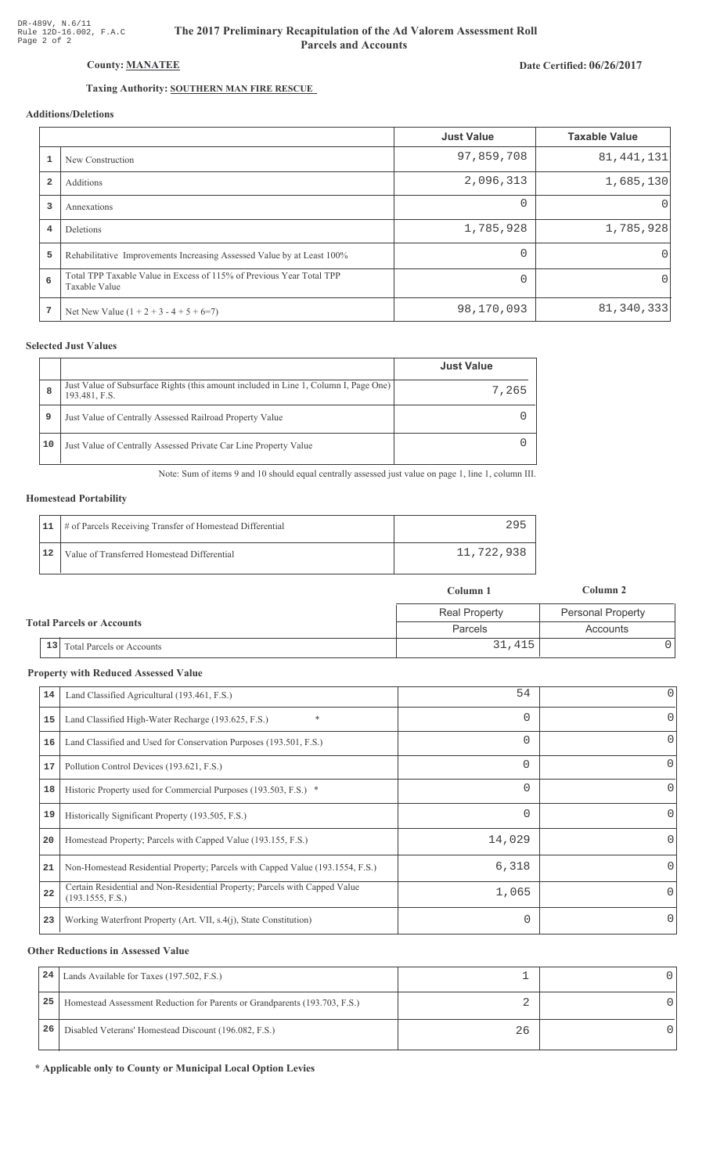# The 2017 Preliminary Recapitulation of the Ad Valorem Assessment Roll **Parcels and Accounts**

## Date Certified: 06/26/2017

# Taxing Authority: SOUTHERN MAN FIRE RESCUE

## Additions/Deletions

|                |                                                                                       | <b>Just Value</b> | <b>Taxable Value</b> |
|----------------|---------------------------------------------------------------------------------------|-------------------|----------------------|
|                | New Construction                                                                      | 97,859,708        | 81, 441, 131         |
| $\overline{2}$ | Additions                                                                             | 2,096,313         | 1,685,130            |
| 3              | Annexations                                                                           | $\Omega$          | $\Omega$             |
| 4              | Deletions                                                                             | 1,785,928         | 1,785,928            |
| 5              | Rehabilitative Improvements Increasing Assessed Value by at Least 100%                | $\Omega$          | $\Omega$             |
| 6              | Total TPP Taxable Value in Excess of 115% of Previous Year Total TPP<br>Taxable Value | $\Omega$          | $\Omega$             |
| 7              | Net New Value $(1 + 2 + 3 - 4 + 5 + 6=7)$                                             | 98,170,093        | 81, 340, 333         |

### **Selected Just Values**

|    |                                                                                                       | <b>Just Value</b> |
|----|-------------------------------------------------------------------------------------------------------|-------------------|
| 8  | Just Value of Subsurface Rights (this amount included in Line 1, Column I, Page One)<br>193.481, F.S. | 7,265             |
| 9  | Just Value of Centrally Assessed Railroad Property Value                                              |                   |
| 10 | Just Value of Centrally Assessed Private Car Line Property Value                                      |                   |

Note: Sum of items 9 and 10 should equal centrally assessed just value on page 1, line 1, column III.

#### **Homestead Portability**

|    | 11   # of Parcels Receiving Transfer of Homestead Differential | 295        |
|----|----------------------------------------------------------------|------------|
| 12 | Value of Transferred Homestead Differential                    | 11,722,938 |

|                                      | Column 1             | Column 2                 |
|--------------------------------------|----------------------|--------------------------|
|                                      | <b>Real Property</b> | <b>Personal Property</b> |
| <b>Total Parcels or Accounts</b>     | Parcels              | Accounts                 |
| $\vert$ 13 Total Parcels or Accounts | 31,415               |                          |

#### **Property with Reduced Assessed Value**

| 14 | Land Classified Agricultural (193.461, F.S.)                                                    | 54       | 0        |
|----|-------------------------------------------------------------------------------------------------|----------|----------|
| 15 | $\ast$<br>Land Classified High-Water Recharge (193.625, F.S.)                                   | 0        | 0        |
| 16 | Land Classified and Used for Conservation Purposes (193.501, F.S.)                              | 0        | 0        |
| 17 | Pollution Control Devices (193.621, F.S.)                                                       | $\Omega$ | 0        |
| 18 | Historic Property used for Commercial Purposes (193.503, F.S.) *                                | 0        | 0        |
| 19 | Historically Significant Property (193.505, F.S.)                                               | $\Omega$ | $\Omega$ |
| 20 | Homestead Property; Parcels with Capped Value (193.155, F.S.)                                   | 14,029   | 0        |
| 21 | Non-Homestead Residential Property; Parcels with Capped Value (193.1554, F.S.)                  | 6,318    | 0        |
| 22 | Certain Residential and Non-Residential Property; Parcels with Capped Value<br>(193.1555, F.S.) | 1,065    | $\Omega$ |
| 23 | Working Waterfront Property (Art. VII, s.4(j), State Constitution)                              | 0        | 0        |
|    |                                                                                                 |          |          |

#### **Other Reductions in Assessed Value**

| 24 | Lands Available for Taxes (197.502, F.S.)                                  |    |  |
|----|----------------------------------------------------------------------------|----|--|
| 25 | Homestead Assessment Reduction for Parents or Grandparents (193.703, F.S.) |    |  |
| 26 | Disabled Veterans' Homestead Discount (196.082, F.S.)                      | 26 |  |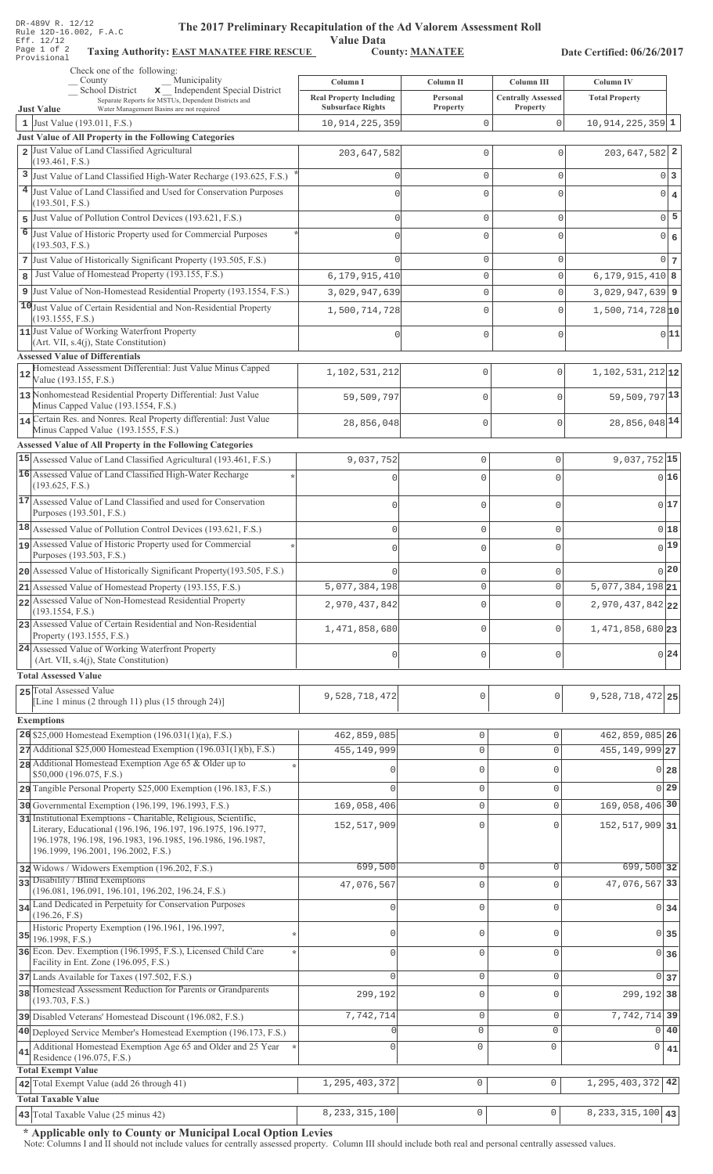| DR-489V R. 12/12<br>The 2017 Preliminary Recapitulation of the Ad Valorem Assessment Roll<br>Rule 12D-16.002, F.A.C<br><b>Value Data</b><br>Eff. 12/12<br>Page 1 of 2<br><b>County: MANATEE</b><br><b>Taxing Authority: EAST MANATEE FIRE RESCUE</b><br>Date Certified: 06/26/2017<br>Provisional |                                               |                         |                                         |                                           |                                  |
|---------------------------------------------------------------------------------------------------------------------------------------------------------------------------------------------------------------------------------------------------------------------------------------------------|-----------------------------------------------|-------------------------|-----------------------------------------|-------------------------------------------|----------------------------------|
| Check one of the following:<br>Municipality<br>County                                                                                                                                                                                                                                             |                                               |                         |                                         |                                           |                                  |
| x Independent Special District<br>School District<br>Separate Reports for MSTUs, Dependent Districts and                                                                                                                                                                                          | Column I<br><b>Real Property Including</b>    | Column II<br>Personal   | Column III<br><b>Centrally Assessed</b> | <b>Column IV</b><br><b>Total Property</b> |                                  |
| <b>Just Value</b><br>Water Management Basins are not required<br>1 Just Value (193.011, F.S.)                                                                                                                                                                                                     | <b>Subsurface Rights</b><br>10, 914, 225, 359 | Property<br>$\mathbf 0$ | Property<br>$\mathbf{0}$                | $10,914,225,359$ 1                        |                                  |
| <b>Just Value of All Property in the Following Categories</b><br>2 Just Value of Land Classified Agricultural                                                                                                                                                                                     |                                               |                         |                                         |                                           |                                  |
| (193.461, F.S.)                                                                                                                                                                                                                                                                                   | 203, 647, 582                                 | $\mathbf 0$             | $\Omega$                                | $203,647,582$ <sup>2</sup>                |                                  |
| 3 Just Value of Land Classified High-Water Recharge (193.625, F.S.)                                                                                                                                                                                                                               | O                                             | $\mathbf{0}$            | 0                                       |                                           | 0 3                              |
| 4 Just Value of Land Classified and Used for Conservation Purposes<br>(193.501, F.S.)                                                                                                                                                                                                             |                                               | $\mathbf 0$             | $\Omega$                                |                                           | $\overline{0}$<br>$\overline{4}$ |
| 5 Just Value of Pollution Control Devices (193.621, F.S.)                                                                                                                                                                                                                                         | $\Omega$                                      | $\mathbf{0}$            | 0                                       |                                           | 5<br> 0                          |
| 6 Just Value of Historic Property used for Commercial Purposes<br>(193.503, F.S.)                                                                                                                                                                                                                 |                                               | $\mathbf 0$             | $\Omega$                                |                                           | $\overline{0}$<br>6              |
| 7 Just Value of Historically Significant Property (193.505, F.S.)                                                                                                                                                                                                                                 |                                               | $\mathbf 0$             | 0                                       |                                           | $0\vert 7$                       |
| Just Value of Homestead Property (193.155, F.S.)<br>8                                                                                                                                                                                                                                             | 6,179,915,410                                 | $\mathbf 0$             | $\mathbf 0$                             | $6, 179, 915, 410$ 8                      |                                  |
| 9 Just Value of Non-Homestead Residential Property (193.1554, F.S.)                                                                                                                                                                                                                               | 3,029,947,639                                 | $\mathbf 0$             | 0                                       | $3,029,947,639$ 9                         |                                  |
| 10 Just Value of Certain Residential and Non-Residential Property<br>(193.1555, F.S.)                                                                                                                                                                                                             | 1,500,714,728                                 | $\mathbf 0$             | 0                                       | $1,500,714,728$ <sub>10</sub>             |                                  |
| 11 Just Value of Working Waterfront Property<br>(Art. VII, s.4(j), State Constitution)                                                                                                                                                                                                            | O                                             | $\mathbf 0$             | $\mathbf 0$                             |                                           | 0 11                             |
| <b>Assessed Value of Differentials</b><br>Homestead Assessment Differential: Just Value Minus Capped<br>12                                                                                                                                                                                        | 1,102,531,212                                 | 0                       | $\mathbf 0$                             | $1,102,531,212$ <sub>12</sub>             |                                  |
| Value (193.155, F.S.)<br>13 Nonhomestead Residential Property Differential: Just Value                                                                                                                                                                                                            | 59,509,797                                    | $\mathbf 0$             | $\cap$                                  | 59,509,797 13                             |                                  |
| Minus Capped Value (193.1554, F.S.)<br>14 Certain Res. and Nonres. Real Property differential: Just Value                                                                                                                                                                                         |                                               |                         |                                         | 28,856,048 14                             |                                  |
| Minus Capped Value (193.1555, F.S.)                                                                                                                                                                                                                                                               | 28,856,048                                    | 0                       | $\mathbf{0}$                            |                                           |                                  |
| <b>Assessed Value of All Property in the Following Categories</b>                                                                                                                                                                                                                                 |                                               |                         |                                         |                                           |                                  |
| 15 Assessed Value of Land Classified Agricultural (193.461, F.S.)                                                                                                                                                                                                                                 | 9,037,752                                     | $\mathbb O$             | 0                                       | $9,037,752$ 15                            |                                  |
| 16 Assessed Value of Land Classified High-Water Recharge<br>(193.625, F.S.)                                                                                                                                                                                                                       | $\mathbf{0}$                                  | $\mathbf 0$             | $\mathbf{0}$                            |                                           | 016                              |
| 17 Assessed Value of Land Classified and used for Conservation<br>Purposes (193.501, F.S.)                                                                                                                                                                                                        | 0                                             | $\mathbb O$             | $\mathbf 0$                             |                                           | 017                              |
| 18 Assessed Value of Pollution Control Devices (193.621, F.S.)                                                                                                                                                                                                                                    | 0                                             | $\mathbb O$             | $\circ$                                 |                                           | 0 18                             |
| assessed Value of Historic Property used for Commercial<br>Purposes (193.503, F.S.)                                                                                                                                                                                                               |                                               |                         | C                                       |                                           | 0 19                             |
| 20 Assessed Value of Historically Significant Property (193.505, F.S.)                                                                                                                                                                                                                            |                                               | 0                       | $\circ$                                 |                                           | 0 20                             |
| 21 Assessed Value of Homestead Property (193.155, F.S.)                                                                                                                                                                                                                                           | 5,077,384,198                                 | $\circ$                 | $\mathbf 0$                             | $\overline{5,077,384,198}$ 21             |                                  |
| 22 Assessed Value of Non-Homestead Residential Property<br>(193.1554, F.S.)                                                                                                                                                                                                                       | 2,970,437,842                                 | $\mathbf 0$             | $\mathbf 0$                             | 2,970,437,842 22                          |                                  |
| 23 Assessed Value of Certain Residential and Non-Residential<br>Property (193.1555, F.S.)                                                                                                                                                                                                         | 1,471,858,680                                 | $\mathsf{O}\xspace$     | $\circ$                                 | 1,471,858,680 23                          |                                  |
| 24 Assessed Value of Working Waterfront Property<br>(Art. VII, s.4(j), State Constitution)                                                                                                                                                                                                        | 0                                             | $\circ$                 | $\circ$                                 |                                           | 0 24                             |
| <b>Total Assessed Value</b>                                                                                                                                                                                                                                                                       |                                               |                         |                                         |                                           |                                  |
| 25 Total Assessed Value                                                                                                                                                                                                                                                                           |                                               |                         |                                         |                                           |                                  |
| [Line 1 minus (2 through 11) plus (15 through 24)]                                                                                                                                                                                                                                                | 9,528,718,472                                 | 0                       | $\mathsf{O}\xspace$                     | 9,528,718,472 25                          |                                  |
| <b>Exemptions</b><br>26 \$25,000 Homestead Exemption $(196.031(1)(a), F.S.)$                                                                                                                                                                                                                      | 462,859,085                                   | $\mathbb O$             | 0                                       | 462,859,085 26                            |                                  |
| $27$ Additional \$25,000 Homestead Exemption (196.031(1)(b), F.S.)                                                                                                                                                                                                                                | 455, 149, 999                                 | $\mathbb O$             | $\mathsf{O}\xspace$                     | 455, 149, 999 27                          |                                  |
| 28 Additional Homestead Exemption Age 65 & Older up to                                                                                                                                                                                                                                            |                                               | $\mathbf{0}$            | $\mathbf 0$                             |                                           |                                  |
| \$50,000 (196.075, F.S.)                                                                                                                                                                                                                                                                          |                                               |                         |                                         |                                           | 0 <sub>28</sub>                  |
| 29 Tangible Personal Property \$25,000 Exemption (196.183, F.S.)                                                                                                                                                                                                                                  |                                               | $\mathbb O$             | $\mathbf 0$                             |                                           | $0$ 29                           |
| 30 Governmental Exemption (196.199, 196.1993, F.S.)<br>31 Institutional Exemptions - Charitable, Religious, Scientific,                                                                                                                                                                           | 169,058,406                                   | $\mathbb O$             | $\mathsf{O}\xspace$                     | 169,058,406 30                            |                                  |
| Literary, Educational (196.196, 196.197, 196.1975, 196.1977,<br>196.1978, 196.198, 196.1983, 196.1985, 196.1986, 196.1987,<br>196.1999, 196.2001, 196.2002, F.S.)                                                                                                                                 | 152,517,909                                   | $\mathbf 0$             | $\Omega$                                | 152, 517, 909 31                          |                                  |
| 32 Widows / Widowers Exemption (196.202, F.S.)                                                                                                                                                                                                                                                    | 699,500                                       | $\mathbb O$             | $\mathbf 0$                             | 699,500 32                                |                                  |
| 33 Disability / Blind Exemptions<br>(196.081, 196.091, 196.101, 196.202, 196.24, F.S.)                                                                                                                                                                                                            | 47,076,567                                    | $\mathbf 0$             | $\Omega$                                | 47,076,567 33                             |                                  |
| 34 Land Dedicated in Perpetuity for Conservation Purposes                                                                                                                                                                                                                                         | $\Omega$                                      | $\mathbf{0}$            | $\mathbf 0$                             |                                           | $0\overline{34}$                 |
| (196.26, F.S)<br>Historic Property Exemption (196.1961, 196.1997,                                                                                                                                                                                                                                 | $\cap$                                        | $\mathbf 0$             | $\mathbf 0$                             |                                           | 0 35                             |
| $35$ 196.1998, F.S.)<br>36 Econ. Dev. Exemption (196.1995, F.S.), Licensed Child Care                                                                                                                                                                                                             | $\cap$                                        | $\mathbf 0$             | $\mathbf 0$                             |                                           | $0 \overline{\smash{\big)}\ 36}$ |
| Facility in Ent. Zone (196.095, F.S.)<br>37 Lands Available for Taxes (197.502, F.S.)                                                                                                                                                                                                             | $\Omega$                                      | $\mathsf{O}\xspace$     | $\mathbf 0$                             |                                           | 0 <sub>37</sub>                  |
| 38 Homestead Assessment Reduction for Parents or Grandparents<br>(193.703, F.S.)                                                                                                                                                                                                                  | 299,192                                       | $\mathsf{O}\xspace$     | 0                                       | 299, 192 38                               |                                  |
| 39 Disabled Veterans' Homestead Discount (196.082, F.S.)                                                                                                                                                                                                                                          | 7,742,714                                     | $\mathbb O$             | $\mathsf{O}\xspace$                     | 7, 742, 714 39                            |                                  |
| 40 Deployed Service Member's Homestead Exemption (196.173, F.S.)                                                                                                                                                                                                                                  |                                               | $\circ$                 | $\mathbf 0$                             |                                           | 0 40                             |
| Additional Homestead Exemption Age 65 and Older and 25 Year<br>41<br>Residence (196.075, F.S.)                                                                                                                                                                                                    | Λ                                             | 0                       | $\mathsf 0$                             | 0                                         | 41                               |
| <b>Total Exempt Value</b><br>42 Total Exempt Value (add 26 through 41)                                                                                                                                                                                                                            | 1, 295, 403, 372                              | $\mathbb O$             | $\mathbb O$                             | 1,295,403,372                             | 42                               |
| <b>Total Taxable Value</b><br>43 Total Taxable Value (25 minus 42)                                                                                                                                                                                                                                | 8, 233, 315, 100                              | $\mathsf{O}\xspace$     | $\hbox{O}$                              | 8, 233, 315, 100   43                     |                                  |
|                                                                                                                                                                                                                                                                                                   |                                               |                         |                                         |                                           |                                  |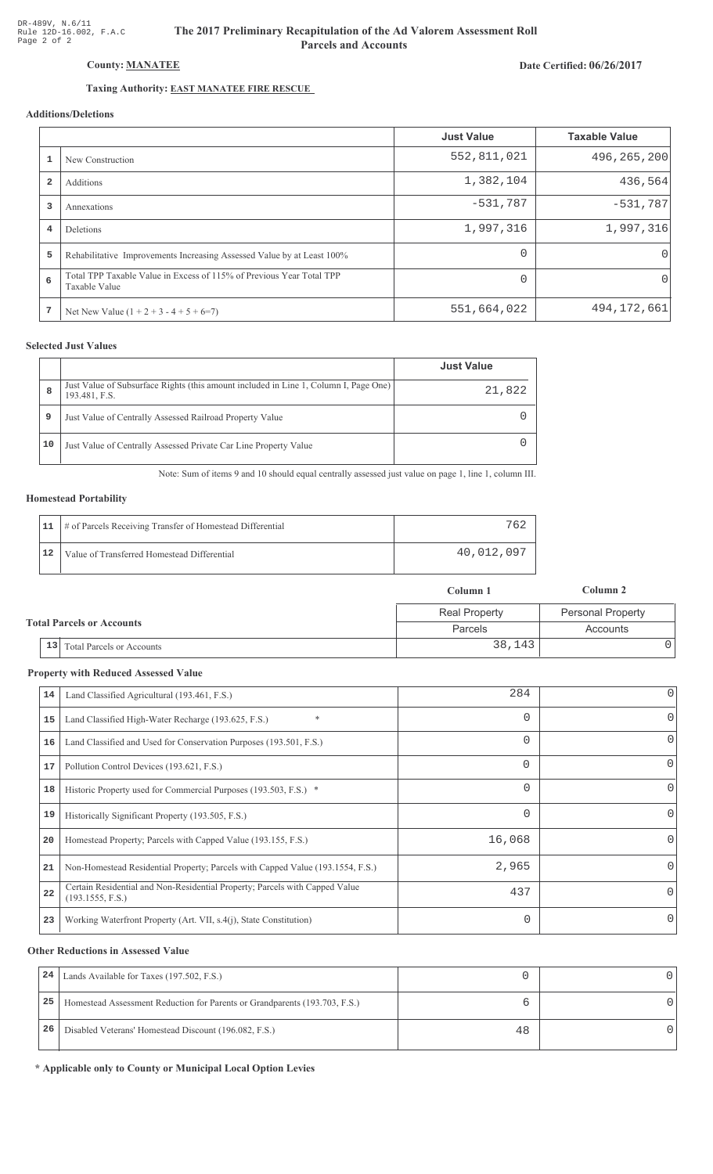Date Certified: 06/26/2017

# Taxing Authority: **EAST MANATEE FIRE RESCUE**

County: MANATEE

# Additions/Deletions

|                         |                                                                                       | <b>Just Value</b> | <b>Taxable Value</b> |
|-------------------------|---------------------------------------------------------------------------------------|-------------------|----------------------|
|                         | New Construction                                                                      | 552,811,021       | 496, 265, 200        |
| $\overline{\mathbf{2}}$ | Additions                                                                             | 1,382,104         | 436,564              |
| 3                       | Annexations                                                                           | $-531,787$        | $-531,787$           |
| 4                       | <b>Deletions</b>                                                                      | 1,997,316         | 1,997,316            |
| 5                       | Rehabilitative Improvements Increasing Assessed Value by at Least 100%                | $\Omega$          | $\Omega$             |
| 6                       | Total TPP Taxable Value in Excess of 115% of Previous Year Total TPP<br>Taxable Value | $\Omega$          | 0                    |
| 7                       | Net New Value $(1 + 2 + 3 - 4 + 5 + 6=7)$                                             | 551,664,022       | 494, 172, 661        |

## **Selected Just Values**

|    |                                                                                                       | <b>Just Value</b> |
|----|-------------------------------------------------------------------------------------------------------|-------------------|
| 8  | Just Value of Subsurface Rights (this amount included in Line 1, Column I, Page One)<br>193.481, F.S. | 21,822            |
| 9  | Just Value of Centrally Assessed Railroad Property Value                                              |                   |
| 10 | Just Value of Centrally Assessed Private Car Line Property Value                                      |                   |

Note: Sum of items 9 and 10 should equal centrally assessed just value on page 1, line 1, column III.

## **Homestead Portability**

|    | 11   # of Parcels Receiving Transfer of Homestead Differential | 762        |
|----|----------------------------------------------------------------|------------|
| 12 | Value of Transferred Homestead Differential                    | 40,012,097 |

|                                      | Column 1             | Column 2                 |
|--------------------------------------|----------------------|--------------------------|
|                                      | <b>Real Property</b> | <b>Personal Property</b> |
| <b>Total Parcels or Accounts</b>     | Parcels              | Accounts                 |
| $\vert$ 13 Total Parcels or Accounts | 38,143               |                          |

#### **Property with Reduced Assessed Value**

| 14 | Land Classified Agricultural (193.461, F.S.)                                                    | 284      | 0        |
|----|-------------------------------------------------------------------------------------------------|----------|----------|
| 15 | $\ast$<br>Land Classified High-Water Recharge (193.625, F.S.)                                   | 0        | 0        |
| 16 | Land Classified and Used for Conservation Purposes (193.501, F.S.)                              | 0        | 0        |
| 17 | Pollution Control Devices (193.621, F.S.)                                                       | $\Omega$ | 0        |
| 18 | Historic Property used for Commercial Purposes (193.503, F.S.) *                                | 0        | 0        |
| 19 | Historically Significant Property (193.505, F.S.)                                               | $\Omega$ | $\Omega$ |
| 20 | Homestead Property; Parcels with Capped Value (193.155, F.S.)                                   | 16,068   | 0        |
| 21 | Non-Homestead Residential Property; Parcels with Capped Value (193.1554, F.S.)                  | 2,965    | 0        |
| 22 | Certain Residential and Non-Residential Property; Parcels with Capped Value<br>(193.1555, F.S.) | 437      | $\Omega$ |
| 23 | Working Waterfront Property (Art. VII, s.4(j), State Constitution)                              | 0        | $\Omega$ |
|    |                                                                                                 |          |          |

#### **Other Reductions in Assessed Value**

| 24 | Lands Available for Taxes (197.502, F.S.)                                  |    |  |
|----|----------------------------------------------------------------------------|----|--|
| 25 | Homestead Assessment Reduction for Parents or Grandparents (193.703, F.S.) |    |  |
| 26 | Disabled Veterans' Homestead Discount (196.082, F.S.)                      | 48 |  |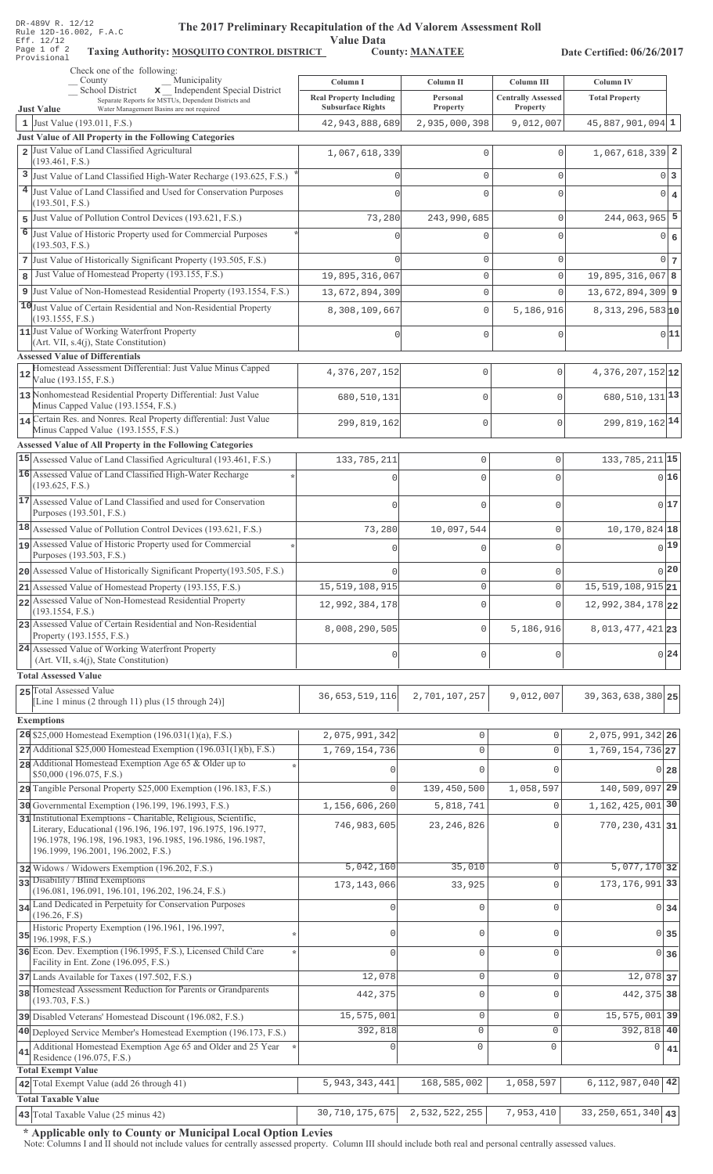| DR-489V R. 12/12<br>The 2017 Preliminary Recapitulation of the Ad Valorem Assessment Roll<br>Rule 12D-16.002, F.A.C<br>Eff. 12/12<br>Page 1 of 2<br>Taxing Authority: MOSQUITO CONTROL DISTRICT<br>Provisional | <b>Value Data</b>                          | <b>County: MANATEE</b>     |                                       | Date Certified: 06/26/2017                |                   |
|----------------------------------------------------------------------------------------------------------------------------------------------------------------------------------------------------------------|--------------------------------------------|----------------------------|---------------------------------------|-------------------------------------------|-------------------|
| Check one of the following:                                                                                                                                                                                    |                                            |                            |                                       |                                           |                   |
| Municipality<br>County<br>School District<br>x _ Independent Special District                                                                                                                                  | Column I<br><b>Real Property Including</b> | Column II<br>Personal      | <b>Column III</b>                     | <b>Column IV</b><br><b>Total Property</b> |                   |
| Separate Reports for MSTUs, Dependent Districts and<br>Water Management Basins are not required<br><b>Just Value</b>                                                                                           | <b>Subsurface Rights</b>                   | <b>Property</b>            | <b>Centrally Assessed</b><br>Property |                                           |                   |
| 1 Just Value $(193.011, F.S.)$                                                                                                                                                                                 | 42, 943, 888, 689                          | 2,935,000,398              | 9,012,007                             | $45,887,901,094$ 1                        |                   |
| Just Value of All Property in the Following Categories<br>2 Just Value of Land Classified Agricultural                                                                                                         |                                            |                            |                                       |                                           |                   |
| (193.461, F.S.)                                                                                                                                                                                                | 1,067,618,339                              | $\mathbf 0$                |                                       | $1,067,618,339$ 2                         |                   |
| 3 Just Value of Land Classified High-Water Recharge (193.625, F.S.)                                                                                                                                            | C                                          | $\mathbf 0$                | 0                                     |                                           | 0 <sup>3</sup>    |
| 4 Just Value of Land Classified and Used for Conservation Purposes                                                                                                                                             |                                            | $\mathbf 0$                | $\Omega$                              | $\overline{0}$                            | $\overline{4}$    |
| (193.501, F.S.)<br>Just Value of Pollution Control Devices (193.621, F.S.)<br>5.                                                                                                                               | 73,280                                     | 243,990,685                | 0                                     | $244,063,965$ 5                           |                   |
| 6<br>Just Value of Historic Property used for Commercial Purposes                                                                                                                                              |                                            | $\Omega$                   | $\Omega$                              |                                           | 0 6               |
| (193.503, F.S.)                                                                                                                                                                                                |                                            |                            |                                       |                                           |                   |
| Just Value of Historically Significant Property (193.505, F.S.)                                                                                                                                                |                                            | $\mathbf 0$                | $\mathbf 0$                           |                                           | 0 <sub>7</sub>    |
| Just Value of Homestead Property (193.155, F.S.)                                                                                                                                                               | 19,895,316,067                             | $\mathbf 0$                | $\mathbf 0$                           | 19,895,316,067 8                          |                   |
| 9 Just Value of Non-Homestead Residential Property (193.1554, F.S.)                                                                                                                                            | 13,672,894,309                             | $\mathbf 0$                | $\mathbf{0}$                          | 13,672,894,309 9                          |                   |
| 10 Just Value of Certain Residential and Non-Residential Property<br>(193.1555, F.S.)                                                                                                                          | 8,308,109,667                              | $\mathbf 0$                | 5,186,916                             | $8,313,296,583$ <sup>10</sup>             |                   |
| 11 Just Value of Working Waterfront Property                                                                                                                                                                   |                                            | $\mathbf 0$                | 0                                     |                                           | 0 11              |
| (Art. VII, s.4(j), State Constitution)                                                                                                                                                                         |                                            |                            |                                       |                                           |                   |
| <b>Assessed Value of Differentials</b><br>Homestead Assessment Differential: Just Value Minus Capped                                                                                                           |                                            |                            |                                       |                                           |                   |
| 12<br>Value (193.155, F.S.)                                                                                                                                                                                    | 4, 376, 207, 152                           | 0                          | $\Omega$                              | 4, 376, 207, 152 12                       |                   |
| 13 Nonhomestead Residential Property Differential: Just Value                                                                                                                                                  | 680,510,131                                | 0                          | $\Omega$                              | 680, 510, 131 13                          |                   |
| Minus Capped Value (193.1554, F.S.)<br>14 Certain Res. and Nonres. Real Property differential: Just Value                                                                                                      |                                            |                            |                                       |                                           |                   |
| Minus Capped Value (193.1555, F.S.)                                                                                                                                                                            | 299,819,162                                | $\mathbf 0$                | $\Omega$                              | 299, 819, 162 14                          |                   |
| <b>Assessed Value of All Property in the Following Categories</b>                                                                                                                                              |                                            |                            |                                       |                                           |                   |
| 15 Assessed Value of Land Classified Agricultural (193.461, F.S.)                                                                                                                                              | 133, 785, 211                              | 0                          | $\mathbf 0$                           | 133, 785, 211 15                          |                   |
| 16 Assessed Value of Land Classified High-Water Recharge<br>(193.625, F.S.)                                                                                                                                    | $\Omega$                                   | $\mathbf 0$                | $\Omega$                              |                                           | 0 16              |
| 17 Assessed Value of Land Classified and used for Conservation                                                                                                                                                 | $\Omega$                                   | 0                          | $\mathbf{0}$                          |                                           | 017               |
| Purposes (193.501, F.S.)                                                                                                                                                                                       |                                            |                            |                                       |                                           |                   |
| 18 Assessed Value of Pollution Control Devices (193.621, F.S.)                                                                                                                                                 | 73,280                                     | 10,097,544                 | $\mathbf 0$                           | $10, 170, 824$ 18                         |                   |
| assessed Value of Historic Property used for Commercial<br>Purposes (193.503, F.S.)                                                                                                                            |                                            | 0                          | $\Omega$                              |                                           | $0$ <sup>19</sup> |
| 20 Assessed Value of Historically Significant Property (193.505, F.S.)                                                                                                                                         |                                            | 0                          | $\mathbf{0}$                          |                                           | 0 20              |
| 21 Assessed Value of Homestead Property (193.155, F.S.)                                                                                                                                                        | 15, 519, 108, 915                          | 0                          | $\mathbf 0$                           | $15,519,108,915$ <sub>21</sub>            |                   |
| 22 Assessed Value of Non-Homestead Residential Property                                                                                                                                                        | 12,992,384,178                             | $\mathsf 0$                | $\mathbf 0$                           | 12,992,384,178 22                         |                   |
| (193.1554, F.S.)<br>23 Assessed Value of Certain Residential and Non-Residential                                                                                                                               |                                            |                            |                                       |                                           |                   |
| Property (193.1555, F.S.)                                                                                                                                                                                      | 8,008,290,505                              | 0                          | 5,186,916                             | 8, 013, 477, 421 23                       |                   |
| 24 Assessed Value of Working Waterfront Property                                                                                                                                                               | $\mathbf 0$                                | 0                          | $\mathbf{0}$                          |                                           | 0.24              |
| (Art. VII, s.4(j), State Constitution)<br><b>Total Assessed Value</b>                                                                                                                                          |                                            |                            |                                       |                                           |                   |
| 25 Total Assessed Value                                                                                                                                                                                        |                                            |                            |                                       |                                           |                   |
| [Line 1 minus (2 through 11) plus (15 through 24)]                                                                                                                                                             | 36, 653, 519, 116                          | 2,701,107,257              | 9,012,007                             | 39, 363, 638, 380 25                      |                   |
| <b>Exemptions</b>                                                                                                                                                                                              |                                            |                            |                                       |                                           |                   |
| 26 \$25,000 Homestead Exemption $(196.031(1)(a), F.S.)$                                                                                                                                                        | 2,075,991,342                              | 0                          | $\circ$                               | 2,075,991,342 26                          |                   |
| 27 Additional \$25,000 Homestead Exemption (196.031(1)(b), F.S.)                                                                                                                                               | 1,769,154,736                              | $\mathbf{0}$               | $\circ$                               | 1,769,154,736 27                          |                   |
| 28 Additional Homestead Exemption Age 65 & Older up to<br>\$50,000 (196.075, F.S.)                                                                                                                             | $\Omega$                                   | $\mathbf{0}$               | $\mathbf{0}$                          |                                           | $0\,28$           |
| 29 Tangible Personal Property \$25,000 Exemption (196.183, F.S.)                                                                                                                                               | $\Omega$                                   | 139,450,500                | 1,058,597                             | 140,509,097 29                            |                   |
| 30 Governmental Exemption (196.199, 196.1993, F.S.)                                                                                                                                                            | 1,156,606,260                              | 5,818,741                  | 0                                     | 1, 162, 425, 001 30                       |                   |
| 31 Institutional Exemptions - Charitable, Religious, Scientific,                                                                                                                                               | 746,983,605                                | 23, 246, 826               | $\mathbf{0}$                          | 770, 230, 431 31                          |                   |
| Literary, Educational (196.196, 196.197, 196.1975, 196.1977,<br>196.1978, 196.198, 196.1983, 196.1985, 196.1986, 196.1987,                                                                                     |                                            |                            |                                       |                                           |                   |
| 196.1999, 196.2001, 196.2002, F.S.)                                                                                                                                                                            |                                            |                            |                                       |                                           |                   |
| 32 Widows / Widowers Exemption (196.202, F.S.)                                                                                                                                                                 | 5,042,160                                  | 35,010                     | $\circ$                               | 5,077,170 32                              |                   |
| 33 Disability / Blind Exemptions<br>(196.081, 196.091, 196.101, 196.202, 196.24, F.S.)                                                                                                                         | 173, 143, 066                              | 33,925                     | $\mathbf 0$                           | 173, 176, 991 33                          |                   |
| 34 Land Dedicated in Perpetuity for Conservation Purposes                                                                                                                                                      | $\cap$                                     | $\mathbf 0$                | $\mathbf 0$                           |                                           | 0 34              |
| (196.26, F.S)<br>Historic Property Exemption (196.1961, 196.1997,                                                                                                                                              |                                            |                            |                                       |                                           |                   |
| $35$ 196.1998, F.S.)                                                                                                                                                                                           | $\Omega$                                   | $\mathbf 0$                | $\mathbf{0}$                          | $\Omega$                                  | 35                |
| 36 Econ. Dev. Exemption (196.1995, F.S.), Licensed Child Care<br>Facility in Ent. Zone (196.095, F.S.)                                                                                                         | $\cap$                                     | $\mathbf 0$                | $\mathbf{0}$                          | $\Omega$                                  | 36                |
| 37 Lands Available for Taxes (197.502, F.S.)                                                                                                                                                                   | 12,078                                     | $\mathbb O$                | $\mathsf{O}\xspace$                   | 12,078 37                                 |                   |
| 38 Homestead Assessment Reduction for Parents or Grandparents                                                                                                                                                  | 442,375                                    | $\mathbf 0$                | $\mathbf 0$                           | 442, 375 38                               |                   |
| (193.703, F.S.)                                                                                                                                                                                                |                                            |                            |                                       |                                           |                   |
| 39 Disabled Veterans' Homestead Discount (196.082, F.S.)                                                                                                                                                       | 15,575,001<br>392,818                      | $\mathbb O$<br>$\mathbf 0$ | $\circ$<br>$\mathsf{O}\xspace$        | 15,575,001 39<br>392,818 40               |                   |
| 40 Deployed Service Member's Homestead Exemption (196.173, F.S.)<br>Additional Homestead Exemption Age 65 and Older and 25 Year                                                                                |                                            | $\circ$                    | $\mathbf 0$                           | 0                                         |                   |
| 41<br>Residence (196.075, F.S.)                                                                                                                                                                                |                                            |                            |                                       |                                           | 41                |
| <b>Total Exempt Value</b>                                                                                                                                                                                      |                                            |                            |                                       |                                           |                   |
| 42 Total Exempt Value (add 26 through 41)                                                                                                                                                                      | 5, 943, 343, 441                           | 168,585,002                | 1,058,597                             | 6,112,987,040                             | 42                |
| <b>Total Taxable Value</b><br>43 Total Taxable Value (25 minus 42)                                                                                                                                             | 30, 710, 175, 675                          | 2,532,522,255              | 7,953,410                             | 33, 250, 651, 340   43                    |                   |
|                                                                                                                                                                                                                |                                            |                            |                                       |                                           |                   |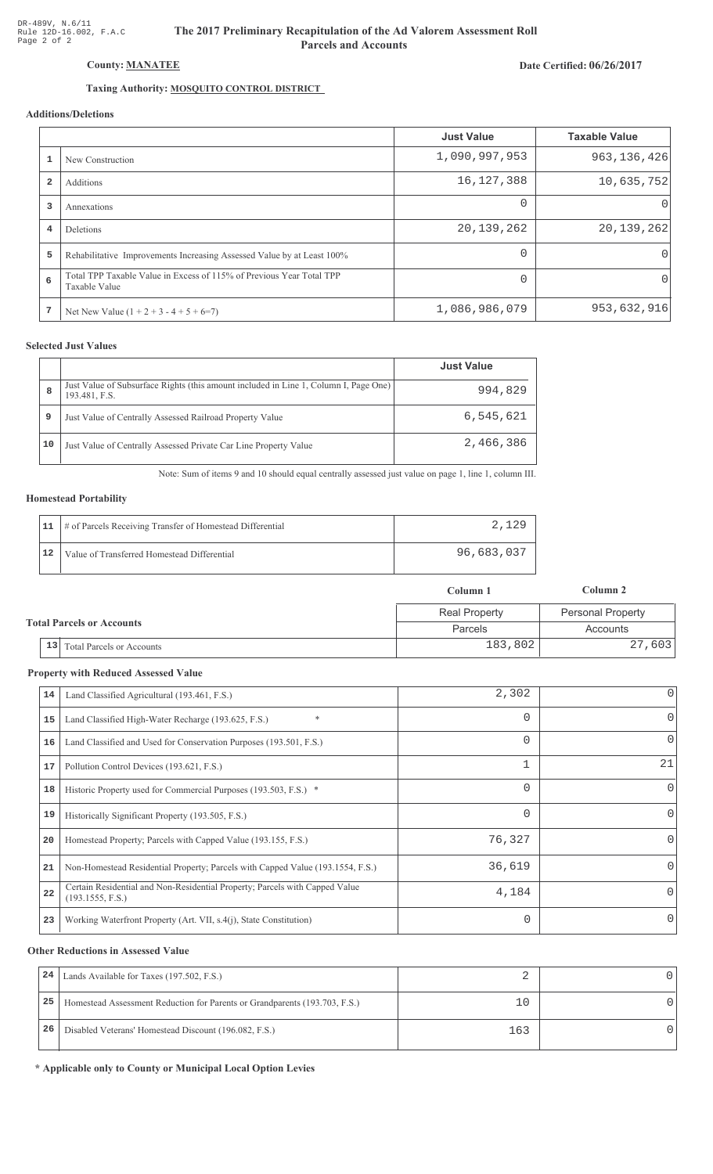# The 2017 Preliminary Recapitulation of the Ad Valorem Assessment Roll **Parcels and Accounts**

## Date Certified: 06/26/2017

# Taxing Authority: **MOSQUITO CONTROL DISTRICT**

## Additions/Deletions

|                         |                                                                                       | <b>Just Value</b> | <b>Taxable Value</b> |
|-------------------------|---------------------------------------------------------------------------------------|-------------------|----------------------|
|                         | New Construction                                                                      | 1,090,997,953     | 963, 136, 426        |
| $\overline{\mathbf{2}}$ | Additions                                                                             | 16, 127, 388      | 10,635,752           |
| 3                       | Annexations                                                                           | $\Omega$          | $\left( \right)$     |
| 4                       | Deletions                                                                             | 20,139,262        | 20, 139, 262         |
| 5                       | Rehabilitative Improvements Increasing Assessed Value by at Least 100%                | $\Omega$          | $\Omega$             |
| 6                       | Total TPP Taxable Value in Excess of 115% of Previous Year Total TPP<br>Taxable Value | $\Omega$          | $\Omega$             |
| 7                       | Net New Value $(1 + 2 + 3 - 4 + 5 + 6=7)$                                             | 1,086,986,079     | 953,632,916          |

## **Selected Just Values**

|    |                                                                                                       | <b>Just Value</b> |
|----|-------------------------------------------------------------------------------------------------------|-------------------|
| 8  | Just Value of Subsurface Rights (this amount included in Line 1, Column I, Page One)<br>193.481, F.S. | 994,829           |
| 9  | Just Value of Centrally Assessed Railroad Property Value                                              | 6,545,621         |
| 10 | Just Value of Centrally Assessed Private Car Line Property Value                                      | 2,466,386         |

Note: Sum of items 9 and 10 should equal centrally assessed just value on page 1, line 1, column III.

#### **Homestead Portability**

| 11 | # of Parcels Receiving Transfer of Homestead Differential | 2.129      |
|----|-----------------------------------------------------------|------------|
| 12 | Value of Transferred Homestead Differential               | 96,683,037 |

|                                  |                              | Column 1             | Column 2          |
|----------------------------------|------------------------------|----------------------|-------------------|
| <b>Total Parcels or Accounts</b> |                              | <b>Real Property</b> | Personal Property |
|                                  |                              | Parcels              | Accounts          |
|                                  | 13 Total Parcels or Accounts | 183,802              | 27,603            |

#### **Property with Reduced Assessed Value**

| 14 | Land Classified Agricultural (193.461, F.S.)                                                    | 2,302    | 0            |
|----|-------------------------------------------------------------------------------------------------|----------|--------------|
| 15 | *<br>Land Classified High-Water Recharge (193.625, F.S.)                                        |          | 0            |
| 16 | Land Classified and Used for Conservation Purposes (193.501, F.S.)                              | 0        | 0            |
| 17 | Pollution Control Devices (193.621, F.S.)                                                       |          | 21           |
| 18 | Historic Property used for Commercial Purposes (193.503, F.S.) *                                | 0        | $\mathbf{0}$ |
| 19 | Historically Significant Property (193.505, F.S.)                                               | $\Omega$ | $\Omega$     |
| 20 | Homestead Property; Parcels with Capped Value (193.155, F.S.)                                   | 76,327   | 0            |
| 21 | Non-Homestead Residential Property; Parcels with Capped Value (193.1554, F.S.)                  | 36,619   | 0            |
| 22 | Certain Residential and Non-Residential Property; Parcels with Capped Value<br>(193.1555, F.S.) | 4,184    | 0            |
| 23 | Working Waterfront Property (Art. VII, s.4(j), State Constitution)                              | 0        | $\Omega$     |

#### **Other Reductions in Assessed Value**

| 24 | Lands Available for Taxes (197.502, F.S.)                                  |     |  |
|----|----------------------------------------------------------------------------|-----|--|
| 25 | Homestead Assessment Reduction for Parents or Grandparents (193.703, F.S.) |     |  |
| 26 | Disabled Veterans' Homestead Discount (196.082, F.S.)                      | 163 |  |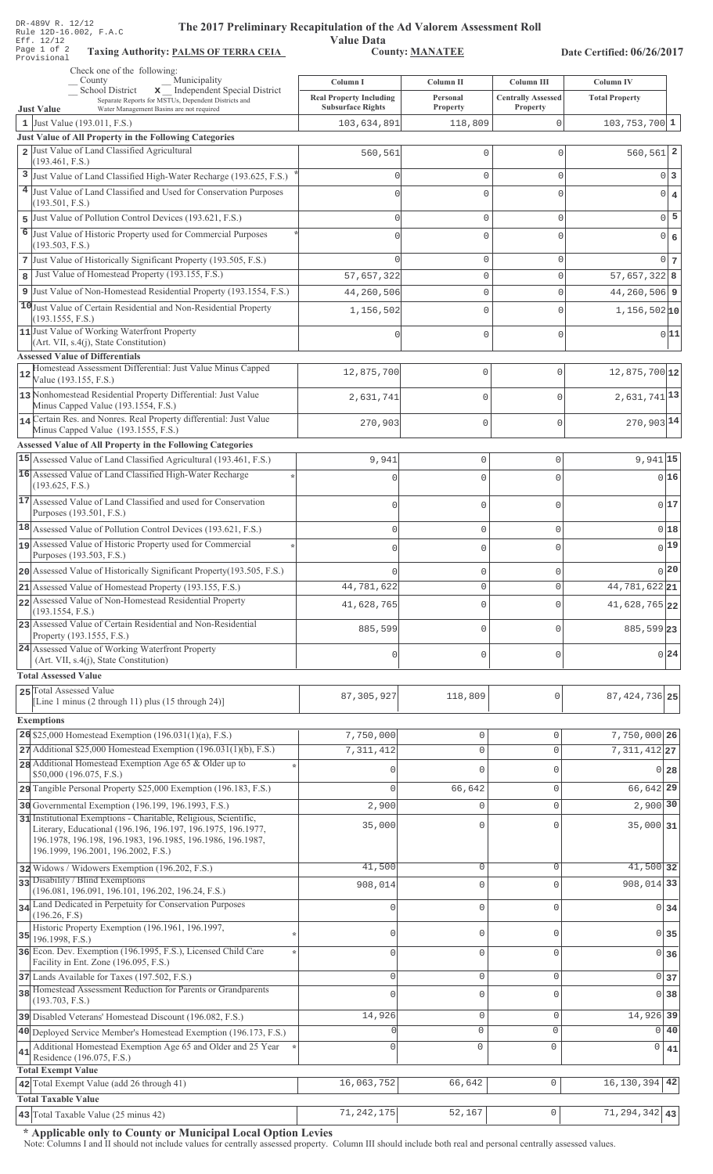| Page 1 of 2<br><b>Taxing Authority: PALMS OF TERRA CEIA</b><br><b>County: MANATEE</b><br>Provisional<br>Check one of the following:<br>Municipality<br>County<br>Column IV<br>Column I<br>Column II<br>Column III<br>x _ Independent Special District<br>School District<br><b>Real Property Including</b><br><b>Centrally Assessed</b><br><b>Total Property</b><br>Personal<br>Separate Reports for MSTUs, Dependent Districts and<br><b>Subsurface Rights</b><br>Property<br><b>Property</b><br>Water Management Basins are not required<br><b>Just Value</b><br>1 Just Value $(193.011, F.S.)$<br>$\mathbf 0$<br>103,634,891<br>118,809<br>$103, 753, 700$ 1<br>Just Value of All Property in the Following Categories<br>Just Value of Land Classified Agricultural<br>$\overline{a}$<br>$560, 561$ 2<br>560,561<br>$\mathbb O$<br>$\mathbf 0$<br>(193.461, F.S.)<br>Just Value of Land Classified High-Water Recharge (193.625, F.S.)<br>3<br>$\mathbb O$<br>$\circ$<br>$\mathbf{0}$<br>3<br>$\cap$<br>Just Value of Land Classified and Used for Conservation Purposes<br>$\mathbf 0$<br>$\circ$<br>$\Omega$<br>$\overline{4}$<br>(193.501, F.S.)<br>5<br>Just Value of Pollution Control Devices (193.621, F.S.)<br>$\circ$<br>$\mathbf 0$<br>$\mathbf{0}$<br>$\cap$<br>5<br>6<br>Just Value of Historic Property used for Commercial Purposes<br>$\mathbf 0$<br>0 6<br>$\mathbf{0}$<br>$\cap$<br>(193.503, F.S.)<br>7 Just Value of Historically Significant Property (193.505, F.S.)<br>$\mathbb O$<br>$\mathbf{0}$<br>$\overline{0}$<br>7<br>Just Value of Homestead Property (193.155, F.S.)<br>$57,657,322$ 8<br>57,657,322<br>$\mathbf 0$<br>8<br>$\mathbf 0$<br>Just Value of Non-Homestead Residential Property (193.1554, F.S.)<br>44, 260, 506 9<br>9<br>44,260,506<br>$\mathbf 0$<br>$\mathbf{0}$<br>10 Just Value of Certain Residential and Non-Residential Property<br>$\mathbf 0$<br>$\mathbf{0}$<br>$1,156,502 $ 10<br>1,156,502<br>(193.1555, F.S.)<br>11 Just Value of Working Waterfront Property<br>0 11<br>$\mathbb O$<br>$\mathbf 0$<br>0<br>(Art. VII, s.4(j), State Constitution)<br><b>Assessed Value of Differentials</b><br>Homestead Assessment Differential: Just Value Minus Capped<br>12,875,700<br>$\mathbb O$<br>$\Omega$<br>12,875,700 12<br>12<br>Value (193.155, F.S.)<br>13 Nonhomestead Residential Property Differential: Just Value<br>$2,631,741$ <sup>13</sup><br>$\mathbf 0$<br>2,631,741<br>$\mathbb O$<br>Minus Capped Value (193.1554, F.S.)<br>14 Certain Res. and Nonres. Real Property differential: Just Value<br>$270,903$ <sup>14</sup><br>270,903<br>$\mathbf{0}$<br>$\mathbf{0}$<br>Minus Capped Value (193.1555, F.S.)<br><b>Assessed Value of All Property in the Following Categories</b><br>15 Assessed Value of Land Classified Agricultural (193.461, F.S.)<br>$9,941$ 15<br>9,941<br>$\circ$<br>$\circ$<br>16 Assessed Value of Land Classified High-Water Recharge<br>016<br>$\circ$<br>$\mathbf{0}$<br>$\Omega$<br>(193.625, F.S.)<br>17 Assessed Value of Land Classified and used for Conservation<br>017<br>$\mathbf 0$<br>$\circ$<br>$\mathbf 0$<br>Purposes (193.501, F.S.)<br>18 Assessed Value of Pollution Control Devices (193.621, F.S.)<br>018<br>$\mathbf 0$<br>$\circ$<br>$\circ$<br>19 Assessed Value of Historic Property used for Commercial<br>$0$ 19<br>$\mathbf{0}$<br>$\mathbf 0$<br>$\Omega$<br>Purposes (193.503, F.S.)<br>0 20<br>20 Assessed Value of Historically Significant Property (193.505, F.S.)<br>$\circ$<br>$\mathbb O$<br>$\Omega$<br>$\mathbb O$<br>$\circ$<br>44,781,622<br>44,781,622 21<br>21 Assessed Value of Homestead Property (193.155, F.S.)<br>22 Assessed Value of Non-Homestead Residential Property<br>$\circ$<br>41,628,765<br>$\circ$<br>41,628,765 22<br>(193.1554, F.S.)<br>23 Assessed Value of Certain Residential and Non-Residential<br>$\mathbf 0$<br>885,599<br>$\mathbf 0$<br>885,599 23<br>Property (193.1555, F.S.)<br>24 Assessed Value of Working Waterfront Property<br>0 24<br>$\circ$<br>$\circ$<br>0<br>(Art. VII, s.4(j), State Constitution)<br><b>Total Assessed Value</b><br>25 Total Assessed Value<br>0<br>87, 305, 927<br>118,809<br>87, 424, 736 25<br>[Line 1 minus (2 through 11) plus (15 through 24)]<br><b>Exemptions</b><br>26 \$25,000 Homestead Exemption $(196.031(1)(a), F.S.)$<br>7,750,000<br>$\mathbb O$<br>$\circ$<br>7,750,000 26<br>27 Additional \$25,000 Homestead Exemption (196.031(1)(b), F.S.)<br>7,311,412<br>$\mathbf 0$<br>$\mathbf 0$<br>$7,311,412$ 27<br>28 Additional Homestead Exemption Age 65 & Older up to<br>0<br>$\Omega$<br>$\Omega$<br>28<br>\$50,000 (196.075, F.S.)<br>29 Tangible Personal Property \$25,000 Exemption (196.183, F.S.)<br>66,642<br>66,642 29<br>$\mathbf 0$<br>$\mathbf{0}$<br>30 Governmental Exemption (196.199, 196.1993, F.S.)<br>$2,900$ 30<br>2,900<br>$\mathbf 0$<br>$\mathbf{0}$<br>31 Institutional Exemptions - Charitable, Religious, Scientific,<br>35,000<br>$35,000$ 31<br>0<br>$\Omega$<br>Literary, Educational (196.196, 196.197, 196.1975, 196.1977,<br>196.1978, 196.198, 196.1983, 196.1985, 196.1986, 196.1987,<br>196.1999, 196.2001, 196.2002, F.S.)<br>41,500<br>$\mathbb O$<br>$\mathbf 0$<br>41,500 32<br>32 Widows / Widowers Exemption (196.202, F.S.)<br>33 Disability / Blind Exemptions<br>908,014 33<br>$\mathbf 0$<br>$\Omega$<br>908,014<br>(196.081, 196.091, 196.101, 196.202, 196.24, F.S.)<br>34 Land Dedicated in Perpetuity for Conservation Purposes<br>$\mathbf 0$<br>$\mathbf 0$<br>$\circ$<br>34<br>(196.26, F.S)<br>Historic Property Exemption (196.1961, 196.1997,<br>0<br>$\mathbf 0$<br>$\circ$<br>35<br>$35$ 196.1998, F.S.)<br>36 Econ. Dev. Exemption (196.1995, F.S.), Licensed Child Care<br>$\mathbf 0$<br>$\mathbf{0}$<br>$\Omega$<br>$\cap$<br>36<br>Facility in Ent. Zone (196.095, F.S.)<br>$\mathsf 0$<br>$\mathbf 0$<br>$\mathbf 0$<br>$\circ$<br>37 Lands Available for Taxes (197.502, F.S.)<br>37<br>38 Homestead Assessment Reduction for Parents or Grandparents<br>$\mathbf 0$<br>38<br>$\mathbf{0}$<br>$\Omega$<br>(193.703, F.S.)<br>14,926<br>14,926<br>$\mathbf 0$<br>$\mathbf{0}$<br>39<br>39 Disabled Veterans' Homestead Discount (196.082, F.S.)<br>$\mathsf{O}\xspace$<br>$\mathbf 0$<br>$\Omega$<br>40<br>40 Deployed Service Member's Homestead Exemption (196.173, F.S.)<br>Additional Homestead Exemption Age 65 and Older and 25 Year<br>$\circ$<br>$\mathbf 0$<br>$\cap$<br>0<br>41<br>41<br>Residence (196.075, F.S.)<br><b>Total Exempt Value</b><br>42 Total Exempt Value (add 26 through 41)<br>16,063,752<br>66,642<br>$\circ$<br>16, 130, 394<br>42 | DR-489V R. 12/12<br>The 2017 Preliminary Recapitulation of the Ad Valorem Assessment Roll<br>Rule 12D-16.002, F.A.C<br>Eff. 12/12 | <b>Value Data</b> |  |  |  |
|--------------------------------------------------------------------------------------------------------------------------------------------------------------------------------------------------------------------------------------------------------------------------------------------------------------------------------------------------------------------------------------------------------------------------------------------------------------------------------------------------------------------------------------------------------------------------------------------------------------------------------------------------------------------------------------------------------------------------------------------------------------------------------------------------------------------------------------------------------------------------------------------------------------------------------------------------------------------------------------------------------------------------------------------------------------------------------------------------------------------------------------------------------------------------------------------------------------------------------------------------------------------------------------------------------------------------------------------------------------------------------------------------------------------------------------------------------------------------------------------------------------------------------------------------------------------------------------------------------------------------------------------------------------------------------------------------------------------------------------------------------------------------------------------------------------------------------------------------------------------------------------------------------------------------------------------------------------------------------------------------------------------------------------------------------------------------------------------------------------------------------------------------------------------------------------------------------------------------------------------------------------------------------------------------------------------------------------------------------------------------------------------------------------------------------------------------------------------------------------------------------------------------------------------------------------------------------------------------------------------------------------------------------------------------------------------------------------------------------------------------------------------------------------------------------------------------------------------------------------------------------------------------------------------------------------------------------------------------------------------------------------------------------------------------------------------------------------------------------------------------------------------------------------------------------------------------------------------------------------------------------------------------------------------------------------------------------------------------------------------------------------------------------------------------------------------------------------------------------------------------------------------------------------------------------------------------------------------------------------------------------------------------------------------------------------------------------------------------------------------------------------------------------------------------------------------------------------------------------------------------------------------------------------------------------------------------------------------------------------------------------------------------------------------------------------------------------------------------------------------------------------------------------------------------------------------------------------------------------------------------------------------------------------------------------------------------------------------------------------------------------------------------------------------------------------------------------------------------------------------------------------------------------------------------------------------------------------------------------------------------------------------------------------------------------------------------------------------------------------------------------------------------------------------------------------------------------------------------------------------------------------------------------------------------------------------------------------------------------------------------------------------------------------------------------------------------------------------------------------------------------------------------------------------------------------------------------------------------------------------------------------------------------------------------------------------------------------------------------------------------------------------------------------------------------------------------------------------------------------------------------------------------------------------------------------------------------------------------------------------------------------------------------------------------------------------------------------------------------------------------------------------------------------------------------------------------------------------------------------------------------------------------------------------------------------------------------------------------------------------------------------------------------------------------------------------------------------------------------------------------------------------------------------------------------------------------------------------------------------------------------------------------------------------------------------------------------------------------------------------------------------------------------------------------------------------------------------------------------------------------------------------------------------------------------------------------------------------------------------------------------------------------------|-----------------------------------------------------------------------------------------------------------------------------------|-------------------|--|--|--|
|                                                                                                                                                                                                                                                                                                                                                                                                                                                                                                                                                                                                                                                                                                                                                                                                                                                                                                                                                                                                                                                                                                                                                                                                                                                                                                                                                                                                                                                                                                                                                                                                                                                                                                                                                                                                                                                                                                                                                                                                                                                                                                                                                                                                                                                                                                                                                                                                                                                                                                                                                                                                                                                                                                                                                                                                                                                                                                                                                                                                                                                                                                                                                                                                                                                                                                                                                                                                                                                                                                                                                                                                                                                                                                                                                                                                                                                                                                                                                                                                                                                                                                                                                                                                                                                                                                                                                                                                                                                                                                                                                                                                                                                                                                                                                                                                                                                                                                                                                                                                                                                                                                                                                                                                                                                                                                                                                                                                                                                                                                                                                                                                                                                                                                                                                                                                                                                                                                                                                                                                                                                                                                                                                                                                                                                                                                                                                                                                                                                                                                                                                                                                                                                        | Date Certified: 06/26/2017                                                                                                        |                   |  |  |  |
|                                                                                                                                                                                                                                                                                                                                                                                                                                                                                                                                                                                                                                                                                                                                                                                                                                                                                                                                                                                                                                                                                                                                                                                                                                                                                                                                                                                                                                                                                                                                                                                                                                                                                                                                                                                                                                                                                                                                                                                                                                                                                                                                                                                                                                                                                                                                                                                                                                                                                                                                                                                                                                                                                                                                                                                                                                                                                                                                                                                                                                                                                                                                                                                                                                                                                                                                                                                                                                                                                                                                                                                                                                                                                                                                                                                                                                                                                                                                                                                                                                                                                                                                                                                                                                                                                                                                                                                                                                                                                                                                                                                                                                                                                                                                                                                                                                                                                                                                                                                                                                                                                                                                                                                                                                                                                                                                                                                                                                                                                                                                                                                                                                                                                                                                                                                                                                                                                                                                                                                                                                                                                                                                                                                                                                                                                                                                                                                                                                                                                                                                                                                                                                                        |                                                                                                                                   |                   |  |  |  |
|                                                                                                                                                                                                                                                                                                                                                                                                                                                                                                                                                                                                                                                                                                                                                                                                                                                                                                                                                                                                                                                                                                                                                                                                                                                                                                                                                                                                                                                                                                                                                                                                                                                                                                                                                                                                                                                                                                                                                                                                                                                                                                                                                                                                                                                                                                                                                                                                                                                                                                                                                                                                                                                                                                                                                                                                                                                                                                                                                                                                                                                                                                                                                                                                                                                                                                                                                                                                                                                                                                                                                                                                                                                                                                                                                                                                                                                                                                                                                                                                                                                                                                                                                                                                                                                                                                                                                                                                                                                                                                                                                                                                                                                                                                                                                                                                                                                                                                                                                                                                                                                                                                                                                                                                                                                                                                                                                                                                                                                                                                                                                                                                                                                                                                                                                                                                                                                                                                                                                                                                                                                                                                                                                                                                                                                                                                                                                                                                                                                                                                                                                                                                                                                        |                                                                                                                                   |                   |  |  |  |
|                                                                                                                                                                                                                                                                                                                                                                                                                                                                                                                                                                                                                                                                                                                                                                                                                                                                                                                                                                                                                                                                                                                                                                                                                                                                                                                                                                                                                                                                                                                                                                                                                                                                                                                                                                                                                                                                                                                                                                                                                                                                                                                                                                                                                                                                                                                                                                                                                                                                                                                                                                                                                                                                                                                                                                                                                                                                                                                                                                                                                                                                                                                                                                                                                                                                                                                                                                                                                                                                                                                                                                                                                                                                                                                                                                                                                                                                                                                                                                                                                                                                                                                                                                                                                                                                                                                                                                                                                                                                                                                                                                                                                                                                                                                                                                                                                                                                                                                                                                                                                                                                                                                                                                                                                                                                                                                                                                                                                                                                                                                                                                                                                                                                                                                                                                                                                                                                                                                                                                                                                                                                                                                                                                                                                                                                                                                                                                                                                                                                                                                                                                                                                                                        |                                                                                                                                   |                   |  |  |  |
|                                                                                                                                                                                                                                                                                                                                                                                                                                                                                                                                                                                                                                                                                                                                                                                                                                                                                                                                                                                                                                                                                                                                                                                                                                                                                                                                                                                                                                                                                                                                                                                                                                                                                                                                                                                                                                                                                                                                                                                                                                                                                                                                                                                                                                                                                                                                                                                                                                                                                                                                                                                                                                                                                                                                                                                                                                                                                                                                                                                                                                                                                                                                                                                                                                                                                                                                                                                                                                                                                                                                                                                                                                                                                                                                                                                                                                                                                                                                                                                                                                                                                                                                                                                                                                                                                                                                                                                                                                                                                                                                                                                                                                                                                                                                                                                                                                                                                                                                                                                                                                                                                                                                                                                                                                                                                                                                                                                                                                                                                                                                                                                                                                                                                                                                                                                                                                                                                                                                                                                                                                                                                                                                                                                                                                                                                                                                                                                                                                                                                                                                                                                                                                                        |                                                                                                                                   |                   |  |  |  |
|                                                                                                                                                                                                                                                                                                                                                                                                                                                                                                                                                                                                                                                                                                                                                                                                                                                                                                                                                                                                                                                                                                                                                                                                                                                                                                                                                                                                                                                                                                                                                                                                                                                                                                                                                                                                                                                                                                                                                                                                                                                                                                                                                                                                                                                                                                                                                                                                                                                                                                                                                                                                                                                                                                                                                                                                                                                                                                                                                                                                                                                                                                                                                                                                                                                                                                                                                                                                                                                                                                                                                                                                                                                                                                                                                                                                                                                                                                                                                                                                                                                                                                                                                                                                                                                                                                                                                                                                                                                                                                                                                                                                                                                                                                                                                                                                                                                                                                                                                                                                                                                                                                                                                                                                                                                                                                                                                                                                                                                                                                                                                                                                                                                                                                                                                                                                                                                                                                                                                                                                                                                                                                                                                                                                                                                                                                                                                                                                                                                                                                                                                                                                                                                        |                                                                                                                                   |                   |  |  |  |
|                                                                                                                                                                                                                                                                                                                                                                                                                                                                                                                                                                                                                                                                                                                                                                                                                                                                                                                                                                                                                                                                                                                                                                                                                                                                                                                                                                                                                                                                                                                                                                                                                                                                                                                                                                                                                                                                                                                                                                                                                                                                                                                                                                                                                                                                                                                                                                                                                                                                                                                                                                                                                                                                                                                                                                                                                                                                                                                                                                                                                                                                                                                                                                                                                                                                                                                                                                                                                                                                                                                                                                                                                                                                                                                                                                                                                                                                                                                                                                                                                                                                                                                                                                                                                                                                                                                                                                                                                                                                                                                                                                                                                                                                                                                                                                                                                                                                                                                                                                                                                                                                                                                                                                                                                                                                                                                                                                                                                                                                                                                                                                                                                                                                                                                                                                                                                                                                                                                                                                                                                                                                                                                                                                                                                                                                                                                                                                                                                                                                                                                                                                                                                                                        |                                                                                                                                   |                   |  |  |  |
|                                                                                                                                                                                                                                                                                                                                                                                                                                                                                                                                                                                                                                                                                                                                                                                                                                                                                                                                                                                                                                                                                                                                                                                                                                                                                                                                                                                                                                                                                                                                                                                                                                                                                                                                                                                                                                                                                                                                                                                                                                                                                                                                                                                                                                                                                                                                                                                                                                                                                                                                                                                                                                                                                                                                                                                                                                                                                                                                                                                                                                                                                                                                                                                                                                                                                                                                                                                                                                                                                                                                                                                                                                                                                                                                                                                                                                                                                                                                                                                                                                                                                                                                                                                                                                                                                                                                                                                                                                                                                                                                                                                                                                                                                                                                                                                                                                                                                                                                                                                                                                                                                                                                                                                                                                                                                                                                                                                                                                                                                                                                                                                                                                                                                                                                                                                                                                                                                                                                                                                                                                                                                                                                                                                                                                                                                                                                                                                                                                                                                                                                                                                                                                                        |                                                                                                                                   |                   |  |  |  |
|                                                                                                                                                                                                                                                                                                                                                                                                                                                                                                                                                                                                                                                                                                                                                                                                                                                                                                                                                                                                                                                                                                                                                                                                                                                                                                                                                                                                                                                                                                                                                                                                                                                                                                                                                                                                                                                                                                                                                                                                                                                                                                                                                                                                                                                                                                                                                                                                                                                                                                                                                                                                                                                                                                                                                                                                                                                                                                                                                                                                                                                                                                                                                                                                                                                                                                                                                                                                                                                                                                                                                                                                                                                                                                                                                                                                                                                                                                                                                                                                                                                                                                                                                                                                                                                                                                                                                                                                                                                                                                                                                                                                                                                                                                                                                                                                                                                                                                                                                                                                                                                                                                                                                                                                                                                                                                                                                                                                                                                                                                                                                                                                                                                                                                                                                                                                                                                                                                                                                                                                                                                                                                                                                                                                                                                                                                                                                                                                                                                                                                                                                                                                                                                        |                                                                                                                                   |                   |  |  |  |
|                                                                                                                                                                                                                                                                                                                                                                                                                                                                                                                                                                                                                                                                                                                                                                                                                                                                                                                                                                                                                                                                                                                                                                                                                                                                                                                                                                                                                                                                                                                                                                                                                                                                                                                                                                                                                                                                                                                                                                                                                                                                                                                                                                                                                                                                                                                                                                                                                                                                                                                                                                                                                                                                                                                                                                                                                                                                                                                                                                                                                                                                                                                                                                                                                                                                                                                                                                                                                                                                                                                                                                                                                                                                                                                                                                                                                                                                                                                                                                                                                                                                                                                                                                                                                                                                                                                                                                                                                                                                                                                                                                                                                                                                                                                                                                                                                                                                                                                                                                                                                                                                                                                                                                                                                                                                                                                                                                                                                                                                                                                                                                                                                                                                                                                                                                                                                                                                                                                                                                                                                                                                                                                                                                                                                                                                                                                                                                                                                                                                                                                                                                                                                                                        |                                                                                                                                   |                   |  |  |  |
|                                                                                                                                                                                                                                                                                                                                                                                                                                                                                                                                                                                                                                                                                                                                                                                                                                                                                                                                                                                                                                                                                                                                                                                                                                                                                                                                                                                                                                                                                                                                                                                                                                                                                                                                                                                                                                                                                                                                                                                                                                                                                                                                                                                                                                                                                                                                                                                                                                                                                                                                                                                                                                                                                                                                                                                                                                                                                                                                                                                                                                                                                                                                                                                                                                                                                                                                                                                                                                                                                                                                                                                                                                                                                                                                                                                                                                                                                                                                                                                                                                                                                                                                                                                                                                                                                                                                                                                                                                                                                                                                                                                                                                                                                                                                                                                                                                                                                                                                                                                                                                                                                                                                                                                                                                                                                                                                                                                                                                                                                                                                                                                                                                                                                                                                                                                                                                                                                                                                                                                                                                                                                                                                                                                                                                                                                                                                                                                                                                                                                                                                                                                                                                                        |                                                                                                                                   |                   |  |  |  |
|                                                                                                                                                                                                                                                                                                                                                                                                                                                                                                                                                                                                                                                                                                                                                                                                                                                                                                                                                                                                                                                                                                                                                                                                                                                                                                                                                                                                                                                                                                                                                                                                                                                                                                                                                                                                                                                                                                                                                                                                                                                                                                                                                                                                                                                                                                                                                                                                                                                                                                                                                                                                                                                                                                                                                                                                                                                                                                                                                                                                                                                                                                                                                                                                                                                                                                                                                                                                                                                                                                                                                                                                                                                                                                                                                                                                                                                                                                                                                                                                                                                                                                                                                                                                                                                                                                                                                                                                                                                                                                                                                                                                                                                                                                                                                                                                                                                                                                                                                                                                                                                                                                                                                                                                                                                                                                                                                                                                                                                                                                                                                                                                                                                                                                                                                                                                                                                                                                                                                                                                                                                                                                                                                                                                                                                                                                                                                                                                                                                                                                                                                                                                                                                        |                                                                                                                                   |                   |  |  |  |
|                                                                                                                                                                                                                                                                                                                                                                                                                                                                                                                                                                                                                                                                                                                                                                                                                                                                                                                                                                                                                                                                                                                                                                                                                                                                                                                                                                                                                                                                                                                                                                                                                                                                                                                                                                                                                                                                                                                                                                                                                                                                                                                                                                                                                                                                                                                                                                                                                                                                                                                                                                                                                                                                                                                                                                                                                                                                                                                                                                                                                                                                                                                                                                                                                                                                                                                                                                                                                                                                                                                                                                                                                                                                                                                                                                                                                                                                                                                                                                                                                                                                                                                                                                                                                                                                                                                                                                                                                                                                                                                                                                                                                                                                                                                                                                                                                                                                                                                                                                                                                                                                                                                                                                                                                                                                                                                                                                                                                                                                                                                                                                                                                                                                                                                                                                                                                                                                                                                                                                                                                                                                                                                                                                                                                                                                                                                                                                                                                                                                                                                                                                                                                                                        |                                                                                                                                   |                   |  |  |  |
|                                                                                                                                                                                                                                                                                                                                                                                                                                                                                                                                                                                                                                                                                                                                                                                                                                                                                                                                                                                                                                                                                                                                                                                                                                                                                                                                                                                                                                                                                                                                                                                                                                                                                                                                                                                                                                                                                                                                                                                                                                                                                                                                                                                                                                                                                                                                                                                                                                                                                                                                                                                                                                                                                                                                                                                                                                                                                                                                                                                                                                                                                                                                                                                                                                                                                                                                                                                                                                                                                                                                                                                                                                                                                                                                                                                                                                                                                                                                                                                                                                                                                                                                                                                                                                                                                                                                                                                                                                                                                                                                                                                                                                                                                                                                                                                                                                                                                                                                                                                                                                                                                                                                                                                                                                                                                                                                                                                                                                                                                                                                                                                                                                                                                                                                                                                                                                                                                                                                                                                                                                                                                                                                                                                                                                                                                                                                                                                                                                                                                                                                                                                                                                                        |                                                                                                                                   |                   |  |  |  |
|                                                                                                                                                                                                                                                                                                                                                                                                                                                                                                                                                                                                                                                                                                                                                                                                                                                                                                                                                                                                                                                                                                                                                                                                                                                                                                                                                                                                                                                                                                                                                                                                                                                                                                                                                                                                                                                                                                                                                                                                                                                                                                                                                                                                                                                                                                                                                                                                                                                                                                                                                                                                                                                                                                                                                                                                                                                                                                                                                                                                                                                                                                                                                                                                                                                                                                                                                                                                                                                                                                                                                                                                                                                                                                                                                                                                                                                                                                                                                                                                                                                                                                                                                                                                                                                                                                                                                                                                                                                                                                                                                                                                                                                                                                                                                                                                                                                                                                                                                                                                                                                                                                                                                                                                                                                                                                                                                                                                                                                                                                                                                                                                                                                                                                                                                                                                                                                                                                                                                                                                                                                                                                                                                                                                                                                                                                                                                                                                                                                                                                                                                                                                                                                        |                                                                                                                                   |                   |  |  |  |
|                                                                                                                                                                                                                                                                                                                                                                                                                                                                                                                                                                                                                                                                                                                                                                                                                                                                                                                                                                                                                                                                                                                                                                                                                                                                                                                                                                                                                                                                                                                                                                                                                                                                                                                                                                                                                                                                                                                                                                                                                                                                                                                                                                                                                                                                                                                                                                                                                                                                                                                                                                                                                                                                                                                                                                                                                                                                                                                                                                                                                                                                                                                                                                                                                                                                                                                                                                                                                                                                                                                                                                                                                                                                                                                                                                                                                                                                                                                                                                                                                                                                                                                                                                                                                                                                                                                                                                                                                                                                                                                                                                                                                                                                                                                                                                                                                                                                                                                                                                                                                                                                                                                                                                                                                                                                                                                                                                                                                                                                                                                                                                                                                                                                                                                                                                                                                                                                                                                                                                                                                                                                                                                                                                                                                                                                                                                                                                                                                                                                                                                                                                                                                                                        |                                                                                                                                   |                   |  |  |  |
|                                                                                                                                                                                                                                                                                                                                                                                                                                                                                                                                                                                                                                                                                                                                                                                                                                                                                                                                                                                                                                                                                                                                                                                                                                                                                                                                                                                                                                                                                                                                                                                                                                                                                                                                                                                                                                                                                                                                                                                                                                                                                                                                                                                                                                                                                                                                                                                                                                                                                                                                                                                                                                                                                                                                                                                                                                                                                                                                                                                                                                                                                                                                                                                                                                                                                                                                                                                                                                                                                                                                                                                                                                                                                                                                                                                                                                                                                                                                                                                                                                                                                                                                                                                                                                                                                                                                                                                                                                                                                                                                                                                                                                                                                                                                                                                                                                                                                                                                                                                                                                                                                                                                                                                                                                                                                                                                                                                                                                                                                                                                                                                                                                                                                                                                                                                                                                                                                                                                                                                                                                                                                                                                                                                                                                                                                                                                                                                                                                                                                                                                                                                                                                                        |                                                                                                                                   |                   |  |  |  |
|                                                                                                                                                                                                                                                                                                                                                                                                                                                                                                                                                                                                                                                                                                                                                                                                                                                                                                                                                                                                                                                                                                                                                                                                                                                                                                                                                                                                                                                                                                                                                                                                                                                                                                                                                                                                                                                                                                                                                                                                                                                                                                                                                                                                                                                                                                                                                                                                                                                                                                                                                                                                                                                                                                                                                                                                                                                                                                                                                                                                                                                                                                                                                                                                                                                                                                                                                                                                                                                                                                                                                                                                                                                                                                                                                                                                                                                                                                                                                                                                                                                                                                                                                                                                                                                                                                                                                                                                                                                                                                                                                                                                                                                                                                                                                                                                                                                                                                                                                                                                                                                                                                                                                                                                                                                                                                                                                                                                                                                                                                                                                                                                                                                                                                                                                                                                                                                                                                                                                                                                                                                                                                                                                                                                                                                                                                                                                                                                                                                                                                                                                                                                                                                        |                                                                                                                                   |                   |  |  |  |
|                                                                                                                                                                                                                                                                                                                                                                                                                                                                                                                                                                                                                                                                                                                                                                                                                                                                                                                                                                                                                                                                                                                                                                                                                                                                                                                                                                                                                                                                                                                                                                                                                                                                                                                                                                                                                                                                                                                                                                                                                                                                                                                                                                                                                                                                                                                                                                                                                                                                                                                                                                                                                                                                                                                                                                                                                                                                                                                                                                                                                                                                                                                                                                                                                                                                                                                                                                                                                                                                                                                                                                                                                                                                                                                                                                                                                                                                                                                                                                                                                                                                                                                                                                                                                                                                                                                                                                                                                                                                                                                                                                                                                                                                                                                                                                                                                                                                                                                                                                                                                                                                                                                                                                                                                                                                                                                                                                                                                                                                                                                                                                                                                                                                                                                                                                                                                                                                                                                                                                                                                                                                                                                                                                                                                                                                                                                                                                                                                                                                                                                                                                                                                                                        |                                                                                                                                   |                   |  |  |  |
|                                                                                                                                                                                                                                                                                                                                                                                                                                                                                                                                                                                                                                                                                                                                                                                                                                                                                                                                                                                                                                                                                                                                                                                                                                                                                                                                                                                                                                                                                                                                                                                                                                                                                                                                                                                                                                                                                                                                                                                                                                                                                                                                                                                                                                                                                                                                                                                                                                                                                                                                                                                                                                                                                                                                                                                                                                                                                                                                                                                                                                                                                                                                                                                                                                                                                                                                                                                                                                                                                                                                                                                                                                                                                                                                                                                                                                                                                                                                                                                                                                                                                                                                                                                                                                                                                                                                                                                                                                                                                                                                                                                                                                                                                                                                                                                                                                                                                                                                                                                                                                                                                                                                                                                                                                                                                                                                                                                                                                                                                                                                                                                                                                                                                                                                                                                                                                                                                                                                                                                                                                                                                                                                                                                                                                                                                                                                                                                                                                                                                                                                                                                                                                                        |                                                                                                                                   |                   |  |  |  |
|                                                                                                                                                                                                                                                                                                                                                                                                                                                                                                                                                                                                                                                                                                                                                                                                                                                                                                                                                                                                                                                                                                                                                                                                                                                                                                                                                                                                                                                                                                                                                                                                                                                                                                                                                                                                                                                                                                                                                                                                                                                                                                                                                                                                                                                                                                                                                                                                                                                                                                                                                                                                                                                                                                                                                                                                                                                                                                                                                                                                                                                                                                                                                                                                                                                                                                                                                                                                                                                                                                                                                                                                                                                                                                                                                                                                                                                                                                                                                                                                                                                                                                                                                                                                                                                                                                                                                                                                                                                                                                                                                                                                                                                                                                                                                                                                                                                                                                                                                                                                                                                                                                                                                                                                                                                                                                                                                                                                                                                                                                                                                                                                                                                                                                                                                                                                                                                                                                                                                                                                                                                                                                                                                                                                                                                                                                                                                                                                                                                                                                                                                                                                                                                        |                                                                                                                                   |                   |  |  |  |
|                                                                                                                                                                                                                                                                                                                                                                                                                                                                                                                                                                                                                                                                                                                                                                                                                                                                                                                                                                                                                                                                                                                                                                                                                                                                                                                                                                                                                                                                                                                                                                                                                                                                                                                                                                                                                                                                                                                                                                                                                                                                                                                                                                                                                                                                                                                                                                                                                                                                                                                                                                                                                                                                                                                                                                                                                                                                                                                                                                                                                                                                                                                                                                                                                                                                                                                                                                                                                                                                                                                                                                                                                                                                                                                                                                                                                                                                                                                                                                                                                                                                                                                                                                                                                                                                                                                                                                                                                                                                                                                                                                                                                                                                                                                                                                                                                                                                                                                                                                                                                                                                                                                                                                                                                                                                                                                                                                                                                                                                                                                                                                                                                                                                                                                                                                                                                                                                                                                                                                                                                                                                                                                                                                                                                                                                                                                                                                                                                                                                                                                                                                                                                                                        |                                                                                                                                   |                   |  |  |  |
|                                                                                                                                                                                                                                                                                                                                                                                                                                                                                                                                                                                                                                                                                                                                                                                                                                                                                                                                                                                                                                                                                                                                                                                                                                                                                                                                                                                                                                                                                                                                                                                                                                                                                                                                                                                                                                                                                                                                                                                                                                                                                                                                                                                                                                                                                                                                                                                                                                                                                                                                                                                                                                                                                                                                                                                                                                                                                                                                                                                                                                                                                                                                                                                                                                                                                                                                                                                                                                                                                                                                                                                                                                                                                                                                                                                                                                                                                                                                                                                                                                                                                                                                                                                                                                                                                                                                                                                                                                                                                                                                                                                                                                                                                                                                                                                                                                                                                                                                                                                                                                                                                                                                                                                                                                                                                                                                                                                                                                                                                                                                                                                                                                                                                                                                                                                                                                                                                                                                                                                                                                                                                                                                                                                                                                                                                                                                                                                                                                                                                                                                                                                                                                                        |                                                                                                                                   |                   |  |  |  |
|                                                                                                                                                                                                                                                                                                                                                                                                                                                                                                                                                                                                                                                                                                                                                                                                                                                                                                                                                                                                                                                                                                                                                                                                                                                                                                                                                                                                                                                                                                                                                                                                                                                                                                                                                                                                                                                                                                                                                                                                                                                                                                                                                                                                                                                                                                                                                                                                                                                                                                                                                                                                                                                                                                                                                                                                                                                                                                                                                                                                                                                                                                                                                                                                                                                                                                                                                                                                                                                                                                                                                                                                                                                                                                                                                                                                                                                                                                                                                                                                                                                                                                                                                                                                                                                                                                                                                                                                                                                                                                                                                                                                                                                                                                                                                                                                                                                                                                                                                                                                                                                                                                                                                                                                                                                                                                                                                                                                                                                                                                                                                                                                                                                                                                                                                                                                                                                                                                                                                                                                                                                                                                                                                                                                                                                                                                                                                                                                                                                                                                                                                                                                                                                        |                                                                                                                                   |                   |  |  |  |
|                                                                                                                                                                                                                                                                                                                                                                                                                                                                                                                                                                                                                                                                                                                                                                                                                                                                                                                                                                                                                                                                                                                                                                                                                                                                                                                                                                                                                                                                                                                                                                                                                                                                                                                                                                                                                                                                                                                                                                                                                                                                                                                                                                                                                                                                                                                                                                                                                                                                                                                                                                                                                                                                                                                                                                                                                                                                                                                                                                                                                                                                                                                                                                                                                                                                                                                                                                                                                                                                                                                                                                                                                                                                                                                                                                                                                                                                                                                                                                                                                                                                                                                                                                                                                                                                                                                                                                                                                                                                                                                                                                                                                                                                                                                                                                                                                                                                                                                                                                                                                                                                                                                                                                                                                                                                                                                                                                                                                                                                                                                                                                                                                                                                                                                                                                                                                                                                                                                                                                                                                                                                                                                                                                                                                                                                                                                                                                                                                                                                                                                                                                                                                                                        |                                                                                                                                   |                   |  |  |  |
|                                                                                                                                                                                                                                                                                                                                                                                                                                                                                                                                                                                                                                                                                                                                                                                                                                                                                                                                                                                                                                                                                                                                                                                                                                                                                                                                                                                                                                                                                                                                                                                                                                                                                                                                                                                                                                                                                                                                                                                                                                                                                                                                                                                                                                                                                                                                                                                                                                                                                                                                                                                                                                                                                                                                                                                                                                                                                                                                                                                                                                                                                                                                                                                                                                                                                                                                                                                                                                                                                                                                                                                                                                                                                                                                                                                                                                                                                                                                                                                                                                                                                                                                                                                                                                                                                                                                                                                                                                                                                                                                                                                                                                                                                                                                                                                                                                                                                                                                                                                                                                                                                                                                                                                                                                                                                                                                                                                                                                                                                                                                                                                                                                                                                                                                                                                                                                                                                                                                                                                                                                                                                                                                                                                                                                                                                                                                                                                                                                                                                                                                                                                                                                                        |                                                                                                                                   |                   |  |  |  |
|                                                                                                                                                                                                                                                                                                                                                                                                                                                                                                                                                                                                                                                                                                                                                                                                                                                                                                                                                                                                                                                                                                                                                                                                                                                                                                                                                                                                                                                                                                                                                                                                                                                                                                                                                                                                                                                                                                                                                                                                                                                                                                                                                                                                                                                                                                                                                                                                                                                                                                                                                                                                                                                                                                                                                                                                                                                                                                                                                                                                                                                                                                                                                                                                                                                                                                                                                                                                                                                                                                                                                                                                                                                                                                                                                                                                                                                                                                                                                                                                                                                                                                                                                                                                                                                                                                                                                                                                                                                                                                                                                                                                                                                                                                                                                                                                                                                                                                                                                                                                                                                                                                                                                                                                                                                                                                                                                                                                                                                                                                                                                                                                                                                                                                                                                                                                                                                                                                                                                                                                                                                                                                                                                                                                                                                                                                                                                                                                                                                                                                                                                                                                                                                        |                                                                                                                                   |                   |  |  |  |
|                                                                                                                                                                                                                                                                                                                                                                                                                                                                                                                                                                                                                                                                                                                                                                                                                                                                                                                                                                                                                                                                                                                                                                                                                                                                                                                                                                                                                                                                                                                                                                                                                                                                                                                                                                                                                                                                                                                                                                                                                                                                                                                                                                                                                                                                                                                                                                                                                                                                                                                                                                                                                                                                                                                                                                                                                                                                                                                                                                                                                                                                                                                                                                                                                                                                                                                                                                                                                                                                                                                                                                                                                                                                                                                                                                                                                                                                                                                                                                                                                                                                                                                                                                                                                                                                                                                                                                                                                                                                                                                                                                                                                                                                                                                                                                                                                                                                                                                                                                                                                                                                                                                                                                                                                                                                                                                                                                                                                                                                                                                                                                                                                                                                                                                                                                                                                                                                                                                                                                                                                                                                                                                                                                                                                                                                                                                                                                                                                                                                                                                                                                                                                                                        |                                                                                                                                   |                   |  |  |  |
|                                                                                                                                                                                                                                                                                                                                                                                                                                                                                                                                                                                                                                                                                                                                                                                                                                                                                                                                                                                                                                                                                                                                                                                                                                                                                                                                                                                                                                                                                                                                                                                                                                                                                                                                                                                                                                                                                                                                                                                                                                                                                                                                                                                                                                                                                                                                                                                                                                                                                                                                                                                                                                                                                                                                                                                                                                                                                                                                                                                                                                                                                                                                                                                                                                                                                                                                                                                                                                                                                                                                                                                                                                                                                                                                                                                                                                                                                                                                                                                                                                                                                                                                                                                                                                                                                                                                                                                                                                                                                                                                                                                                                                                                                                                                                                                                                                                                                                                                                                                                                                                                                                                                                                                                                                                                                                                                                                                                                                                                                                                                                                                                                                                                                                                                                                                                                                                                                                                                                                                                                                                                                                                                                                                                                                                                                                                                                                                                                                                                                                                                                                                                                                                        |                                                                                                                                   |                   |  |  |  |
|                                                                                                                                                                                                                                                                                                                                                                                                                                                                                                                                                                                                                                                                                                                                                                                                                                                                                                                                                                                                                                                                                                                                                                                                                                                                                                                                                                                                                                                                                                                                                                                                                                                                                                                                                                                                                                                                                                                                                                                                                                                                                                                                                                                                                                                                                                                                                                                                                                                                                                                                                                                                                                                                                                                                                                                                                                                                                                                                                                                                                                                                                                                                                                                                                                                                                                                                                                                                                                                                                                                                                                                                                                                                                                                                                                                                                                                                                                                                                                                                                                                                                                                                                                                                                                                                                                                                                                                                                                                                                                                                                                                                                                                                                                                                                                                                                                                                                                                                                                                                                                                                                                                                                                                                                                                                                                                                                                                                                                                                                                                                                                                                                                                                                                                                                                                                                                                                                                                                                                                                                                                                                                                                                                                                                                                                                                                                                                                                                                                                                                                                                                                                                                                        |                                                                                                                                   |                   |  |  |  |
|                                                                                                                                                                                                                                                                                                                                                                                                                                                                                                                                                                                                                                                                                                                                                                                                                                                                                                                                                                                                                                                                                                                                                                                                                                                                                                                                                                                                                                                                                                                                                                                                                                                                                                                                                                                                                                                                                                                                                                                                                                                                                                                                                                                                                                                                                                                                                                                                                                                                                                                                                                                                                                                                                                                                                                                                                                                                                                                                                                                                                                                                                                                                                                                                                                                                                                                                                                                                                                                                                                                                                                                                                                                                                                                                                                                                                                                                                                                                                                                                                                                                                                                                                                                                                                                                                                                                                                                                                                                                                                                                                                                                                                                                                                                                                                                                                                                                                                                                                                                                                                                                                                                                                                                                                                                                                                                                                                                                                                                                                                                                                                                                                                                                                                                                                                                                                                                                                                                                                                                                                                                                                                                                                                                                                                                                                                                                                                                                                                                                                                                                                                                                                                                        |                                                                                                                                   |                   |  |  |  |
|                                                                                                                                                                                                                                                                                                                                                                                                                                                                                                                                                                                                                                                                                                                                                                                                                                                                                                                                                                                                                                                                                                                                                                                                                                                                                                                                                                                                                                                                                                                                                                                                                                                                                                                                                                                                                                                                                                                                                                                                                                                                                                                                                                                                                                                                                                                                                                                                                                                                                                                                                                                                                                                                                                                                                                                                                                                                                                                                                                                                                                                                                                                                                                                                                                                                                                                                                                                                                                                                                                                                                                                                                                                                                                                                                                                                                                                                                                                                                                                                                                                                                                                                                                                                                                                                                                                                                                                                                                                                                                                                                                                                                                                                                                                                                                                                                                                                                                                                                                                                                                                                                                                                                                                                                                                                                                                                                                                                                                                                                                                                                                                                                                                                                                                                                                                                                                                                                                                                                                                                                                                                                                                                                                                                                                                                                                                                                                                                                                                                                                                                                                                                                                                        |                                                                                                                                   |                   |  |  |  |
|                                                                                                                                                                                                                                                                                                                                                                                                                                                                                                                                                                                                                                                                                                                                                                                                                                                                                                                                                                                                                                                                                                                                                                                                                                                                                                                                                                                                                                                                                                                                                                                                                                                                                                                                                                                                                                                                                                                                                                                                                                                                                                                                                                                                                                                                                                                                                                                                                                                                                                                                                                                                                                                                                                                                                                                                                                                                                                                                                                                                                                                                                                                                                                                                                                                                                                                                                                                                                                                                                                                                                                                                                                                                                                                                                                                                                                                                                                                                                                                                                                                                                                                                                                                                                                                                                                                                                                                                                                                                                                                                                                                                                                                                                                                                                                                                                                                                                                                                                                                                                                                                                                                                                                                                                                                                                                                                                                                                                                                                                                                                                                                                                                                                                                                                                                                                                                                                                                                                                                                                                                                                                                                                                                                                                                                                                                                                                                                                                                                                                                                                                                                                                                                        |                                                                                                                                   |                   |  |  |  |
|                                                                                                                                                                                                                                                                                                                                                                                                                                                                                                                                                                                                                                                                                                                                                                                                                                                                                                                                                                                                                                                                                                                                                                                                                                                                                                                                                                                                                                                                                                                                                                                                                                                                                                                                                                                                                                                                                                                                                                                                                                                                                                                                                                                                                                                                                                                                                                                                                                                                                                                                                                                                                                                                                                                                                                                                                                                                                                                                                                                                                                                                                                                                                                                                                                                                                                                                                                                                                                                                                                                                                                                                                                                                                                                                                                                                                                                                                                                                                                                                                                                                                                                                                                                                                                                                                                                                                                                                                                                                                                                                                                                                                                                                                                                                                                                                                                                                                                                                                                                                                                                                                                                                                                                                                                                                                                                                                                                                                                                                                                                                                                                                                                                                                                                                                                                                                                                                                                                                                                                                                                                                                                                                                                                                                                                                                                                                                                                                                                                                                                                                                                                                                                                        |                                                                                                                                   |                   |  |  |  |
|                                                                                                                                                                                                                                                                                                                                                                                                                                                                                                                                                                                                                                                                                                                                                                                                                                                                                                                                                                                                                                                                                                                                                                                                                                                                                                                                                                                                                                                                                                                                                                                                                                                                                                                                                                                                                                                                                                                                                                                                                                                                                                                                                                                                                                                                                                                                                                                                                                                                                                                                                                                                                                                                                                                                                                                                                                                                                                                                                                                                                                                                                                                                                                                                                                                                                                                                                                                                                                                                                                                                                                                                                                                                                                                                                                                                                                                                                                                                                                                                                                                                                                                                                                                                                                                                                                                                                                                                                                                                                                                                                                                                                                                                                                                                                                                                                                                                                                                                                                                                                                                                                                                                                                                                                                                                                                                                                                                                                                                                                                                                                                                                                                                                                                                                                                                                                                                                                                                                                                                                                                                                                                                                                                                                                                                                                                                                                                                                                                                                                                                                                                                                                                                        |                                                                                                                                   |                   |  |  |  |
|                                                                                                                                                                                                                                                                                                                                                                                                                                                                                                                                                                                                                                                                                                                                                                                                                                                                                                                                                                                                                                                                                                                                                                                                                                                                                                                                                                                                                                                                                                                                                                                                                                                                                                                                                                                                                                                                                                                                                                                                                                                                                                                                                                                                                                                                                                                                                                                                                                                                                                                                                                                                                                                                                                                                                                                                                                                                                                                                                                                                                                                                                                                                                                                                                                                                                                                                                                                                                                                                                                                                                                                                                                                                                                                                                                                                                                                                                                                                                                                                                                                                                                                                                                                                                                                                                                                                                                                                                                                                                                                                                                                                                                                                                                                                                                                                                                                                                                                                                                                                                                                                                                                                                                                                                                                                                                                                                                                                                                                                                                                                                                                                                                                                                                                                                                                                                                                                                                                                                                                                                                                                                                                                                                                                                                                                                                                                                                                                                                                                                                                                                                                                                                                        |                                                                                                                                   |                   |  |  |  |
|                                                                                                                                                                                                                                                                                                                                                                                                                                                                                                                                                                                                                                                                                                                                                                                                                                                                                                                                                                                                                                                                                                                                                                                                                                                                                                                                                                                                                                                                                                                                                                                                                                                                                                                                                                                                                                                                                                                                                                                                                                                                                                                                                                                                                                                                                                                                                                                                                                                                                                                                                                                                                                                                                                                                                                                                                                                                                                                                                                                                                                                                                                                                                                                                                                                                                                                                                                                                                                                                                                                                                                                                                                                                                                                                                                                                                                                                                                                                                                                                                                                                                                                                                                                                                                                                                                                                                                                                                                                                                                                                                                                                                                                                                                                                                                                                                                                                                                                                                                                                                                                                                                                                                                                                                                                                                                                                                                                                                                                                                                                                                                                                                                                                                                                                                                                                                                                                                                                                                                                                                                                                                                                                                                                                                                                                                                                                                                                                                                                                                                                                                                                                                                                        |                                                                                                                                   |                   |  |  |  |
|                                                                                                                                                                                                                                                                                                                                                                                                                                                                                                                                                                                                                                                                                                                                                                                                                                                                                                                                                                                                                                                                                                                                                                                                                                                                                                                                                                                                                                                                                                                                                                                                                                                                                                                                                                                                                                                                                                                                                                                                                                                                                                                                                                                                                                                                                                                                                                                                                                                                                                                                                                                                                                                                                                                                                                                                                                                                                                                                                                                                                                                                                                                                                                                                                                                                                                                                                                                                                                                                                                                                                                                                                                                                                                                                                                                                                                                                                                                                                                                                                                                                                                                                                                                                                                                                                                                                                                                                                                                                                                                                                                                                                                                                                                                                                                                                                                                                                                                                                                                                                                                                                                                                                                                                                                                                                                                                                                                                                                                                                                                                                                                                                                                                                                                                                                                                                                                                                                                                                                                                                                                                                                                                                                                                                                                                                                                                                                                                                                                                                                                                                                                                                                                        |                                                                                                                                   |                   |  |  |  |
|                                                                                                                                                                                                                                                                                                                                                                                                                                                                                                                                                                                                                                                                                                                                                                                                                                                                                                                                                                                                                                                                                                                                                                                                                                                                                                                                                                                                                                                                                                                                                                                                                                                                                                                                                                                                                                                                                                                                                                                                                                                                                                                                                                                                                                                                                                                                                                                                                                                                                                                                                                                                                                                                                                                                                                                                                                                                                                                                                                                                                                                                                                                                                                                                                                                                                                                                                                                                                                                                                                                                                                                                                                                                                                                                                                                                                                                                                                                                                                                                                                                                                                                                                                                                                                                                                                                                                                                                                                                                                                                                                                                                                                                                                                                                                                                                                                                                                                                                                                                                                                                                                                                                                                                                                                                                                                                                                                                                                                                                                                                                                                                                                                                                                                                                                                                                                                                                                                                                                                                                                                                                                                                                                                                                                                                                                                                                                                                                                                                                                                                                                                                                                                                        |                                                                                                                                   |                   |  |  |  |
|                                                                                                                                                                                                                                                                                                                                                                                                                                                                                                                                                                                                                                                                                                                                                                                                                                                                                                                                                                                                                                                                                                                                                                                                                                                                                                                                                                                                                                                                                                                                                                                                                                                                                                                                                                                                                                                                                                                                                                                                                                                                                                                                                                                                                                                                                                                                                                                                                                                                                                                                                                                                                                                                                                                                                                                                                                                                                                                                                                                                                                                                                                                                                                                                                                                                                                                                                                                                                                                                                                                                                                                                                                                                                                                                                                                                                                                                                                                                                                                                                                                                                                                                                                                                                                                                                                                                                                                                                                                                                                                                                                                                                                                                                                                                                                                                                                                                                                                                                                                                                                                                                                                                                                                                                                                                                                                                                                                                                                                                                                                                                                                                                                                                                                                                                                                                                                                                                                                                                                                                                                                                                                                                                                                                                                                                                                                                                                                                                                                                                                                                                                                                                                                        |                                                                                                                                   |                   |  |  |  |
|                                                                                                                                                                                                                                                                                                                                                                                                                                                                                                                                                                                                                                                                                                                                                                                                                                                                                                                                                                                                                                                                                                                                                                                                                                                                                                                                                                                                                                                                                                                                                                                                                                                                                                                                                                                                                                                                                                                                                                                                                                                                                                                                                                                                                                                                                                                                                                                                                                                                                                                                                                                                                                                                                                                                                                                                                                                                                                                                                                                                                                                                                                                                                                                                                                                                                                                                                                                                                                                                                                                                                                                                                                                                                                                                                                                                                                                                                                                                                                                                                                                                                                                                                                                                                                                                                                                                                                                                                                                                                                                                                                                                                                                                                                                                                                                                                                                                                                                                                                                                                                                                                                                                                                                                                                                                                                                                                                                                                                                                                                                                                                                                                                                                                                                                                                                                                                                                                                                                                                                                                                                                                                                                                                                                                                                                                                                                                                                                                                                                                                                                                                                                                                                        |                                                                                                                                   |                   |  |  |  |
|                                                                                                                                                                                                                                                                                                                                                                                                                                                                                                                                                                                                                                                                                                                                                                                                                                                                                                                                                                                                                                                                                                                                                                                                                                                                                                                                                                                                                                                                                                                                                                                                                                                                                                                                                                                                                                                                                                                                                                                                                                                                                                                                                                                                                                                                                                                                                                                                                                                                                                                                                                                                                                                                                                                                                                                                                                                                                                                                                                                                                                                                                                                                                                                                                                                                                                                                                                                                                                                                                                                                                                                                                                                                                                                                                                                                                                                                                                                                                                                                                                                                                                                                                                                                                                                                                                                                                                                                                                                                                                                                                                                                                                                                                                                                                                                                                                                                                                                                                                                                                                                                                                                                                                                                                                                                                                                                                                                                                                                                                                                                                                                                                                                                                                                                                                                                                                                                                                                                                                                                                                                                                                                                                                                                                                                                                                                                                                                                                                                                                                                                                                                                                                                        |                                                                                                                                   |                   |  |  |  |
|                                                                                                                                                                                                                                                                                                                                                                                                                                                                                                                                                                                                                                                                                                                                                                                                                                                                                                                                                                                                                                                                                                                                                                                                                                                                                                                                                                                                                                                                                                                                                                                                                                                                                                                                                                                                                                                                                                                                                                                                                                                                                                                                                                                                                                                                                                                                                                                                                                                                                                                                                                                                                                                                                                                                                                                                                                                                                                                                                                                                                                                                                                                                                                                                                                                                                                                                                                                                                                                                                                                                                                                                                                                                                                                                                                                                                                                                                                                                                                                                                                                                                                                                                                                                                                                                                                                                                                                                                                                                                                                                                                                                                                                                                                                                                                                                                                                                                                                                                                                                                                                                                                                                                                                                                                                                                                                                                                                                                                                                                                                                                                                                                                                                                                                                                                                                                                                                                                                                                                                                                                                                                                                                                                                                                                                                                                                                                                                                                                                                                                                                                                                                                                                        |                                                                                                                                   |                   |  |  |  |
|                                                                                                                                                                                                                                                                                                                                                                                                                                                                                                                                                                                                                                                                                                                                                                                                                                                                                                                                                                                                                                                                                                                                                                                                                                                                                                                                                                                                                                                                                                                                                                                                                                                                                                                                                                                                                                                                                                                                                                                                                                                                                                                                                                                                                                                                                                                                                                                                                                                                                                                                                                                                                                                                                                                                                                                                                                                                                                                                                                                                                                                                                                                                                                                                                                                                                                                                                                                                                                                                                                                                                                                                                                                                                                                                                                                                                                                                                                                                                                                                                                                                                                                                                                                                                                                                                                                                                                                                                                                                                                                                                                                                                                                                                                                                                                                                                                                                                                                                                                                                                                                                                                                                                                                                                                                                                                                                                                                                                                                                                                                                                                                                                                                                                                                                                                                                                                                                                                                                                                                                                                                                                                                                                                                                                                                                                                                                                                                                                                                                                                                                                                                                                                                        |                                                                                                                                   |                   |  |  |  |
|                                                                                                                                                                                                                                                                                                                                                                                                                                                                                                                                                                                                                                                                                                                                                                                                                                                                                                                                                                                                                                                                                                                                                                                                                                                                                                                                                                                                                                                                                                                                                                                                                                                                                                                                                                                                                                                                                                                                                                                                                                                                                                                                                                                                                                                                                                                                                                                                                                                                                                                                                                                                                                                                                                                                                                                                                                                                                                                                                                                                                                                                                                                                                                                                                                                                                                                                                                                                                                                                                                                                                                                                                                                                                                                                                                                                                                                                                                                                                                                                                                                                                                                                                                                                                                                                                                                                                                                                                                                                                                                                                                                                                                                                                                                                                                                                                                                                                                                                                                                                                                                                                                                                                                                                                                                                                                                                                                                                                                                                                                                                                                                                                                                                                                                                                                                                                                                                                                                                                                                                                                                                                                                                                                                                                                                                                                                                                                                                                                                                                                                                                                                                                                                        |                                                                                                                                   |                   |  |  |  |
|                                                                                                                                                                                                                                                                                                                                                                                                                                                                                                                                                                                                                                                                                                                                                                                                                                                                                                                                                                                                                                                                                                                                                                                                                                                                                                                                                                                                                                                                                                                                                                                                                                                                                                                                                                                                                                                                                                                                                                                                                                                                                                                                                                                                                                                                                                                                                                                                                                                                                                                                                                                                                                                                                                                                                                                                                                                                                                                                                                                                                                                                                                                                                                                                                                                                                                                                                                                                                                                                                                                                                                                                                                                                                                                                                                                                                                                                                                                                                                                                                                                                                                                                                                                                                                                                                                                                                                                                                                                                                                                                                                                                                                                                                                                                                                                                                                                                                                                                                                                                                                                                                                                                                                                                                                                                                                                                                                                                                                                                                                                                                                                                                                                                                                                                                                                                                                                                                                                                                                                                                                                                                                                                                                                                                                                                                                                                                                                                                                                                                                                                                                                                                                                        |                                                                                                                                   |                   |  |  |  |
|                                                                                                                                                                                                                                                                                                                                                                                                                                                                                                                                                                                                                                                                                                                                                                                                                                                                                                                                                                                                                                                                                                                                                                                                                                                                                                                                                                                                                                                                                                                                                                                                                                                                                                                                                                                                                                                                                                                                                                                                                                                                                                                                                                                                                                                                                                                                                                                                                                                                                                                                                                                                                                                                                                                                                                                                                                                                                                                                                                                                                                                                                                                                                                                                                                                                                                                                                                                                                                                                                                                                                                                                                                                                                                                                                                                                                                                                                                                                                                                                                                                                                                                                                                                                                                                                                                                                                                                                                                                                                                                                                                                                                                                                                                                                                                                                                                                                                                                                                                                                                                                                                                                                                                                                                                                                                                                                                                                                                                                                                                                                                                                                                                                                                                                                                                                                                                                                                                                                                                                                                                                                                                                                                                                                                                                                                                                                                                                                                                                                                                                                                                                                                                                        |                                                                                                                                   |                   |  |  |  |
|                                                                                                                                                                                                                                                                                                                                                                                                                                                                                                                                                                                                                                                                                                                                                                                                                                                                                                                                                                                                                                                                                                                                                                                                                                                                                                                                                                                                                                                                                                                                                                                                                                                                                                                                                                                                                                                                                                                                                                                                                                                                                                                                                                                                                                                                                                                                                                                                                                                                                                                                                                                                                                                                                                                                                                                                                                                                                                                                                                                                                                                                                                                                                                                                                                                                                                                                                                                                                                                                                                                                                                                                                                                                                                                                                                                                                                                                                                                                                                                                                                                                                                                                                                                                                                                                                                                                                                                                                                                                                                                                                                                                                                                                                                                                                                                                                                                                                                                                                                                                                                                                                                                                                                                                                                                                                                                                                                                                                                                                                                                                                                                                                                                                                                                                                                                                                                                                                                                                                                                                                                                                                                                                                                                                                                                                                                                                                                                                                                                                                                                                                                                                                                                        |                                                                                                                                   |                   |  |  |  |
|                                                                                                                                                                                                                                                                                                                                                                                                                                                                                                                                                                                                                                                                                                                                                                                                                                                                                                                                                                                                                                                                                                                                                                                                                                                                                                                                                                                                                                                                                                                                                                                                                                                                                                                                                                                                                                                                                                                                                                                                                                                                                                                                                                                                                                                                                                                                                                                                                                                                                                                                                                                                                                                                                                                                                                                                                                                                                                                                                                                                                                                                                                                                                                                                                                                                                                                                                                                                                                                                                                                                                                                                                                                                                                                                                                                                                                                                                                                                                                                                                                                                                                                                                                                                                                                                                                                                                                                                                                                                                                                                                                                                                                                                                                                                                                                                                                                                                                                                                                                                                                                                                                                                                                                                                                                                                                                                                                                                                                                                                                                                                                                                                                                                                                                                                                                                                                                                                                                                                                                                                                                                                                                                                                                                                                                                                                                                                                                                                                                                                                                                                                                                                                                        |                                                                                                                                   |                   |  |  |  |
|                                                                                                                                                                                                                                                                                                                                                                                                                                                                                                                                                                                                                                                                                                                                                                                                                                                                                                                                                                                                                                                                                                                                                                                                                                                                                                                                                                                                                                                                                                                                                                                                                                                                                                                                                                                                                                                                                                                                                                                                                                                                                                                                                                                                                                                                                                                                                                                                                                                                                                                                                                                                                                                                                                                                                                                                                                                                                                                                                                                                                                                                                                                                                                                                                                                                                                                                                                                                                                                                                                                                                                                                                                                                                                                                                                                                                                                                                                                                                                                                                                                                                                                                                                                                                                                                                                                                                                                                                                                                                                                                                                                                                                                                                                                                                                                                                                                                                                                                                                                                                                                                                                                                                                                                                                                                                                                                                                                                                                                                                                                                                                                                                                                                                                                                                                                                                                                                                                                                                                                                                                                                                                                                                                                                                                                                                                                                                                                                                                                                                                                                                                                                                                                        |                                                                                                                                   |                   |  |  |  |
|                                                                                                                                                                                                                                                                                                                                                                                                                                                                                                                                                                                                                                                                                                                                                                                                                                                                                                                                                                                                                                                                                                                                                                                                                                                                                                                                                                                                                                                                                                                                                                                                                                                                                                                                                                                                                                                                                                                                                                                                                                                                                                                                                                                                                                                                                                                                                                                                                                                                                                                                                                                                                                                                                                                                                                                                                                                                                                                                                                                                                                                                                                                                                                                                                                                                                                                                                                                                                                                                                                                                                                                                                                                                                                                                                                                                                                                                                                                                                                                                                                                                                                                                                                                                                                                                                                                                                                                                                                                                                                                                                                                                                                                                                                                                                                                                                                                                                                                                                                                                                                                                                                                                                                                                                                                                                                                                                                                                                                                                                                                                                                                                                                                                                                                                                                                                                                                                                                                                                                                                                                                                                                                                                                                                                                                                                                                                                                                                                                                                                                                                                                                                                                                        |                                                                                                                                   |                   |  |  |  |
|                                                                                                                                                                                                                                                                                                                                                                                                                                                                                                                                                                                                                                                                                                                                                                                                                                                                                                                                                                                                                                                                                                                                                                                                                                                                                                                                                                                                                                                                                                                                                                                                                                                                                                                                                                                                                                                                                                                                                                                                                                                                                                                                                                                                                                                                                                                                                                                                                                                                                                                                                                                                                                                                                                                                                                                                                                                                                                                                                                                                                                                                                                                                                                                                                                                                                                                                                                                                                                                                                                                                                                                                                                                                                                                                                                                                                                                                                                                                                                                                                                                                                                                                                                                                                                                                                                                                                                                                                                                                                                                                                                                                                                                                                                                                                                                                                                                                                                                                                                                                                                                                                                                                                                                                                                                                                                                                                                                                                                                                                                                                                                                                                                                                                                                                                                                                                                                                                                                                                                                                                                                                                                                                                                                                                                                                                                                                                                                                                                                                                                                                                                                                                                                        |                                                                                                                                   |                   |  |  |  |
|                                                                                                                                                                                                                                                                                                                                                                                                                                                                                                                                                                                                                                                                                                                                                                                                                                                                                                                                                                                                                                                                                                                                                                                                                                                                                                                                                                                                                                                                                                                                                                                                                                                                                                                                                                                                                                                                                                                                                                                                                                                                                                                                                                                                                                                                                                                                                                                                                                                                                                                                                                                                                                                                                                                                                                                                                                                                                                                                                                                                                                                                                                                                                                                                                                                                                                                                                                                                                                                                                                                                                                                                                                                                                                                                                                                                                                                                                                                                                                                                                                                                                                                                                                                                                                                                                                                                                                                                                                                                                                                                                                                                                                                                                                                                                                                                                                                                                                                                                                                                                                                                                                                                                                                                                                                                                                                                                                                                                                                                                                                                                                                                                                                                                                                                                                                                                                                                                                                                                                                                                                                                                                                                                                                                                                                                                                                                                                                                                                                                                                                                                                                                                                                        |                                                                                                                                   |                   |  |  |  |
|                                                                                                                                                                                                                                                                                                                                                                                                                                                                                                                                                                                                                                                                                                                                                                                                                                                                                                                                                                                                                                                                                                                                                                                                                                                                                                                                                                                                                                                                                                                                                                                                                                                                                                                                                                                                                                                                                                                                                                                                                                                                                                                                                                                                                                                                                                                                                                                                                                                                                                                                                                                                                                                                                                                                                                                                                                                                                                                                                                                                                                                                                                                                                                                                                                                                                                                                                                                                                                                                                                                                                                                                                                                                                                                                                                                                                                                                                                                                                                                                                                                                                                                                                                                                                                                                                                                                                                                                                                                                                                                                                                                                                                                                                                                                                                                                                                                                                                                                                                                                                                                                                                                                                                                                                                                                                                                                                                                                                                                                                                                                                                                                                                                                                                                                                                                                                                                                                                                                                                                                                                                                                                                                                                                                                                                                                                                                                                                                                                                                                                                                                                                                                                                        |                                                                                                                                   |                   |  |  |  |
|                                                                                                                                                                                                                                                                                                                                                                                                                                                                                                                                                                                                                                                                                                                                                                                                                                                                                                                                                                                                                                                                                                                                                                                                                                                                                                                                                                                                                                                                                                                                                                                                                                                                                                                                                                                                                                                                                                                                                                                                                                                                                                                                                                                                                                                                                                                                                                                                                                                                                                                                                                                                                                                                                                                                                                                                                                                                                                                                                                                                                                                                                                                                                                                                                                                                                                                                                                                                                                                                                                                                                                                                                                                                                                                                                                                                                                                                                                                                                                                                                                                                                                                                                                                                                                                                                                                                                                                                                                                                                                                                                                                                                                                                                                                                                                                                                                                                                                                                                                                                                                                                                                                                                                                                                                                                                                                                                                                                                                                                                                                                                                                                                                                                                                                                                                                                                                                                                                                                                                                                                                                                                                                                                                                                                                                                                                                                                                                                                                                                                                                                                                                                                                                        | <b>Total Taxable Value</b>                                                                                                        |                   |  |  |  |

Note: Columns I and II should not include values for centrally assessed property. Column III should include both real and personal centrally assessed values.

43 Total Taxable Value (25 minus 42) **1.242 1.242 1.242, 1.242, 1.25 1.292, 1.67 1.294, 342 43**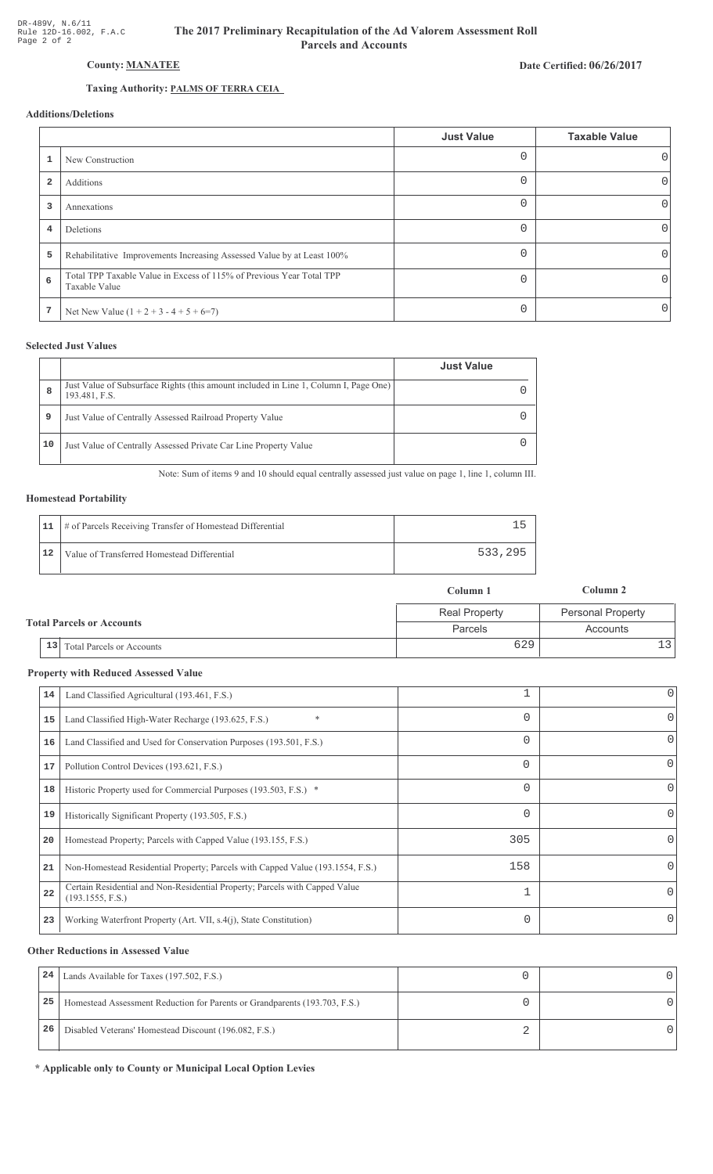# Date Certified: 06/26/2017

# **County: MANATEE**

# Taxing Authority: PALMS OF TERRA CEIA

# **Additions/Deletions**

|                |                                                                                       | <b>Just Value</b> | <b>Taxable Value</b> |
|----------------|---------------------------------------------------------------------------------------|-------------------|----------------------|
|                | New Construction                                                                      |                   | $\cup$               |
| $\overline{2}$ | Additions                                                                             |                   |                      |
| 3              | Annexations                                                                           | $\Omega$          | 0                    |
| 4              | Deletions                                                                             | $\Omega$          | 0                    |
| 5              | Rehabilitative Improvements Increasing Assessed Value by at Least 100%                | ∩                 | 0                    |
| 6              | Total TPP Taxable Value in Excess of 115% of Previous Year Total TPP<br>Taxable Value | $\cap$            |                      |
| 7              | Net New Value $(1 + 2 + 3 - 4 + 5 + 6=7)$                                             | $\Omega$          | $\left( \right)$     |

## **Selected Just Values**

|    |                                                                                                       | <b>Just Value</b> |
|----|-------------------------------------------------------------------------------------------------------|-------------------|
| 8  | Just Value of Subsurface Rights (this amount included in Line 1, Column I, Page One)<br>193.481, F.S. |                   |
| 9  | Just Value of Centrally Assessed Railroad Property Value                                              |                   |
| 10 | Just Value of Centrally Assessed Private Car Line Property Value                                      |                   |

Note: Sum of items 9 and 10 should equal centrally assessed just value on page 1, line 1, column III.

# **Homestead Portability**

|    | 11   # of Parcels Receiving Transfer of Homestead Differential |         |
|----|----------------------------------------------------------------|---------|
| 12 | Value of Transferred Homestead Differential                    | 533,295 |

|                                      | Column 1             | Column 2                 |
|--------------------------------------|----------------------|--------------------------|
|                                      | <b>Real Property</b> | <b>Personal Property</b> |
| <b>Total Parcels or Accounts</b>     | Parcels              | Accounts                 |
| $\vert$ 13 Total Parcels or Accounts | 629                  |                          |

## **Property with Reduced Assessed Value**

| 14 | Land Classified Agricultural (193.461, F.S.)                                                    |          | 0        |
|----|-------------------------------------------------------------------------------------------------|----------|----------|
| 15 | $\ast$<br>Land Classified High-Water Recharge (193.625, F.S.)                                   |          | 0        |
| 16 | Land Classified and Used for Conservation Purposes (193.501, F.S.)                              |          | 0        |
| 17 | Pollution Control Devices (193.621, F.S.)                                                       | $\Omega$ | 0        |
| 18 | Historic Property used for Commercial Purposes (193.503, F.S.) *                                |          | 0        |
| 19 | Historically Significant Property (193.505, F.S.)                                               |          | 0        |
| 20 | Homestead Property; Parcels with Capped Value (193.155, F.S.)                                   | 305      | 0        |
| 21 | Non-Homestead Residential Property; Parcels with Capped Value (193.1554, F.S.)                  | 158      | 0        |
| 22 | Certain Residential and Non-Residential Property; Parcels with Capped Value<br>(193.1555, F.S.) | п        | $\Omega$ |
| 23 | Working Waterfront Property (Art. VII, s.4(j), State Constitution)                              | 0        | 0        |
|    |                                                                                                 |          |          |

## **Other Reductions in Assessed Value**

| 24 | Lands Available for Taxes (197.502, F.S.)                                  |  |
|----|----------------------------------------------------------------------------|--|
| 25 | Homestead Assessment Reduction for Parents or Grandparents (193.703, F.S.) |  |
| 26 | Disabled Veterans' Homestead Discount (196.082, F.S.)                      |  |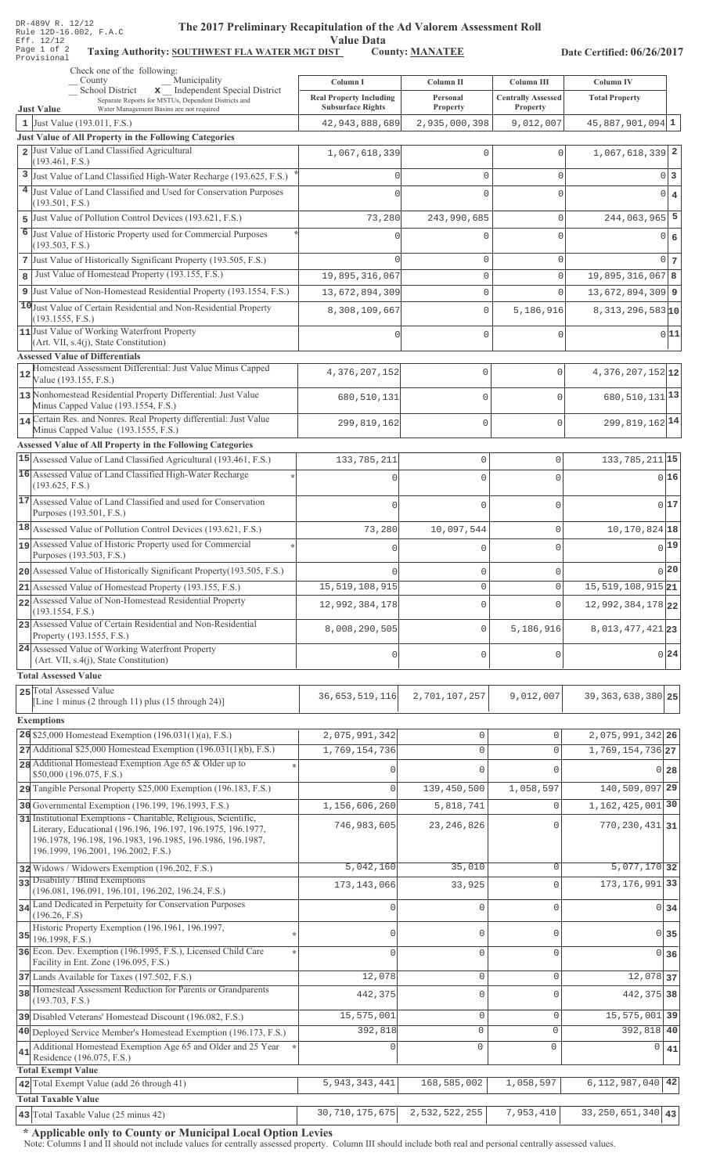| DR-489V R. 12/12 |  |  |                        |
|------------------|--|--|------------------------|
|                  |  |  | Rule 12D-16.002, F.A.C |
| Eff. 12/12       |  |  |                        |
| Page 1 of 2      |  |  | Taxing                 |
| Provisional      |  |  |                        |

# The 2017 Preliminary Recapitulation of the Ad Valorem Assessment Roll

Value Data<br>
ST County: MANATEE Taxing Authority: SOUTHWEST FLA WATER MGT DIST County: MANATEE

Date Certified: 06/26/2017

|              | Check one of the following:<br>Municipality<br>County                                                                                                                       | Column I                                                   | Column II            | Column III                                   | <b>Column IV</b>                  |    |
|--------------|-----------------------------------------------------------------------------------------------------------------------------------------------------------------------------|------------------------------------------------------------|----------------------|----------------------------------------------|-----------------------------------|----|
|              | School District<br>x _ Independent Special District<br>Separate Reports for MSTUs, Dependent Districts and<br><b>Just Value</b><br>Water Management Basins are not required | <b>Real Property Including</b><br><b>Subsurface Rights</b> | Personal<br>Property | <b>Centrally Assessed</b><br><b>Property</b> | <b>Total Property</b>             |    |
|              | 1 Just Value (193.011, F.S.)                                                                                                                                                | 42, 943, 888, 689                                          | 2,935,000,398        | 9,012,007                                    | $45,887,901,094$ 1                |    |
|              | Just Value of All Property in the Following Categories                                                                                                                      |                                                            |                      |                                              |                                   |    |
|              | 2 Just Value of Land Classified Agricultural<br>(193.461, F.S.)                                                                                                             | 1,067,618,339                                              | $\mathbf 0$          | $\mathbf 0$                                  | $1,067,618,339$ 2                 |    |
|              | 3 Just Value of Land Classified High-Water Recharge (193.625, F.S.)                                                                                                         |                                                            | $\mathbf{0}$         | 0                                            | 0 <sup>3</sup>                    |    |
|              | 4 Just Value of Land Classified and Used for Conservation Purposes                                                                                                          |                                                            | $\mathbf{0}$         | 0                                            | 0 4                               |    |
|              | (193.501, F.S.)                                                                                                                                                             |                                                            |                      |                                              |                                   |    |
|              | 5 Just Value of Pollution Control Devices (193.621, F.S.)                                                                                                                   | 73,280                                                     | 243,990,685          | 0                                            | $244,063,965$ 5                   |    |
|              | 6 Just Value of Historic Property used for Commercial Purposes<br>(193.503, F.S.)                                                                                           |                                                            | 0                    | 0                                            | $0 \mid 6$                        |    |
|              | 7 Just Value of Historically Significant Property (193.505, F.S.)                                                                                                           |                                                            | $\mathbf{0}$         | 0                                            | 0 <sub>7</sub>                    |    |
| $\mathbf{8}$ | Just Value of Homestead Property (193.155, F.S.)                                                                                                                            | 19,895,316,067                                             | $\mathbb O$          | $\mathbf 0$                                  | 19,895,316,067 8                  |    |
|              | 9 Just Value of Non-Homestead Residential Property (193.1554, F.S.)                                                                                                         | 13,672,894,309                                             | $\mathbb O$          | 0                                            | $13,672,894,309$ 9                |    |
|              | 10 Just Value of Certain Residential and Non-Residential Property<br>(193.1555, F.S.)                                                                                       | 8,308,109,667                                              | $\mathbb O$          | 5,186,916                                    | $8,313,296,583$ 10                |    |
|              | 11 Just Value of Working Waterfront Property                                                                                                                                | Ω                                                          | $\mathbf 0$          | $\mathbf 0$                                  | 0 11                              |    |
|              | $(Art. VII, s.4(j), State Constitution)$                                                                                                                                    |                                                            |                      |                                              |                                   |    |
|              | <b>Assessed Value of Differentials</b><br>Homestead Assessment Differential: Just Value Minus Capped                                                                        |                                                            |                      |                                              |                                   |    |
| 12           | Value (193.155, F.S.)                                                                                                                                                       | 4,376,207,152                                              | 0                    | 0                                            | 4, 376, 207, 152 12               |    |
|              | 13 Nonhomestead Residential Property Differential: Just Value<br>Minus Capped Value (193.1554, F.S.)                                                                        | 680,510,131                                                | 0                    | $\Omega$                                     | 680, 510, 131 13                  |    |
|              | 14 Certain Res. and Nonres. Real Property differential: Just Value                                                                                                          |                                                            |                      | $\mathbf{0}$                                 | 299, 819, 162 14                  |    |
|              | Minus Capped Value (193.1555, F.S.)                                                                                                                                         | 299,819,162                                                | 0                    |                                              |                                   |    |
|              | <b>Assessed Value of All Property in the Following Categories</b>                                                                                                           |                                                            |                      |                                              |                                   |    |
|              | 15 Assessed Value of Land Classified Agricultural (193.461, F.S.)                                                                                                           | 133,785,211                                                | $\mathbb O$          | 0                                            | 133, 785, 211 15                  |    |
|              | 16 Assessed Value of Land Classified High-Water Recharge<br>(193.625, F.S.)                                                                                                 |                                                            | $\Omega$             | $\Omega$                                     | 016                               |    |
|              | 17 Assessed Value of Land Classified and used for Conservation                                                                                                              | $\cap$                                                     | $\Omega$             | $\Omega$                                     | 017                               |    |
|              | Purposes (193.501, F.S.)                                                                                                                                                    |                                                            |                      |                                              |                                   |    |
|              | 18 Assessed Value of Pollution Control Devices (193.621, F.S.)<br>19 Assessed Value of Historic Property used for Commercial                                                | 73,280                                                     | 10,097,544           | 0                                            | 10, 170, 824 18                   |    |
|              | Purposes (193.503, F.S.)                                                                                                                                                    |                                                            | $\Omega$             | $\Omega$                                     | 0 19                              |    |
|              | 20 Assessed Value of Historically Significant Property (193.505, F.S.)                                                                                                      |                                                            | $\mathbf 0$          | 0                                            | 0 20                              |    |
|              | 21 Assessed Value of Homestead Property (193.155, F.S.)                                                                                                                     | 15, 519, 108, 915                                          | $\mathbf 0$          | 0                                            | 15, 519, 108, 915 21              |    |
|              | 22 Assessed Value of Non-Homestead Residential Property<br>(193.1554, F.S.)                                                                                                 | 12,992,384,178                                             | $\mathbf 0$          | 0                                            | 12,992,384,178 22                 |    |
|              | 23 Assessed Value of Certain Residential and Non-Residential<br>Property (193.1555, F.S.)                                                                                   | 8,008,290,505                                              | $\mathbf 0$          | 5,186,916                                    | 8, 013, 477, 421 23               |    |
|              | 24 Assessed Value of Working Waterfront Property                                                                                                                            | $\mathbf 0$                                                | $\mathbf 0$          | 0                                            | $0\vert 24$                       |    |
|              | (Art. VII, s.4(j), State Constitution)<br><b>Total Assessed Value</b>                                                                                                       |                                                            |                      |                                              |                                   |    |
|              | 25 Total Assessed Value                                                                                                                                                     |                                                            |                      |                                              |                                   |    |
|              | [Line 1 minus (2 through 11) plus (15 through 24)]                                                                                                                          | 36, 653, 519, 116                                          | 2,701,107,257        | 9,012,007                                    | 39, 363, 638, 380 25              |    |
|              | <b>Exemptions</b>                                                                                                                                                           |                                                            |                      |                                              |                                   |    |
|              | 26 \$25,000 Homestead Exemption $(196.031(1)(a), F.S.)$                                                                                                                     | 2,075,991,342                                              | $\mathsf{O}\xspace$  | $\mathsf 0$                                  | 2,075,991,342 26                  |    |
|              | 27 Additional \$25,000 Homestead Exemption (196.031(1)(b), F.S.)                                                                                                            | 1,769,154,736                                              | $\mathsf{O}\xspace$  | $\mathbf 0$                                  | $1,769,154,736$ <sub>27</sub>     |    |
|              | 28 Additional Homestead Exemption Age 65 & Older up to<br>\$50,000 (196.075, F.S.)                                                                                          |                                                            | $\Omega$             | $\cap$                                       | $0\vert 28$                       |    |
|              | 29 Tangible Personal Property \$25,000 Exemption (196.183, F.S.)                                                                                                            | $\Omega$                                                   | 139,450,500          | 1,058,597                                    | 140,509,097 29                    |    |
|              | 30 Governmental Exemption (196.199, 196.1993, F.S.)                                                                                                                         | 1,156,606,260                                              | 5,818,741            | $\Omega$                                     | 1, 162, 425, 001 30               |    |
|              | 31 Institutional Exemptions - Charitable, Religious, Scientific,<br>Literary, Educational (196.196, 196.197, 196.1975, 196.1977,                                            | 746,983,605                                                | 23, 246, 826         | $\Omega$                                     | $770, 230, 431$ 31                |    |
|              | 196.1978, 196.198, 196.1983, 196.1985, 196.1986, 196.1987,                                                                                                                  |                                                            |                      |                                              |                                   |    |
|              | 196.1999, 196.2001, 196.2002, F.S.)                                                                                                                                         |                                                            |                      |                                              |                                   |    |
|              | 32 Widows / Widowers Exemption (196.202, F.S.)<br>33 Disability / Blind Exemptions                                                                                          | 5,042,160                                                  | 35,010               | $\mathbf 0$                                  | $5,077,170$ 32                    |    |
|              | (196.081, 196.091, 196.101, 196.202, 196.24, F.S.)                                                                                                                          | 173, 143, 066                                              | 33,925               | 0                                            | 173, 176, 991 33                  |    |
|              | 34 Land Dedicated in Perpetuity for Conservation Purposes<br>(196.26, F.S)                                                                                                  |                                                            | $\mathbf 0$          | $\Omega$                                     | $0 \overline{\smash{34}}$         |    |
|              | Historic Property Exemption (196.1961, 196.1997,                                                                                                                            | $\mathbf 0$                                                | $\mathbf{0}$         | $\Omega$                                     | 0 35                              |    |
|              | $35$ 196.1998, F.S.)<br>36 Econ. Dev. Exemption (196.1995, F.S.), Licensed Child Care                                                                                       | $\Omega$                                                   |                      |                                              |                                   |    |
|              | Facility in Ent. Zone (196.095, F.S.)                                                                                                                                       |                                                            | $\mathbf 0$          | 0                                            | 0 36                              |    |
|              | 37 Lands Available for Taxes (197.502, F.S.)                                                                                                                                | 12,078                                                     | $\mathbb O$          | 0                                            | 12,078 37                         |    |
|              | 38 Homestead Assessment Reduction for Parents or Grandparents<br>(193.703, F.S.)                                                                                            | 442,375                                                    | $\mathsf{O}\xspace$  | 0                                            | 442, 375 38                       |    |
|              | 39 Disabled Veterans' Homestead Discount (196.082, F.S.)                                                                                                                    | 15,575,001                                                 | $\mathsf{O}\xspace$  | $\mathbf 0$                                  | 15,575,001 39                     |    |
|              | 40 Deployed Service Member's Homestead Exemption (196.173, F.S.)                                                                                                            | 392,818                                                    | 0                    | $\mathbf{0}$                                 | 392,818 40                        |    |
| 41           | Additional Homestead Exemption Age 65 and Older and 25 Year<br>Residence (196.075, F.S.)                                                                                    |                                                            | $\circ$              | 0                                            | $\Omega$                          | 41 |
|              | <b>Total Exempt Value</b>                                                                                                                                                   |                                                            |                      |                                              |                                   |    |
|              | 42 Total Exempt Value (add 26 through 41)                                                                                                                                   | 5, 943, 343, 441                                           | 168,585,002          | 1,058,597                                    | $6, 112, 987, 040$ 42             |    |
|              | <b>Total Taxable Value</b>                                                                                                                                                  |                                                            |                      |                                              |                                   |    |
|              | 43 Total Taxable Value (25 minus 42)                                                                                                                                        | 30, 710, 175, 675                                          | 2,532,522,255        | 7,953,410                                    | $\overline{33,250}$ , 651, 340 43 |    |

\* Applicable only to County or Municipal Local Option Levies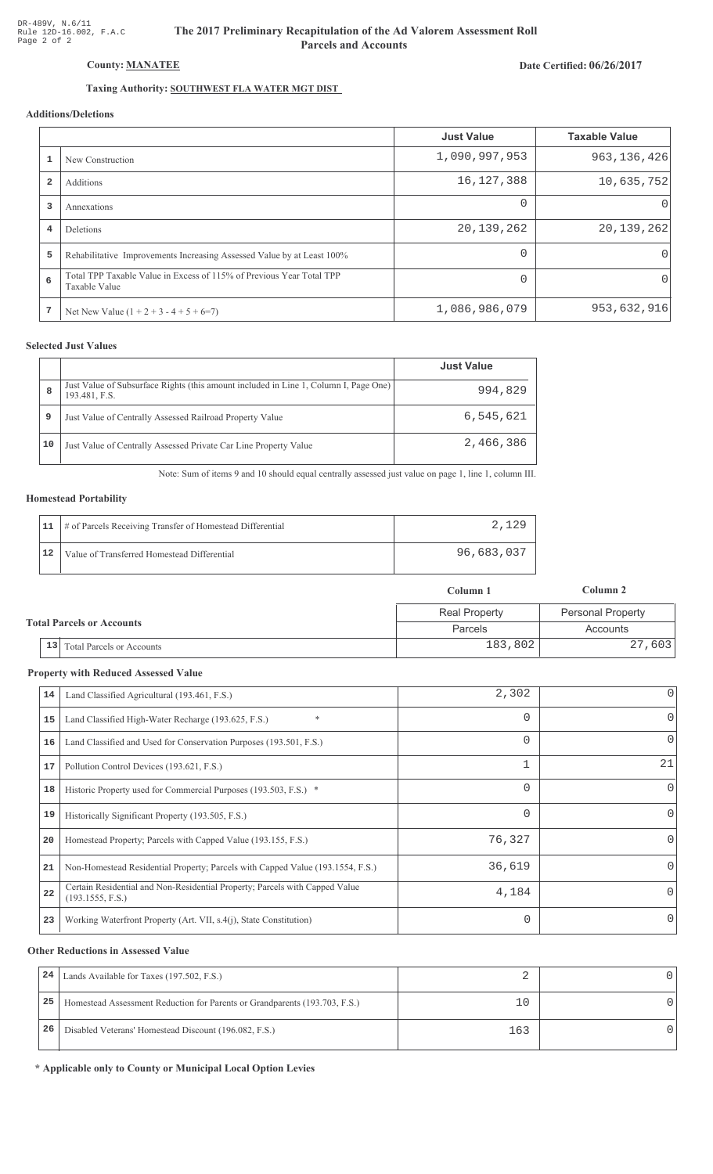# The 2017 Preliminary Recapitulation of the Ad Valorem Assessment Roll **Parcels and Accounts**

## Date Certified: 06/26/2017

# Taxing Authority: SOUTHWEST FLA WATER MGT DIST

## Additions/Deletions

|                |                                                                                       | <b>Just Value</b> | <b>Taxable Value</b> |
|----------------|---------------------------------------------------------------------------------------|-------------------|----------------------|
|                | New Construction                                                                      | 1,090,997,953     | 963, 136, 426        |
| $\overline{2}$ | Additions                                                                             | 16, 127, 388      | 10,635,752           |
| 3              | Annexations                                                                           | $\Omega$          |                      |
| 4              | <b>Deletions</b>                                                                      | 20, 139, 262      | 20,139,262           |
| 5              | Rehabilitative Improvements Increasing Assessed Value by at Least 100%                | 0                 |                      |
| 6              | Total TPP Taxable Value in Excess of 115% of Previous Year Total TPP<br>Taxable Value | $\Omega$          |                      |
| 7              | Net New Value $(1 + 2 + 3 - 4 + 5 + 6=7)$                                             | 1,086,986,079     | 953,632,916          |

### **Selected Just Values**

|    |                                                                                                       | <b>Just Value</b> |
|----|-------------------------------------------------------------------------------------------------------|-------------------|
| 8  | Just Value of Subsurface Rights (this amount included in Line 1, Column I, Page One)<br>193.481, F.S. | 994,829           |
| 9  | Just Value of Centrally Assessed Railroad Property Value                                              | 6,545,621         |
| 10 | Just Value of Centrally Assessed Private Car Line Property Value                                      | 2,466,386         |

Note: Sum of items 9 and 10 should equal centrally assessed just value on page 1, line 1, column III.

#### **Homestead Portability**

| 11 | # of Parcels Receiving Transfer of Homestead Differential | 2.129      |
|----|-----------------------------------------------------------|------------|
| 12 | Value of Transferred Homestead Differential               | 96,683,037 |

|                                  |                              | Column 1             | Column 2          |
|----------------------------------|------------------------------|----------------------|-------------------|
| <b>Total Parcels or Accounts</b> |                              | <b>Real Property</b> | Personal Property |
|                                  |                              | Parcels              | Accounts          |
|                                  | 13 Total Parcels or Accounts | 183,802              | 27,603            |

#### **Property with Reduced Assessed Value**

| 14 | Land Classified Agricultural (193.461, F.S.)                                                    | 2,302    | $\overline{0}$ |
|----|-------------------------------------------------------------------------------------------------|----------|----------------|
| 15 | *<br>Land Classified High-Water Recharge (193.625, F.S.)                                        | $\Omega$ | 0              |
| 16 | Land Classified and Used for Conservation Purposes (193.501, F.S.)                              | 0        | 0              |
| 17 | Pollution Control Devices (193.621, F.S.)                                                       | 1        | 21             |
| 18 | Historic Property used for Commercial Purposes (193.503, F.S.) *                                | $\Omega$ | 0              |
| 19 | Historically Significant Property (193.505, F.S.)                                               | $\Omega$ | 0              |
| 20 | Homestead Property; Parcels with Capped Value (193.155, F.S.)                                   | 76,327   | Λ              |
| 21 | Non-Homestead Residential Property; Parcels with Capped Value (193.1554, F.S.)                  | 36,619   | 0              |
| 22 | Certain Residential and Non-Residential Property; Parcels with Capped Value<br>(193.1555, F.S.) | 4,184    | 0              |
| 23 | Working Waterfront Property (Art. VII, s.4(j), State Constitution)                              |          |                |

#### **Other Reductions in Assessed Value**

| 24 | Lands Available for Taxes (197.502, F.S.)                                  |     |  |
|----|----------------------------------------------------------------------------|-----|--|
| 25 | Homestead Assessment Reduction for Parents or Grandparents (193.703, F.S.) |     |  |
| 26 | Disabled Veterans' Homestead Discount (196.082, F.S.)                      | 163 |  |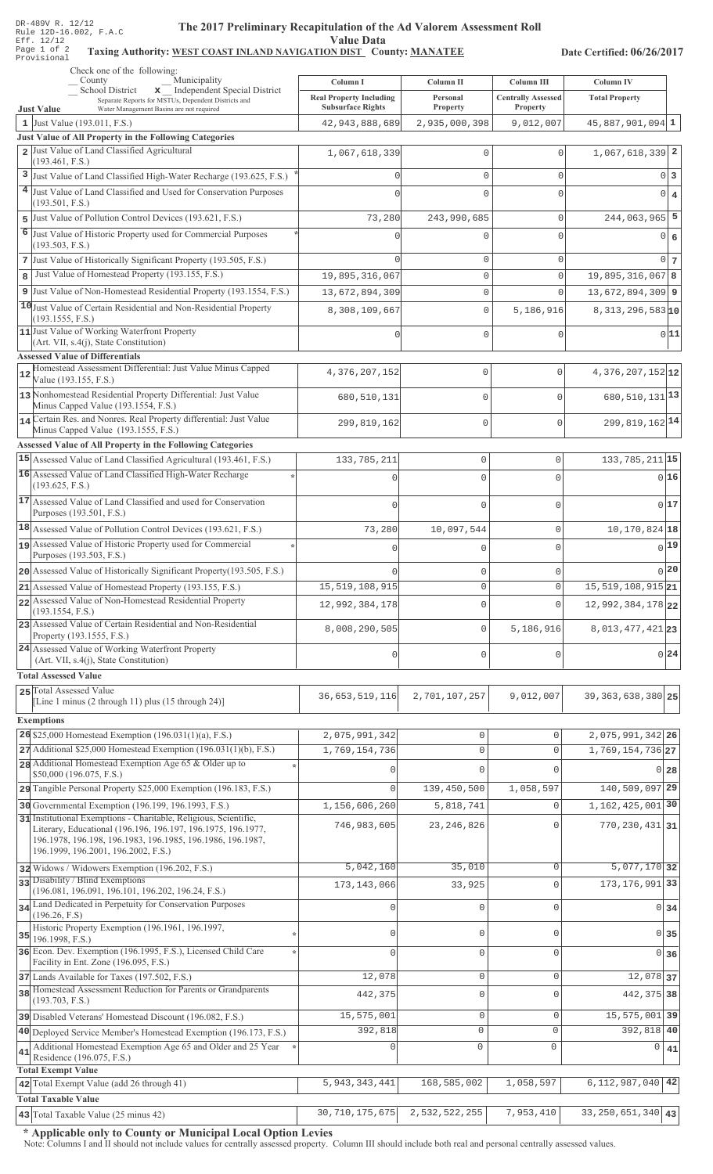## The 2017 Preliminary Recapitulation of the Ad Valorem Assessment Roll **Value Data**

## Taxing Authority: WEST COAST INLAND NAVIGATION DIST County: MANATEE

Date Certified: 06/26/2017

|    | Check one of the following:<br>Municipality<br>County                                                                                                                                                                                 | Column I                                      | Column II                 | Column III                | Column IV                     |
|----|---------------------------------------------------------------------------------------------------------------------------------------------------------------------------------------------------------------------------------------|-----------------------------------------------|---------------------------|---------------------------|-------------------------------|
|    | School District<br>x Independent Special District<br>Separate Reports for MSTUs, Dependent Districts and                                                                                                                              | <b>Real Property Including</b>                | Personal                  | <b>Centrally Assessed</b> | <b>Total Property</b>         |
|    | <b>Just Value</b><br>Water Management Basins are not required<br>1 Just Value $(193.011, F.S.)$                                                                                                                                       | <b>Subsurface Rights</b><br>42, 943, 888, 689 | Property<br>2,935,000,398 | Property<br>9,012,007     | $45,887,901,094$ 1            |
|    | Just Value of All Property in the Following Categories                                                                                                                                                                                |                                               |                           |                           |                               |
|    | 2 Just Value of Land Classified Agricultural                                                                                                                                                                                          | 1,067,618,339                                 | $\Omega$                  | $\Omega$                  | $1,067,618,339$ 2             |
|    | (193.461, F.S.)<br>3 Just Value of Land Classified High-Water Recharge (193.625, F.S.)                                                                                                                                                |                                               | $\mathbf{0}$              | 0                         | $0\vert 3$                    |
|    | 4 Just Value of Land Classified and Used for Conservation Purposes                                                                                                                                                                    |                                               | $\Omega$                  | $\mathbf 0$               | $0 \mid 4$                    |
|    | (193.501, F.S.)                                                                                                                                                                                                                       |                                               |                           |                           |                               |
| 5  | Just Value of Pollution Control Devices (193.621, F.S.)                                                                                                                                                                               | 73,280                                        | 243,990,685               | 0                         | $244,063,965$ 5               |
| 6  | Just Value of Historic Property used for Commercial Purposes<br>(193.503, F.S.)                                                                                                                                                       |                                               | $\Omega$                  | $\mathbf 0$               | 0 6                           |
|    | 7 Just Value of Historically Significant Property (193.505, F.S.)                                                                                                                                                                     |                                               | $\mathbf 0$               | 0                         | $0\vert 7$                    |
| 8  | Just Value of Homestead Property (193.155, F.S.)                                                                                                                                                                                      | 19,895,316,067                                | $\mathsf{O}\xspace$       | $\mathbf{0}$              | $19,895,316,067$ 8            |
| 9  | Just Value of Non-Homestead Residential Property (193.1554, F.S.)                                                                                                                                                                     | 13,672,894,309                                | $\mathbf{0}$              | $\mathbf 0$               | $13,672,894,309$ 9            |
|    | 10 Just Value of Certain Residential and Non-Residential Property<br>(193.1555, F.S.)                                                                                                                                                 | 8,308,109,667                                 | $\mathbf{0}$              | 5,186,916                 | $8,313,296,583$ <sub>10</sub> |
|    | 11 Just Value of Working Waterfront Property<br>(Art. VII, s.4(j), State Constitution)                                                                                                                                                |                                               | $\Omega$                  | $\mathbf{0}$              | 0 11                          |
|    | <b>Assessed Value of Differentials</b>                                                                                                                                                                                                |                                               |                           |                           |                               |
| 12 | Homestead Assessment Differential: Just Value Minus Capped<br>Value (193.155, F.S.)                                                                                                                                                   | 4,376,207,152                                 | 0                         | $\mathbf{0}$              | $4,376,207,152$ 12            |
|    | 13 Nonhomestead Residential Property Differential: Just Value<br>Minus Capped Value (193.1554, F.S.)                                                                                                                                  | 680, 510, 131                                 | $\mathbf 0$               | $\Omega$                  | $680, 510, 131$ <sup>13</sup> |
|    | 14 Certain Res. and Nonres. Real Property differential: Just Value<br>Minus Capped Value (193.1555, F.S.)                                                                                                                             | 299,819,162                                   | 0                         | $\Omega$                  | 299, 819, 162 14              |
|    | Assessed Value of All Property in the Following Categories                                                                                                                                                                            |                                               |                           |                           |                               |
|    | 15 Assessed Value of Land Classified Agricultural (193.461, F.S.)                                                                                                                                                                     | 133,785,211                                   | $\mathbf 0$               | $\mathbf{0}$              | 133, 785, 211 15              |
|    | 16 Assessed Value of Land Classified High-Water Recharge                                                                                                                                                                              |                                               | $\bigcap$                 | $\Omega$                  | 0 16                          |
|    | (193.625, F.S.)<br>17 Assessed Value of Land Classified and used for Conservation                                                                                                                                                     |                                               |                           |                           |                               |
|    | Purposes (193.501, F.S.)                                                                                                                                                                                                              |                                               | $\mathbf 0$               | $\Omega$                  | 0 17                          |
|    | 18 Assessed Value of Pollution Control Devices (193.621, F.S.)                                                                                                                                                                        | 73,280                                        | 10,097,544                | $\mathbf{0}$              | 10, 170, 824 18               |
|    | 19 Assessed Value of Historic Property used for Commercial<br>Purposes (193.503, F.S.)                                                                                                                                                |                                               | $\cap$                    | $\Omega$                  | $0^{19}$                      |
|    | 20 Assessed Value of Historically Significant Property (193.505, F.S.)                                                                                                                                                                |                                               | $\mathbf 0$               | $\mathbf{0}$              | 0 20                          |
|    | $21$ Assessed Value of Homestead Property (193.155, F.S.)                                                                                                                                                                             | 15, 519, 108, 915                             | $\Omega$                  | $\overline{0}$            | 15, 519, 108, 915 21          |
|    | 22 Assessed Value of Non-Homestead Residential Property<br>(193.1554, F.S.)                                                                                                                                                           | 12,992,384,178                                | $\mathbf 0$               | $\Omega$                  | 12,992,384,178 22             |
|    | 23 Assessed Value of Certain Residential and Non-Residential<br>Property (193.1555, F.S.)                                                                                                                                             | 8,008,290,505                                 | 0                         | 5,186,916                 | 8, 013, 477, 421 23           |
|    | 24 Assessed Value of Working Waterfront Property<br>(Art. VII, s.4(j), State Constitution)                                                                                                                                            | 0                                             | $\mathbf 0$               | $\Omega$                  | 0 24                          |
|    | <b>Total Assessed Value</b>                                                                                                                                                                                                           |                                               |                           |                           |                               |
|    | 25 Total Assessed Value                                                                                                                                                                                                               | 36, 653, 519, 116                             | 2,701,107,257             | 9,012,007                 | 39, 363, 638, 380 25          |
|    | Line 1 minus $(2 \t{through } 11)$ plus $(15 \t{through } 24)$ ]                                                                                                                                                                      |                                               |                           |                           |                               |
|    | <b>Exemptions</b>                                                                                                                                                                                                                     |                                               |                           |                           |                               |
|    | 26 \$25,000 Homestead Exemption $(196.031(1)(a), F.S.)$<br>$27$ Additional \$25,000 Homestead Exemption (196.031(1)(b), F.S.)                                                                                                         | 2,075,991,342                                 | $\mathsf{O}\xspace$       | $\mathbf 0$               | 2,075,991,342 26              |
|    | 28 Additional Homestead Exemption Age 65 & Older up to                                                                                                                                                                                | 1,769,154,736                                 | $\circ$                   | $\mathbf 0$               | 1,769,154,736 27              |
|    | \$50,000 (196.075, F.S.)                                                                                                                                                                                                              | 0                                             | $\Omega$                  | $\Omega$                  | $0\vert 28$                   |
|    | 29 Tangible Personal Property \$25,000 Exemption (196.183, F.S.)                                                                                                                                                                      | $\Omega$                                      | 139,450,500               | 1,058,597                 | 140,509,097 29                |
|    | 30 Governmental Exemption (196.199, 196.1993, F.S.)                                                                                                                                                                                   | 1,156,606,260                                 | 5,818,741                 | $\mathbf{0}$              | 1, 162, 425, 001 30           |
|    | 31 Institutional Exemptions - Charitable, Religious, Scientific,<br>Literary, Educational (196.196, 196.197, 196.1975, 196.1977,<br>196.1978, 196.198, 196.1983, 196.1985, 196.1986, 196.1987,<br>196.1999, 196.2001, 196.2002, F.S.) | 746,983,605                                   | 23, 246, 826              | $\mathbf 0$               | $770, 230, 431$ 31            |
|    | 32 Widows / Widowers Exemption (196.202, F.S.)                                                                                                                                                                                        | 5,042,160                                     | 35,010                    | $\mathbf{0}$              | $5,077,170$ 32                |
|    | 33 Disability / Blind Exemptions<br>(196.081, 196.091, 196.101, 196.202, 196.24, F.S.)                                                                                                                                                | 173, 143, 066                                 | 33,925                    | $\Omega$                  | 173, 176, 991 33              |
|    | 34 Land Dedicated in Perpetuity for Conservation Purposes<br>(196.26, F.S)                                                                                                                                                            | $\Omega$                                      | $\mathbf{0}$              | $\Omega$                  | $0 \overline{\smash{)}34}$    |
| 35 | Historic Property Exemption (196.1961, 196.1997,<br>196.1998, F.S.)                                                                                                                                                                   | $\Omega$                                      | 0                         | $\overline{0}$            | $0\overline{35}$              |
|    | 36 Econ. Dev. Exemption (196.1995, F.S.), Licensed Child Care                                                                                                                                                                         | $\Omega$                                      | $\mathbf{0}$              | $\Omega$                  | $0\overline{36}$              |
|    | Facility in Ent. Zone (196.095, F.S.)<br>37 Lands Available for Taxes (197.502, F.S.)                                                                                                                                                 | 12,078                                        | $\circ$                   | $\mathbf 0$               | 12,078 37                     |
|    | 38 Homestead Assessment Reduction for Parents or Grandparents                                                                                                                                                                         | 442,375                                       | $\mathbf 0$               | $\Omega$                  | 442, 375 38                   |
|    | (193.703, F.S.)<br>39 Disabled Veterans' Homestead Discount (196.082, F.S.)                                                                                                                                                           | 15,575,001                                    | $\circ$                   | $\mathbf 0$               | 15,575,001 39                 |
|    | 40 Deployed Service Member's Homestead Exemption (196.173, F.S.)                                                                                                                                                                      | 392,818                                       | $\circ$                   | $\Omega$                  | 392,818 40                    |
|    | Additional Homestead Exemption Age 65 and Older and 25 Year                                                                                                                                                                           | $\mathbf{0}$                                  | $\circ$                   | $\mathbf 0$               | $\mathsf{O}\xspace$<br>41     |
| 41 | Residence (196.075, F.S.)<br><b>Total Exempt Value</b>                                                                                                                                                                                |                                               |                           |                           |                               |
|    | 42 Total Exempt Value (add 26 through 41)                                                                                                                                                                                             | 5, 943, 343, 441                              | 168,585,002               | 1,058,597                 | $6,112,987,040$ 42            |
|    | <b>Total Taxable Value</b>                                                                                                                                                                                                            |                                               |                           |                           |                               |
|    | 43 Total Taxable Value (25 minus 42)                                                                                                                                                                                                  | 30,710,175,675                                | 2,532,522,255             | 7,953,410                 | 33,250,651,340 43             |

\* Applicable only to County or Municipal Local Option Levies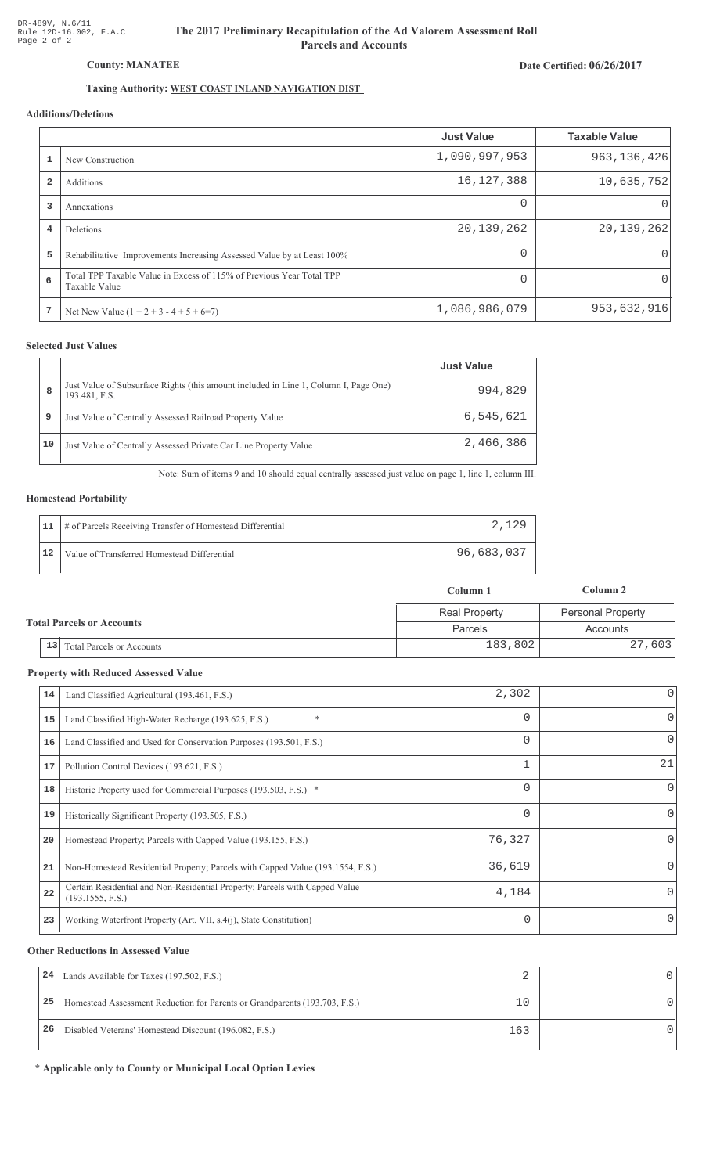# The 2017 Preliminary Recapitulation of the Ad Valorem Assessment Roll **Parcels and Accounts**

Date Certified: 06/26/2017

# Taxing Authority: WEST COAST INLAND NAVIGATION DIST

## Additions/Deletions

|                |                                                                                       | <b>Just Value</b> | <b>Taxable Value</b> |
|----------------|---------------------------------------------------------------------------------------|-------------------|----------------------|
|                | New Construction                                                                      | 1,090,997,953     | 963, 136, 426        |
| $\overline{2}$ | Additions                                                                             | 16,127,388        | 10,635,752           |
| 3              | Annexations                                                                           | $\Omega$          |                      |
| 4              | <b>Deletions</b>                                                                      | 20, 139, 262      | 20, 139, 262         |
| 5              | Rehabilitative Improvements Increasing Assessed Value by at Least 100%                | 0                 |                      |
| 6              | Total TPP Taxable Value in Excess of 115% of Previous Year Total TPP<br>Taxable Value | 0                 |                      |
|                | Net New Value $(1 + 2 + 3 - 4 + 5 + 6=7)$                                             | 1,086,986,079     | 953,632,916          |

## **Selected Just Values**

|    |                                                                                                       | <b>Just Value</b> |
|----|-------------------------------------------------------------------------------------------------------|-------------------|
| 8  | Just Value of Subsurface Rights (this amount included in Line 1, Column I, Page One)<br>193.481, F.S. | 994,829           |
| 9  | Just Value of Centrally Assessed Railroad Property Value                                              | 6,545,621         |
| 10 | Just Value of Centrally Assessed Private Car Line Property Value                                      | 2,466,386         |

Note: Sum of items 9 and 10 should equal centrally assessed just value on page 1, line 1, column III.

#### **Homestead Portability**

| 11 | # of Parcels Receiving Transfer of Homestead Differential | 2.129      |
|----|-----------------------------------------------------------|------------|
| 12 | Value of Transferred Homestead Differential               | 96,683,037 |

|                                  |                                      | Column 1             | Column 2                 |
|----------------------------------|--------------------------------------|----------------------|--------------------------|
| <b>Total Parcels or Accounts</b> |                                      | <b>Real Property</b> | <b>Personal Property</b> |
|                                  |                                      | Parcels              | Accounts                 |
|                                  | $\vert$ 13 Total Parcels or Accounts | 183,802              | 27,603                   |

#### **Property with Reduced Assessed Value**

| 14 | Land Classified Agricultural (193.461, F.S.)                                                    | 2,302    | 0            |
|----|-------------------------------------------------------------------------------------------------|----------|--------------|
| 15 | *<br>Land Classified High-Water Recharge (193.625, F.S.)                                        |          | 0            |
| 16 | Land Classified and Used for Conservation Purposes (193.501, F.S.)                              | 0        | 0            |
| 17 | Pollution Control Devices (193.621, F.S.)                                                       |          | 21           |
| 18 | Historic Property used for Commercial Purposes (193.503, F.S.) *                                | 0        | $\mathbf{0}$ |
| 19 | Historically Significant Property (193.505, F.S.)                                               | $\Omega$ | $\Omega$     |
| 20 | Homestead Property; Parcels with Capped Value (193.155, F.S.)                                   | 76,327   | 0            |
| 21 | Non-Homestead Residential Property; Parcels with Capped Value (193.1554, F.S.)                  | 36,619   | 0            |
| 22 | Certain Residential and Non-Residential Property; Parcels with Capped Value<br>(193.1555, F.S.) | 4,184    | 0            |
| 23 | Working Waterfront Property (Art. VII, s.4(j), State Constitution)                              | 0        | $\Omega$     |

#### **Other Reductions in Assessed Value**

| 24 | Lands Available for Taxes (197.502, F.S.)                                  |     |  |
|----|----------------------------------------------------------------------------|-----|--|
| 25 | Homestead Assessment Reduction for Parents or Grandparents (193.703, F.S.) |     |  |
| 26 | Disabled Veterans' Homestead Discount (196.082, F.S.)                      | 163 |  |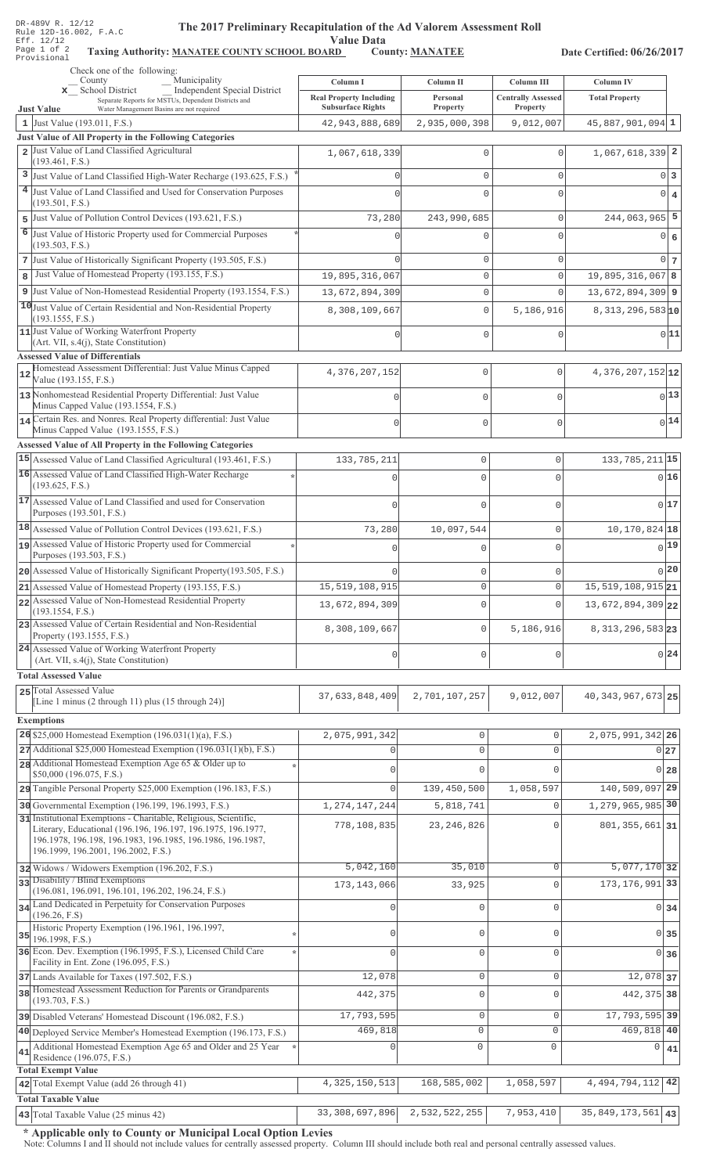| DR-489V R. 12/12 |  |  |                        |
|------------------|--|--|------------------------|
|                  |  |  | Rule 12D-16.002, F.A.C |
| Eff. 12/12       |  |  |                        |
| Page 1 of 2      |  |  | Taxing                 |
| Provisional      |  |  |                        |

# The 2017 Preliminary Recapitulation of the Ad Valorem Assessment Roll

Value Data<br><u>RD</u> County: <u>MANATEE</u> Taxing Authority: MANATEE COUNTY SCHOOL BOARD County: MANATEE

Date Certified: 06/26/2017

|    | Check one of the following:<br>Municipality<br>County                                                                                                                                                                                 | Column I                                      | Column II                  | Column III                | <b>Column IV</b>                         |                |
|----|---------------------------------------------------------------------------------------------------------------------------------------------------------------------------------------------------------------------------------------|-----------------------------------------------|----------------------------|---------------------------|------------------------------------------|----------------|
|    | <b>Independent Special District</b><br>x School District<br>Separate Reports for MSTUs, Dependent Districts and                                                                                                                       | <b>Real Property Including</b>                | Personal                   | <b>Centrally Assessed</b> | <b>Total Property</b>                    |                |
|    | <b>Just Value</b><br>Water Management Basins are not required<br>1 Just Value (193.011, F.S.)                                                                                                                                         | <b>Subsurface Rights</b><br>42, 943, 888, 689 | Property<br>2,935,000,398  | Property<br>9,012,007     | $45,887,901,094$ 1                       |                |
|    | Just Value of All Property in the Following Categories                                                                                                                                                                                |                                               |                            |                           |                                          |                |
|    | 2 Just Value of Land Classified Agricultural<br>(193.461, F.S.)                                                                                                                                                                       | 1,067,618,339                                 | $\Omega$                   | U                         | $1,067,618,339$ 2                        |                |
| 3  | Just Value of Land Classified High-Water Recharge (193.625, F.S.)                                                                                                                                                                     |                                               | $\mathbf 0$                | $\Omega$                  | $0\vert 3$                               |                |
|    | 4 Just Value of Land Classified and Used for Conservation Purposes                                                                                                                                                                    |                                               | $\Omega$                   | U                         | $\circ$                                  | $\overline{4}$ |
| 5  | (193.501, F.S.)<br>Just Value of Pollution Control Devices (193.621, F.S.)                                                                                                                                                            | 73,280                                        | 243,990,685                | 0                         | $244,063,965$ 5                          |                |
| 6  | Just Value of Historic Property used for Commercial Purposes                                                                                                                                                                          |                                               | U                          | Λ                         | $0 \big  6$                              |                |
|    | (193.503, F.S.)                                                                                                                                                                                                                       |                                               |                            |                           |                                          |                |
|    | 7 Just Value of Historically Significant Property (193.505, F.S.)                                                                                                                                                                     |                                               | $\mathbf{0}$               | $\Omega$                  | $0\vert 7$                               |                |
| 8  | Just Value of Homestead Property (193.155, F.S.)                                                                                                                                                                                      | 19,895,316,067                                | $\mathbb O$                | $\Omega$<br>$\Omega$      | $19,895,316,067$ 8                       |                |
|    | 9 Just Value of Non-Homestead Residential Property (193.1554, F.S.)<br>10 Just Value of Certain Residential and Non-Residential Property                                                                                              | 13,672,894,309                                | $\mathbb O$<br>$\mathbf 0$ |                           | $13,672,894,309$ 9<br>$8,313,296,583$ 10 |                |
|    | (193.1555, F.S.)<br>11 Just Value of Working Waterfront Property<br>(Art. VII, s.4(j), State Constitution)                                                                                                                            | 8,308,109,667<br><sup>n</sup>                 | $\mathbf{0}$               | 5,186,916<br>$\Omega$     | 0 11                                     |                |
|    | <b>Assessed Value of Differentials</b><br>Homestead Assessment Differential: Just Value Minus Capped                                                                                                                                  |                                               |                            |                           |                                          |                |
| 12 | Value (193.155, F.S.)                                                                                                                                                                                                                 | 4,376,207,152                                 | 0                          | $\mathbf{0}$              | $4,376,207,152$ <sub>12</sub>            |                |
|    | 13 Nonhomestead Residential Property Differential: Just Value<br>Minus Capped Value (193.1554, F.S.)                                                                                                                                  |                                               | $\mathbf{0}$               | $\mathbf 0$               | $0$ <sup>13</sup>                        |                |
|    | 14 Certain Res. and Nonres. Real Property differential: Just Value<br>Minus Capped Value (193.1555, F.S.)                                                                                                                             |                                               | $\Omega$                   | $\mathbf 0$               | $0$ <sup>14</sup>                        |                |
|    | Assessed Value of All Property in the Following Categories                                                                                                                                                                            |                                               |                            |                           |                                          |                |
|    | 15 Assessed Value of Land Classified Agricultural (193.461, F.S.)                                                                                                                                                                     | 133, 785, 211                                 | $\mathbf 0$                | $\mathsf{O}\xspace$       | 133, 785, 211 15                         |                |
|    | 16 Assessed Value of Land Classified High-Water Recharge<br>(193.625, F.S.)                                                                                                                                                           |                                               | $\cap$                     | 0                         | 0 16                                     |                |
|    | 17 Assessed Value of Land Classified and used for Conservation<br>Purposes (193.501, F.S.)                                                                                                                                            |                                               | $\mathbf 0$                | 0                         | 017                                      |                |
|    | 18 Assessed Value of Pollution Control Devices (193.621, F.S.)                                                                                                                                                                        | 73,280                                        | 10,097,544                 | 0                         | $10, 170, 824$ 18                        |                |
|    | 19 Assessed Value of Historic Property used for Commercial                                                                                                                                                                            |                                               | 0                          | 0                         | $0$ <sup>19</sup>                        |                |
|    | Purposes (193.503, F.S.)<br>20 Assessed Value of Historically Significant Property (193.505, F.S.)                                                                                                                                    |                                               | 0                          | 0                         | 0 20                                     |                |
|    | $21$ Assessed Value of Homestead Property (193.155, F.S.)                                                                                                                                                                             | 15, 519, 108, 915                             | $\Omega$                   | $\Omega$                  | 15, 519, 108, 915 21                     |                |
|    | 22 Assessed Value of Non-Homestead Residential Property<br>(193.1554, F.S.)                                                                                                                                                           | 13,672,894,309                                | 0                          | 0                         | 13,672,894,309 22                        |                |
|    | 23 Assessed Value of Certain Residential and Non-Residential<br>Property (193.1555, F.S.)                                                                                                                                             | 8,308,109,667                                 | $\mathsf 0$                | 5,186,916                 | 8, 313, 296, 583 23                      |                |
|    | 24 Assessed Value of Working Waterfront Property<br>(Art. VII, s.4(j), State Constitution)                                                                                                                                            |                                               | $\mathbf 0$                | 0                         | 0.24                                     |                |
|    | <b>Total Assessed Value</b>                                                                                                                                                                                                           |                                               |                            |                           |                                          |                |
|    | 25 Total Assessed Value<br>[Line 1 minus (2 through 11) plus (15 through 24)]                                                                                                                                                         | 37,633,848,409                                | 2,701,107,257              | 9,012,007                 | 40, 343, 967, 673 25                     |                |
|    | <b>Exemptions</b>                                                                                                                                                                                                                     |                                               |                            |                           |                                          |                |
|    | 26 \$25,000 Homestead Exemption $(196.031(1)(a), F.S.)$                                                                                                                                                                               | 2,075,991,342                                 | $\mathbb O$                | 0                         | 2,075,991,342 26                         |                |
|    | $27$ Additional \$25,000 Homestead Exemption (196.031(1)(b), F.S.)                                                                                                                                                                    | 0                                             | $\mathsf{O}\xspace$        | $\Omega$                  | 0 <sub>27</sub>                          |                |
|    | 28 Additional Homestead Exemption Age 65 & Older up to<br>\$50,000 (196.075, F.S.)                                                                                                                                                    | $\mathbf 0$                                   | $\Omega$                   | $\Omega$                  | $0$ 28                                   |                |
|    | 29 Tangible Personal Property \$25,000 Exemption (196.183, F.S.)                                                                                                                                                                      | $\Omega$                                      | 139,450,500                | 1,058,597                 | 140,509,097 29                           |                |
|    | 30 Governmental Exemption (196.199, 196.1993, F.S.)                                                                                                                                                                                   | 1, 274, 147, 244                              | 5,818,741                  | $\Omega$                  | 1, 279, 965, 985 30                      |                |
|    | 31 Institutional Exemptions - Charitable, Religious, Scientific,<br>Literary, Educational (196.196, 196.197, 196.1975, 196.1977,<br>196.1978, 196.198, 196.1983, 196.1985, 196.1986, 196.1987,<br>196.1999, 196.2001, 196.2002, F.S.) | 778,108,835                                   | 23, 246, 826               | $\mathbf 0$               | 801, 355, 661 31                         |                |
|    | 32 Widows / Widowers Exemption (196.202, F.S.)                                                                                                                                                                                        | 5,042,160                                     | 35,010                     | $\mathbf 0$               | $5,077,170$ 32                           |                |
|    | 33 Disability / Blind Exemptions<br>(196.081, 196.091, 196.101, 196.202, 196.24, F.S.)                                                                                                                                                | 173, 143, 066                                 | 33,925                     | $\Omega$                  | 173, 176, 991 33                         |                |
|    | 34 Land Dedicated in Perpetuity for Conservation Purposes<br>(196.26, F.S)                                                                                                                                                            | $\Omega$                                      | $\mathbf{0}$               | $\Omega$                  | $0\overline{34}$                         |                |
| 35 | Historic Property Exemption (196.1961, 196.1997,<br>196.1998, F.S.)                                                                                                                                                                   | $\Omega$                                      | 0                          | U                         | 0 35                                     |                |
|    | 36 Econ. Dev. Exemption (196.1995, F.S.), Licensed Child Care<br>Facility in Ent. Zone (196.095, F.S.)                                                                                                                                | $\Omega$                                      | $\mathbf 0$                | $\Omega$                  | $0\overline{36}$                         |                |
|    | 37 Lands Available for Taxes (197.502, F.S.)                                                                                                                                                                                          | 12,078                                        | $\mathsf{O}\xspace$        | $\Omega$                  | 12,078 37                                |                |
|    | 38 Homestead Assessment Reduction for Parents or Grandparents<br>(193.703, F.S.)                                                                                                                                                      | 442,375                                       | $\mathbb O$                | $\Omega$                  | 442, 375 38                              |                |
|    | 39 Disabled Veterans' Homestead Discount (196.082, F.S.)                                                                                                                                                                              | 17,793,595                                    | $\mathsf{O}\xspace$        | $\mathbf{0}$              | 17, 793, 595 39                          |                |
|    | 40 Deployed Service Member's Homestead Exemption (196.173, F.S.)                                                                                                                                                                      | 469,818                                       | $\circ$                    | $\Omega$                  | 469,818 40                               |                |
| 41 | Additional Homestead Exemption Age 65 and Older and 25 Year<br>Residence (196.075, F.S.)                                                                                                                                              | $\mathbf 0$                                   | $\circ$                    | $\mathbf 0$               | 0<br>41                                  |                |
|    | <b>Total Exempt Value</b><br>42 Total Exempt Value (add 26 through 41)                                                                                                                                                                | 4, 325, 150, 513                              | 168,585,002                | 1,058,597                 | 4, 494, 794, 112 42                      |                |
|    | <b>Total Taxable Value</b>                                                                                                                                                                                                            |                                               |                            |                           |                                          |                |
|    | 43 Total Taxable Value (25 minus 42)                                                                                                                                                                                                  | 33,308,697,896                                | 2,532,522,255              | 7,953,410                 | 35, 849, 173, 561 43                     |                |

\* Applicable only to County or Municipal Local Option Levies